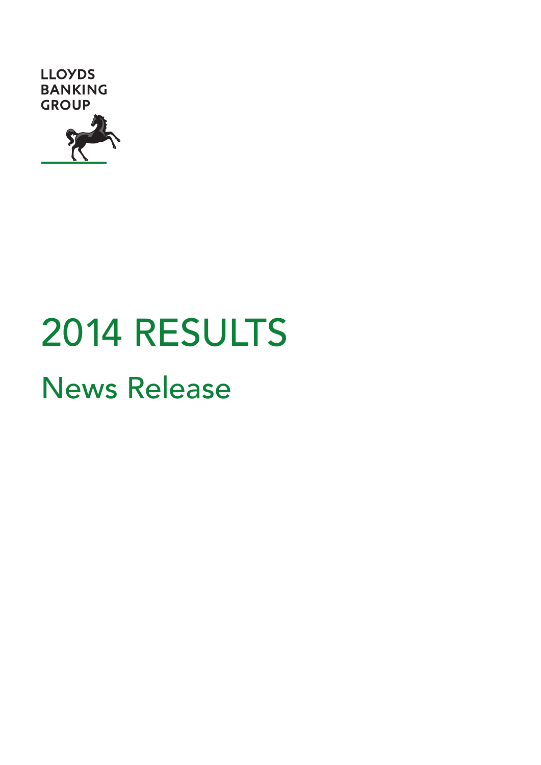

# 2014 RESULTS News Release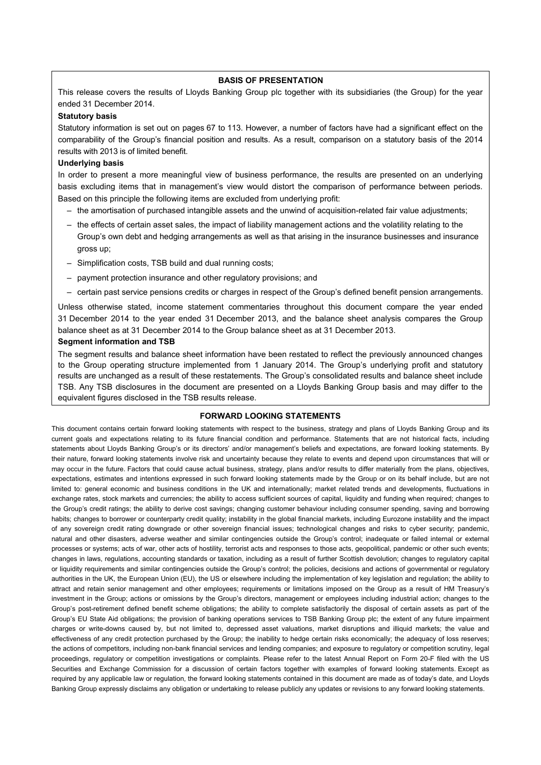## **BASIS OF PRESENTATION**

This release covers the results of Lloyds Banking Group plc together with its subsidiaries (the Group) for the year ended 31 December 2014.

# **Statutory basis**

Statutory information is set out on pages 67 to 113. However, a number of factors have had a significant effect on the comparability of the Group's financial position and results. As a result, comparison on a statutory basis of the 2014 results with 2013 is of limited benefit.

# **Underlying basis**

In order to present a more meaningful view of business performance, the results are presented on an underlying basis excluding items that in management's view would distort the comparison of performance between periods. Based on this principle the following items are excluded from underlying profit:

- the amortisation of purchased intangible assets and the unwind of acquisition-related fair value adjustments;
- the effects of certain asset sales, the impact of liability management actions and the volatility relating to the Group's own debt and hedging arrangements as well as that arising in the insurance businesses and insurance gross up;
- Simplification costs, TSB build and dual running costs;
- payment protection insurance and other regulatory provisions; and
- certain past service pensions credits or charges in respect of the Group's defined benefit pension arrangements.

Unless otherwise stated, income statement commentaries throughout this document compare the year ended 31 December 2014 to the year ended 31 December 2013, and the balance sheet analysis compares the Group balance sheet as at 31 December 2014 to the Group balance sheet as at 31 December 2013.

#### **Segment information and TSB**

The segment results and balance sheet information have been restated to reflect the previously announced changes to the Group operating structure implemented from 1 January 2014. The Group's underlying profit and statutory results are unchanged as a result of these restatements. The Group's consolidated results and balance sheet include TSB. Any TSB disclosures in the document are presented on a Lloyds Banking Group basis and may differ to the equivalent figures disclosed in the TSB results release.

## **FORWARD LOOKING STATEMENTS**

This document contains certain forward looking statements with respect to the business, strategy and plans of Lloyds Banking Group and its current goals and expectations relating to its future financial condition and performance. Statements that are not historical facts, including statements about Lloyds Banking Group's or its directors' and/or management's beliefs and expectations, are forward looking statements. By their nature, forward looking statements involve risk and uncertainty because they relate to events and depend upon circumstances that will or may occur in the future. Factors that could cause actual business, strategy, plans and/or results to differ materially from the plans, objectives, expectations, estimates and intentions expressed in such forward looking statements made by the Group or on its behalf include, but are not limited to: general economic and business conditions in the UK and internationally; market related trends and developments, fluctuations in exchange rates, stock markets and currencies; the ability to access sufficient sources of capital, liquidity and funding when required; changes to the Group's credit ratings; the ability to derive cost savings; changing customer behaviour including consumer spending, saving and borrowing habits; changes to borrower or counterparty credit quality; instability in the global financial markets, including Eurozone instability and the impact of any sovereign credit rating downgrade or other sovereign financial issues; technological changes and risks to cyber security; pandemic, natural and other disasters, adverse weather and similar contingencies outside the Group's control; inadequate or failed internal or external processes or systems; acts of war, other acts of hostility, terrorist acts and responses to those acts, geopolitical, pandemic or other such events; changes in laws, regulations, accounting standards or taxation, including as a result of further Scottish devolution; changes to regulatory capital or liquidity requirements and similar contingencies outside the Group's control; the policies, decisions and actions of governmental or regulatory authorities in the UK, the European Union (EU), the US or elsewhere including the implementation of key legislation and regulation; the ability to attract and retain senior management and other employees; requirements or limitations imposed on the Group as a result of HM Treasury's investment in the Group; actions or omissions by the Group's directors, management or employees including industrial action; changes to the Group's post-retirement defined benefit scheme obligations; the ability to complete satisfactorily the disposal of certain assets as part of the Group's EU State Aid obligations; the provision of banking operations services to TSB Banking Group plc; the extent of any future impairment charges or write-downs caused by, but not limited to, depressed asset valuations, market disruptions and illiquid markets; the value and effectiveness of any credit protection purchased by the Group; the inability to hedge certain risks economically; the adequacy of loss reserves; the actions of competitors, including non-bank financial services and lending companies; and exposure to regulatory or competition scrutiny, legal proceedings, regulatory or competition investigations or complaints. Please refer to the latest Annual Report on Form 20-F filed with the US Securities and Exchange Commission for a discussion of certain factors together with examples of forward looking statements. Except as required by any applicable law or regulation, the forward looking statements contained in this document are made as of today's date, and Lloyds Banking Group expressly disclaims any obligation or undertaking to release publicly any updates or revisions to any forward looking statements.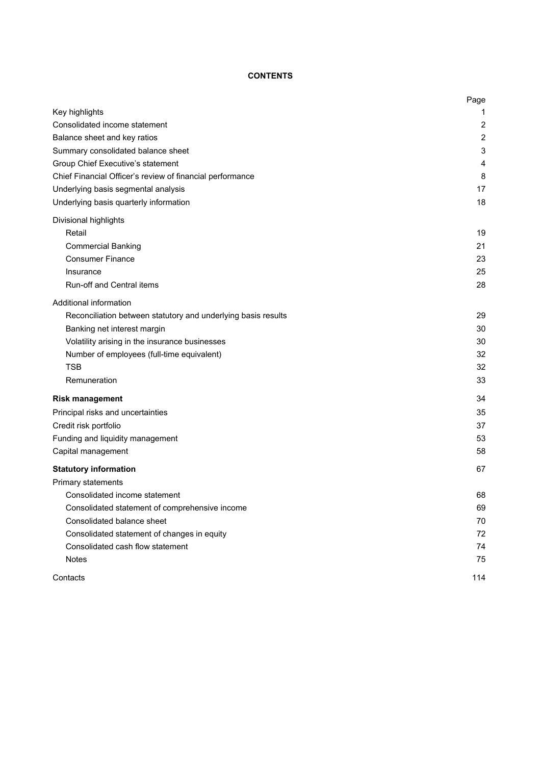# **CONTENTS**

|                                                               | Page |
|---------------------------------------------------------------|------|
| Key highlights                                                | 1    |
| Consolidated income statement                                 | 2    |
| Balance sheet and key ratios                                  | 2    |
| Summary consolidated balance sheet                            | 3    |
| Group Chief Executive's statement                             | 4    |
| Chief Financial Officer's review of financial performance     | 8    |
| Underlying basis segmental analysis                           | 17   |
| Underlying basis quarterly information                        | 18   |
| Divisional highlights                                         |      |
| Retail                                                        | 19   |
| <b>Commercial Banking</b>                                     | 21   |
| <b>Consumer Finance</b>                                       | 23   |
| Insurance                                                     | 25   |
| Run-off and Central items                                     | 28   |
| Additional information                                        |      |
| Reconciliation between statutory and underlying basis results | 29   |
| Banking net interest margin                                   | 30   |
| Volatility arising in the insurance businesses                | 30   |
| Number of employees (full-time equivalent)                    | 32   |
| <b>TSB</b>                                                    | 32   |
| Remuneration                                                  | 33   |
| <b>Risk management</b>                                        | 34   |
| Principal risks and uncertainties                             | 35   |
| Credit risk portfolio                                         | 37   |
| Funding and liquidity management                              | 53   |
| Capital management                                            | 58   |
| <b>Statutory information</b>                                  | 67   |
| Primary statements                                            |      |
| Consolidated income statement                                 | 68   |
| Consolidated statement of comprehensive income                | 69   |
| Consolidated balance sheet                                    | 70   |
| Consolidated statement of changes in equity                   | 72   |
| Consolidated cash flow statement                              | 74   |
| <b>Notes</b>                                                  | 75   |
| Contacts                                                      | 114  |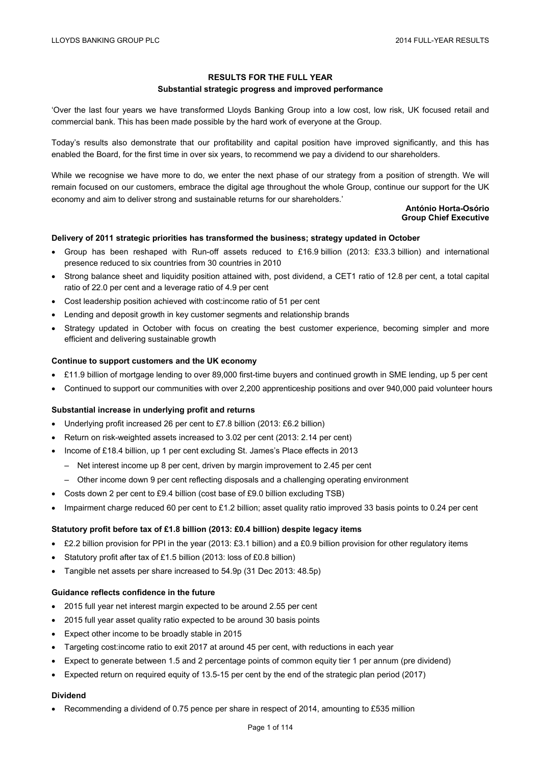# **RESULTS FOR THE FULL YEAR**

## **Substantial strategic progress and improved performance**

'Over the last four years we have transformed Lloyds Banking Group into a low cost, low risk, UK focused retail and commercial bank. This has been made possible by the hard work of everyone at the Group.

Today's results also demonstrate that our profitability and capital position have improved significantly, and this has enabled the Board, for the first time in over six years, to recommend we pay a dividend to our shareholders.

While we recognise we have more to do, we enter the next phase of our strategy from a position of strength. We will remain focused on our customers, embrace the digital age throughout the whole Group, continue our support for the UK economy and aim to deliver strong and sustainable returns for our shareholders.'

## **António Horta-Osório Group Chief Executive**

# **Delivery of 2011 strategic priorities has transformed the business; strategy updated in October**

- Group has been reshaped with Run-off assets reduced to £16.9 billion (2013: £33.3 billion) and international presence reduced to six countries from 30 countries in 2010
- Strong balance sheet and liquidity position attained with, post dividend, a CET1 ratio of 12.8 per cent, a total capital ratio of 22.0 per cent and a leverage ratio of 4.9 per cent
- Cost leadership position achieved with cost:income ratio of 51 per cent
- Lending and deposit growth in key customer segments and relationship brands
- Strategy updated in October with focus on creating the best customer experience, becoming simpler and more efficient and delivering sustainable growth

## **Continue to support customers and the UK economy**

- £11.9 billion of mortgage lending to over 89,000 first-time buyers and continued growth in SME lending, up 5 per cent
- Continued to support our communities with over 2,200 apprenticeship positions and over 940,000 paid volunteer hours

## **Substantial increase in underlying profit and returns**

- Underlying profit increased 26 per cent to £7.8 billion (2013: £6.2 billion)
- Return on risk-weighted assets increased to 3.02 per cent (2013: 2.14 per cent)
- Income of £18.4 billion, up 1 per cent excluding St. James's Place effects in 2013
	- Net interest income up 8 per cent, driven by margin improvement to 2.45 per cent
	- Other income down 9 per cent reflecting disposals and a challenging operating environment
- Costs down 2 per cent to £9.4 billion (cost base of £9.0 billion excluding TSB)
- Impairment charge reduced 60 per cent to £1.2 billion; asset quality ratio improved 33 basis points to 0.24 per cent

## **Statutory profit before tax of £1.8 billion (2013: £0.4 billion) despite legacy items**

- £2.2 billion provision for PPI in the year (2013: £3.1 billion) and a £0.9 billion provision for other regulatory items
- Statutory profit after tax of £1.5 billion (2013: loss of £0.8 billion)
- Tangible net assets per share increased to 54.9p (31 Dec 2013: 48.5p)

# **Guidance reflects confidence in the future**

- 2015 full year net interest margin expected to be around 2.55 per cent
- 2015 full year asset quality ratio expected to be around 30 basis points
- Expect other income to be broadly stable in 2015
- Targeting cost:income ratio to exit 2017 at around 45 per cent, with reductions in each year
- Expect to generate between 1.5 and 2 percentage points of common equity tier 1 per annum (pre dividend)
- Expected return on required equity of 13.5-15 per cent by the end of the strategic plan period (2017)

# **Dividend**

• Recommending a dividend of 0.75 pence per share in respect of 2014, amounting to £535 million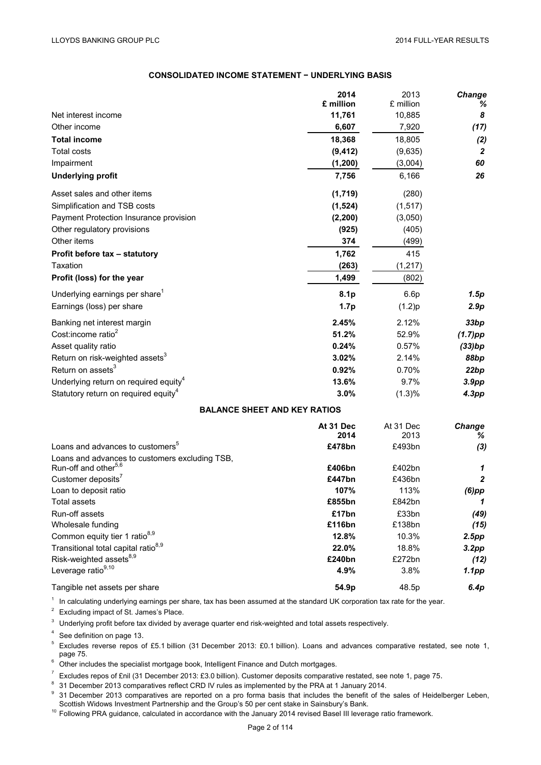# **CONSOLIDATED INCOME STATEMENT − UNDERLYING BASIS**

|                                                                                    | 2014      | 2013      | Change                  |
|------------------------------------------------------------------------------------|-----------|-----------|-------------------------|
|                                                                                    | £ million | £ million | ℅                       |
| Net interest income                                                                | 11,761    | 10,885    | 8                       |
| Other income                                                                       | 6,607     | 7,920     | (17)                    |
| <b>Total income</b>                                                                | 18,368    | 18,805    | (2)                     |
| <b>Total costs</b>                                                                 | (9, 412)  | (9,635)   | $\overline{\mathbf{2}}$ |
| Impairment                                                                         | (1, 200)  | (3,004)   | 60                      |
| <b>Underlying profit</b>                                                           | 7,756     | 6,166     | 26                      |
| Asset sales and other items                                                        | (1,719)   | (280)     |                         |
| Simplification and TSB costs                                                       | (1,524)   | (1, 517)  |                         |
| Payment Protection Insurance provision                                             | (2, 200)  | (3,050)   |                         |
| Other regulatory provisions                                                        | (925)     | (405)     |                         |
| Other items                                                                        | 374       | (499)     |                         |
| Profit before tax - statutory                                                      | 1,762     | 415       |                         |
| Taxation                                                                           | (263)     | (1, 217)  |                         |
| Profit (loss) for the year                                                         | 1,499     | (802)     |                         |
| Underlying earnings per share <sup>1</sup>                                         | 8.1p      | 6.6p      | 1.5p                    |
| Earnings (loss) per share                                                          | 1.7p      | (1.2)p    | 2.9p                    |
| Banking net interest margin                                                        | 2.45%     | 2.12%     | 33bp                    |
| Cost:income ratio <sup>2</sup>                                                     | 51.2%     | 52.9%     | $(1.7)$ pp              |
| Asset quality ratio                                                                | 0.24%     | 0.57%     | (33)bp                  |
| Return on risk-weighted assets <sup>3</sup>                                        | 3.02%     | 2.14%     | 88bp                    |
| Return on assets <sup>3</sup>                                                      | 0.92%     | 0.70%     | 22bp                    |
| Underlying return on required equity <sup>4</sup>                                  | 13.6%     | 9.7%      | 3.9 <sub>pp</sub>       |
| Statutory return on required equity <sup>4</sup>                                   | 3.0%      | (1.3)%    | 4.3pp                   |
| <b>BALANCE SHEET AND KEY RATIOS</b>                                                |           |           |                         |
|                                                                                    | At 31 Dec | At 31 Dec | Change                  |
|                                                                                    | 2014      | 2013      | %                       |
| Loans and advances to customers <sup>5</sup>                                       | £478bn    | £493bn    | (3)                     |
| Loans and advances to customers excluding TSB,<br>Run-off and other <sup>5,6</sup> | £406bn    | £402bn    | 1                       |
| Customer deposits <sup>7</sup>                                                     | £447bn    | £436bn    | 2                       |
| Loan to deposit ratio                                                              | 107%      | 113%      | $(6)$ pp                |
| Total assets                                                                       | £855bn    | £842bn    | 1                       |
| Run-off assets                                                                     | £17bn     | £33bn     | (49)                    |
| Wholesale funding                                                                  | £116bn    | £138bn    | (15)                    |
| Common equity tier 1 ratio <sup>8,9</sup>                                          | 12.8%     | 10.3%     | 2.5pp                   |
| Transitional total capital ratio <sup>8,9</sup>                                    | 22.0%     | 18.8%     | 3.2pp                   |
| Risk-weighted assets <sup>8,9</sup>                                                | £240bn    | £272bn    | (12)                    |
| Leverage ratio <sup>9,10</sup>                                                     | 4.9%      | 3.8%      | 1.1pp                   |
| Tangible net assets per share                                                      | 54.9p     | 48.5p     | 6.4p                    |

 $1$  In calculating underlying earnings per share, tax has been assumed at the standard UK corporation tax rate for the year.

<sup>2</sup> Excluding impact of St. James's Place.

<sup>3</sup> Underlying profit before tax divided by average quarter end risk-weighted and total assets respectively.

4 See definition on page 13.

<sup>5</sup> Excludes reverse repos of £5.1 billion (31 December 2013: £0.1 billion). Loans and advances comparative restated, see note 1, page 75.<br><sup>6</sup> Other includes the specialist mortgage book, Intelligent Finance and Dutch mortgages.

<sup>7</sup> Excludes repos of £nil (31 December 2013: £3.0 billion). Customer deposits comparative restated, see note 1, page 75.<br><sup>8</sup> 31 December 2013 comparatives reflect CRD IV rules as implemented by the PRA at 1 January 2014.

<sup>9</sup> 31 December 2013 comparatives are reported on a pro forma basis that includes the benefit of the sales of Heidelberger Leben,<br>Scottish Widows Investment Partnership and the Group's 50 per cent stake in Sainsbury's Bank

 $10$  Following PRA guidance, calculated in accordance with the January 2014 revised Basel III leverage ratio framework.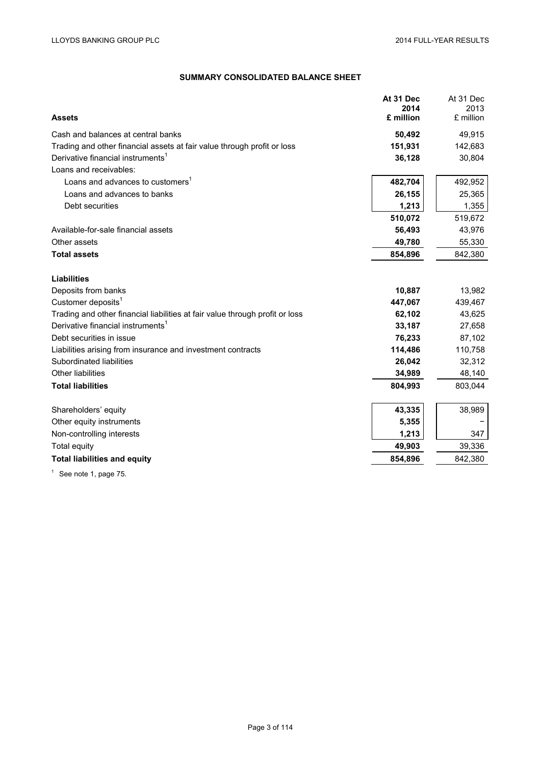# **SUMMARY CONSOLIDATED BALANCE SHEET**

|                                                                              | At 31 Dec<br>2014 | At 31 Dec<br>2013 |
|------------------------------------------------------------------------------|-------------------|-------------------|
| <b>Assets</b>                                                                | £ million         | £ million         |
| Cash and balances at central banks                                           | 50,492            | 49,915            |
| Trading and other financial assets at fair value through profit or loss      | 151,931           | 142,683           |
| Derivative financial instruments <sup>1</sup>                                | 36,128            | 30,804            |
| Loans and receivables:                                                       |                   |                   |
| Loans and advances to customers <sup>1</sup>                                 | 482,704           | 492,952           |
| Loans and advances to banks                                                  | 26,155            | 25,365            |
| Debt securities                                                              | 1,213             | 1,355             |
|                                                                              | 510,072           | 519,672           |
| Available-for-sale financial assets                                          | 56,493            | 43,976            |
| Other assets                                                                 | 49,780            | 55,330            |
| <b>Total assets</b>                                                          | 854,896           | 842,380           |
|                                                                              |                   |                   |
| <b>Liabilities</b>                                                           |                   |                   |
| Deposits from banks                                                          | 10,887            | 13,982            |
| Customer deposits <sup>1</sup>                                               | 447,067           | 439,467           |
| Trading and other financial liabilities at fair value through profit or loss | 62,102            | 43,625            |
| Derivative financial instruments <sup>1</sup>                                | 33,187            | 27,658            |
| Debt securities in issue                                                     | 76,233            | 87,102            |
| Liabilities arising from insurance and investment contracts                  | 114,486           | 110,758           |
| Subordinated liabilities                                                     | 26,042            | 32,312            |
| Other liabilities                                                            | 34,989            | 48,140            |
| <b>Total liabilities</b>                                                     | 804,993           | 803,044           |
|                                                                              |                   |                   |
| Shareholders' equity                                                         | 43,335            | 38,989            |
| Other equity instruments                                                     | 5,355             |                   |
| Non-controlling interests                                                    | 1,213             | 347               |
| Total equity                                                                 | 49,903            | 39,336            |
| <b>Total liabilities and equity</b>                                          | 854,896           | 842,380           |
| $1 \circ \cdot \cdot \cdot =$                                                |                   |                   |

See note 1, page 75.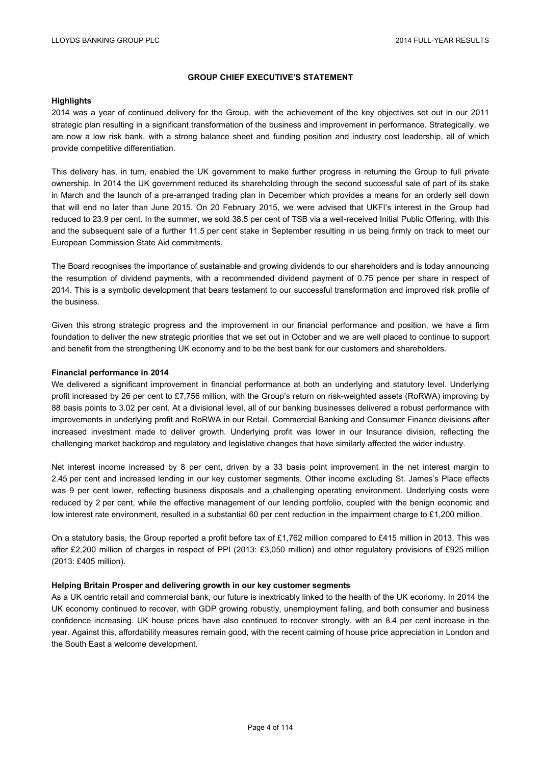# **GROUP CHIEF EXECUTIVE'S STATEMENT**

## **Highlights**

2014 was a year of continued delivery for the Group, with the achievement of the key objectives set out in our 2011 strategic plan resulting in a significant transformation of the business and improvement in performance. Strategically, we are now a low risk bank, with a strong balance sheet and funding position and industry cost leadership, all of which provide competitive differentiation.

This delivery has, in turn, enabled the UK government to make further progress in returning the Group to full private ownership. In 2014 the UK government reduced its shareholding through the second successful sale of part of its stake in March and the launch of a pre-arranged trading plan in December which provides a means for an orderly sell down that will end no later than June 2015. On 20 February 2015, we were advised that UKFI's interest in the Group had reduced to 23.9 per cent. In the summer, we sold 38.5 per cent of TSB via a well-received Initial Public Offering, with this and the subsequent sale of a further 11.5 per cent stake in September resulting in us being firmly on track to meet our European Commission State Aid commitments.

The Board recognises the importance of sustainable and growing dividends to our shareholders and is today announcing the resumption of dividend payments, with a recommended dividend payment of 0.75 pence per share in respect of 2014. This is a symbolic development that bears testament to our successful transformation and improved risk profile of the business.

Given this strong strategic progress and the improvement in our financial performance and position, we have a firm foundation to deliver the new strategic priorities that we set out in October and we are well placed to continue to support and benefit from the strengthening UK economy and to be the best bank for our customers and shareholders.

# **Financial performance in 2014**

We delivered a significant improvement in financial performance at both an underlying and statutory level. Underlying profit increased by 26 per cent to £7,756 million, with the Group's return on risk-weighted assets (RoRWA) improving by 88 basis points to 3.02 per cent. At a divisional level, all of our banking businesses delivered a robust performance with improvements in underlying profit and RoRWA in our Retail, Commercial Banking and Consumer Finance divisions after increased investment made to deliver growth. Underlying profit was lower in our Insurance division, reflecting the challenging market backdrop and regulatory and legislative changes that have similarly affected the wider industry.

Net interest income increased by 8 per cent, driven by a 33 basis point improvement in the net interest margin to 2.45 per cent and increased lending in our key customer segments. Other income excluding St. James's Place effects was 9 per cent lower, reflecting business disposals and a challenging operating environment. Underlying costs were reduced by 2 per cent, while the effective management of our lending portfolio, coupled with the benign economic and low interest rate environment, resulted in a substantial 60 per cent reduction in the impairment charge to £1,200 million.

On a statutory basis, the Group reported a profit before tax of £1,762 million compared to £415 million in 2013. This was after £2,200 million of charges in respect of PPI (2013: £3,050 million) and other regulatory provisions of £925 million (2013: £405 million).

## **Helping Britain Prosper and delivering growth in our key customer segments**

As a UK centric retail and commercial bank, our future is inextricably linked to the health of the UK economy. In 2014 the UK economy continued to recover, with GDP growing robustly, unemployment falling, and both consumer and business confidence increasing. UK house prices have also continued to recover strongly, with an 8.4 per cent increase in the year. Against this, affordability measures remain good, with the recent calming of house price appreciation in London and the South East a welcome development.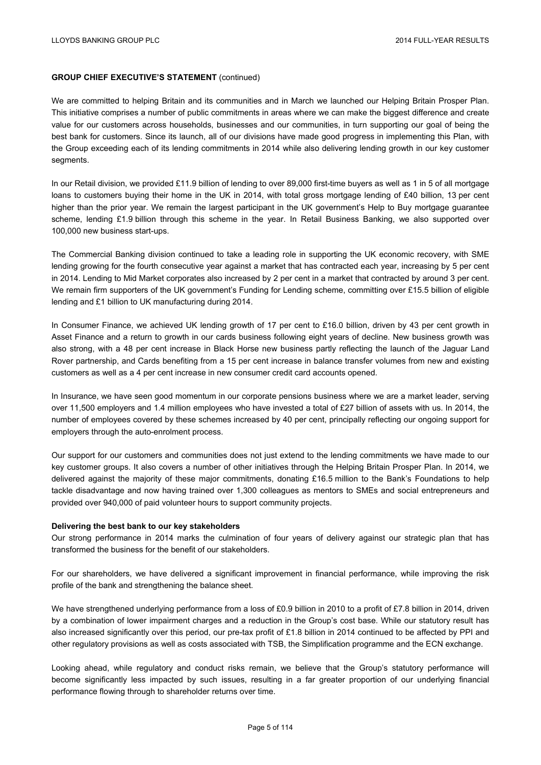# **GROUP CHIEF EXECUTIVE'S STATEMENT** (continued)

We are committed to helping Britain and its communities and in March we launched our Helping Britain Prosper Plan. This initiative comprises a number of public commitments in areas where we can make the biggest difference and create value for our customers across households, businesses and our communities, in turn supporting our goal of being the best bank for customers. Since its launch, all of our divisions have made good progress in implementing this Plan, with the Group exceeding each of its lending commitments in 2014 while also delivering lending growth in our key customer segments.

In our Retail division, we provided £11.9 billion of lending to over 89,000 first-time buyers as well as 1 in 5 of all mortgage loans to customers buying their home in the UK in 2014, with total gross mortgage lending of £40 billion, 13 per cent higher than the prior year. We remain the largest participant in the UK government's Help to Buy mortgage guarantee scheme, lending £1.9 billion through this scheme in the year. In Retail Business Banking, we also supported over 100,000 new business start-ups.

The Commercial Banking division continued to take a leading role in supporting the UK economic recovery, with SME lending growing for the fourth consecutive year against a market that has contracted each year, increasing by 5 per cent in 2014. Lending to Mid Market corporates also increased by 2 per cent in a market that contracted by around 3 per cent. We remain firm supporters of the UK government's Funding for Lending scheme, committing over £15.5 billion of eligible lending and £1 billion to UK manufacturing during 2014.

In Consumer Finance, we achieved UK lending growth of 17 per cent to £16.0 billion, driven by 43 per cent growth in Asset Finance and a return to growth in our cards business following eight years of decline. New business growth was also strong, with a 48 per cent increase in Black Horse new business partly reflecting the launch of the Jaguar Land Rover partnership, and Cards benefiting from a 15 per cent increase in balance transfer volumes from new and existing customers as well as a 4 per cent increase in new consumer credit card accounts opened.

In Insurance, we have seen good momentum in our corporate pensions business where we are a market leader, serving over 11,500 employers and 1.4 million employees who have invested a total of £27 billion of assets with us. In 2014, the number of employees covered by these schemes increased by 40 per cent, principally reflecting our ongoing support for employers through the auto-enrolment process.

Our support for our customers and communities does not just extend to the lending commitments we have made to our key customer groups. It also covers a number of other initiatives through the Helping Britain Prosper Plan. In 2014, we delivered against the majority of these major commitments, donating £16.5 million to the Bank's Foundations to help tackle disadvantage and now having trained over 1,300 colleagues as mentors to SMEs and social entrepreneurs and provided over 940,000 of paid volunteer hours to support community projects.

## **Delivering the best bank to our key stakeholders**

Our strong performance in 2014 marks the culmination of four years of delivery against our strategic plan that has transformed the business for the benefit of our stakeholders.

For our shareholders, we have delivered a significant improvement in financial performance, while improving the risk profile of the bank and strengthening the balance sheet.

We have strengthened underlying performance from a loss of £0.9 billion in 2010 to a profit of £7.8 billion in 2014, driven by a combination of lower impairment charges and a reduction in the Group's cost base. While our statutory result has also increased significantly over this period, our pre-tax profit of £1.8 billion in 2014 continued to be affected by PPI and other regulatory provisions as well as costs associated with TSB, the Simplification programme and the ECN exchange.

Looking ahead, while regulatory and conduct risks remain, we believe that the Group's statutory performance will become significantly less impacted by such issues, resulting in a far greater proportion of our underlying financial performance flowing through to shareholder returns over time.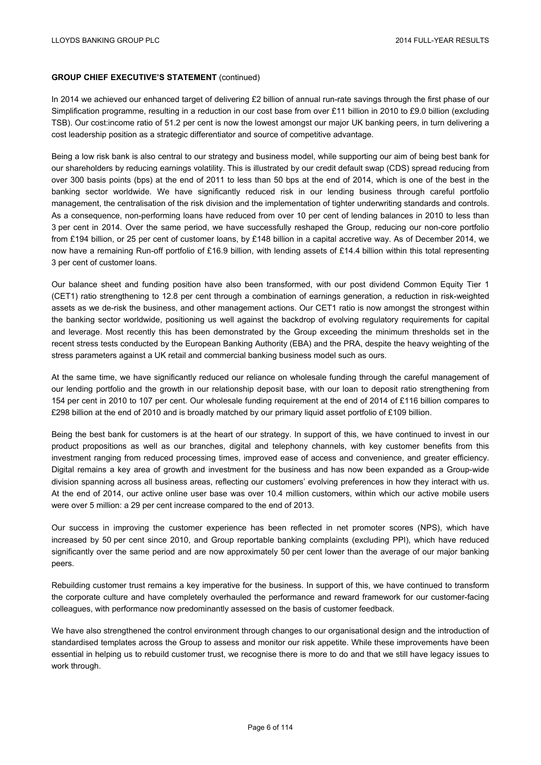# **GROUP CHIEF EXECUTIVE'S STATEMENT** (continued)

In 2014 we achieved our enhanced target of delivering £2 billion of annual run-rate savings through the first phase of our Simplification programme, resulting in a reduction in our cost base from over £11 billion in 2010 to £9.0 billion (excluding TSB). Our cost:income ratio of 51.2 per cent is now the lowest amongst our major UK banking peers, in turn delivering a cost leadership position as a strategic differentiator and source of competitive advantage.

Being a low risk bank is also central to our strategy and business model, while supporting our aim of being best bank for our shareholders by reducing earnings volatility. This is illustrated by our credit default swap (CDS) spread reducing from over 300 basis points (bps) at the end of 2011 to less than 50 bps at the end of 2014, which is one of the best in the banking sector worldwide. We have significantly reduced risk in our lending business through careful portfolio management, the centralisation of the risk division and the implementation of tighter underwriting standards and controls. As a consequence, non-performing loans have reduced from over 10 per cent of lending balances in 2010 to less than 3 per cent in 2014. Over the same period, we have successfully reshaped the Group, reducing our non-core portfolio from £194 billion, or 25 per cent of customer loans, by £148 billion in a capital accretive way. As of December 2014, we now have a remaining Run-off portfolio of £16.9 billion, with lending assets of £14.4 billion within this total representing 3 per cent of customer loans.

Our balance sheet and funding position have also been transformed, with our post dividend Common Equity Tier 1 (CET1) ratio strengthening to 12.8 per cent through a combination of earnings generation, a reduction in risk-weighted assets as we de-risk the business, and other management actions. Our CET1 ratio is now amongst the strongest within the banking sector worldwide, positioning us well against the backdrop of evolving regulatory requirements for capital and leverage. Most recently this has been demonstrated by the Group exceeding the minimum thresholds set in the recent stress tests conducted by the European Banking Authority (EBA) and the PRA, despite the heavy weighting of the stress parameters against a UK retail and commercial banking business model such as ours.

At the same time, we have significantly reduced our reliance on wholesale funding through the careful management of our lending portfolio and the growth in our relationship deposit base, with our loan to deposit ratio strengthening from 154 per cent in 2010 to 107 per cent. Our wholesale funding requirement at the end of 2014 of £116 billion compares to £298 billion at the end of 2010 and is broadly matched by our primary liquid asset portfolio of £109 billion.

Being the best bank for customers is at the heart of our strategy. In support of this, we have continued to invest in our product propositions as well as our branches, digital and telephony channels, with key customer benefits from this investment ranging from reduced processing times, improved ease of access and convenience, and greater efficiency. Digital remains a key area of growth and investment for the business and has now been expanded as a Group-wide division spanning across all business areas, reflecting our customers' evolving preferences in how they interact with us. At the end of 2014, our active online user base was over 10.4 million customers, within which our active mobile users were over 5 million: a 29 per cent increase compared to the end of 2013.

Our success in improving the customer experience has been reflected in net promoter scores (NPS), which have increased by 50 per cent since 2010, and Group reportable banking complaints (excluding PPI), which have reduced significantly over the same period and are now approximately 50 per cent lower than the average of our major banking peers.

Rebuilding customer trust remains a key imperative for the business. In support of this, we have continued to transform the corporate culture and have completely overhauled the performance and reward framework for our customer-facing colleagues, with performance now predominantly assessed on the basis of customer feedback.

We have also strengthened the control environment through changes to our organisational design and the introduction of standardised templates across the Group to assess and monitor our risk appetite. While these improvements have been essential in helping us to rebuild customer trust, we recognise there is more to do and that we still have legacy issues to work through.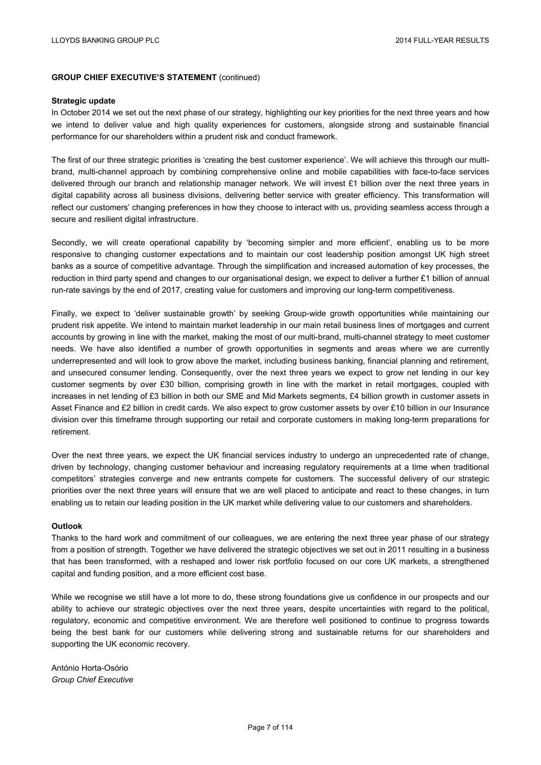# **GROUP CHIEF EXECUTIVE'S STATEMENT** (continued)

## **Strategic update**

In October 2014 we set out the next phase of our strategy, highlighting our key priorities for the next three years and how we intend to deliver value and high quality experiences for customers, alongside strong and sustainable financial performance for our shareholders within a prudent risk and conduct framework.

The first of our three strategic priorities is 'creating the best customer experience'. We will achieve this through our multibrand, multi-channel approach by combining comprehensive online and mobile capabilities with face-to-face services delivered through our branch and relationship manager network. We will invest £1 billion over the next three years in digital capability across all business divisions, delivering better service with greater efficiency. This transformation will reflect our customers' changing preferences in how they choose to interact with us, providing seamless access through a secure and resilient digital infrastructure.

Secondly, we will create operational capability by 'becoming simpler and more efficient', enabling us to be more responsive to changing customer expectations and to maintain our cost leadership position amongst UK high street banks as a source of competitive advantage. Through the simplification and increased automation of key processes, the reduction in third party spend and changes to our organisational design, we expect to deliver a further £1 billion of annual run-rate savings by the end of 2017, creating value for customers and improving our long-term competitiveness.

Finally, we expect to 'deliver sustainable growth' by seeking Group-wide growth opportunities while maintaining our prudent risk appetite. We intend to maintain market leadership in our main retail business lines of mortgages and current accounts by growing in line with the market, making the most of our multi-brand, multi-channel strategy to meet customer needs. We have also identified a number of growth opportunities in segments and areas where we are currently underrepresented and will look to grow above the market, including business banking, financial planning and retirement, and unsecured consumer lending. Consequently, over the next three years we expect to grow net lending in our key customer segments by over £30 billion, comprising growth in line with the market in retail mortgages, coupled with increases in net lending of £3 billion in both our SME and Mid Markets segments, £4 billion growth in customer assets in Asset Finance and £2 billion in credit cards. We also expect to grow customer assets by over £10 billion in our Insurance division over this timeframe through supporting our retail and corporate customers in making long-term preparations for retirement.

Over the next three years, we expect the UK financial services industry to undergo an unprecedented rate of change, driven by technology, changing customer behaviour and increasing regulatory requirements at a time when traditional competitors' strategies converge and new entrants compete for customers. The successful delivery of our strategic priorities over the next three years will ensure that we are well placed to anticipate and react to these changes, in turn enabling us to retain our leading position in the UK market while delivering value to our customers and shareholders.

## **Outlook**

Thanks to the hard work and commitment of our colleagues, we are entering the next three year phase of our strategy from a position of strength. Together we have delivered the strategic objectives we set out in 2011 resulting in a business that has been transformed, with a reshaped and lower risk portfolio focused on our core UK markets, a strengthened capital and funding position, and a more efficient cost base.

While we recognise we still have a lot more to do, these strong foundations give us confidence in our prospects and our ability to achieve our strategic objectives over the next three years, despite uncertainties with regard to the political, regulatory, economic and competitive environment. We are therefore well positioned to continue to progress towards being the best bank for our customers while delivering strong and sustainable returns for our shareholders and supporting the UK economic recovery.

António Horta-Osório *Group Chief Executive*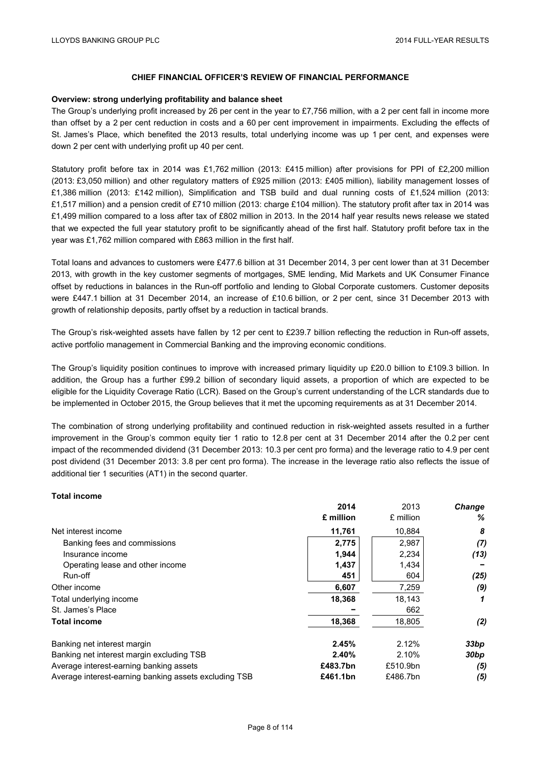## **Overview: strong underlying profitability and balance sheet**

The Group's underlying profit increased by 26 per cent in the year to £7,756 million, with a 2 per cent fall in income more than offset by a 2 per cent reduction in costs and a 60 per cent improvement in impairments. Excluding the effects of St. James's Place, which benefited the 2013 results, total underlying income was up 1 per cent, and expenses were down 2 per cent with underlying profit up 40 per cent.

Statutory profit before tax in 2014 was £1,762 million (2013: £415 million) after provisions for PPI of £2,200 million (2013: £3,050 million) and other regulatory matters of £925 million (2013: £405 million), liability management losses of £1,386 million (2013: £142 million), Simplification and TSB build and dual running costs of £1,524 million (2013: £1,517 million) and a pension credit of £710 million (2013: charge £104 million). The statutory profit after tax in 2014 was £1,499 million compared to a loss after tax of £802 million in 2013. In the 2014 half year results news release we stated that we expected the full year statutory profit to be significantly ahead of the first half. Statutory profit before tax in the year was £1,762 million compared with £863 million in the first half.

Total loans and advances to customers were £477.6 billion at 31 December 2014, 3 per cent lower than at 31 December 2013, with growth in the key customer segments of mortgages, SME lending, Mid Markets and UK Consumer Finance offset by reductions in balances in the Run-off portfolio and lending to Global Corporate customers. Customer deposits were £447.1 billion at 31 December 2014, an increase of £10.6 billion, or 2 per cent, since 31 December 2013 with growth of relationship deposits, partly offset by a reduction in tactical brands.

The Group's risk-weighted assets have fallen by 12 per cent to £239.7 billion reflecting the reduction in Run-off assets, active portfolio management in Commercial Banking and the improving economic conditions.

The Group's liquidity position continues to improve with increased primary liquidity up £20.0 billion to £109.3 billion. In addition, the Group has a further £99.2 billion of secondary liquid assets, a proportion of which are expected to be eligible for the Liquidity Coverage Ratio (LCR). Based on the Group's current understanding of the LCR standards due to be implemented in October 2015, the Group believes that it met the upcoming requirements as at 31 December 2014.

The combination of strong underlying profitability and continued reduction in risk-weighted assets resulted in a further improvement in the Group's common equity tier 1 ratio to 12.8 per cent at 31 December 2014 after the 0.2 per cent impact of the recommended dividend (31 December 2013: 10.3 per cent pro forma) and the leverage ratio to 4.9 per cent post dividend (31 December 2013: 3.8 per cent pro forma). The increase in the leverage ratio also reflects the issue of additional tier 1 securities (AT1) in the second quarter.

|  | <b>Total income</b> |
|--|---------------------|
|--|---------------------|

| 2014      | 2013      | <b>Change</b> |
|-----------|-----------|---------------|
| £ million | £ million | ℅             |
| 11,761    | 10,884    | 8             |
| 2,775     | 2,987     | (7)           |
| 1,944     | 2,234     | (13)          |
| 1,437     | 1,434     |               |
| 451       | 604       | (25)          |
| 6,607     | 7,259     | (9)           |
| 18,368    | 18,143    | 1             |
|           | 662       |               |
| 18,368    | 18,805    | (2)           |
| 2.45%     | 2.12%     | 33bp          |
| 2.40%     | 2.10%     | 30bp          |
| £483.7bn  | £510.9bn  | (5)           |
| £461.1bn  | £486.7bn  | (5)           |
|           |           |               |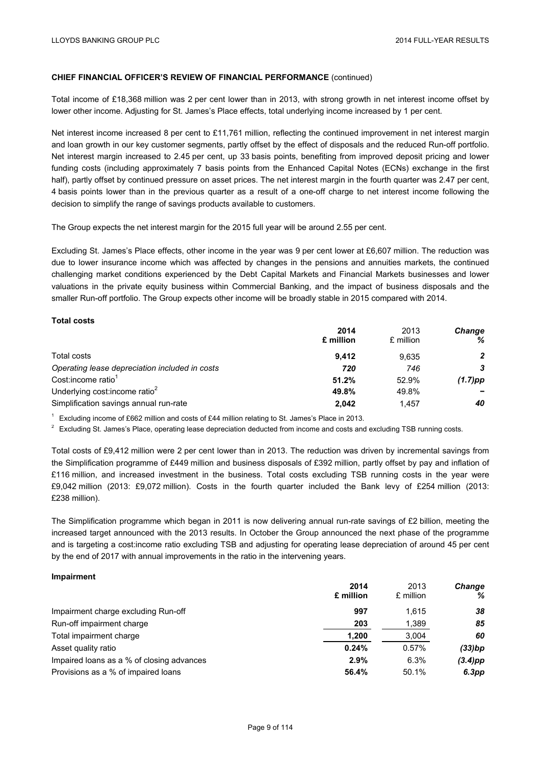Total income of £18,368 million was 2 per cent lower than in 2013, with strong growth in net interest income offset by lower other income. Adjusting for St. James's Place effects, total underlying income increased by 1 per cent.

Net interest income increased 8 per cent to £11,761 million, reflecting the continued improvement in net interest margin and loan growth in our key customer segments, partly offset by the effect of disposals and the reduced Run-off portfolio. Net interest margin increased to 2.45 per cent, up 33 basis points, benefiting from improved deposit pricing and lower funding costs (including approximately 7 basis points from the Enhanced Capital Notes (ECNs) exchange in the first half), partly offset by continued pressure on asset prices. The net interest margin in the fourth quarter was 2.47 per cent, 4 basis points lower than in the previous quarter as a result of a one-off charge to net interest income following the decision to simplify the range of savings products available to customers.

The Group expects the net interest margin for the 2015 full year will be around 2.55 per cent.

Excluding St. James's Place effects, other income in the year was 9 per cent lower at £6,607 million. The reduction was due to lower insurance income which was affected by changes in the pensions and annuities markets, the continued challenging market conditions experienced by the Debt Capital Markets and Financial Markets businesses and lower valuations in the private equity business within Commercial Banking, and the impact of business disposals and the smaller Run-off portfolio. The Group expects other income will be broadly stable in 2015 compared with 2014.

## **Total costs**

|                                                | 2014<br>£ million | 2013<br>£ million | <b>Change</b><br>% |
|------------------------------------------------|-------------------|-------------------|--------------------|
| Total costs                                    | 9.412             | 9.635             | $\overline{2}$     |
| Operating lease depreciation included in costs | 720               | 746               |                    |
| Cost:income ratio <sup>1</sup>                 | 51.2%             | 52.9%             | $(1.7)$ pp         |
| Underlying cost: income ratio <sup>2</sup>     | 49.8%             | 49.8%             |                    |
| Simplification savings annual run-rate         | 2,042             | 1.457             | 40                 |

<sup>1</sup> Excluding income of £662 million and costs of £44 million relating to St. James's Place in 2013.

 $2^2$  Excluding St. James's Place, operating lease depreciation deducted from income and costs and excluding TSB running costs.

Total costs of £9,412 million were 2 per cent lower than in 2013. The reduction was driven by incremental savings from the Simplification programme of £449 million and business disposals of £392 million, partly offset by pay and inflation of £116 million, and increased investment in the business. Total costs excluding TSB running costs in the year were £9,042 million (2013: £9,072 million). Costs in the fourth quarter included the Bank levy of £254 million (2013: £238 million).

The Simplification programme which began in 2011 is now delivering annual run-rate savings of £2 billion, meeting the increased target announced with the 2013 results. In October the Group announced the next phase of the programme and is targeting a cost:income ratio excluding TSB and adjusting for operating lease depreciation of around 45 per cent by the end of 2017 with annual improvements in the ratio in the intervening years.

## **Impairment**

|                                           | 2014      | 2013      | <b>Change</b> |
|-------------------------------------------|-----------|-----------|---------------|
|                                           | £ million | £ million | ℅             |
| Impairment charge excluding Run-off       | 997       | 1.615     | 38            |
| Run-off impairment charge                 | 203       | 1,389     | 85            |
| Total impairment charge                   | 1.200     | 3,004     | 60            |
| Asset quality ratio                       | 0.24%     | 0.57%     | (33)bp        |
| Impaired loans as a % of closing advances | 2.9%      | 6.3%      | $(3.4)$ pp    |
| Provisions as a % of impaired loans       | 56.4%     | 50.1%     | 6.3pp         |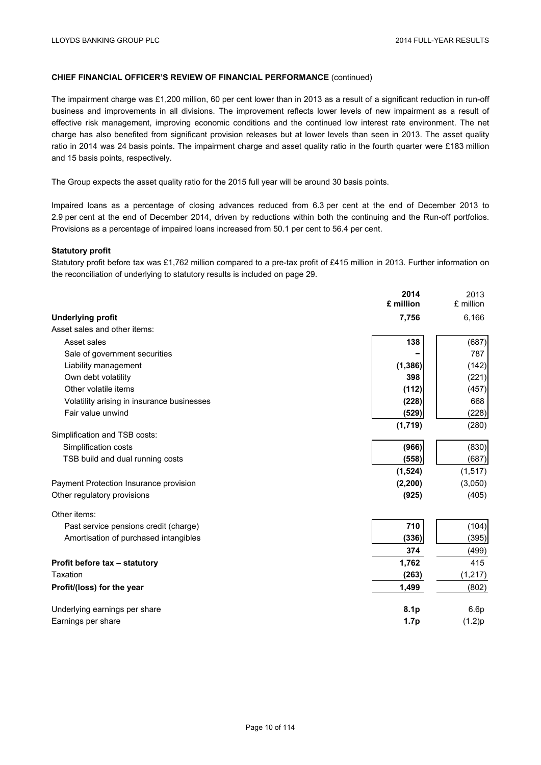The impairment charge was £1,200 million, 60 per cent lower than in 2013 as a result of a significant reduction in run-off business and improvements in all divisions. The improvement reflects lower levels of new impairment as a result of effective risk management, improving economic conditions and the continued low interest rate environment. The net charge has also benefited from significant provision releases but at lower levels than seen in 2013. The asset quality ratio in 2014 was 24 basis points. The impairment charge and asset quality ratio in the fourth quarter were £183 million and 15 basis points, respectively.

The Group expects the asset quality ratio for the 2015 full year will be around 30 basis points.

Impaired loans as a percentage of closing advances reduced from 6.3 per cent at the end of December 2013 to 2.9 per cent at the end of December 2014, driven by reductions within both the continuing and the Run-off portfolios. Provisions as a percentage of impaired loans increased from 50.1 per cent to 56.4 per cent.

## **Statutory profit**

Statutory profit before tax was £1,762 million compared to a pre-tax profit of £415 million in 2013. Further information on the reconciliation of underlying to statutory results is included on page 29.

|                                            | 2014<br>£ million | 2013<br>£ million |
|--------------------------------------------|-------------------|-------------------|
|                                            |                   |                   |
| <b>Underlying profit</b>                   | 7,756             | 6,166             |
| Asset sales and other items:               |                   |                   |
| Asset sales                                | 138               | (687)             |
| Sale of government securities              |                   | 787               |
| Liability management                       | (1, 386)          | (142)             |
| Own debt volatility                        | 398               | (221)             |
| Other volatile items                       | (112)             | (457)             |
| Volatility arising in insurance businesses | (228)             | 668               |
| Fair value unwind                          | (529)             | (228)             |
| Simplification and TSB costs:              | (1,719)           | (280)             |
| Simplification costs                       |                   |                   |
|                                            | (966)             | (830)             |
| TSB build and dual running costs           | (558)             | (687)             |
|                                            | (1,524)           | (1, 517)          |
| Payment Protection Insurance provision     | (2, 200)          | (3,050)           |
| Other regulatory provisions                | (925)             | (405)             |
| Other items:                               |                   |                   |
| Past service pensions credit (charge)      | 710               | (104)             |
| Amortisation of purchased intangibles      | (336)             | (395)             |
|                                            | 374               | (499)             |
| Profit before tax - statutory              | 1,762             | 415               |
| Taxation                                   | (263)             | (1, 217)          |
| Profit/(loss) for the year                 | 1,499             | (802)             |
| Underlying earnings per share              | 8.1 <sub>p</sub>  | 6.6p              |
| Earnings per share                         | 1.7p              | (1.2)p            |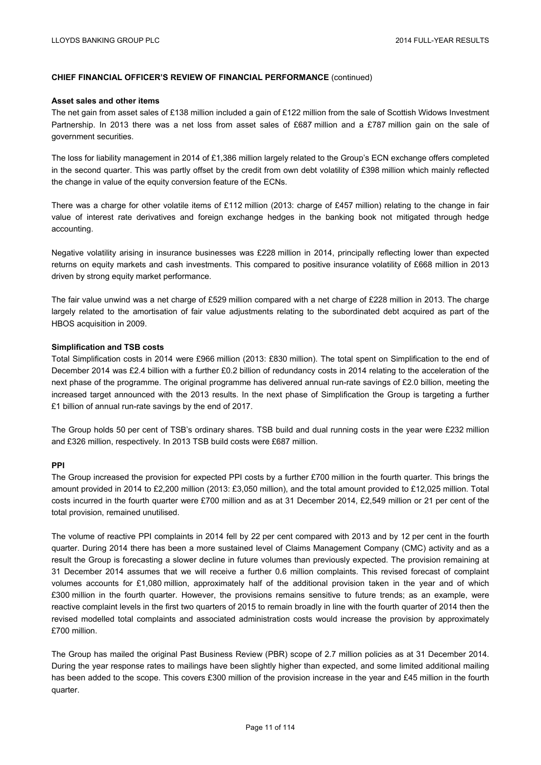## **Asset sales and other items**

The net gain from asset sales of £138 million included a gain of £122 million from the sale of Scottish Widows Investment Partnership. In 2013 there was a net loss from asset sales of £687 million and a £787 million gain on the sale of government securities.

The loss for liability management in 2014 of £1,386 million largely related to the Group's ECN exchange offers completed in the second quarter. This was partly offset by the credit from own debt volatility of £398 million which mainly reflected the change in value of the equity conversion feature of the ECNs.

There was a charge for other volatile items of £112 million (2013: charge of £457 million) relating to the change in fair value of interest rate derivatives and foreign exchange hedges in the banking book not mitigated through hedge accounting.

Negative volatility arising in insurance businesses was £228 million in 2014, principally reflecting lower than expected returns on equity markets and cash investments. This compared to positive insurance volatility of £668 million in 2013 driven by strong equity market performance.

The fair value unwind was a net charge of £529 million compared with a net charge of £228 million in 2013. The charge largely related to the amortisation of fair value adjustments relating to the subordinated debt acquired as part of the HBOS acquisition in 2009.

## **Simplification and TSB costs**

Total Simplification costs in 2014 were £966 million (2013: £830 million). The total spent on Simplification to the end of December 2014 was £2.4 billion with a further £0.2 billion of redundancy costs in 2014 relating to the acceleration of the next phase of the programme. The original programme has delivered annual run-rate savings of £2.0 billion, meeting the increased target announced with the 2013 results. In the next phase of Simplification the Group is targeting a further £1 billion of annual run-rate savings by the end of 2017.

The Group holds 50 per cent of TSB's ordinary shares. TSB build and dual running costs in the year were £232 million and £326 million, respectively. In 2013 TSB build costs were £687 million.

# **PPI**

The Group increased the provision for expected PPI costs by a further £700 million in the fourth quarter. This brings the amount provided in 2014 to £2,200 million (2013: £3,050 million), and the total amount provided to £12,025 million. Total costs incurred in the fourth quarter were £700 million and as at 31 December 2014, £2,549 million or 21 per cent of the total provision, remained unutilised.

The volume of reactive PPI complaints in 2014 fell by 22 per cent compared with 2013 and by 12 per cent in the fourth quarter. During 2014 there has been a more sustained level of Claims Management Company (CMC) activity and as a result the Group is forecasting a slower decline in future volumes than previously expected. The provision remaining at 31 December 2014 assumes that we will receive a further 0.6 million complaints. This revised forecast of complaint volumes accounts for £1,080 million, approximately half of the additional provision taken in the year and of which £300 million in the fourth quarter. However, the provisions remains sensitive to future trends; as an example, were reactive complaint levels in the first two quarters of 2015 to remain broadly in line with the fourth quarter of 2014 then the revised modelled total complaints and associated administration costs would increase the provision by approximately £700 million.

The Group has mailed the original Past Business Review (PBR) scope of 2.7 million policies as at 31 December 2014. During the year response rates to mailings have been slightly higher than expected, and some limited additional mailing has been added to the scope. This covers £300 million of the provision increase in the year and £45 million in the fourth quarter.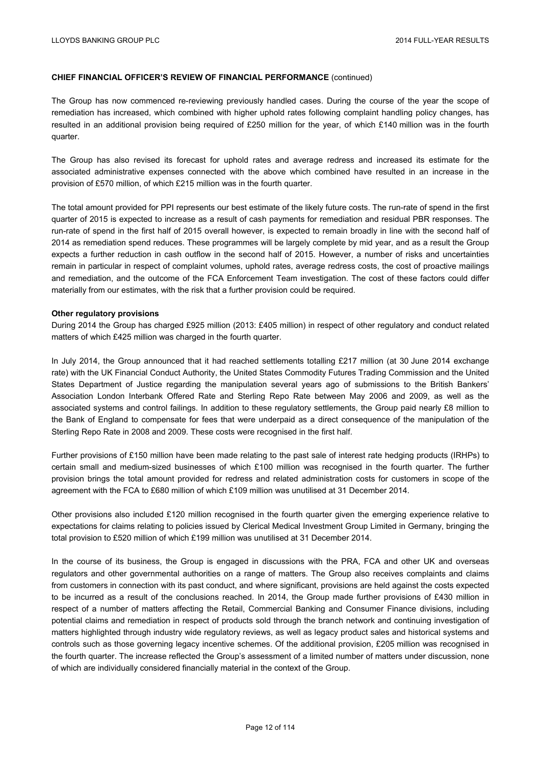The Group has now commenced re-reviewing previously handled cases. During the course of the year the scope of remediation has increased, which combined with higher uphold rates following complaint handling policy changes, has resulted in an additional provision being required of £250 million for the year, of which £140 million was in the fourth quarter.

The Group has also revised its forecast for uphold rates and average redress and increased its estimate for the associated administrative expenses connected with the above which combined have resulted in an increase in the provision of £570 million, of which £215 million was in the fourth quarter.

The total amount provided for PPI represents our best estimate of the likely future costs. The run-rate of spend in the first quarter of 2015 is expected to increase as a result of cash payments for remediation and residual PBR responses. The run-rate of spend in the first half of 2015 overall however, is expected to remain broadly in line with the second half of 2014 as remediation spend reduces. These programmes will be largely complete by mid year, and as a result the Group expects a further reduction in cash outflow in the second half of 2015. However, a number of risks and uncertainties remain in particular in respect of complaint volumes, uphold rates, average redress costs, the cost of proactive mailings and remediation, and the outcome of the FCA Enforcement Team investigation. The cost of these factors could differ materially from our estimates, with the risk that a further provision could be required.

## **Other regulatory provisions**

During 2014 the Group has charged £925 million (2013: £405 million) in respect of other regulatory and conduct related matters of which £425 million was charged in the fourth quarter.

In July 2014, the Group announced that it had reached settlements totalling £217 million (at 30 June 2014 exchange rate) with the UK Financial Conduct Authority, the United States Commodity Futures Trading Commission and the United States Department of Justice regarding the manipulation several years ago of submissions to the British Bankers' Association London Interbank Offered Rate and Sterling Repo Rate between May 2006 and 2009, as well as the associated systems and control failings. In addition to these regulatory settlements, the Group paid nearly £8 million to the Bank of England to compensate for fees that were underpaid as a direct consequence of the manipulation of the Sterling Repo Rate in 2008 and 2009. These costs were recognised in the first half.

Further provisions of £150 million have been made relating to the past sale of interest rate hedging products (IRHPs) to certain small and medium-sized businesses of which £100 million was recognised in the fourth quarter. The further provision brings the total amount provided for redress and related administration costs for customers in scope of the agreement with the FCA to £680 million of which £109 million was unutilised at 31 December 2014.

Other provisions also included £120 million recognised in the fourth quarter given the emerging experience relative to expectations for claims relating to policies issued by Clerical Medical Investment Group Limited in Germany, bringing the total provision to £520 million of which £199 million was unutilised at 31 December 2014.

In the course of its business, the Group is engaged in discussions with the PRA, FCA and other UK and overseas regulators and other governmental authorities on a range of matters. The Group also receives complaints and claims from customers in connection with its past conduct, and where significant, provisions are held against the costs expected to be incurred as a result of the conclusions reached. In 2014, the Group made further provisions of £430 million in respect of a number of matters affecting the Retail, Commercial Banking and Consumer Finance divisions, including potential claims and remediation in respect of products sold through the branch network and continuing investigation of matters highlighted through industry wide regulatory reviews, as well as legacy product sales and historical systems and controls such as those governing legacy incentive schemes. Of the additional provision, £205 million was recognised in the fourth quarter. The increase reflected the Group's assessment of a limited number of matters under discussion, none of which are individually considered financially material in the context of the Group.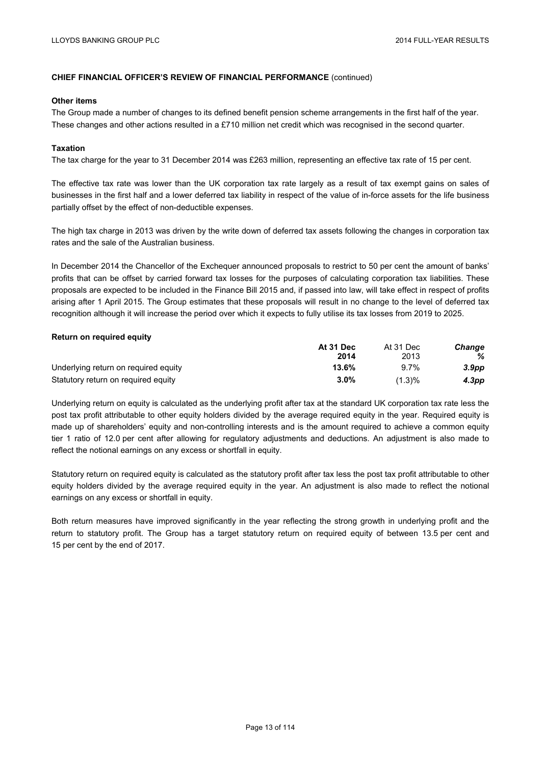#### **Other items**

The Group made a number of changes to its defined benefit pension scheme arrangements in the first half of the year. These changes and other actions resulted in a £710 million net credit which was recognised in the second quarter.

## **Taxation**

The tax charge for the year to 31 December 2014 was £263 million, representing an effective tax rate of 15 per cent.

The effective tax rate was lower than the UK corporation tax rate largely as a result of tax exempt gains on sales of businesses in the first half and a lower deferred tax liability in respect of the value of in-force assets for the life business partially offset by the effect of non-deductible expenses.

The high tax charge in 2013 was driven by the write down of deferred tax assets following the changes in corporation tax rates and the sale of the Australian business.

In December 2014 the Chancellor of the Exchequer announced proposals to restrict to 50 per cent the amount of banks' profits that can be offset by carried forward tax losses for the purposes of calculating corporation tax liabilities. These proposals are expected to be included in the Finance Bill 2015 and, if passed into law, will take effect in respect of profits arising after 1 April 2015. The Group estimates that these proposals will result in no change to the level of deferred tax recognition although it will increase the period over which it expects to fully utilise its tax losses from 2019 to 2025.

## **Return on required equity**

|                                      | At 31 Dec | At 31 Dec  | Change            |
|--------------------------------------|-----------|------------|-------------------|
|                                      | 2014      | 2013       |                   |
| Underlying return on required equity | 13.6%     | $9.7\%$    | 3.9 <sub>DP</sub> |
| Statutory return on required equity  | 3.0%      | $(1.3) \%$ | 4.3pp             |

Underlying return on equity is calculated as the underlying profit after tax at the standard UK corporation tax rate less the post tax profit attributable to other equity holders divided by the average required equity in the year. Required equity is made up of shareholders' equity and non-controlling interests and is the amount required to achieve a common equity tier 1 ratio of 12.0 per cent after allowing for regulatory adjustments and deductions. An adjustment is also made to reflect the notional earnings on any excess or shortfall in equity.

Statutory return on required equity is calculated as the statutory profit after tax less the post tax profit attributable to other equity holders divided by the average required equity in the year. An adjustment is also made to reflect the notional earnings on any excess or shortfall in equity.

Both return measures have improved significantly in the year reflecting the strong growth in underlying profit and the return to statutory profit. The Group has a target statutory return on required equity of between 13.5 per cent and 15 per cent by the end of 2017.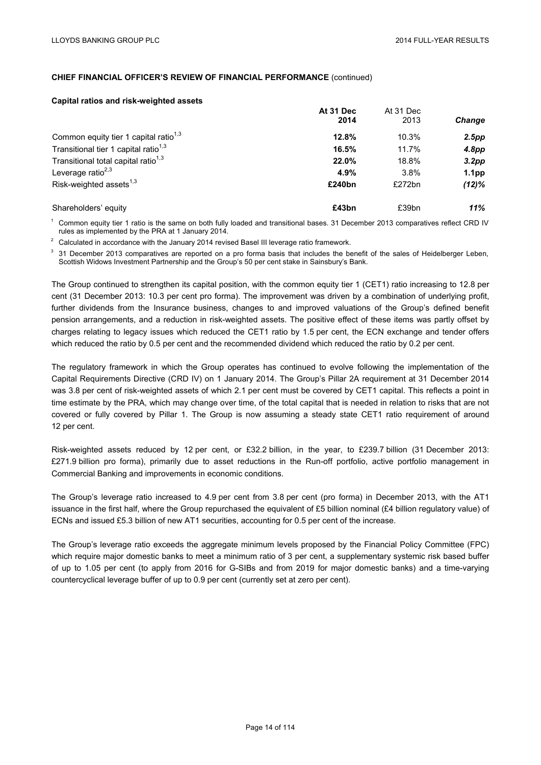#### **Capital ratios and risk-weighted assets**

|                                                   | At 31 Dec<br>2014 | At 31 Dec<br>2013 | <b>Change</b>     |
|---------------------------------------------------|-------------------|-------------------|-------------------|
| Common equity tier 1 capital ratio <sup>1,3</sup> | 12.8%             | 10.3%             | 2.5pp             |
| Transitional tier 1 capital ratio <sup>1,3</sup>  | 16.5%             | 11.7%             | 4.8pp             |
| Transitional total capital ratio <sup>1,3</sup>   | 22.0%             | 18.8%             | 3.2pp             |
| Leverage ratio <sup>2,3</sup>                     | 4.9%              | 3.8%              | 1.1 <sub>pp</sub> |
| Risk-weighted assets $^{1,3}$                     | £240bn            | £272 $bn$         | $(12)\%$          |
| Shareholders' equity                              | £43bn             | £39bn             | 11%               |

<sup>1</sup> Common equity tier 1 ratio is the same on both fully loaded and transitional bases. 31 December 2013 comparatives reflect CRD IV rules as implemented by the PRA at 1 January 2014.

 $2$  Calculated in accordance with the January 2014 revised Basel III leverage ratio framework.

<sup>3</sup> 31 December 2013 comparatives are reported on a pro forma basis that includes the benefit of the sales of Heidelberger Leben, Scottish Widows Investment Partnership and the Group's 50 per cent stake in Sainsbury's Bank.

The Group continued to strengthen its capital position, with the common equity tier 1 (CET1) ratio increasing to 12.8 per cent (31 December 2013: 10.3 per cent pro forma). The improvement was driven by a combination of underlying profit, further dividends from the Insurance business, changes to and improved valuations of the Group's defined benefit pension arrangements, and a reduction in risk-weighted assets. The positive effect of these items was partly offset by charges relating to legacy issues which reduced the CET1 ratio by 1.5 per cent, the ECN exchange and tender offers which reduced the ratio by 0.5 per cent and the recommended dividend which reduced the ratio by 0.2 per cent.

The regulatory framework in which the Group operates has continued to evolve following the implementation of the Capital Requirements Directive (CRD IV) on 1 January 2014. The Group's Pillar 2A requirement at 31 December 2014 was 3.8 per cent of risk-weighted assets of which 2.1 per cent must be covered by CET1 capital. This reflects a point in time estimate by the PRA, which may change over time, of the total capital that is needed in relation to risks that are not covered or fully covered by Pillar 1. The Group is now assuming a steady state CET1 ratio requirement of around 12 per cent.

Risk-weighted assets reduced by 12 per cent, or £32.2 billion, in the year, to £239.7 billion (31 December 2013: £271.9 billion pro forma), primarily due to asset reductions in the Run-off portfolio, active portfolio management in Commercial Banking and improvements in economic conditions.

The Group's leverage ratio increased to 4.9 per cent from 3.8 per cent (pro forma) in December 2013, with the AT1 issuance in the first half, where the Group repurchased the equivalent of £5 billion nominal (£4 billion regulatory value) of ECNs and issued £5.3 billion of new AT1 securities, accounting for 0.5 per cent of the increase.

The Group's leverage ratio exceeds the aggregate minimum levels proposed by the Financial Policy Committee (FPC) which require major domestic banks to meet a minimum ratio of 3 per cent, a supplementary systemic risk based buffer of up to 1.05 per cent (to apply from 2016 for G-SIBs and from 2019 for major domestic banks) and a time-varying countercyclical leverage buffer of up to 0.9 per cent (currently set at zero per cent).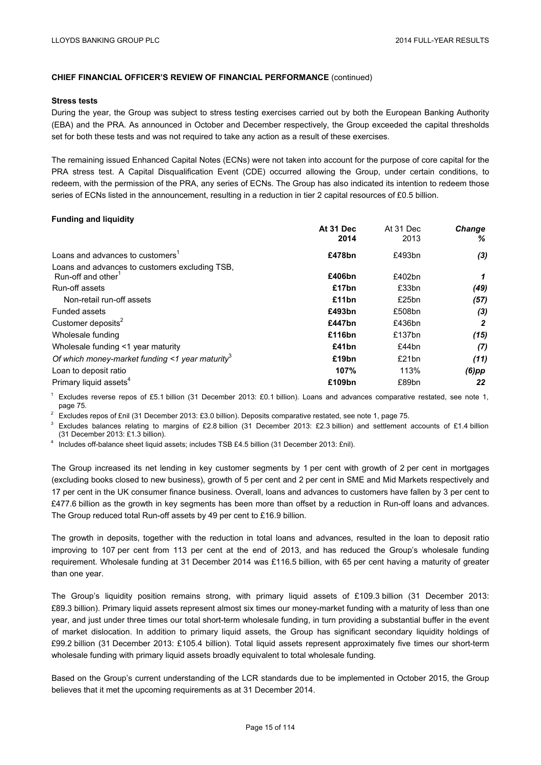## **Stress tests**

During the year, the Group was subject to stress testing exercises carried out by both the European Banking Authority (EBA) and the PRA. As announced in October and December respectively, the Group exceeded the capital thresholds set for both these tests and was not required to take any action as a result of these exercises.

The remaining issued Enhanced Capital Notes (ECNs) were not taken into account for the purpose of core capital for the PRA stress test. A Capital Disqualification Event (CDE) occurred allowing the Group, under certain conditions, to redeem, with the permission of the PRA, any series of ECNs. The Group has also indicated its intention to redeem those series of ECNs listed in the announcement, resulting in a reduction in tier 2 capital resources of £0.5 billion.

# **Funding and liquidity**

|                                                             | At 31 Dec | At 31 Dec | <b>Change</b> |
|-------------------------------------------------------------|-----------|-----------|---------------|
|                                                             | 2014      | 2013      | ℅             |
| Loans and advances to customers <sup>1</sup>                | £478bn    | £493bn    | (3)           |
| Loans and advances to customers excluding TSB.              |           |           |               |
| Run-off and other                                           | £406bn    | £402bn    | 1             |
| Run-off assets                                              | £17bn     | £33bn     | (49)          |
| Non-retail run-off assets                                   | £11bn     | £25bn     | (57)          |
| <b>Funded assets</b>                                        | £493bn    | £508bn    | (3)           |
| Customer deposits <sup>2</sup>                              | £447bn    | £436bn    | 2             |
| Wholesale funding                                           | £116bn    | £137bn    | (15)          |
| Wholesale funding <1 year maturity                          | £41bn     | £44bn     | (7)           |
| Of which money-market funding <1 year maturity <sup>3</sup> | £19bn     | £21bn     | (11)          |
| Loan to deposit ratio                                       | 107%      | 113%      | $(6)$ pp      |
| Primary liquid assets <sup>4</sup>                          | £109bn    | £89bn     | 22            |

 $1$  Excludes reverse repos of £5.1 billion (31 December 2013: £0.1 billion). Loans and advances comparative restated, see note 1,

page 75.<br>
<sup>2</sup> Excludes repos of £nil (31 December 2013: £3.0 billion). Deposits comparative restated, see note 1, page 75.<br>
<sup>3</sup> Excludes balances relating to margins of £2.8 billion (31 December 2013: £2.3 billion) and set

<sup>4</sup> Includes off-balance sheet liquid assets: includes TSB  $£4.5$  billion (31 December 2013: £nil).

The Group increased its net lending in key customer segments by 1 per cent with growth of 2 per cent in mortgages (excluding books closed to new business), growth of 5 per cent and 2 per cent in SME and Mid Markets respectively and 17 per cent in the UK consumer finance business. Overall, loans and advances to customers have fallen by 3 per cent to £477.6 billion as the growth in key segments has been more than offset by a reduction in Run-off loans and advances. The Group reduced total Run-off assets by 49 per cent to £16.9 billion.

The growth in deposits, together with the reduction in total loans and advances, resulted in the loan to deposit ratio improving to 107 per cent from 113 per cent at the end of 2013, and has reduced the Group's wholesale funding requirement. Wholesale funding at 31 December 2014 was £116.5 billion, with 65 per cent having a maturity of greater than one year.

The Group's liquidity position remains strong, with primary liquid assets of £109.3 billion (31 December 2013: £89.3 billion). Primary liquid assets represent almost six times our money-market funding with a maturity of less than one year, and just under three times our total short-term wholesale funding, in turn providing a substantial buffer in the event of market dislocation. In addition to primary liquid assets, the Group has significant secondary liquidity holdings of £99.2 billion (31 December 2013: £105.4 billion). Total liquid assets represent approximately five times our short-term wholesale funding with primary liquid assets broadly equivalent to total wholesale funding.

Based on the Group's current understanding of the LCR standards due to be implemented in October 2015, the Group believes that it met the upcoming requirements as at 31 December 2014.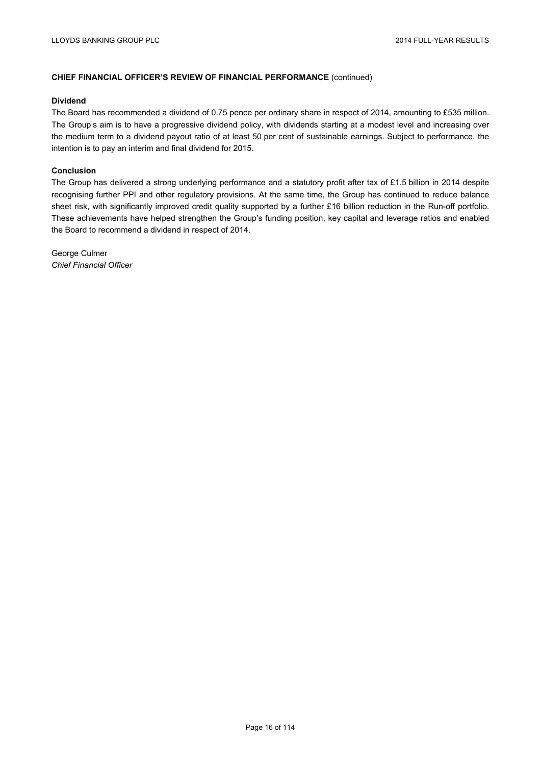# **Dividend**

The Board has recommended a dividend of 0.75 pence per ordinary share in respect of 2014, amounting to £535 million. The Group's aim is to have a progressive dividend policy, with dividends starting at a modest level and increasing over the medium term to a dividend payout ratio of at least 50 per cent of sustainable earnings. Subject to performance, the intention is to pay an interim and final dividend for 2015.

## **Conclusion**

The Group has delivered a strong underlying performance and a statutory profit after tax of £1.5 billion in 2014 despite recognising further PPI and other regulatory provisions. At the same time, the Group has continued to reduce balance sheet risk, with significantly improved credit quality supported by a further £16 billion reduction in the Run-off portfolio. These achievements have helped strengthen the Group's funding position, key capital and leverage ratios and enabled the Board to recommend a dividend in respect of 2014.

George Culmer *Chief Financial Officer*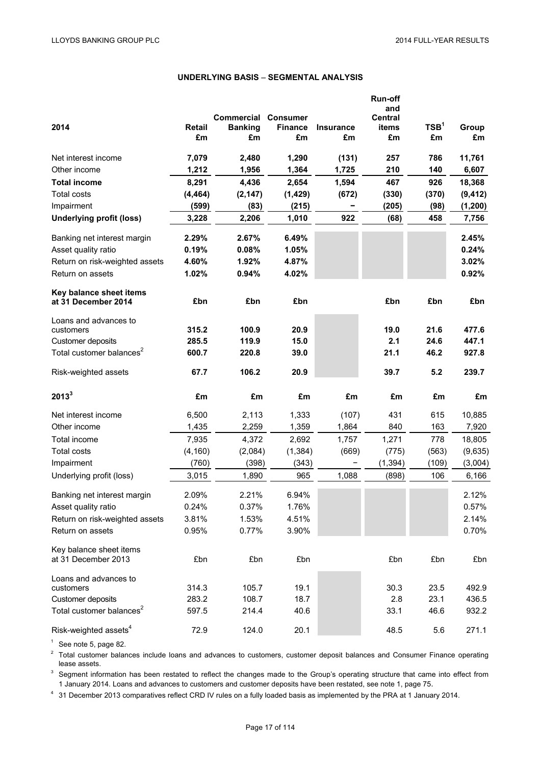# **UNDERLYING BASIS** – **SEGMENTAL ANALYSIS**

| 2014                                                      | <b>Retail</b><br>£m | <b>Commercial</b><br><b>Banking</b><br>£m | <b>Consumer</b><br><b>Finance</b><br>£m | <b>Insurance</b><br>£m | <b>Run-off</b><br>and<br><b>Central</b><br>items<br>£m | TSB <sup>1</sup><br>£m | Group<br>£m    |
|-----------------------------------------------------------|---------------------|-------------------------------------------|-----------------------------------------|------------------------|--------------------------------------------------------|------------------------|----------------|
| Net interest income                                       | 7,079               | 2,480                                     | 1,290                                   | (131)                  | 257                                                    | 786                    | 11,761         |
| Other income                                              | 1,212               | 1,956                                     | 1,364                                   | 1,725                  | 210                                                    | 140                    | 6,607          |
| <b>Total income</b>                                       | 8,291               | 4,436                                     | 2,654                                   | 1,594                  | 467                                                    | 926                    | 18,368         |
| Total costs                                               | (4, 464)            | (2, 147)                                  | (1, 429)                                | (672)                  | (330)                                                  | (370)                  | (9, 412)       |
| Impairment                                                | (599)               | (83)                                      | (215)                                   |                        | (205)                                                  | (98)                   | (1, 200)       |
| <b>Underlying profit (loss)</b>                           | 3,228               | 2,206                                     | 1,010                                   | 922                    | (68)                                                   | 458                    | 7,756          |
| Banking net interest margin                               | 2.29%               | 2.67%                                     | 6.49%                                   |                        |                                                        |                        | 2.45%          |
| Asset quality ratio                                       | 0.19%               | 0.08%                                     | 1.05%                                   |                        |                                                        |                        | 0.24%          |
| Return on risk-weighted assets                            | 4.60%               | 1.92%                                     | 4.87%                                   |                        |                                                        |                        | 3.02%          |
| Return on assets                                          | 1.02%               | 0.94%                                     | 4.02%                                   |                        |                                                        |                        | 0.92%          |
| Key balance sheet items<br>at 31 December 2014            | £bn                 | £bn                                       | £bn                                     |                        | £bn                                                    | £bn                    | £bn            |
| Loans and advances to<br>customers                        | 315.2               | 100.9                                     | 20.9                                    |                        | 19.0                                                   | 21.6                   | 477.6          |
| Customer deposits                                         | 285.5               | 119.9                                     | 15.0                                    |                        | 2.1                                                    | 24.6                   | 447.1          |
| Total customer balances <sup>2</sup>                      | 600.7               | 220.8                                     | 39.0                                    |                        | 21.1                                                   | 46.2                   | 927.8          |
|                                                           |                     |                                           |                                         |                        |                                                        |                        |                |
| Risk-weighted assets                                      | 67.7                | 106.2                                     | 20.9                                    |                        | 39.7                                                   | 5.2                    | 239.7          |
| $2013^3$                                                  | £m                  | £m                                        | £m                                      | £m                     | £m                                                     | £m                     | £m             |
|                                                           |                     |                                           |                                         |                        |                                                        |                        |                |
| Net interest income                                       | 6,500               | 2,113                                     | 1,333                                   | (107)                  | 431                                                    | 615                    | 10,885         |
| Other income                                              | 1,435               | 2,259                                     | 1,359                                   | 1,864                  | 840                                                    | 163                    | 7,920          |
| Total income                                              | 7,935               | 4,372                                     | 2,692                                   | 1,757                  | 1,271                                                  | 778                    | 18,805         |
| <b>Total costs</b>                                        | (4, 160)            | (2,084)                                   | (1, 384)                                | (669)                  | (775)                                                  | (563)                  | (9,635)        |
| Impairment                                                | (760)               | (398)                                     | (343)                                   |                        | (1, 394)                                               | (109)                  | (3,004)        |
| Underlying profit (loss)                                  | 3,015               | 1,890                                     | 965                                     | 1,088                  | (898)                                                  | 106                    | 6,166          |
| Banking net interest margin                               | 2.09%               | 2.21%                                     | 6.94%                                   |                        |                                                        |                        | 2.12%          |
| Asset quality ratio                                       | 0.24%               | 0.37%                                     | 1.76%                                   |                        |                                                        |                        | 0.57%          |
| Return on risk-weighted assets                            | 3.81%               | 1.53%                                     | 4.51%                                   |                        |                                                        |                        | 2.14%          |
| Return on assets                                          | 0.95%               | 0.77%                                     | 3.90%                                   |                        |                                                        |                        | 0.70%          |
| Key balance sheet items<br>at 31 December 2013            | £bn                 | £bn                                       | £bn                                     |                        | £bn                                                    | £bn                    | £bn            |
| Loans and advances to                                     |                     |                                           |                                         |                        |                                                        |                        |                |
| customers                                                 | 314.3               | 105.7                                     | 19.1                                    |                        | 30.3                                                   | 23.5                   | 492.9          |
| Customer deposits<br>Total customer balances <sup>2</sup> | 283.2<br>597.5      | 108.7<br>214.4                            | 18.7<br>40.6                            |                        | 2.8<br>33.1                                            | 23.1<br>46.6           | 436.5<br>932.2 |

 $1$  See note 5, page 82.

<sup>2</sup> Total customer balances include loans and advances to customers, customer deposit balances and Consumer Finance operating lease assets.

<sup>3</sup> Segment information has been restated to reflect the changes made to the Group's operating structure that came into effect from 1 January 2014. Loans and advances to customers and customer deposits have been restated, see note 1, page 75.

<sup>4</sup> 31 December 2013 comparatives reflect CRD IV rules on a fully loaded basis as implemented by the PRA at 1 January 2014.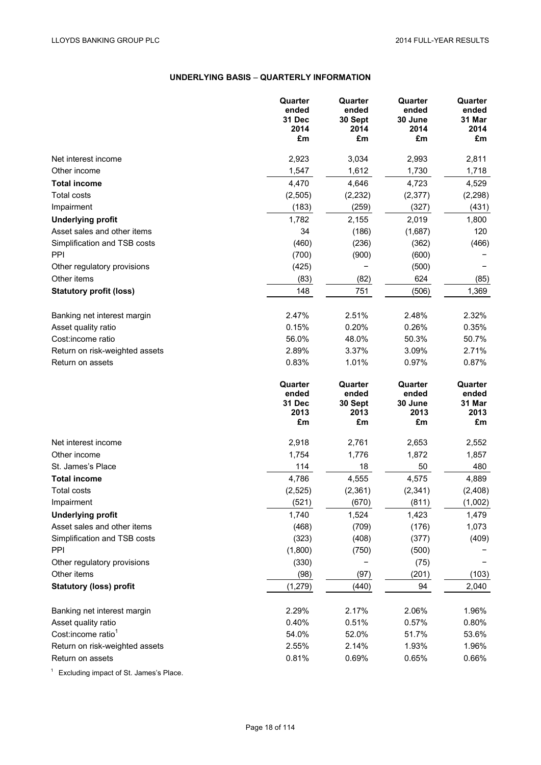# **UNDERLYING BASIS** – **QUARTERLY INFORMATION**

|                                | Quarter<br>ended<br>31 Dec<br>2014<br>£m | Quarter<br>ended<br>30 Sept<br>2014<br>£m | Quarter<br>ended<br>30 June<br>2014<br>£m | Quarter<br>ended<br>31 Mar<br>2014<br>£m |
|--------------------------------|------------------------------------------|-------------------------------------------|-------------------------------------------|------------------------------------------|
| Net interest income            | 2,923                                    | 3,034                                     | 2,993                                     | 2,811                                    |
| Other income                   | 1,547                                    | 1,612                                     | 1,730                                     | 1,718                                    |
| <b>Total income</b>            | 4,470                                    | 4,646                                     | 4,723                                     | 4,529                                    |
| <b>Total costs</b>             | (2, 505)                                 | (2, 232)                                  | (2, 377)                                  | (2, 298)                                 |
| Impairment                     | (183)                                    | (259)                                     | (327)                                     | (431)                                    |
| <b>Underlying profit</b>       | 1,782                                    | 2,155                                     | 2,019                                     | 1,800                                    |
| Asset sales and other items    | 34                                       | (186)                                     | (1,687)                                   | 120                                      |
| Simplification and TSB costs   | (460)                                    | (236)                                     | (362)                                     | (466)                                    |
| PPI                            | (700)                                    | (900)                                     | (600)                                     |                                          |
| Other regulatory provisions    | (425)                                    |                                           | (500)                                     |                                          |
| Other items                    | (83)                                     | (82)                                      | 624                                       | (85)                                     |
| <b>Statutory profit (loss)</b> | 148                                      | 751                                       | (506)                                     | 1,369                                    |
| Banking net interest margin    | 2.47%                                    | 2.51%                                     | 2.48%                                     | 2.32%                                    |
| Asset quality ratio            | 0.15%                                    | 0.20%                                     | 0.26%                                     | 0.35%                                    |
| Cost:income ratio              | 56.0%                                    | 48.0%                                     | 50.3%                                     | 50.7%                                    |
| Return on risk-weighted assets | 2.89%                                    | 3.37%                                     | 3.09%                                     | 2.71%                                    |
| Return on assets               | 0.83%                                    | 1.01%                                     | 0.97%                                     | 0.87%                                    |
|                                | Quarter<br>ended<br>31 Dec<br>2013<br>£m | Quarter<br>ended<br>30 Sept<br>2013<br>£m | Quarter<br>ended<br>30 June<br>2013<br>£m | Quarter<br>ended<br>31 Mar<br>2013<br>£m |
| Net interest income            | 2,918                                    | 2,761                                     | 2,653                                     | 2,552                                    |
| Other income                   | 1,754                                    | 1,776                                     | 1,872                                     | 1,857                                    |
| St. James's Place              | 114                                      | 18                                        | 50                                        | 480                                      |
| <b>Total income</b>            | 4,786                                    | 4,555                                     | 4,575                                     | 4,889                                    |
| <b>Total costs</b>             | (2, 525)                                 | (2, 361)                                  | (2, 341)                                  | (2, 408)                                 |
| Impairment                     | (521)                                    | (670)                                     | (811)                                     | (1,002)                                  |
| <b>Underlying profit</b>       | 1,740                                    | 1,524                                     | 1,423                                     | 1,479                                    |
| Asset sales and other items    | (468)                                    | (709)                                     | (176)                                     | 1,073                                    |
| Simplification and TSB costs   | (323)                                    | (408)                                     | (377)                                     | (409)                                    |
| <b>PPI</b>                     | (1,800)                                  | (750)                                     | (500)                                     |                                          |
| Other regulatory provisions    | (330)                                    |                                           | (75)                                      |                                          |
| Other items                    | (98)                                     | (97)                                      | (201)                                     | (103)                                    |
| <b>Statutory (loss) profit</b> | (1, 279)                                 | (440)                                     | 94                                        | 2,040                                    |
| Banking net interest margin    | 2.29%                                    | 2.17%                                     | 2.06%                                     | 1.96%                                    |
| Asset quality ratio            | 0.40%                                    | 0.51%                                     | 0.57%                                     | 0.80%                                    |
| Cost:income ratio <sup>1</sup> | 54.0%                                    | 52.0%                                     | 51.7%                                     | 53.6%                                    |
| Return on risk-weighted assets | 2.55%                                    | 2.14%                                     | 1.93%                                     | 1.96%                                    |
| Return on assets               | 0.81%                                    | 0.69%                                     | 0.65%                                     | 0.66%                                    |

<sup>1</sup> Excluding impact of St. James's Place.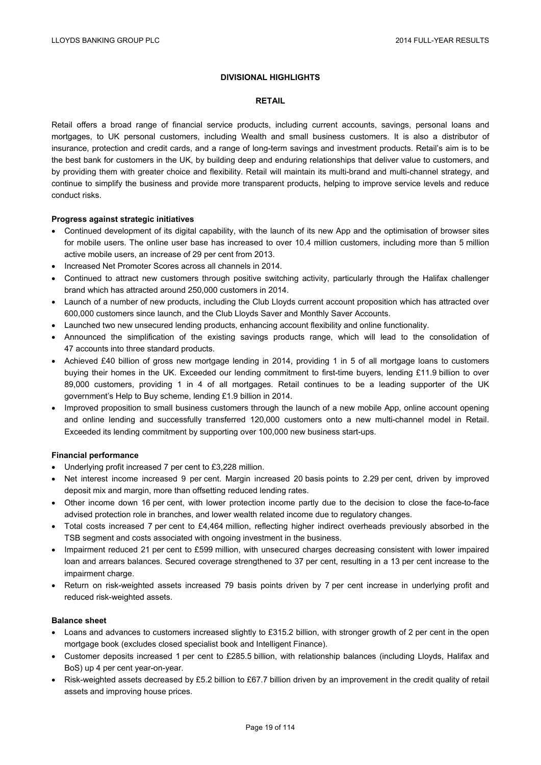# **DIVISIONAL HIGHLIGHTS**

## **RETAIL**

Retail offers a broad range of financial service products, including current accounts, savings, personal loans and mortgages, to UK personal customers, including Wealth and small business customers. It is also a distributor of insurance, protection and credit cards, and a range of long-term savings and investment products. Retail's aim is to be the best bank for customers in the UK, by building deep and enduring relationships that deliver value to customers, and by providing them with greater choice and flexibility. Retail will maintain its multi-brand and multi-channel strategy, and continue to simplify the business and provide more transparent products, helping to improve service levels and reduce conduct risks.

## **Progress against strategic initiatives**

- Continued development of its digital capability, with the launch of its new App and the optimisation of browser sites for mobile users. The online user base has increased to over 10.4 million customers, including more than 5 million active mobile users, an increase of 29 per cent from 2013.
- Increased Net Promoter Scores across all channels in 2014.
- Continued to attract new customers through positive switching activity, particularly through the Halifax challenger brand which has attracted around 250,000 customers in 2014.
- Launch of a number of new products, including the Club Lloyds current account proposition which has attracted over 600,000 customers since launch, and the Club Lloyds Saver and Monthly Saver Accounts.
- Launched two new unsecured lending products, enhancing account flexibility and online functionality.
- Announced the simplification of the existing savings products range, which will lead to the consolidation of 47 accounts into three standard products.
- Achieved £40 billion of gross new mortgage lending in 2014, providing 1 in 5 of all mortgage loans to customers buying their homes in the UK. Exceeded our lending commitment to first-time buyers, lending £11.9 billion to over 89,000 customers, providing 1 in 4 of all mortgages. Retail continues to be a leading supporter of the UK government's Help to Buy scheme, lending £1.9 billion in 2014.
- Improved proposition to small business customers through the launch of a new mobile App, online account opening and online lending and successfully transferred 120,000 customers onto a new multi-channel model in Retail. Exceeded its lending commitment by supporting over 100,000 new business start-ups.

## **Financial performance**

- Underlying profit increased 7 per cent to £3,228 million.
- Net interest income increased 9 per cent. Margin increased 20 basis points to 2.29 per cent, driven by improved deposit mix and margin, more than offsetting reduced lending rates.
- Other income down 16 per cent, with lower protection income partly due to the decision to close the face-to-face advised protection role in branches, and lower wealth related income due to regulatory changes.
- Total costs increased 7 per cent to £4,464 million, reflecting higher indirect overheads previously absorbed in the TSB segment and costs associated with ongoing investment in the business.
- Impairment reduced 21 per cent to £599 million, with unsecured charges decreasing consistent with lower impaired loan and arrears balances. Secured coverage strengthened to 37 per cent, resulting in a 13 per cent increase to the impairment charge.
- Return on risk-weighted assets increased 79 basis points driven by 7 per cent increase in underlying profit and reduced risk-weighted assets.

# **Balance sheet**

- Loans and advances to customers increased slightly to £315.2 billion, with stronger growth of 2 per cent in the open mortgage book (excludes closed specialist book and Intelligent Finance).
- Customer deposits increased 1 per cent to £285.5 billion, with relationship balances (including Lloyds, Halifax and BoS) up 4 per cent year-on-year.
- Risk-weighted assets decreased by £5.2 billion to £67.7 billion driven by an improvement in the credit quality of retail assets and improving house prices.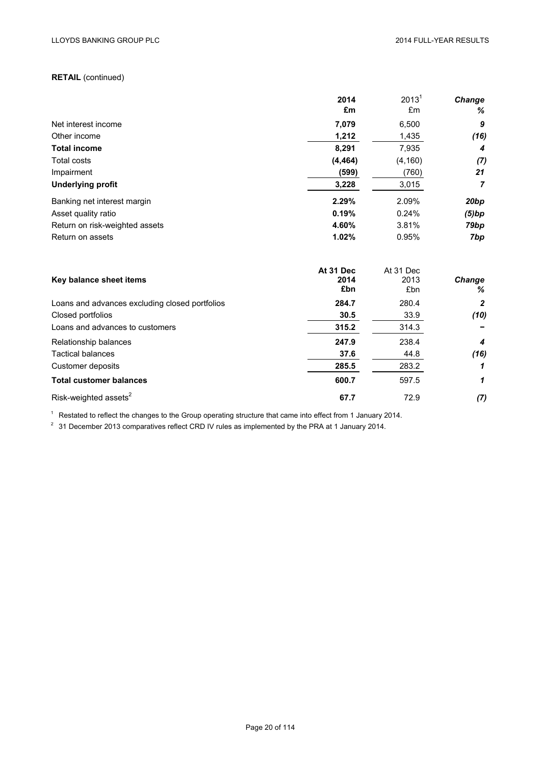# **RETAIL** (continued)

|                                | 2014     | $2013^1$ | Change |
|--------------------------------|----------|----------|--------|
|                                | £m       | £m       | %      |
| Net interest income            | 7,079    | 6,500    | 9      |
| Other income                   | 1,212    | 1,435    | (16)   |
| <b>Total income</b>            | 8,291    | 7,935    | 4      |
| Total costs                    | (4, 464) | (4, 160) | (7)    |
| Impairment                     | (599)    | (760)    | 21     |
| <b>Underlying profit</b>       | 3,228    | 3,015    | 7      |
| Banking net interest margin    | 2.29%    | 2.09%    | 20bp   |
| Asset quality ratio            | 0.19%    | 0.24%    | (5)bp  |
| Return on risk-weighted assets | 4.60%    | 3.81%    | 79bp   |
| Return on assets               | 1.02%    | 0.95%    | 7bp    |

| Key balance sheet items                        | At 31 Dec<br>2014<br>£bn | At 31 Dec<br>2013<br>£bn | Change<br>℅    |
|------------------------------------------------|--------------------------|--------------------------|----------------|
| Loans and advances excluding closed portfolios | 284.7                    | 280.4                    | $\overline{2}$ |
| Closed portfolios                              | 30.5                     | 33.9                     | (10)           |
| Loans and advances to customers                | 315.2                    | 314.3                    |                |
| Relationship balances                          | 247.9                    | 238.4                    | 4              |
| <b>Tactical balances</b>                       | 37.6                     | 44.8                     | (16)           |
| Customer deposits                              | 285.5                    | 283.2                    | 1              |
| <b>Total customer balances</b>                 | 600.7                    | 597.5                    | 1              |
| Risk-weighted assets <sup>2</sup>              | 67.7                     | 72.9                     | (7)            |

<sup>1</sup> Restated to reflect the changes to the Group operating structure that came into effect from 1 January 2014.

<sup>2</sup> 31 December 2013 comparatives reflect CRD IV rules as implemented by the PRA at 1 January 2014.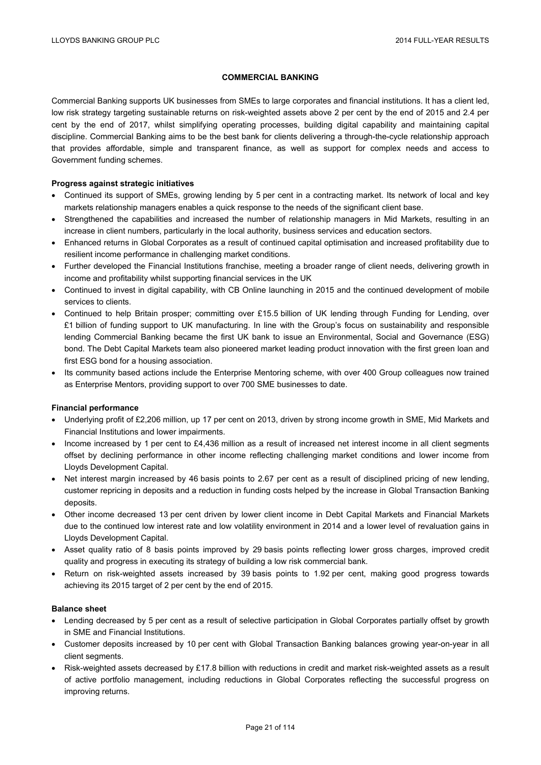# **COMMERCIAL BANKING**

Commercial Banking supports UK businesses from SMEs to large corporates and financial institutions. It has a client led, low risk strategy targeting sustainable returns on risk-weighted assets above 2 per cent by the end of 2015 and 2.4 per cent by the end of 2017, whilst simplifying operating processes, building digital capability and maintaining capital discipline. Commercial Banking aims to be the best bank for clients delivering a through-the-cycle relationship approach that provides affordable, simple and transparent finance, as well as support for complex needs and access to Government funding schemes.

# **Progress against strategic initiatives**

- Continued its support of SMEs, growing lending by 5 per cent in a contracting market. Its network of local and key markets relationship managers enables a quick response to the needs of the significant client base.
- Strengthened the capabilities and increased the number of relationship managers in Mid Markets, resulting in an increase in client numbers, particularly in the local authority, business services and education sectors.
- Enhanced returns in Global Corporates as a result of continued capital optimisation and increased profitability due to resilient income performance in challenging market conditions.
- Further developed the Financial Institutions franchise, meeting a broader range of client needs, delivering growth in income and profitability whilst supporting financial services in the UK
- Continued to invest in digital capability, with CB Online launching in 2015 and the continued development of mobile services to clients.
- Continued to help Britain prosper; committing over £15.5 billion of UK lending through Funding for Lending, over £1 billion of funding support to UK manufacturing. In line with the Group's focus on sustainability and responsible lending Commercial Banking became the first UK bank to issue an Environmental, Social and Governance (ESG) bond. The Debt Capital Markets team also pioneered market leading product innovation with the first green loan and first ESG bond for a housing association.
- Its community based actions include the Enterprise Mentoring scheme, with over 400 Group colleagues now trained as Enterprise Mentors, providing support to over 700 SME businesses to date.

## **Financial performance**

- Underlying profit of £2,206 million, up 17 per cent on 2013, driven by strong income growth in SME, Mid Markets and Financial Institutions and lower impairments.
- Income increased by 1 per cent to £4,436 million as a result of increased net interest income in all client segments offset by declining performance in other income reflecting challenging market conditions and lower income from Lloyds Development Capital.
- Net interest margin increased by 46 basis points to 2.67 per cent as a result of disciplined pricing of new lending, customer repricing in deposits and a reduction in funding costs helped by the increase in Global Transaction Banking deposits.
- Other income decreased 13 per cent driven by lower client income in Debt Capital Markets and Financial Markets due to the continued low interest rate and low volatility environment in 2014 and a lower level of revaluation gains in Lloyds Development Capital.
- Asset quality ratio of 8 basis points improved by 29 basis points reflecting lower gross charges, improved credit quality and progress in executing its strategy of building a low risk commercial bank.
- Return on risk-weighted assets increased by 39 basis points to 1.92 per cent, making good progress towards achieving its 2015 target of 2 per cent by the end of 2015.

## **Balance sheet**

- Lending decreased by 5 per cent as a result of selective participation in Global Corporates partially offset by growth in SME and Financial Institutions.
- Customer deposits increased by 10 per cent with Global Transaction Banking balances growing year-on-year in all client segments.
- Risk-weighted assets decreased by £17.8 billion with reductions in credit and market risk-weighted assets as a result of active portfolio management, including reductions in Global Corporates reflecting the successful progress on improving returns.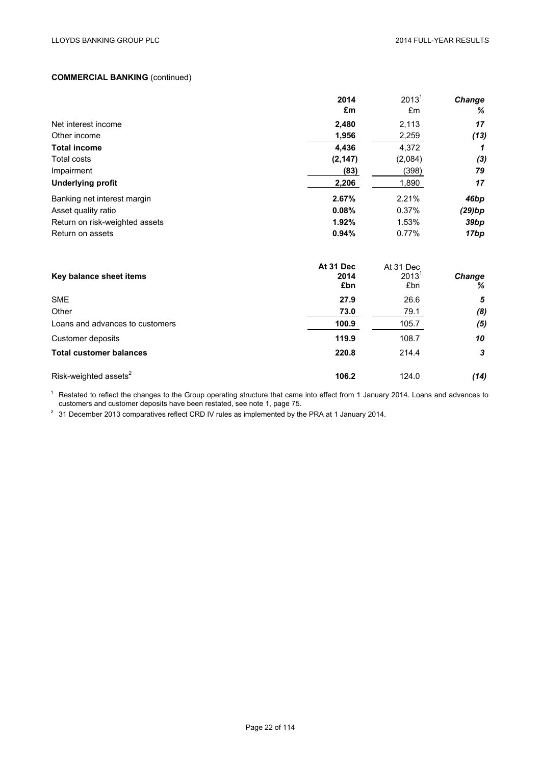# **COMMERCIAL BANKING** (continued)

|                                 | 2014      | $2013^1$          | Change        |
|---------------------------------|-----------|-------------------|---------------|
|                                 | £m        | £m                | ℅             |
| Net interest income             | 2,480     | 2,113             | 17            |
| Other income                    | 1,956     | 2,259             | (13)          |
| <b>Total income</b>             | 4,436     | 4,372             | 1             |
| Total costs                     | (2, 147)  | (2,084)           | (3)           |
| Impairment                      | (83)      | (398)             | 79            |
| <b>Underlying profit</b>        | 2,206     | 1,890             | 17            |
| Banking net interest margin     | 2.67%     | 2.21%             | 46bp          |
| Asset quality ratio             | 0.08%     | 0.37%             | (29)bp        |
| Return on risk-weighted assets  | 1.92%     | 1.53%             | 39bp          |
| Return on assets                | 0.94%     | 0.77%             | 17bp          |
|                                 | At 31 Dec | At 31 Dec         |               |
| Key balance sheet items         | 2014      | 2013 <sup>1</sup> | <b>Change</b> |
|                                 | £bn       | £bn               | ℅             |
| <b>SME</b>                      | 27.9      | 26.6              | 5             |
| Other                           | 73.0      | 79.1              | (8)           |
| Loans and advances to customers | 100.9     | 105.7             | (5)           |

Risk-weighted assets2 **106.2** 124.0 *(14)*

 $1$  Restated to reflect the changes to the Group operating structure that came into effect from 1 January 2014. Loans and advances to customers and customer deposits have been restated, see note 1, page 75.

Customer deposits **119.9** 108.7 *10*  **Total customer balances 220.8** 214.4 *3* 

 $2\overline{2}$  31 December 2013 comparatives reflect CRD IV rules as implemented by the PRA at 1 January 2014.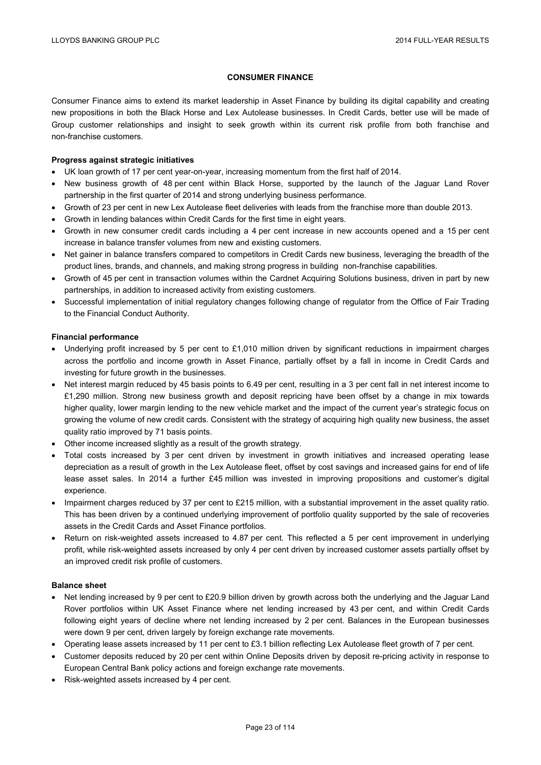# **CONSUMER FINANCE**

Consumer Finance aims to extend its market leadership in Asset Finance by building its digital capability and creating new propositions in both the Black Horse and Lex Autolease businesses. In Credit Cards, better use will be made of Group customer relationships and insight to seek growth within its current risk profile from both franchise and non-franchise customers.

# **Progress against strategic initiatives**

- UK loan growth of 17 per cent year-on-year, increasing momentum from the first half of 2014.
- New business growth of 48 per cent within Black Horse, supported by the launch of the Jaguar Land Rover partnership in the first quarter of 2014 and strong underlying business performance.
- Growth of 23 per cent in new Lex Autolease fleet deliveries with leads from the franchise more than double 2013.
- Growth in lending balances within Credit Cards for the first time in eight years.
- Growth in new consumer credit cards including a 4 per cent increase in new accounts opened and a 15 per cent increase in balance transfer volumes from new and existing customers.
- Net gainer in balance transfers compared to competitors in Credit Cards new business, leveraging the breadth of the product lines, brands, and channels, and making strong progress in building non-franchise capabilities.
- Growth of 45 per cent in transaction volumes within the Cardnet Acquiring Solutions business, driven in part by new partnerships, in addition to increased activity from existing customers.
- Successful implementation of initial regulatory changes following change of regulator from the Office of Fair Trading to the Financial Conduct Authority.

# **Financial performance**

- Underlying profit increased by 5 per cent to £1,010 million driven by significant reductions in impairment charges across the portfolio and income growth in Asset Finance, partially offset by a fall in income in Credit Cards and investing for future growth in the businesses.
- Net interest margin reduced by 45 basis points to 6.49 per cent, resulting in a 3 per cent fall in net interest income to £1,290 million. Strong new business growth and deposit repricing have been offset by a change in mix towards higher quality, lower margin lending to the new vehicle market and the impact of the current year's strategic focus on growing the volume of new credit cards. Consistent with the strategy of acquiring high quality new business, the asset quality ratio improved by 71 basis points.
- Other income increased slightly as a result of the growth strategy.
- Total costs increased by 3 per cent driven by investment in growth initiatives and increased operating lease depreciation as a result of growth in the Lex Autolease fleet, offset by cost savings and increased gains for end of life lease asset sales. In 2014 a further £45 million was invested in improving propositions and customer's digital experience.
- Impairment charges reduced by 37 per cent to £215 million, with a substantial improvement in the asset quality ratio. This has been driven by a continued underlying improvement of portfolio quality supported by the sale of recoveries assets in the Credit Cards and Asset Finance portfolios.
- Return on risk-weighted assets increased to 4.87 per cent. This reflected a 5 per cent improvement in underlying profit, while risk-weighted assets increased by only 4 per cent driven by increased customer assets partially offset by an improved credit risk profile of customers.

## **Balance sheet**

- Net lending increased by 9 per cent to £20.9 billion driven by growth across both the underlying and the Jaguar Land Rover portfolios within UK Asset Finance where net lending increased by 43 per cent, and within Credit Cards following eight years of decline where net lending increased by 2 per cent. Balances in the European businesses were down 9 per cent, driven largely by foreign exchange rate movements.
- Operating lease assets increased by 11 per cent to £3.1 billion reflecting Lex Autolease fleet growth of 7 per cent.
- Customer deposits reduced by 20 per cent within Online Deposits driven by deposit re-pricing activity in response to European Central Bank policy actions and foreign exchange rate movements.
- Risk-weighted assets increased by 4 per cent.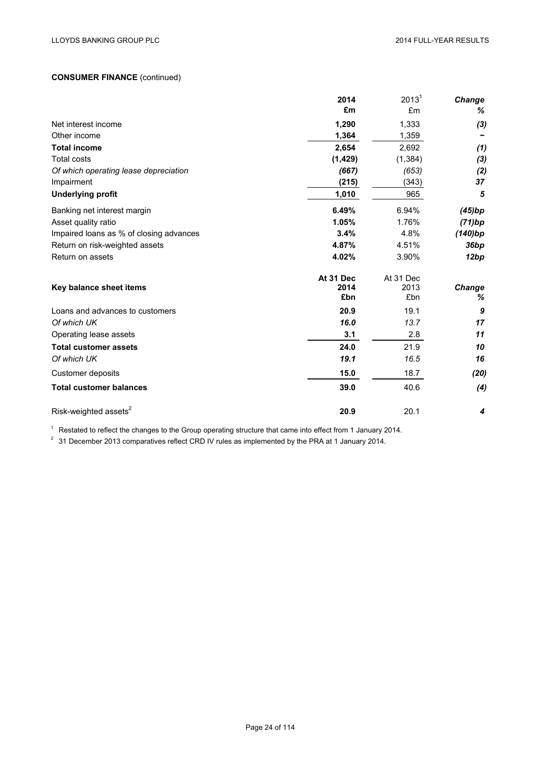# **CONSUMER FINANCE** (continued)

|                                         | 2014      | 2013 <sup>1</sup> | Change  |
|-----------------------------------------|-----------|-------------------|---------|
|                                         | £m        | £m                | %       |
| Net interest income                     | 1,290     | 1,333             | (3)     |
| Other income                            | 1,364     | 1,359             |         |
| <b>Total income</b>                     | 2,654     | 2,692             | (1)     |
| <b>Total costs</b>                      | (1, 429)  | (1, 384)          | (3)     |
| Of which operating lease depreciation   | (667)     | (653)             | (2)     |
| Impairment                              | (215)     | (343)             | 37      |
| <b>Underlying profit</b>                | 1,010     | 965               | 5       |
| Banking net interest margin             | 6.49%     | 6.94%             | (45)bp  |
| Asset quality ratio                     | 1.05%     | 1.76%             | (71)bp  |
| Impaired loans as % of closing advances | 3.4%      | 4.8%              | (140)bp |
| Return on risk-weighted assets          | 4.87%     | 4.51%             | 36bp    |
| Return on assets                        | 4.02%     | 3.90%             | 12bp    |
|                                         | At 31 Dec | At 31 Dec         |         |
| Key balance sheet items                 | 2014      | 2013              | Change  |
|                                         | £bn       | £bn               | ℅       |
| Loans and advances to customers         | 20.9      | 19.1              | 9       |
| Of which UK                             | 16.0      | 13.7              | 17      |
| Operating lease assets                  | 3.1       | 2.8               | 11      |
| <b>Total customer assets</b>            | 24.0      | 21.9              | 10      |
| Of which UK                             | 19.1      | 16.5              | 16      |
| Customer deposits                       | 15.0      | 18.7              | (20)    |
| <b>Total customer balances</b>          | 39.0      | 40.6              | (4)     |
| Risk-weighted assets <sup>2</sup>       | 20.9      | 20.1              | 4       |

<sup>1</sup> Restated to reflect the changes to the Group operating structure that came into effect from 1 January 2014.

<sup>2</sup> 31 December 2013 comparatives reflect CRD IV rules as implemented by the PRA at 1 January 2014.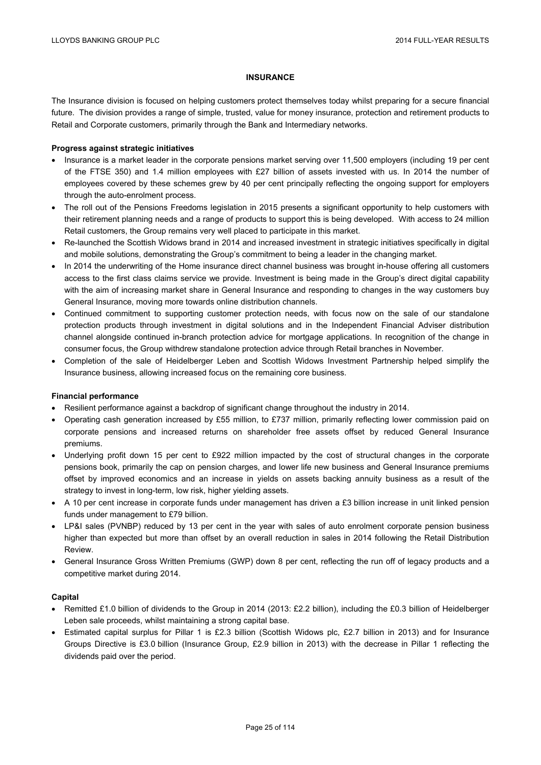# **INSURANCE**

The Insurance division is focused on helping customers protect themselves today whilst preparing for a secure financial future. The division provides a range of simple, trusted, value for money insurance, protection and retirement products to Retail and Corporate customers, primarily through the Bank and Intermediary networks.

## **Progress against strategic initiatives**

- Insurance is a market leader in the corporate pensions market serving over 11,500 employers (including 19 per cent of the FTSE 350) and 1.4 million employees with £27 billion of assets invested with us. In 2014 the number of employees covered by these schemes grew by 40 per cent principally reflecting the ongoing support for employers through the auto-enrolment process.
- The roll out of the Pensions Freedoms legislation in 2015 presents a significant opportunity to help customers with their retirement planning needs and a range of products to support this is being developed. With access to 24 million Retail customers, the Group remains very well placed to participate in this market.
- Re-launched the Scottish Widows brand in 2014 and increased investment in strategic initiatives specifically in digital and mobile solutions, demonstrating the Group's commitment to being a leader in the changing market.
- In 2014 the underwriting of the Home insurance direct channel business was brought in-house offering all customers access to the first class claims service we provide. Investment is being made in the Group's direct digital capability with the aim of increasing market share in General Insurance and responding to changes in the way customers buy General Insurance, moving more towards online distribution channels.
- Continued commitment to supporting customer protection needs, with focus now on the sale of our standalone protection products through investment in digital solutions and in the Independent Financial Adviser distribution channel alongside continued in-branch protection advice for mortgage applications. In recognition of the change in consumer focus, the Group withdrew standalone protection advice through Retail branches in November*.*
- Completion of the sale of Heidelberger Leben and Scottish Widows Investment Partnership helped simplify the Insurance business, allowing increased focus on the remaining core business.

## **Financial performance**

- Resilient performance against a backdrop of significant change throughout the industry in 2014.
- Operating cash generation increased by £55 million, to £737 million, primarily reflecting lower commission paid on corporate pensions and increased returns on shareholder free assets offset by reduced General Insurance premiums.
- Underlying profit down 15 per cent to £922 million impacted by the cost of structural changes in the corporate pensions book, primarily the cap on pension charges, and lower life new business and General Insurance premiums offset by improved economics and an increase in yields on assets backing annuity business as a result of the strategy to invest in long-term, low risk, higher yielding assets.
- A 10 per cent increase in corporate funds under management has driven a £3 billion increase in unit linked pension funds under management to £79 billion.
- LP&I sales (PVNBP) reduced by 13 per cent in the year with sales of auto enrolment corporate pension business higher than expected but more than offset by an overall reduction in sales in 2014 following the Retail Distribution Review.
- General Insurance Gross Written Premiums (GWP) down 8 per cent, reflecting the run off of legacy products and a competitive market during 2014.

## **Capital**

- **Remitted £1.0 billion of dividends to the Group in 2014 (2013: £2.2 billion), including the £0.3 billion of Heidelberger** Leben sale proceeds, whilst maintaining a strong capital base.
- Estimated capital surplus for Pillar 1 is £2.3 billion (Scottish Widows plc, £2.7 billion in 2013) and for Insurance Groups Directive is £3.0 billion (Insurance Group, £2.9 billion in 2013) with the decrease in Pillar 1 reflecting the dividends paid over the period.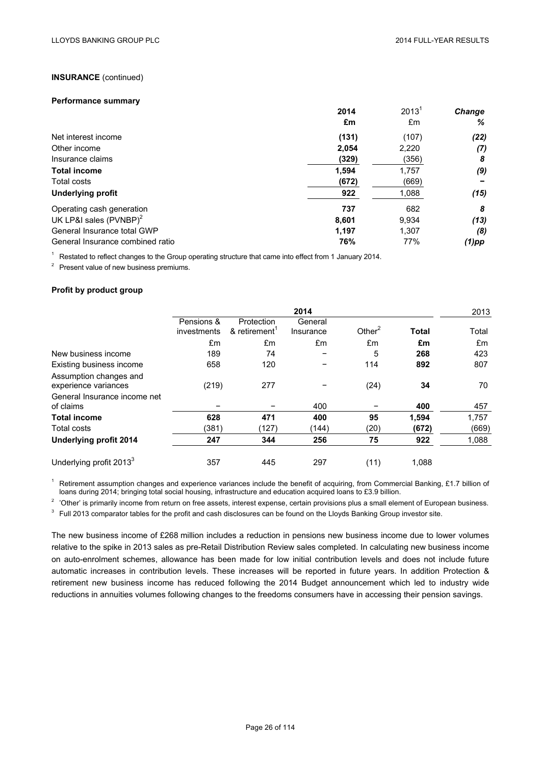# **INSURANCE** (continued)

## **Performance summary**

|                                  | 2014  | $2013^1$ | Change |
|----------------------------------|-------|----------|--------|
|                                  | £m    | £m       | %      |
| Net interest income              | (131) | (107)    | (22)   |
| Other income                     | 2,054 | 2,220    | (7)    |
| Insurance claims                 | (329) | (356)    | 8      |
| <b>Total income</b>              | 1,594 | 1,757    | (9)    |
| Total costs                      | (672) | (669)    |        |
| <b>Underlying profit</b>         | 922   | 1,088    | (15)   |
| Operating cash generation        | 737   | 682      | 8      |
| UK LP&I sales $(PVNBP)^2$        | 8,601 | 9,934    | (13)   |
| General Insurance total GWP      | 1.197 | 1,307    | (8)    |
| General Insurance combined ratio | 76%   | 77%      | (1)pp  |

<sup>1</sup> Restated to reflect changes to the Group operating structure that came into effect from 1 January 2014.

<sup>2</sup> Present value of new business premiums.

## **Profit by product group**

|                                                | 2014                      |                            |                      |           |              | 2013  |
|------------------------------------------------|---------------------------|----------------------------|----------------------|-----------|--------------|-------|
|                                                | Pensions &<br>investments | Protection<br>& retirement | General<br>Insurance | Other $2$ | <b>Total</b> | Total |
|                                                | £m                        | £m                         | £m                   | £m        | £m           | £m    |
| New business income                            | 189                       | 74                         |                      | 5         | 268          | 423   |
| Existing business income                       | 658                       | 120                        |                      | 114       | 892          | 807   |
| Assumption changes and<br>experience variances | (219)                     | 277                        |                      | (24)      | 34           | 70    |
| General Insurance income net<br>of claims      |                           |                            | 400                  |           | 400          | 457   |
| <b>Total income</b>                            | 628                       | 471                        | 400                  | 95        | 1,594        | 1,757 |
| Total costs                                    | (381)                     | (127)                      | (144)                | (20)      | (672)        | (669) |
| Underlying profit 2014                         | 247                       | 344                        | 256                  | 75        | 922          | 1,088 |
| Underlying profit 2013 <sup>3</sup>            | 357                       | 445                        | 297                  | (11)      | 1,088        |       |

<sup>1</sup> Retirement assumption changes and experience variances include the benefit of acquiring, from Commercial Banking, £1.7 billion of loans during 2014; bringing total social housing, infrastructure and education acquired loans to £3.9 billion.

<sup>2</sup> 'Other' is primarily income from return on free assets, interest expense, certain provisions plus a small element of European business.

 $3$  Full 2013 comparator tables for the profit and cash disclosures can be found on the Lloyds Banking Group investor site.

The new business income of £268 million includes a reduction in pensions new business income due to lower volumes relative to the spike in 2013 sales as pre-Retail Distribution Review sales completed. In calculating new business income on auto-enrolment schemes, allowance has been made for low initial contribution levels and does not include future automatic increases in contribution levels. These increases will be reported in future years. In addition Protection & retirement new business income has reduced following the 2014 Budget announcement which led to industry wide reductions in annuities volumes following changes to the freedoms consumers have in accessing their pension savings.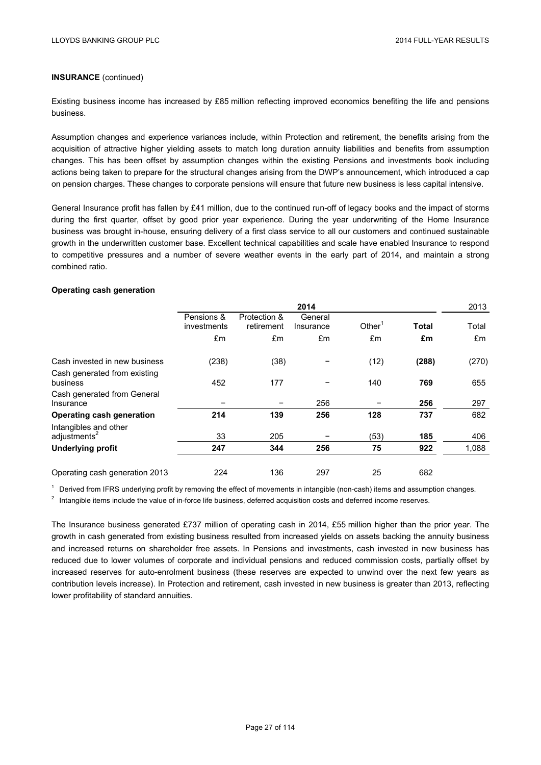# **INSURANCE** (continued)

Existing business income has increased by £85 million reflecting improved economics benefiting the life and pensions business.

Assumption changes and experience variances include, within Protection and retirement, the benefits arising from the acquisition of attractive higher yielding assets to match long duration annuity liabilities and benefits from assumption changes. This has been offset by assumption changes within the existing Pensions and investments book including actions being taken to prepare for the structural changes arising from the DWP's announcement, which introduced a cap on pension charges. These changes to corporate pensions will ensure that future new business is less capital intensive.

General Insurance profit has fallen by £41 million, due to the continued run-off of legacy books and the impact of storms during the first quarter, offset by good prior year experience. During the year underwriting of the Home Insurance business was brought in-house, ensuring delivery of a first class service to all our customers and continued sustainable growth in the underwritten customer base. Excellent technical capabilities and scale have enabled Insurance to respond to competitive pressures and a number of severe weather events in the early part of 2014, and maintain a strong combined ratio.

## **Operating cash generation**

|                                          | 2014                      |                            |                      |                    | 2013         |       |
|------------------------------------------|---------------------------|----------------------------|----------------------|--------------------|--------------|-------|
|                                          | Pensions &<br>investments | Protection &<br>retirement | General<br>Insurance | Other <sup>1</sup> | <b>Total</b> | Total |
|                                          | £m                        | £m                         | £m                   | £m                 | £m           | Em    |
| Cash invested in new business            | (238)                     | (38)                       |                      | (12)               | (288)        | (270) |
| Cash generated from existing<br>business | 452                       | 177                        |                      | 140                | 769          | 655   |
| Cash generated from General<br>Insurance |                           |                            | 256                  |                    | 256          | 297   |
| Operating cash generation                | 214                       | 139                        | 256                  | 128                | 737          | 682   |
| Intangibles and other<br>adjustments $2$ | 33                        | 205                        |                      | (53)               | 185          | 406   |
| <b>Underlying profit</b>                 | 247                       | 344                        | 256                  | 75                 | 922          | 1,088 |
| Operating cash generation 2013           | 224                       | 136                        | 297                  | 25                 | 682          |       |

 $1$  Derived from IFRS underlying profit by removing the effect of movements in intangible (non-cash) items and assumption changes.

 $2$  Intangible items include the value of in-force life business, deferred acquisition costs and deferred income reserves.

The Insurance business generated £737 million of operating cash in 2014, £55 million higher than the prior year. The growth in cash generated from existing business resulted from increased yields on assets backing the annuity business and increased returns on shareholder free assets. In Pensions and investments, cash invested in new business has reduced due to lower volumes of corporate and individual pensions and reduced commission costs, partially offset by increased reserves for auto-enrolment business (these reserves are expected to unwind over the next few years as contribution levels increase). In Protection and retirement, cash invested in new business is greater than 2013, reflecting lower profitability of standard annuities.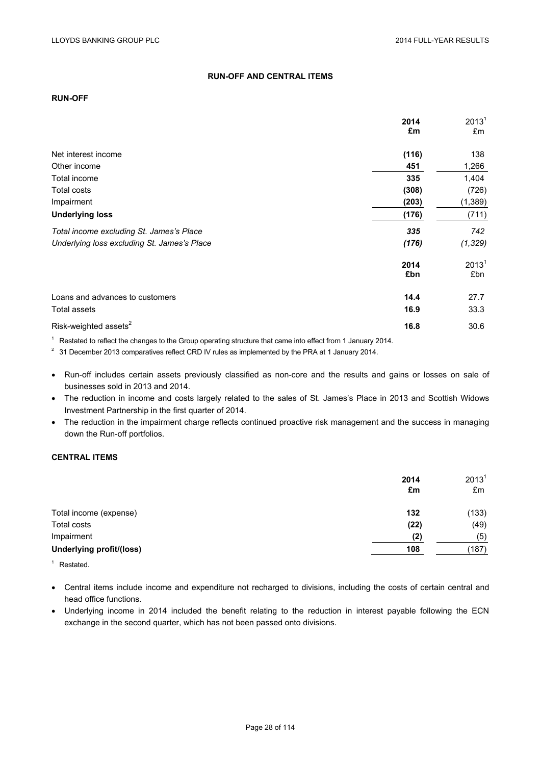# **RUN-OFF AND CENTRAL ITEMS**

# **RUN-OFF**

|                                             | 2014<br>£m  | 2013 <sup>1</sup><br>£m  |
|---------------------------------------------|-------------|--------------------------|
| Net interest income                         | (116)       | 138                      |
| Other income                                | 451         | 1,266                    |
| Total income                                | 335         | 1,404                    |
| <b>Total costs</b>                          | (308)       | (726)                    |
| Impairment                                  | (203)       | (1, 389)                 |
| <b>Underlying loss</b>                      | (176)       | (711)                    |
| Total income excluding St. James's Place    | 335         | 742                      |
| Underlying loss excluding St. James's Place | (176)       | (1, 329)                 |
|                                             | 2014<br>£bn | 2013 <sup>1</sup><br>£bn |
| Loans and advances to customers             | 14.4        | 27.7                     |
| Total assets                                | 16.9        | 33.3                     |
| Risk-weighted assets <sup>2</sup>           | 16.8        | 30.6                     |

<sup>1</sup> Restated to reflect the changes to the Group operating structure that came into effect from 1 January 2014.

 $2$  31 December 2013 comparatives reflect CRD IV rules as implemented by the PRA at 1 January 2014.

- Run-off includes certain assets previously classified as non-core and the results and gains or losses on sale of businesses sold in 2013 and 2014.
- The reduction in income and costs largely related to the sales of St. James's Place in 2013 and Scottish Widows Investment Partnership in the first quarter of 2014.
- The reduction in the impairment charge reflects continued proactive risk management and the success in managing down the Run-off portfolios.

# **CENTRAL ITEMS**

|                                 | 2014<br>£m | 2013 <sup>1</sup><br>£m |
|---------------------------------|------------|-------------------------|
| Total income (expense)          | 132        | (133)                   |
| Total costs                     | (22)       | (49)                    |
| Impairment                      | (2)        | (5)                     |
| <b>Underlying profit/(loss)</b> | 108        | (187)                   |

<sup>1</sup> Restated.

- Central items include income and expenditure not recharged to divisions, including the costs of certain central and head office functions.
- Underlying income in 2014 included the benefit relating to the reduction in interest payable following the ECN exchange in the second quarter, which has not been passed onto divisions.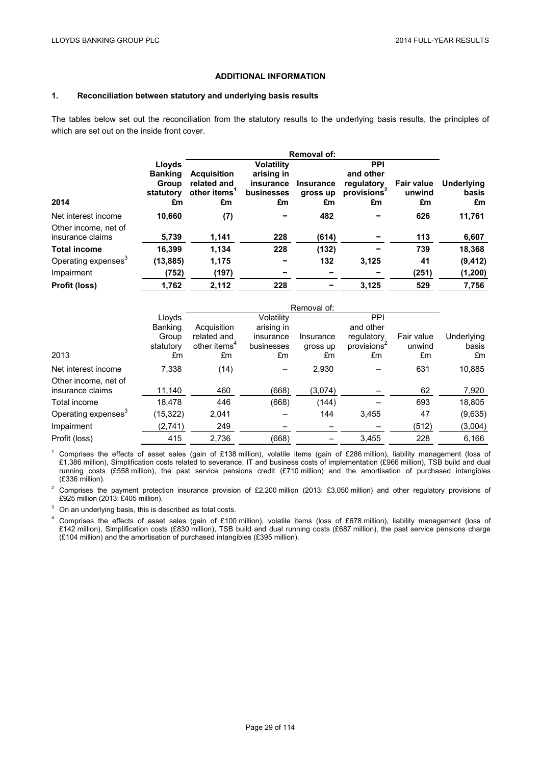# **ADDITIONAL INFORMATION**

# **1. Reconciliation between statutory and underlying basis results**

The tables below set out the reconciliation from the statutory results to the underlying basis results, the principles of which are set out on the inside front cover.

|                                          | <b>Removal of:</b>       |                                               |                                 |                                    |                                             |                                   |                           |
|------------------------------------------|--------------------------|-----------------------------------------------|---------------------------------|------------------------------------|---------------------------------------------|-----------------------------------|---------------------------|
|                                          | Lloyds<br><b>Banking</b> | <b>Acquisition</b>                            | <b>Volatility</b><br>arising in |                                    | <b>PPI</b><br>and other                     |                                   |                           |
| 2014                                     | Group<br>statutory<br>£m | related and<br>other items <sup>1</sup><br>£m | insurance<br>businesses<br>£m   | <b>Insurance</b><br>gross up<br>£m | regulatory<br>provisions <sup>2</sup><br>£m | <b>Fair value</b><br>unwind<br>£m | Underlying<br>basis<br>£m |
| Net interest income                      | 10,660                   | (7)                                           |                                 | 482                                |                                             | 626                               | 11,761                    |
| Other income, net of<br>insurance claims | 5,739                    | 1,141                                         | 228                             | (614)                              |                                             | 113                               | 6,607                     |
| <b>Total income</b>                      | 16,399                   | 1,134                                         | 228                             | (132)                              |                                             | 739                               | 18,368                    |
| Operating expenses <sup>3</sup>          | (13, 885)                | 1,175                                         | $\overline{\phantom{0}}$        | 132                                | 3,125                                       | 41                                | (9, 412)                  |
| Impairment                               | (752)                    | (197)                                         | -                               |                                    |                                             | (251)                             | (1, 200)                  |
| Profit (loss)                            | 1,762                    | 2,112                                         | 228                             |                                    | 3,125                                       | 529                               | 7,756                     |

|                                 | Removal of:    |                          |            |           |                   |            |            |
|---------------------------------|----------------|--------------------------|------------|-----------|-------------------|------------|------------|
|                                 | Lloyds         |                          | Volatility |           | PPI               |            |            |
|                                 | <b>Banking</b> | Acquisition              | arising in |           | and other         |            |            |
|                                 | Group          | related and              | insurance  | Insurance | regulatory        | Fair value | Underlying |
|                                 | statutory      | other items <sup>4</sup> | businesses | gross up  | prox <sup>2</sup> | unwind     | basis      |
| 2013                            | £m             | £m                       | £m         | £m        | £m                | £m         | £m         |
| Net interest income             | 7,338          | (14)                     |            | 2,930     |                   | 631        | 10,885     |
| Other income, net of            |                |                          |            |           |                   |            |            |
| insurance claims                | 11,140         | 460                      | (668)      | (3,074)   |                   | 62         | 7,920      |
| Total income                    | 18,478         | 446                      | (668)      | (144)     |                   | 693        | 18,805     |
| Operating expenses <sup>3</sup> | (15, 322)      | 2,041                    |            | 144       | 3,455             | 47         | (9,635)    |
| Impairment                      | (2,741)        | 249                      |            |           |                   | (512)      | (3,004)    |
| Profit (loss)                   | 415            | 2,736                    | (668)      |           | 3,455             | 228        | 6,166      |

<sup>1</sup> Comprises the effects of asset sales (gain of £138 million), volatile items (gain of £286 million), liability management (loss of £1,386 million), Simplification costs related to severance, IT and business costs of implementation (£966 million), TSB build and dual running costs (£558 million), the past service pensions credit (£710 million) and the amortisation of purchased intangibles (£336 million).

<sup>2</sup> Comprises the payment protection insurance provision of £2,200 million (2013: £3,050 million) and other regulatory provisions of £925 million (2013: £405 million).

 $3$  On an underlying basis, this is described as total costs.

<sup>4</sup> Comprises the effects of asset sales (gain of £100 million), volatile items (loss of £678 million), liability management (loss of £142 million), Simplification costs (£830 million), TSB build and dual running costs (£687 million), the past service pensions charge (£104 million) and the amortisation of purchased intangibles (£395 million).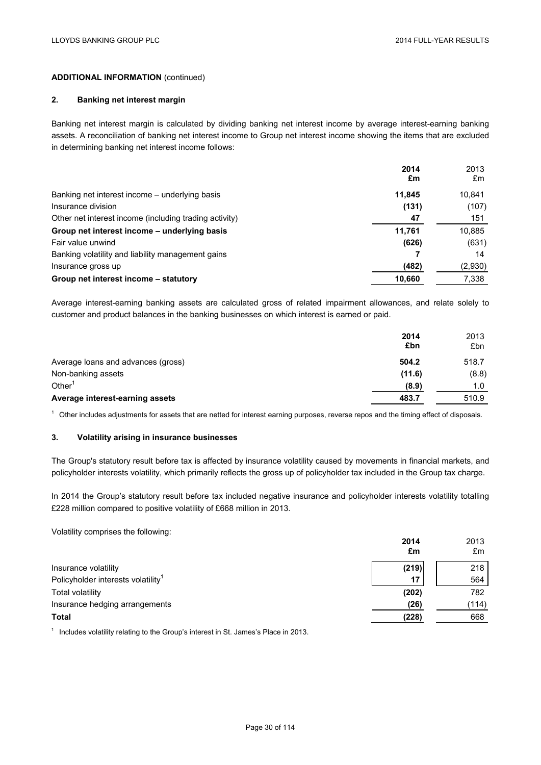# **2. Banking net interest margin**

Banking net interest margin is calculated by dividing banking net interest income by average interest-earning banking assets. A reconciliation of banking net interest income to Group net interest income showing the items that are excluded in determining banking net interest income follows:

|                                                        | 2014<br>£m | 2013<br>£m |
|--------------------------------------------------------|------------|------------|
| Banking net interest income – underlying basis         | 11.845     | 10.841     |
| Insurance division                                     | (131)      | (107)      |
| Other net interest income (including trading activity) | 47         | 151        |
| Group net interest income - underlying basis           | 11,761     | 10,885     |
| Fair value unwind                                      | (626)      | (631)      |
| Banking volatility and liability management gains      |            | 14         |
| Insurance gross up                                     | (482)      | (2,930)    |
| Group net interest income – statutory                  | 10,660     | 7,338      |

Average interest-earning banking assets are calculated gross of related impairment allowances, and relate solely to customer and product balances in the banking businesses on which interest is earned or paid.

|                                    | 2014<br>£bn | 2013<br>£bn |
|------------------------------------|-------------|-------------|
| Average loans and advances (gross) | 504.2       | 518.7       |
| Non-banking assets                 | (11.6)      | (8.8)       |
| Other $1$                          | (8.9)       | 1.0         |
| Average interest-earning assets    | 483.7       | 510.9       |

 $1$  Other includes adjustments for assets that are netted for interest earning purposes, reverse repos and the timing effect of disposals.

# **3. Volatility arising in insurance businesses**

The Group's statutory result before tax is affected by insurance volatility caused by movements in financial markets, and policyholder interests volatility, which primarily reflects the gross up of policyholder tax included in the Group tax charge.

In 2014 the Group's statutory result before tax included negative insurance and policyholder interests volatility totalling £228 million compared to positive volatility of £668 million in 2013.

Volatility comprises the following:

|                                                | 2014<br>£m | 2013<br>£m |
|------------------------------------------------|------------|------------|
| Insurance volatility                           | (219)      | 218        |
| Policyholder interests volatility <sup>1</sup> | 17         | 564        |
| Total volatility                               | (202)      | 782        |
| Insurance hedging arrangements                 | (26)       | (114)      |
| <b>Total</b>                                   | (228)      | 668        |

 $1$  Includes volatility relating to the Group's interest in St. James's Place in 2013.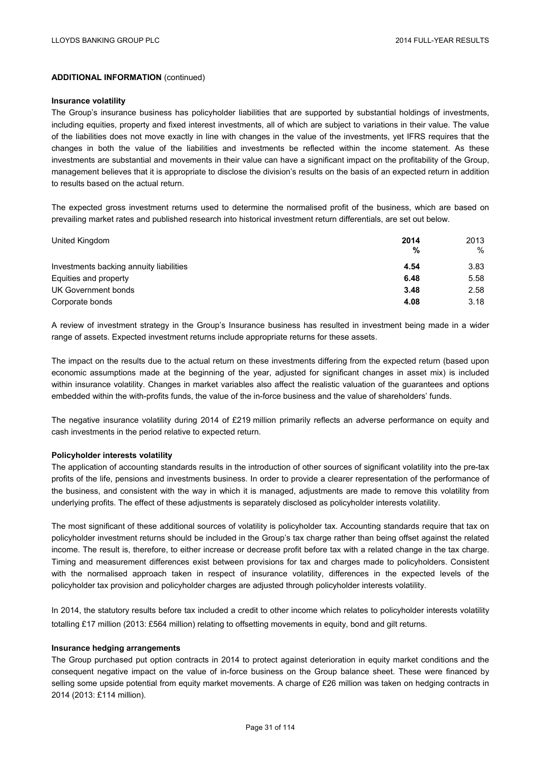#### **Insurance volatility**

The Group's insurance business has policyholder liabilities that are supported by substantial holdings of investments, including equities, property and fixed interest investments, all of which are subject to variations in their value. The value of the liabilities does not move exactly in line with changes in the value of the investments, yet IFRS requires that the changes in both the value of the liabilities and investments be reflected within the income statement. As these investments are substantial and movements in their value can have a significant impact on the profitability of the Group, management believes that it is appropriate to disclose the division's results on the basis of an expected return in addition to results based on the actual return.

The expected gross investment returns used to determine the normalised profit of the business, which are based on prevailing market rates and published research into historical investment return differentials, are set out below.

| United Kingdom                          | 2014<br>% | 2013<br>% |
|-----------------------------------------|-----------|-----------|
| Investments backing annuity liabilities | 4.54      | 3.83      |
| Equities and property                   | 6.48      | 5.58      |
| UK Government bonds                     | 3.48      | 2.58      |
| Corporate bonds                         | 4.08      | 3.18      |

A review of investment strategy in the Group's Insurance business has resulted in investment being made in a wider range of assets. Expected investment returns include appropriate returns for these assets.

The impact on the results due to the actual return on these investments differing from the expected return (based upon economic assumptions made at the beginning of the year, adjusted for significant changes in asset mix) is included within insurance volatility. Changes in market variables also affect the realistic valuation of the guarantees and options embedded within the with-profits funds, the value of the in-force business and the value of shareholders' funds.

The negative insurance volatility during 2014 of £219 million primarily reflects an adverse performance on equity and cash investments in the period relative to expected return.

## **Policyholder interests volatility**

The application of accounting standards results in the introduction of other sources of significant volatility into the pre-tax profits of the life, pensions and investments business. In order to provide a clearer representation of the performance of the business, and consistent with the way in which it is managed, adjustments are made to remove this volatility from underlying profits. The effect of these adjustments is separately disclosed as policyholder interests volatility.

The most significant of these additional sources of volatility is policyholder tax. Accounting standards require that tax on policyholder investment returns should be included in the Group's tax charge rather than being offset against the related income. The result is, therefore, to either increase or decrease profit before tax with a related change in the tax charge. Timing and measurement differences exist between provisions for tax and charges made to policyholders. Consistent with the normalised approach taken in respect of insurance volatility, differences in the expected levels of the policyholder tax provision and policyholder charges are adjusted through policyholder interests volatility.

In 2014, the statutory results before tax included a credit to other income which relates to policyholder interests volatility totalling £17 million (2013: £564 million) relating to offsetting movements in equity, bond and gilt returns.

#### **Insurance hedging arrangements**

The Group purchased put option contracts in 2014 to protect against deterioration in equity market conditions and the consequent negative impact on the value of in-force business on the Group balance sheet. These were financed by selling some upside potential from equity market movements. A charge of £26 million was taken on hedging contracts in 2014 (2013: £114 million).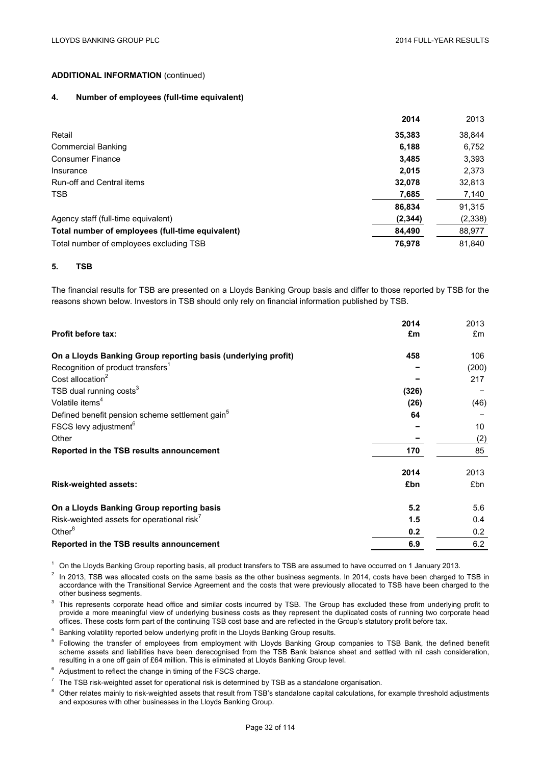# **4. Number of employees (full-time equivalent)**

|                                                  | 2014     | 2013     |
|--------------------------------------------------|----------|----------|
| Retail                                           | 35,383   | 38,844   |
| <b>Commercial Banking</b>                        | 6,188    | 6,752    |
| Consumer Finance                                 | 3,485    | 3,393    |
| Insurance                                        | 2,015    | 2,373    |
| Run-off and Central items                        | 32,078   | 32,813   |
| <b>TSB</b>                                       | 7,685    | 7,140    |
|                                                  | 86,834   | 91,315   |
| Agency staff (full-time equivalent)              | (2, 344) | (2, 338) |
| Total number of employees (full-time equivalent) | 84,490   | 88,977   |
| Total number of employees excluding TSB          | 76,978   | 81.840   |

# **5. TSB**

The financial results for TSB are presented on a Lloyds Banking Group basis and differ to those reported by TSB for the reasons shown below. Investors in TSB should only rely on financial information published by TSB.

|                                                               | 2014  | 2013  |
|---------------------------------------------------------------|-------|-------|
| <b>Profit before tax:</b>                                     | £m    | £m    |
| On a Lloyds Banking Group reporting basis (underlying profit) | 458   | 106   |
| Recognition of product transfers <sup>1</sup>                 |       | (200) |
| Cost allocation <sup>2</sup>                                  |       | 217   |
| TSB dual running costs <sup>3</sup>                           | (326) |       |
| Volatile items <sup>4</sup>                                   | (26)  | (46)  |
| Defined benefit pension scheme settlement gain <sup>5</sup>   | 64    |       |
| FSCS levy adjustment <sup>6</sup>                             |       | 10    |
| Other                                                         |       | (2)   |
| Reported in the TSB results announcement                      | 170   | 85    |
|                                                               | 2014  | 2013  |
| <b>Risk-weighted assets:</b>                                  | £bn   | £bn   |
| On a Lloyds Banking Group reporting basis                     | 5.2   | 5.6   |
| Risk-weighted assets for operational risk <sup>7</sup>        | 1.5   | 0.4   |
| Other $8$                                                     | 0.2   | 0.2   |
| Reported in the TSB results announcement                      | 6.9   | 6.2   |
|                                                               |       |       |

<sup>1</sup> On the Lloyds Banking Group reporting basis, all product transfers to TSB are assumed to have occurred on 1 January 2013.

In 2013, TSB was allocated costs on the same basis as the other business segments. In 2014, costs have been charged to TSB in accordance with the Transitional Service Agreement and the costs that were previously allocated to TSB have been charged to the other business segments.

<sup>3</sup> This represents corporate head office and similar costs incurred by TSB. The Group has excluded these from underlying profit to provide a more meaningful view of underlying business costs as they represent the duplicated costs of running two corporate head offices. These costs form part of the continuing TSB cost base and are reflected in the Group's statutory profit before tax.

<sup>4</sup> Banking volatility reported below underlying profit in the Lloyds Banking Group results.

<sup>5</sup> Following the transfer of employees from employment with Lloyds Banking Group companies to TSB Bank, the defined benefit scheme assets and liabilities have been derecognised from the TSB Bank balance sheet and settled with nil cash consideration, resulting in a one off gain of £64 million. This is eliminated at Lloyds Banking Group level.

 $6$  Adiustment to reflect the change in timing of the FSCS charge.

 $7$  The TSB risk-weighted asset for operational risk is determined by TSB as a standalone organisation.

Other relates mainly to risk-weighted assets that result from TSB's standalone capital calculations, for example threshold adjustments and exposures with other businesses in the Lloyds Banking Group.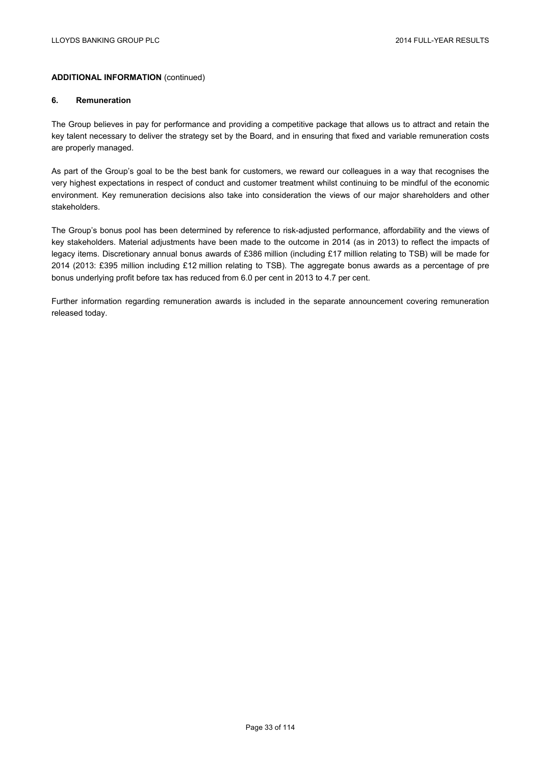## **6. Remuneration**

The Group believes in pay for performance and providing a competitive package that allows us to attract and retain the key talent necessary to deliver the strategy set by the Board, and in ensuring that fixed and variable remuneration costs are properly managed.

As part of the Group's goal to be the best bank for customers, we reward our colleagues in a way that recognises the very highest expectations in respect of conduct and customer treatment whilst continuing to be mindful of the economic environment. Key remuneration decisions also take into consideration the views of our major shareholders and other stakeholders.

The Group's bonus pool has been determined by reference to risk-adjusted performance, affordability and the views of key stakeholders. Material adjustments have been made to the outcome in 2014 (as in 2013) to reflect the impacts of legacy items. Discretionary annual bonus awards of £386 million (including £17 million relating to TSB) will be made for 2014 (2013: £395 million including £12 million relating to TSB). The aggregate bonus awards as a percentage of pre bonus underlying profit before tax has reduced from 6.0 per cent in 2013 to 4.7 per cent.

Further information regarding remuneration awards is included in the separate announcement covering remuneration released today.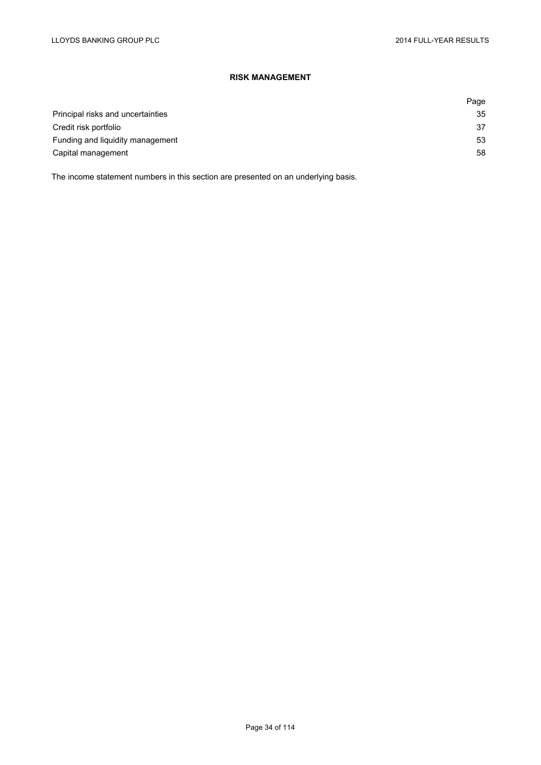## **RISK MANAGEMENT**

|                                   | Page |
|-----------------------------------|------|
| Principal risks and uncertainties | 35   |
| Credit risk portfolio             | 37   |
| Funding and liquidity management  | 53   |
| Capital management                | 58   |
|                                   |      |

The income statement numbers in this section are presented on an underlying basis.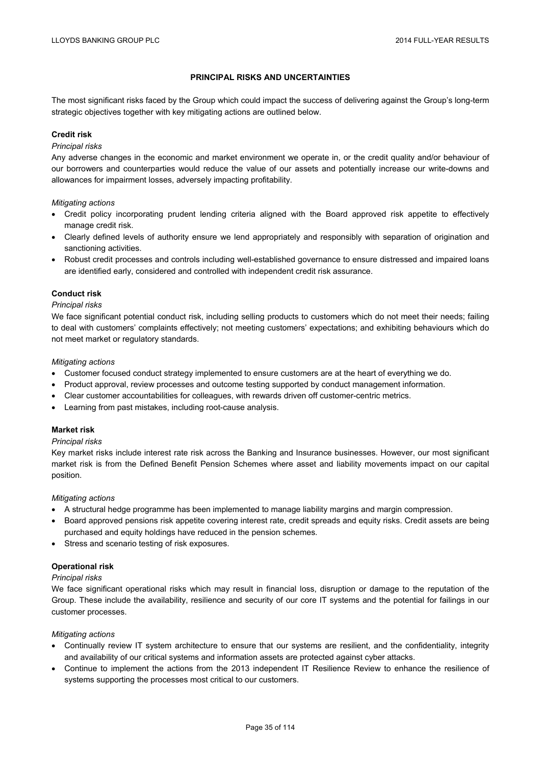## **PRINCIPAL RISKS AND UNCERTAINTIES**

The most significant risks faced by the Group which could impact the success of delivering against the Group's long-term strategic objectives together with key mitigating actions are outlined below.

### **Credit risk**

### *Principal risks*

Any adverse changes in the economic and market environment we operate in, or the credit quality and/or behaviour of our borrowers and counterparties would reduce the value of our assets and potentially increase our write-downs and allowances for impairment losses, adversely impacting profitability.

#### *Mitigating actions*

- Credit policy incorporating prudent lending criteria aligned with the Board approved risk appetite to effectively manage credit risk.
- Clearly defined levels of authority ensure we lend appropriately and responsibly with separation of origination and sanctioning activities.
- Robust credit processes and controls including well-established governance to ensure distressed and impaired loans are identified early, considered and controlled with independent credit risk assurance.

### **Conduct risk**

#### *Principal risks*

We face significant potential conduct risk, including selling products to customers which do not meet their needs; failing to deal with customers' complaints effectively; not meeting customers' expectations; and exhibiting behaviours which do not meet market or regulatory standards.

#### *Mitigating actions*

- Customer focused conduct strategy implemented to ensure customers are at the heart of everything we do.
- Product approval, review processes and outcome testing supported by conduct management information.
- Clear customer accountabilities for colleagues, with rewards driven off customer-centric metrics.
- Learning from past mistakes, including root-cause analysis.

## **Market risk**

#### *Principal risks*

Key market risks include interest rate risk across the Banking and Insurance businesses. However, our most significant market risk is from the Defined Benefit Pension Schemes where asset and liability movements impact on our capital position.

#### *Mitigating actions*

- A structural hedge programme has been implemented to manage liability margins and margin compression.
- Board approved pensions risk appetite covering interest rate, credit spreads and equity risks. Credit assets are being purchased and equity holdings have reduced in the pension schemes.
- Stress and scenario testing of risk exposures.

## **Operational risk**

#### *Principal risks*

We face significant operational risks which may result in financial loss, disruption or damage to the reputation of the Group. These include the availability, resilience and security of our core IT systems and the potential for failings in our customer processes.

#### *Mitigating actions*

- Continually review IT system architecture to ensure that our systems are resilient, and the confidentiality, integrity and availability of our critical systems and information assets are protected against cyber attacks.
- Continue to implement the actions from the 2013 independent IT Resilience Review to enhance the resilience of systems supporting the processes most critical to our customers.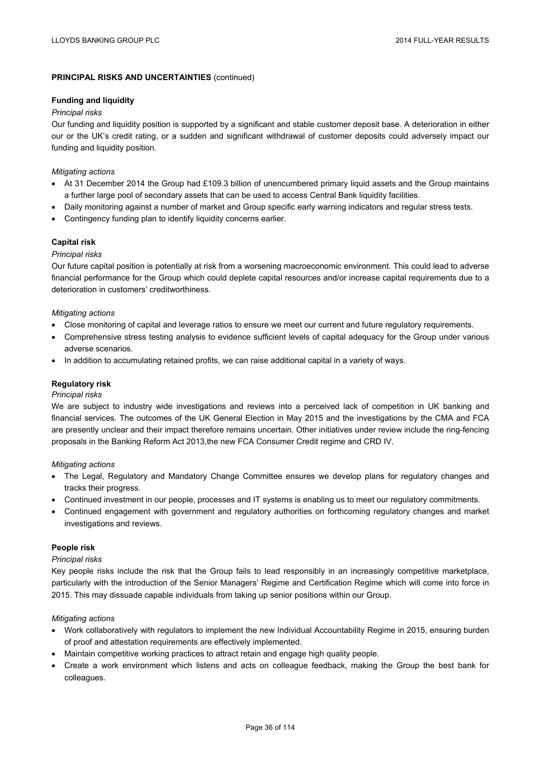## **PRINCIPAL RISKS AND UNCERTAINTIES** (continued)

#### **Funding and liquidity**

### *Principal risks*

Our funding and liquidity position is supported by a significant and stable customer deposit base. A deterioration in either our or the UK's credit rating, or a sudden and significant withdrawal of customer deposits could adversely impact our funding and liquidity position.

### *Mitigating actions*

- At 31 December 2014 the Group had £109.3 billion of unencumbered primary liquid assets and the Group maintains a further large pool of secondary assets that can be used to access Central Bank liquidity facilities.
- Daily monitoring against a number of market and Group specific early warning indicators and regular stress tests.
- Contingency funding plan to identify liquidity concerns earlier.

### **Capital risk**

### *Principal risks*

Our future capital position is potentially at risk from a worsening macroeconomic environment. This could lead to adverse financial performance for the Group which could deplete capital resources and/or increase capital requirements due to a deterioration in customers' creditworthiness.

### *Mitigating actions*

- Close monitoring of capital and leverage ratios to ensure we meet our current and future regulatory requirements.
- Comprehensive stress testing analysis to evidence sufficient levels of capital adequacy for the Group under various adverse scenarios.
- In addition to accumulating retained profits, we can raise additional capital in a variety of ways.

## **Regulatory risk**

#### *Principal risks*

We are subject to industry wide investigations and reviews into a perceived lack of competition in UK banking and financial services. The outcomes of the UK General Election in May 2015 and the investigations by the CMA and FCA are presently unclear and their impact therefore remains uncertain. Other initiatives under review include the ring-fencing proposals in the Banking Reform Act 2013,the new FCA Consumer Credit regime and CRD IV.

#### *Mitigating actions*

- The Legal, Regulatory and Mandatory Change Committee ensures we develop plans for regulatory changes and tracks their progress.
- Continued investment in our people, processes and IT systems is enabling us to meet our regulatory commitments.
- Continued engagement with government and regulatory authorities on forthcoming regulatory changes and market investigations and reviews.

#### **People risk**

#### *Principal risks*

Key people risks include the risk that the Group fails to lead responsibly in an increasingly competitive marketplace, particularly with the introduction of the Senior Managers' Regime and Certification Regime which will come into force in 2015. This may dissuade capable individuals from taking up senior positions within our Group.

#### *Mitigating actions*

- Work collaboratively with regulators to implement the new Individual Accountability Regime in 2015, ensuring burden of proof and attestation requirements are effectively implemented.
- Maintain competitive working practices to attract retain and engage high quality people.
- Create a work environment which listens and acts on colleague feedback, making the Group the best bank for colleagues.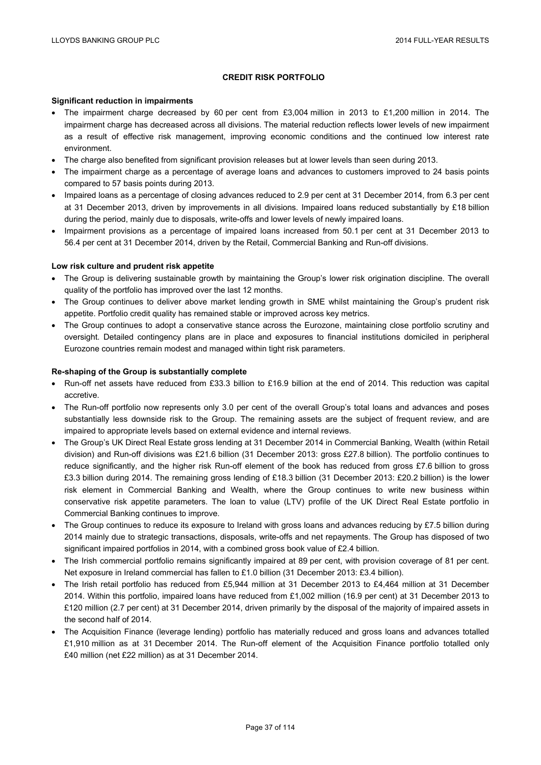## **CREDIT RISK PORTFOLIO**

### **Significant reduction in impairments**

- The impairment charge decreased by 60 per cent from £3,004 million in 2013 to £1,200 million in 2014. The impairment charge has decreased across all divisions. The material reduction reflects lower levels of new impairment as a result of effective risk management, improving economic conditions and the continued low interest rate environment.
- The charge also benefited from significant provision releases but at lower levels than seen during 2013.
- The impairment charge as a percentage of average loans and advances to customers improved to 24 basis points compared to 57 basis points during 2013.
- Impaired loans as a percentage of closing advances reduced to 2.9 per cent at 31 December 2014, from 6.3 per cent at 31 December 2013, driven by improvements in all divisions. Impaired loans reduced substantially by £18 billion during the period, mainly due to disposals, write-offs and lower levels of newly impaired loans.
- Impairment provisions as a percentage of impaired loans increased from 50.1 per cent at 31 December 2013 to 56.4 per cent at 31 December 2014, driven by the Retail, Commercial Banking and Run-off divisions.

### **Low risk culture and prudent risk appetite**

- The Group is delivering sustainable growth by maintaining the Group's lower risk origination discipline. The overall quality of the portfolio has improved over the last 12 months.
- The Group continues to deliver above market lending growth in SME whilst maintaining the Group's prudent risk appetite. Portfolio credit quality has remained stable or improved across key metrics.
- The Group continues to adopt a conservative stance across the Eurozone, maintaining close portfolio scrutiny and oversight. Detailed contingency plans are in place and exposures to financial institutions domiciled in peripheral Eurozone countries remain modest and managed within tight risk parameters.

### **Re-shaping of the Group is substantially complete**

- Run-off net assets have reduced from £33.3 billion to £16.9 billion at the end of 2014. This reduction was capital accretive.
- The Run-off portfolio now represents only 3.0 per cent of the overall Group's total loans and advances and poses substantially less downside risk to the Group. The remaining assets are the subject of frequent review, and are impaired to appropriate levels based on external evidence and internal reviews.
- The Group's UK Direct Real Estate gross lending at 31 December 2014 in Commercial Banking, Wealth (within Retail division) and Run-off divisions was £21.6 billion (31 December 2013: gross £27.8 billion). The portfolio continues to reduce significantly, and the higher risk Run-off element of the book has reduced from gross £7.6 billion to gross £3.3 billion during 2014. The remaining gross lending of £18.3 billion (31 December 2013: £20.2 billion) is the lower risk element in Commercial Banking and Wealth, where the Group continues to write new business within conservative risk appetite parameters. The loan to value (LTV) profile of the UK Direct Real Estate portfolio in Commercial Banking continues to improve.
- The Group continues to reduce its exposure to Ireland with gross loans and advances reducing by £7.5 billion during 2014 mainly due to strategic transactions, disposals, write-offs and net repayments. The Group has disposed of two significant impaired portfolios in 2014, with a combined gross book value of £2.4 billion.
- The Irish commercial portfolio remains significantly impaired at 89 per cent, with provision coverage of 81 per cent. Net exposure in Ireland commercial has fallen to £1.0 billion (31 December 2013: £3.4 billion).
- The Irish retail portfolio has reduced from £5,944 million at 31 December 2013 to £4,464 million at 31 December 2014. Within this portfolio, impaired loans have reduced from £1,002 million (16.9 per cent) at 31 December 2013 to £120 million (2.7 per cent) at 31 December 2014, driven primarily by the disposal of the majority of impaired assets in the second half of 2014.
- The Acquisition Finance (leverage lending) portfolio has materially reduced and gross loans and advances totalled £1,910 million as at 31 December 2014. The Run-off element of the Acquisition Finance portfolio totalled only £40 million (net £22 million) as at 31 December 2014.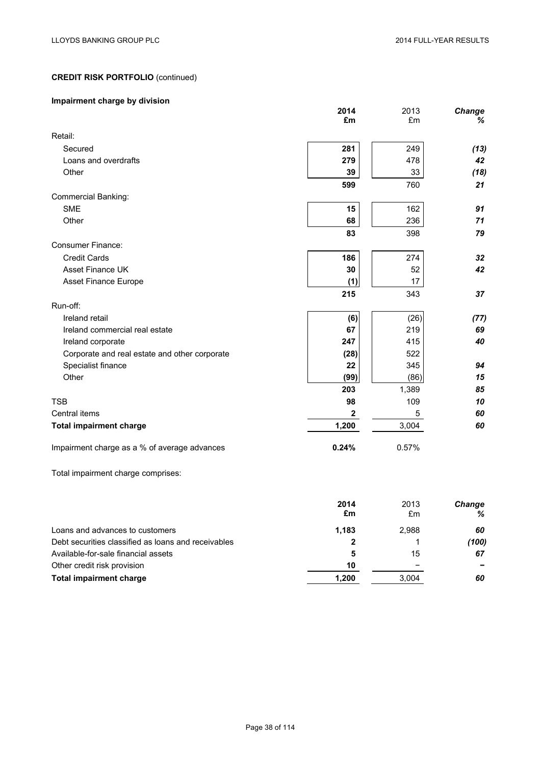## **Impairment charge by division**

| mpamment enarge by arrivien                         | 2014<br>£m | 2013<br>£m | Change<br>% |
|-----------------------------------------------------|------------|------------|-------------|
| Retail:                                             |            |            |             |
| Secured                                             | 281        | 249        | (13)        |
| Loans and overdrafts                                | 279        | 478        | 42          |
| Other                                               | 39         | 33         | (18)        |
|                                                     | 599        | 760        | 21          |
| <b>Commercial Banking:</b>                          |            |            |             |
| <b>SME</b>                                          | 15         | 162        | 91          |
| Other                                               | 68         | 236        | 71          |
|                                                     | 83         | 398        | 79          |
| <b>Consumer Finance:</b>                            |            |            |             |
| <b>Credit Cards</b>                                 | 186        | 274        | 32          |
| Asset Finance UK                                    | 30         | 52         | 42          |
| Asset Finance Europe                                | (1)        | 17         |             |
|                                                     | 215        | 343        | 37          |
| Run-off:                                            |            |            |             |
| Ireland retail                                      | (6)        | (26)       | (77)        |
| Ireland commercial real estate                      | 67         | 219        | 69          |
| Ireland corporate                                   | 247        | 415        | 40          |
| Corporate and real estate and other corporate       | (28)       | 522        |             |
| Specialist finance                                  | 22         | 345        | 94          |
| Other                                               | (99)       | (86)       | 15          |
|                                                     | 203        | 1,389      | 85          |
| <b>TSB</b>                                          | 98         | 109        | 10          |
| Central items                                       | $\bf{2}$   | 5          | 60          |
| <b>Total impairment charge</b>                      | 1,200      | 3,004      | 60          |
| Impairment charge as a % of average advances        | 0.24%      | 0.57%      |             |
| Total impairment charge comprises:                  |            |            |             |
|                                                     | 2014       | 2013       | Change      |
|                                                     | £m         | £m         | %           |
| Loans and advances to customers                     | 1,183      | 2,988      | 60          |
| Debt securities classified as loans and receivables | 2          | 1          | (100)       |
| Available-for-sale financial assets                 | 5          | 15         | 67          |
| Other credit risk provision                         | 10         |            |             |
| <b>Total impairment charge</b>                      | 1,200      | 3,004      | 60          |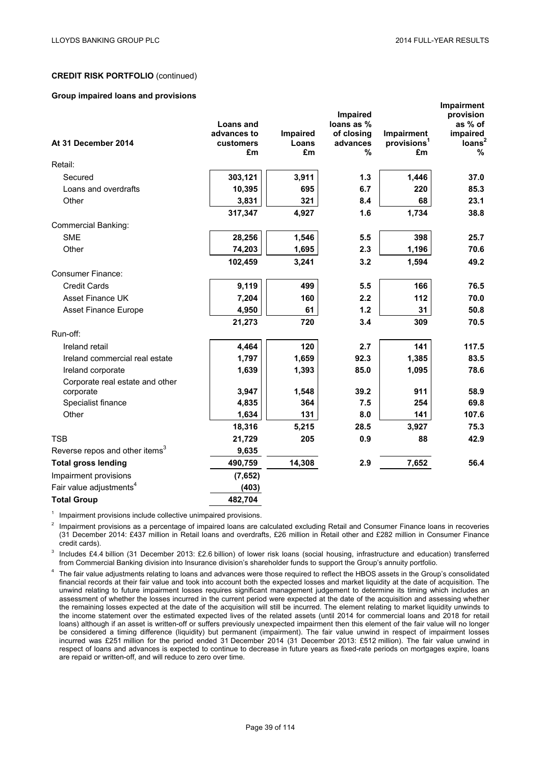**Impairment**

### **CREDIT RISK PORTFOLIO** (continued)

#### **Group impaired loans and provisions**

|                                            |                  |             |                           |                               | <b>IIIIpalifielit</b>      |
|--------------------------------------------|------------------|-------------|---------------------------|-------------------------------|----------------------------|
|                                            |                  |             | Impaired                  |                               | provision                  |
|                                            | <b>Loans and</b> |             | loans as %                |                               | as % of                    |
|                                            | advances to      | Impaired    | of closing                | <b>Impairment</b>             | impaired                   |
| At 31 December 2014                        | customers<br>£m  | Loans<br>£m | advances<br>$\frac{9}{6}$ | provisions <sup>1</sup><br>£m | Ioans <sup>2</sup><br>$\%$ |
| Retail:                                    |                  |             |                           |                               |                            |
| Secured                                    | 303,121          | 3,911       | 1.3                       | 1,446                         | 37.0                       |
| Loans and overdrafts                       | 10,395           | 695         | 6.7                       | 220                           | 85.3                       |
| Other                                      | 3,831            | 321         | 8.4                       | 68                            | 23.1                       |
|                                            | 317,347          | 4,927       | 1.6                       | 1,734                         | 38.8                       |
| <b>Commercial Banking:</b>                 |                  |             |                           |                               |                            |
| <b>SME</b>                                 | 28,256           | 1,546       | 5.5                       | 398                           | 25.7                       |
| Other                                      | 74,203           | 1,695       | 2.3                       | 1,196                         | 70.6                       |
|                                            | 102,459          | 3,241       | 3.2                       | 1,594                         | 49.2                       |
| Consumer Finance:                          |                  |             |                           |                               |                            |
| <b>Credit Cards</b>                        | 9,119            | 499         | 5.5                       | 166                           | 76.5                       |
| <b>Asset Finance UK</b>                    | 7,204            | 160         | 2.2                       | 112                           | 70.0                       |
| <b>Asset Finance Europe</b>                | 4,950            | 61          | 1.2                       | 31                            | 50.8                       |
|                                            | 21,273           | 720         | 3.4                       | 309                           | 70.5                       |
| Run-off:                                   |                  |             |                           |                               |                            |
| Ireland retail                             | 4,464            | 120         | 2.7                       | 141                           | 117.5                      |
| Ireland commercial real estate             | 1,797            | 1,659       | 92.3                      | 1,385                         | 83.5                       |
| Ireland corporate                          | 1,639            | 1,393       | 85.0                      | 1,095                         | 78.6                       |
| Corporate real estate and other            |                  |             |                           |                               |                            |
| corporate                                  | 3,947            | 1,548       | 39.2                      | 911                           | 58.9                       |
| Specialist finance                         | 4,835            | 364         | 7.5                       | 254                           | 69.8                       |
| Other                                      | 1,634            | 131         | 8.0                       | 141                           | 107.6                      |
|                                            | 18,316           | 5,215       | 28.5                      | 3,927                         | 75.3                       |
| <b>TSB</b>                                 | 21,729           | 205         | 0.9                       | 88                            | 42.9                       |
| Reverse repos and other items <sup>3</sup> | 9,635            |             |                           |                               |                            |
| <b>Total gross lending</b>                 | 490,759          | 14,308      | 2.9                       | 7,652                         | 56.4                       |
| Impairment provisions                      | (7,652)          |             |                           |                               |                            |
| Fair value adjustments <sup>4</sup>        | (403)            |             |                           |                               |                            |
| <b>Total Group</b>                         | 482,704          |             |                           |                               |                            |

 $1$  Impairment provisions include collective unimpaired provisions.

<sup>2</sup> Impairment provisions as a percentage of impaired loans are calculated excluding Retail and Consumer Finance loans in recoveries (31 December 2014: £437 million in Retail loans and overdrafts, £26 million in Retail other and £282 million in Consumer Finance credit cards).

<sup>3</sup> Includes £4.4 billion (31 December 2013: £2.6 billion) of lower risk loans (social housing, infrastructure and education) transferred from Commercial Banking division into Insurance division's shareholder funds to support the Group's annuity portfolio.

<sup>4</sup> The fair value adjustments relating to loans and advances were those required to reflect the HBOS assets in the Group's consolidated financial records at their fair value and took into account both the expected losses and market liquidity at the date of acquisition. The unwind relating to future impairment losses requires significant management judgement to determine its timing which includes an assessment of whether the losses incurred in the current period were expected at the date of the acquisition and assessing whether the remaining losses expected at the date of the acquisition will still be incurred. The element relating to market liquidity unwinds to the income statement over the estimated expected lives of the related assets (until 2014 for commercial loans and 2018 for retail loans) although if an asset is written-off or suffers previously unexpected impairment then this element of the fair value will no longer be considered a timing difference (liquidity) but permanent (impairment). The fair value unwind in respect of impairment losses incurred was £251 million for the period ended 31 December 2014 (31 December 2013: £512 million). The fair value unwind in respect of loans and advances is expected to continue to decrease in future years as fixed-rate periods on mortgages expire, loans are repaid or written-off, and will reduce to zero over time.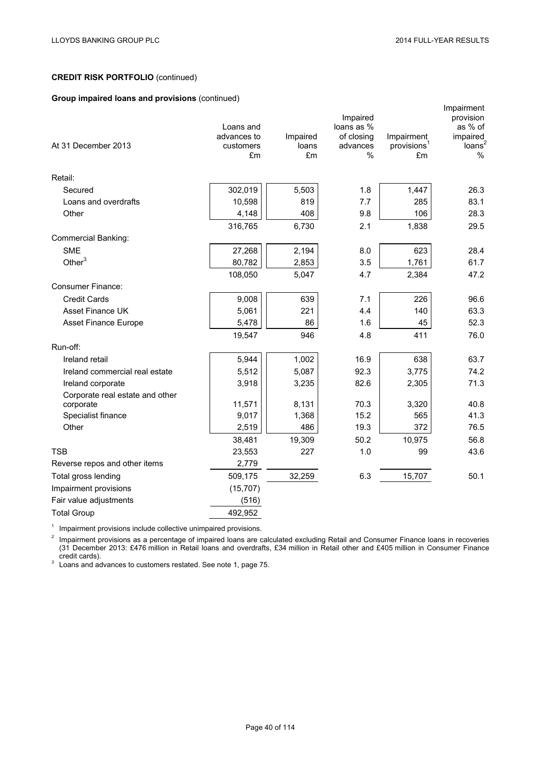## **Group impaired loans and provisions** (continued)

| At 31 December 2013             | Loans and<br>advances to<br>customers<br>£m | Impaired<br>loans<br>£m | Impaired<br>loans as %<br>of closing<br>advances<br>$\%$ | Impairment<br>provisions <sup>1</sup><br>£m | Impairment<br>provision<br>as % of<br>impaired<br>loans <sup>2</sup><br>% |
|---------------------------------|---------------------------------------------|-------------------------|----------------------------------------------------------|---------------------------------------------|---------------------------------------------------------------------------|
| Retail:                         |                                             |                         |                                                          |                                             |                                                                           |
| Secured                         | 302,019                                     | 5,503                   | 1.8                                                      | 1,447                                       | 26.3                                                                      |
| Loans and overdrafts            | 10,598                                      | 819                     | 7.7                                                      | 285                                         | 83.1                                                                      |
| Other                           | 4,148                                       | 408                     | 9.8                                                      | 106                                         | 28.3                                                                      |
|                                 | 316,765                                     | 6,730                   | 2.1                                                      | 1,838                                       | 29.5                                                                      |
| <b>Commercial Banking:</b>      |                                             |                         |                                                          |                                             |                                                                           |
| <b>SME</b>                      | 27,268                                      | 2,194                   | 8.0                                                      | 623                                         | 28.4                                                                      |
| Other $3$                       | 80,782                                      | 2,853                   | 3.5                                                      | 1,761                                       | 61.7                                                                      |
|                                 | 108,050                                     | 5,047                   | 4.7                                                      | 2,384                                       | 47.2                                                                      |
| <b>Consumer Finance:</b>        |                                             |                         |                                                          |                                             |                                                                           |
| <b>Credit Cards</b>             | 9,008                                       | 639                     | 7.1                                                      | 226                                         | 96.6                                                                      |
| <b>Asset Finance UK</b>         | 5,061                                       | 221                     | 4.4                                                      | 140                                         | 63.3                                                                      |
| <b>Asset Finance Europe</b>     | 5,478                                       | 86                      | 1.6                                                      | 45                                          | 52.3                                                                      |
|                                 | 19,547                                      | 946                     | 4.8                                                      | 411                                         | 76.0                                                                      |
| Run-off:                        |                                             |                         |                                                          |                                             |                                                                           |
| Ireland retail                  | 5,944                                       | 1,002                   | 16.9                                                     | 638                                         | 63.7                                                                      |
| Ireland commercial real estate  | 5,512                                       | 5,087                   | 92.3                                                     | 3,775                                       | 74.2                                                                      |
| Ireland corporate               | 3,918                                       | 3,235                   | 82.6                                                     | 2,305                                       | 71.3                                                                      |
| Corporate real estate and other |                                             |                         |                                                          |                                             |                                                                           |
| corporate                       | 11,571                                      | 8,131                   | 70.3                                                     | 3,320                                       | 40.8                                                                      |
| Specialist finance              | 9,017                                       | 1,368                   | 15.2                                                     | 565                                         | 41.3                                                                      |
| Other                           | 2,519                                       | 486                     | 19.3                                                     | 372                                         | 76.5                                                                      |
|                                 | 38,481                                      | 19,309                  | 50.2                                                     | 10,975                                      | 56.8                                                                      |
| <b>TSB</b>                      | 23,553                                      | 227                     | 1.0                                                      | 99                                          | 43.6                                                                      |
| Reverse repos and other items   | 2,779                                       |                         |                                                          |                                             |                                                                           |
| Total gross lending             | 509,175                                     | 32,259                  | 6.3                                                      | 15,707                                      | 50.1                                                                      |
| Impairment provisions           | (15, 707)                                   |                         |                                                          |                                             |                                                                           |
| Fair value adjustments          | (516)                                       |                         |                                                          |                                             |                                                                           |
| <b>Total Group</b>              | 492,952                                     |                         |                                                          |                                             |                                                                           |

 $1$  Impairment provisions include collective unimpaired provisions.

 $^2$  Impairment provisions as a percentage of impaired loans are calculated excluding Retail and Consumer Finance loans in recoveries (31 December 2013: £476 million in Retail loans and overdrafts, £34 million in Retail other and £405 million in Consumer Finance

credit cards).<br><sup>3</sup> Loans and advances to customers restated. See note 1, page 75.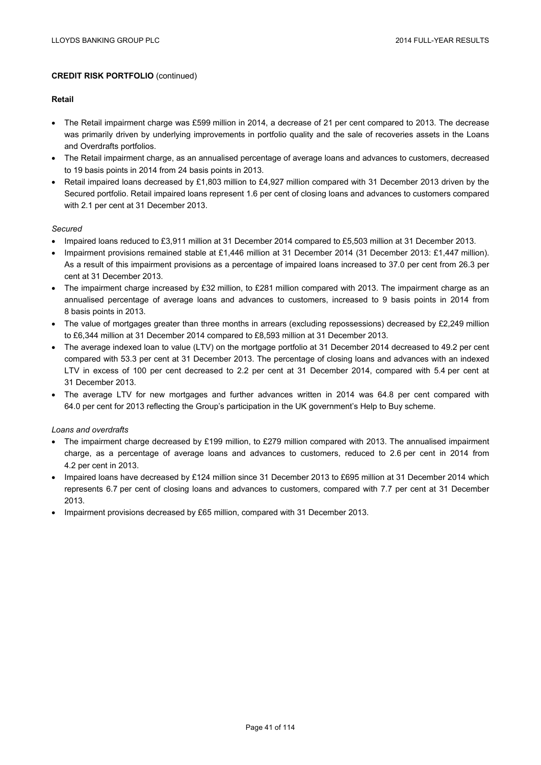## **Retail**

- The Retail impairment charge was £599 million in 2014, a decrease of 21 per cent compared to 2013. The decrease was primarily driven by underlying improvements in portfolio quality and the sale of recoveries assets in the Loans and Overdrafts portfolios.
- The Retail impairment charge, as an annualised percentage of average loans and advances to customers, decreased to 19 basis points in 2014 from 24 basis points in 2013.
- Retail impaired loans decreased by £1,803 million to £4,927 million compared with 31 December 2013 driven by the Secured portfolio. Retail impaired loans represent 1.6 per cent of closing loans and advances to customers compared with 2.1 per cent at 31 December 2013.

## *Secured*

- Impaired loans reduced to £3,911 million at 31 December 2014 compared to £5,503 million at 31 December 2013.
- Impairment provisions remained stable at £1,446 million at 31 December 2014 (31 December 2013: £1,447 million). As a result of this impairment provisions as a percentage of impaired loans increased to 37.0 per cent from 26.3 per cent at 31 December 2013.
- The impairment charge increased by £32 million, to £281 million compared with 2013. The impairment charge as an annualised percentage of average loans and advances to customers, increased to 9 basis points in 2014 from 8 basis points in 2013.
- The value of mortgages greater than three months in arrears (excluding repossessions) decreased by £2,249 million to £6,344 million at 31 December 2014 compared to £8,593 million at 31 December 2013.
- The average indexed loan to value (LTV) on the mortgage portfolio at 31 December 2014 decreased to 49.2 per cent compared with 53.3 per cent at 31 December 2013. The percentage of closing loans and advances with an indexed LTV in excess of 100 per cent decreased to 2.2 per cent at 31 December 2014, compared with 5.4 per cent at 31 December 2013.
- The average LTV for new mortgages and further advances written in 2014 was 64.8 per cent compared with 64.0 per cent for 2013 reflecting the Group's participation in the UK government's Help to Buy scheme.

## *Loans and overdrafts*

- The impairment charge decreased by £199 million, to £279 million compared with 2013. The annualised impairment charge, as a percentage of average loans and advances to customers, reduced to 2.6 per cent in 2014 from 4.2 per cent in 2013.
- Impaired loans have decreased by £124 million since 31 December 2013 to £695 million at 31 December 2014 which represents 6.7 per cent of closing loans and advances to customers, compared with 7.7 per cent at 31 December 2013.
- Impairment provisions decreased by £65 million, compared with 31 December 2013.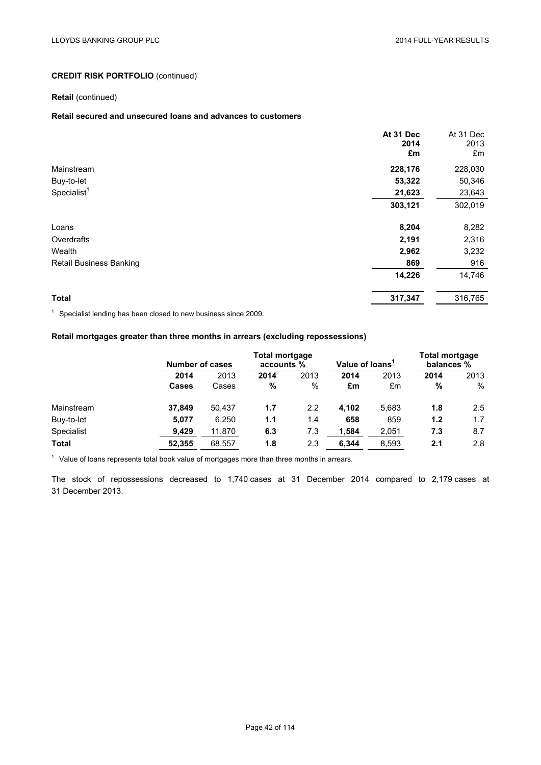## **Retail** (continued)

## **Retail secured and unsecured loans and advances to customers**

|                                | At 31 Dec | At 31 Dec |
|--------------------------------|-----------|-----------|
|                                | 2014      | 2013      |
|                                | £m        | £m        |
| Mainstream                     | 228,176   | 228,030   |
| Buy-to-let                     | 53,322    | 50,346    |
| Specialist <sup>1</sup>        | 21,623    | 23,643    |
|                                | 303,121   | 302,019   |
| Loans                          | 8,204     | 8,282     |
| Overdrafts                     | 2,191     | 2,316     |
| Wealth                         | 2,962     | 3,232     |
| <b>Retail Business Banking</b> | 869       | 916       |
|                                | 14,226    | 14,746    |
| <b>Total</b>                   | 317,347   | 316,765   |

<sup>1</sup> Specialist lending has been closed to new business since 2009.

## **Retail mortgages greater than three months in arrears (excluding repossessions)**

|              | Number of cases | <b>Total mortgage</b><br>accounts % |      | Value of loans <sup>1</sup> |       | <b>Total mortgage</b><br>balances % |      |      |
|--------------|-----------------|-------------------------------------|------|-----------------------------|-------|-------------------------------------|------|------|
|              | 2014            | 2013                                | 2014 | 2013                        | 2014  | 2013                                | 2014 | 2013 |
|              | <b>Cases</b>    | Cases                               | %    | %                           | £m    | £m                                  | %    | $\%$ |
| Mainstream   | 37.849          | 50.437                              | 1.7  | 2.2                         | 4.102 | 5,683                               | 1.8  | 2.5  |
| Buy-to-let   | 5,077           | 6,250                               | 1.1  | 1.4                         | 658   | 859                                 | 1.2  | 1.7  |
| Specialist   | 9.429           | 11.870                              | 6.3  | 7.3                         | 1.584 | 2,051                               | 7.3  | 8.7  |
| <b>Total</b> | 52.355          | 68.557                              | 1.8  | 2.3                         | 6.344 | 8,593                               | 2.1  | 2.8  |

 $1$  Value of loans represents total book value of mortgages more than three months in arrears.

The stock of repossessions decreased to 1,740 cases at 31 December 2014 compared to 2,179 cases at 31 December 2013.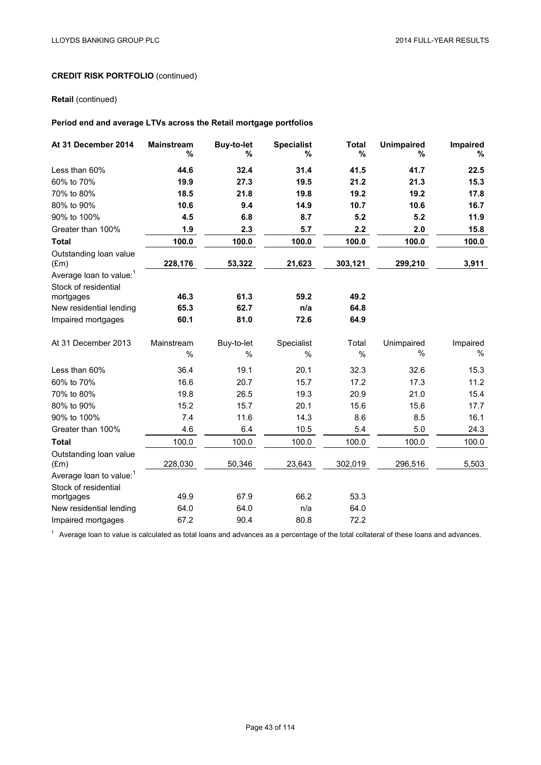## **Retail** (continued)

## **Period end and average LTVs across the Retail mortgage portfolios**

| At 31 December 2014                     | <b>Mainstream</b><br>% | <b>Buy-to-let</b><br>% | <b>Specialist</b><br>% | <b>Total</b><br>% | <b>Unimpaired</b><br>% | Impaired<br>% |
|-----------------------------------------|------------------------|------------------------|------------------------|-------------------|------------------------|---------------|
| Less than 60%                           | 44.6                   | 32.4                   | 31.4                   | 41.5              | 41.7                   | 22.5          |
| 60% to 70%                              | 19.9                   | 27.3                   | 19.5                   | 21.2              | 21.3                   | 15.3          |
| 70% to 80%                              | 18.5                   | 21.8                   | 19.8                   | 19.2              | 19.2                   | 17.8          |
| 80% to 90%                              | 10.6                   | 9.4                    | 14.9                   | 10.7              | 10.6                   | 16.7          |
| 90% to 100%                             | 4.5                    | 6.8                    | 8.7                    | 5.2               | 5.2                    | 11.9          |
| Greater than 100%                       | 1.9                    | 2.3                    | 5.7                    | 2.2               | 2.0                    | 15.8          |
| <b>Total</b>                            | 100.0                  | 100.0                  | 100.0                  | 100.0             | 100.0                  | 100.0         |
| Outstanding loan value<br>$(\text{Em})$ | 228,176                | 53,322                 | 21,623                 | 303,121           | 299,210                | 3,911         |
| Average loan to value: <sup>1</sup>     |                        |                        |                        |                   |                        |               |
| Stock of residential<br>mortgages       | 46.3                   | 61.3                   | 59.2                   | 49.2              |                        |               |
| New residential lending                 | 65.3                   | 62.7                   | n/a                    | 64.8              |                        |               |
| Impaired mortgages                      | 60.1                   | 81.0                   | 72.6                   | 64.9              |                        |               |
| At 31 December 2013                     | Mainstream             | Buy-to-let             | Specialist             | Total             | Unimpaired             | Impaired      |
|                                         | %                      | %                      | %                      | %                 | $\%$                   | $\%$          |
| Less than 60%                           | 36.4                   | 19.1                   | 20.1                   | 32.3              | 32.6                   | 15.3          |
| 60% to 70%                              | 16.6                   | 20.7                   | 15.7                   | 17.2              | 17.3                   | 11.2          |
| 70% to 80%                              | 19.8                   | 26.5                   | 19.3                   | 20.9              | 21.0                   | 15.4          |
| 80% to 90%                              | 15.2                   | 15.7                   | 20.1                   | 15.6              | 15.6                   | 17.7          |
| 90% to 100%                             | 7.4                    | 11.6                   | 14.3                   | 8.6               | 8.5                    | 16.1          |
| Greater than 100%                       | 4.6                    | 6.4                    | 10.5                   | 5.4               | 5.0                    | 24.3          |
| <b>Total</b>                            | 100.0                  | 100.0                  | 100.0                  | 100.0             | 100.0                  | 100.0         |
| Outstanding loan value<br>$(\text{Em})$ | 228,030                | 50,346                 | 23,643                 | 302,019           | 296,516                | 5,503         |
| Average loan to value: <sup>1</sup>     |                        |                        |                        |                   |                        |               |
| Stock of residential<br>mortgages       | 49.9                   | 67.9                   | 66.2                   | 53.3              |                        |               |
| New residential lending                 | 64.0                   | 64.0                   | n/a                    | 64.0              |                        |               |
| Impaired mortgages                      | 67.2                   | 90.4                   | 80.8                   | 72.2              |                        |               |

 $1$  Average loan to value is calculated as total loans and advances as a percentage of the total collateral of these loans and advances.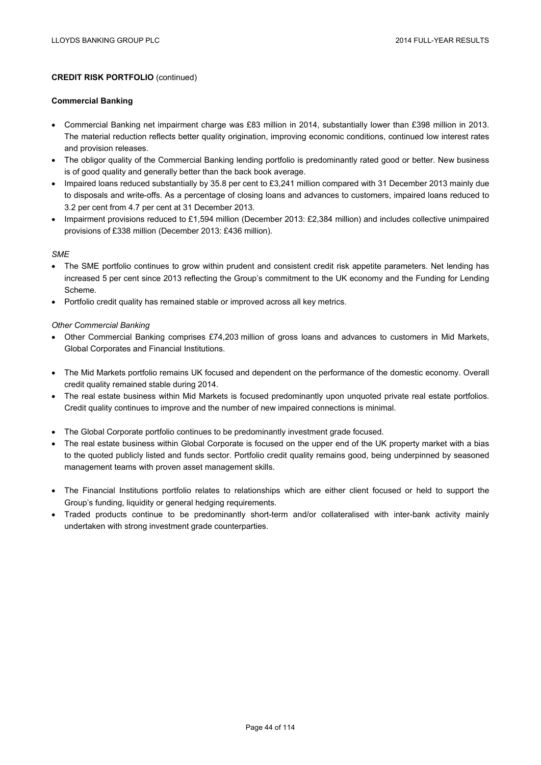#### **Commercial Banking**

- Commercial Banking net impairment charge was £83 million in 2014, substantially lower than £398 million in 2013. The material reduction reflects better quality origination, improving economic conditions, continued low interest rates and provision releases.
- The obligor quality of the Commercial Banking lending portfolio is predominantly rated good or better. New business is of good quality and generally better than the back book average.
- Impaired loans reduced substantially by 35.8 per cent to £3,241 million compared with 31 December 2013 mainly due to disposals and write-offs. As a percentage of closing loans and advances to customers, impaired loans reduced to 3.2 per cent from 4.7 per cent at 31 December 2013.
- Impairment provisions reduced to £1,594 million (December 2013: £2,384 million) and includes collective unimpaired provisions of £338 million (December 2013: £436 million).

#### *SME*

- The SME portfolio continues to grow within prudent and consistent credit risk appetite parameters. Net lending has increased 5 per cent since 2013 reflecting the Group's commitment to the UK economy and the Funding for Lending Scheme.
- Portfolio credit quality has remained stable or improved across all key metrics.

#### *Other Commercial Banking*

- Other Commercial Banking comprises £74,203 million of gross loans and advances to customers in Mid Markets, Global Corporates and Financial Institutions.
- The Mid Markets portfolio remains UK focused and dependent on the performance of the domestic economy. Overall credit quality remained stable during 2014.
- The real estate business within Mid Markets is focused predominantly upon unquoted private real estate portfolios. Credit quality continues to improve and the number of new impaired connections is minimal.
- The Global Corporate portfolio continues to be predominantly investment grade focused.
- The real estate business within Global Corporate is focused on the upper end of the UK property market with a bias to the quoted publicly listed and funds sector. Portfolio credit quality remains good, being underpinned by seasoned management teams with proven asset management skills.
- The Financial Institutions portfolio relates to relationships which are either client focused or held to support the Group's funding, liquidity or general hedging requirements.
- Traded products continue to be predominantly short-term and/or collateralised with inter-bank activity mainly undertaken with strong investment grade counterparties.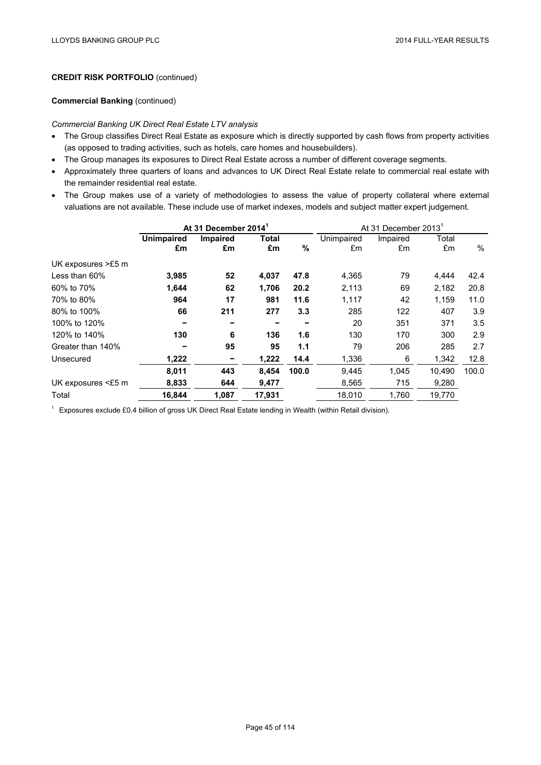### **Commercial Banking** (continued)

#### *Commercial Banking UK Direct Real Estate LTV analysis*

- The Group classifies Direct Real Estate as exposure which is directly supported by cash flows from property activities (as opposed to trading activities, such as hotels, care homes and housebuilders).
- The Group manages its exposures to Direct Real Estate across a number of different coverage segments.
- Approximately three quarters of loans and advances to UK Direct Real Estate relate to commercial real estate with the remainder residential real estate.
- The Group makes use of a variety of methodologies to assess the value of property collateral where external valuations are not available. These include use of market indexes, models and subject matter expert judgement.

|                    |                   | At 31 December 2014 <sup>1</sup> |        |       |            | At 31 December 2013 <sup>1</sup> |        |       |
|--------------------|-------------------|----------------------------------|--------|-------|------------|----------------------------------|--------|-------|
|                    | <b>Unimpaired</b> | Impaired                         | Total  |       | Unimpaired | Impaired                         | Total  |       |
|                    | £m                | £m                               | £m     | $\%$  | £m         | £m                               | £m     | $\%$  |
| UK exposures >£5 m |                   |                                  |        |       |            |                                  |        |       |
| Less than $60\%$   | 3,985             | 52                               | 4,037  | 47.8  | 4,365      | 79                               | 4,444  | 42.4  |
| 60% to 70%         | 1,644             | 62                               | 1,706  | 20.2  | 2,113      | 69                               | 2,182  | 20.8  |
| 70% to 80%         | 964               | 17                               | 981    | 11.6  | 1,117      | 42                               | 1,159  | 11.0  |
| 80% to 100%        | 66                | 211                              | 277    | 3.3   | 285        | 122                              | 407    | 3.9   |
| 100% to 120%       |                   |                                  |        |       | 20         | 351                              | 371    | 3.5   |
| 120% to 140%       | 130               | 6                                | 136    | 1.6   | 130        | 170                              | 300    | 2.9   |
| Greater than 140%  |                   | 95                               | 95     | 1.1   | 79         | 206                              | 285    | 2.7   |
| Unsecured          | 1,222             |                                  | 1,222  | 14.4  | 1,336      | 6                                | 1,342  | 12.8  |
|                    | 8,011             | 443                              | 8,454  | 100.0 | 9,445      | 1.045                            | 10.490 | 100.0 |
| UK exposures <£5 m | 8,833             | 644                              | 9,477  |       | 8,565      | 715                              | 9,280  |       |
| Total              | 16,844            | 1,087                            | 17,931 |       | 18,010     | 1,760                            | 19,770 |       |

<sup>1</sup> Exposures exclude £0.4 billion of gross UK Direct Real Estate lending in Wealth (within Retail division).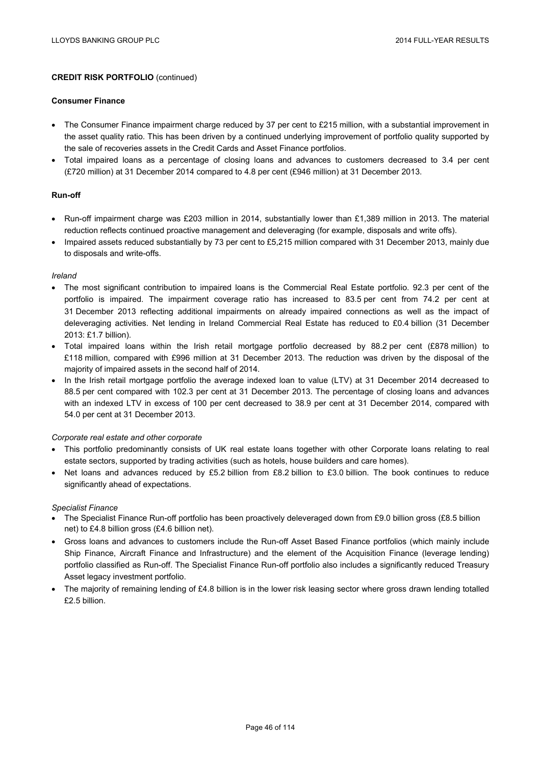#### **Consumer Finance**

- The Consumer Finance impairment charge reduced by 37 per cent to £215 million, with a substantial improvement in the asset quality ratio. This has been driven by a continued underlying improvement of portfolio quality supported by the sale of recoveries assets in the Credit Cards and Asset Finance portfolios.
- Total impaired loans as a percentage of closing loans and advances to customers decreased to 3.4 per cent (£720 million) at 31 December 2014 compared to 4.8 per cent (£946 million) at 31 December 2013.

## **Run-off**

- Run-off impairment charge was £203 million in 2014, substantially lower than £1,389 million in 2013. The material reduction reflects continued proactive management and deleveraging (for example, disposals and write offs).
- Impaired assets reduced substantially by 73 per cent to £5,215 million compared with 31 December 2013, mainly due to disposals and write-offs.

## *Ireland*

- The most significant contribution to impaired loans is the Commercial Real Estate portfolio. 92.3 per cent of the portfolio is impaired. The impairment coverage ratio has increased to 83.5 per cent from 74.2 per cent at 31 December 2013 reflecting additional impairments on already impaired connections as well as the impact of deleveraging activities. Net lending in Ireland Commercial Real Estate has reduced to £0.4 billion (31 December 2013: £1.7 billion).
- Total impaired loans within the Irish retail mortgage portfolio decreased by 88.2 per cent (£878 million) to £118 million, compared with £996 million at 31 December 2013. The reduction was driven by the disposal of the majority of impaired assets in the second half of 2014.
- In the Irish retail mortgage portfolio the average indexed loan to value (LTV) at 31 December 2014 decreased to 88.5 per cent compared with 102.3 per cent at 31 December 2013. The percentage of closing loans and advances with an indexed LTV in excess of 100 per cent decreased to 38.9 per cent at 31 December 2014, compared with 54.0 per cent at 31 December 2013.

#### *Corporate real estate and other corporate*

- This portfolio predominantly consists of UK real estate loans together with other Corporate loans relating to real estate sectors, supported by trading activities (such as hotels, house builders and care homes).
- Net loans and advances reduced by £5.2 billion from £8.2 billion to £3.0 billion. The book continues to reduce significantly ahead of expectations.

#### *Specialist Finance*

- The Specialist Finance Run-off portfolio has been proactively deleveraged down from £9.0 billion gross (£8.5 billion net) to £4.8 billion gross (£4.6 billion net).
- Gross loans and advances to customers include the Run-off Asset Based Finance portfolios (which mainly include Ship Finance, Aircraft Finance and Infrastructure) and the element of the Acquisition Finance (leverage lending) portfolio classified as Run-off. The Specialist Finance Run-off portfolio also includes a significantly reduced Treasury Asset legacy investment portfolio.
- The majority of remaining lending of £4.8 billion is in the lower risk leasing sector where gross drawn lending totalled £2.5 billion.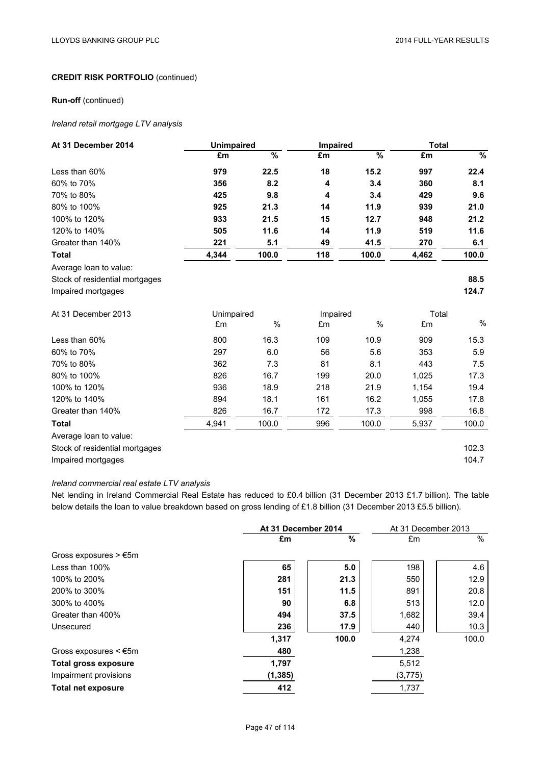## **Run-off** (continued)

## *Ireland retail mortgage LTV analysis*

| At 31 December 2014            | <b>Unimpaired</b> |               | Impaired                |               | <b>Total</b> |               |
|--------------------------------|-------------------|---------------|-------------------------|---------------|--------------|---------------|
|                                | £m                | $\frac{9}{6}$ | £m                      | $\frac{9}{6}$ | £m           | $\frac{9}{6}$ |
| Less than 60%                  | 979               | 22.5          | 18                      | 15.2          | 997          | 22.4          |
| 60% to 70%                     | 356               | 8.2           | 4                       | 3.4           | 360          | 8.1           |
| 70% to 80%                     | 425               | 9.8           | $\overline{\mathbf{4}}$ | 3.4           | 429          | 9.6           |
| 80% to 100%                    | 925               | 21.3          | 14                      | 11.9          | 939          | 21.0          |
| 100% to 120%                   | 933               | 21.5          | 15                      | 12.7          | 948          | 21.2          |
| 120% to 140%                   | 505               | 11.6          | 14                      | 11.9          | 519          | 11.6          |
| Greater than 140%              | 221               | 5.1           | 49                      | 41.5          | 270          | 6.1           |
| <b>Total</b>                   | 4,344             | 100.0         | 118                     | 100.0         | 4,462        | 100.0         |
| Average loan to value:         |                   |               |                         |               |              |               |
| Stock of residential mortgages |                   |               |                         |               |              | 88.5          |
| Impaired mortgages             |                   |               |                         |               |              | 124.7         |
| At 31 December 2013            | Unimpaired        |               | Impaired                |               | Total        |               |
|                                | £m                | %             | £m                      | %             | £m           | $\%$          |
| Less than 60%                  | 800               | 16.3          | 109                     | 10.9          | 909          | 15.3          |
| 60% to 70%                     | 297               | 6.0           | 56                      | 5.6           | 353          | 5.9           |
| 70% to 80%                     | 362               | 7.3           | 81                      | 8.1           | 443          | 7.5           |
| 80% to 100%                    | 826               | 16.7          | 199                     | 20.0          | 1,025        | 17.3          |
| 100% to 120%                   | 936               | 18.9          | 218                     | 21.9          | 1,154        | 19.4          |
| 120% to 140%                   | 894               | 18.1          | 161                     | 16.2          | 1,055        | 17.8          |
| Greater than 140%              | 826               | 16.7          | 172                     | 17.3          | 998          | 16.8          |
| <b>Total</b>                   | 4,941             | 100.0         | 996                     | 100.0         | 5,937        | 100.0         |
| Average loan to value:         |                   |               |                         |               |              |               |
| Stock of residential mortgages |                   |               |                         |               |              | 102.3         |
| Impaired mortgages             |                   |               |                         |               |              | 104.7         |

## *Ireland commercial real estate LTV analysis*

Net lending in Ireland Commercial Real Estate has reduced to £0.4 billion (31 December 2013 £1.7 billion). The table below details the loan to value breakdown based on gross lending of £1.8 billion (31 December 2013 £5.5 billion).

| $\%$<br>£m<br>£m<br>Gross exposures $> \text{\ensuremath{\in}} 5m$<br>5.0<br>65<br>198<br>Less than 100%<br>281<br>100% to 200%<br>21.3<br>550<br>151<br>200% to 300%<br>11.5<br>891<br>300% to 400%<br>6.8<br>513<br>90<br>Greater than 400%<br>494<br>1,682<br>37.5<br>236<br>17.9<br>Unsecured<br>440<br>100.0<br>1,317<br>4,274<br>Gross exposures $\leq$ $\epsilon$ 5m<br>480<br>1,238<br>1,797<br>5,512<br>Total gross exposure<br>(1, 385)<br>Impairment provisions<br>(3, 775) | At 31 December 2014 | At 31 December 2013 |  |       |
|----------------------------------------------------------------------------------------------------------------------------------------------------------------------------------------------------------------------------------------------------------------------------------------------------------------------------------------------------------------------------------------------------------------------------------------------------------------------------------------|---------------------|---------------------|--|-------|
|                                                                                                                                                                                                                                                                                                                                                                                                                                                                                        |                     |                     |  | $\%$  |
|                                                                                                                                                                                                                                                                                                                                                                                                                                                                                        |                     |                     |  |       |
|                                                                                                                                                                                                                                                                                                                                                                                                                                                                                        |                     |                     |  | 4.6   |
|                                                                                                                                                                                                                                                                                                                                                                                                                                                                                        |                     |                     |  | 12.9  |
|                                                                                                                                                                                                                                                                                                                                                                                                                                                                                        |                     |                     |  | 20.8  |
|                                                                                                                                                                                                                                                                                                                                                                                                                                                                                        |                     |                     |  | 12.0  |
|                                                                                                                                                                                                                                                                                                                                                                                                                                                                                        |                     |                     |  | 39.4  |
|                                                                                                                                                                                                                                                                                                                                                                                                                                                                                        |                     |                     |  | 10.3  |
|                                                                                                                                                                                                                                                                                                                                                                                                                                                                                        |                     |                     |  | 100.0 |
|                                                                                                                                                                                                                                                                                                                                                                                                                                                                                        |                     |                     |  |       |
|                                                                                                                                                                                                                                                                                                                                                                                                                                                                                        |                     |                     |  |       |
|                                                                                                                                                                                                                                                                                                                                                                                                                                                                                        |                     |                     |  |       |
| 412<br>1,737<br><b>Total net exposure</b>                                                                                                                                                                                                                                                                                                                                                                                                                                              |                     |                     |  |       |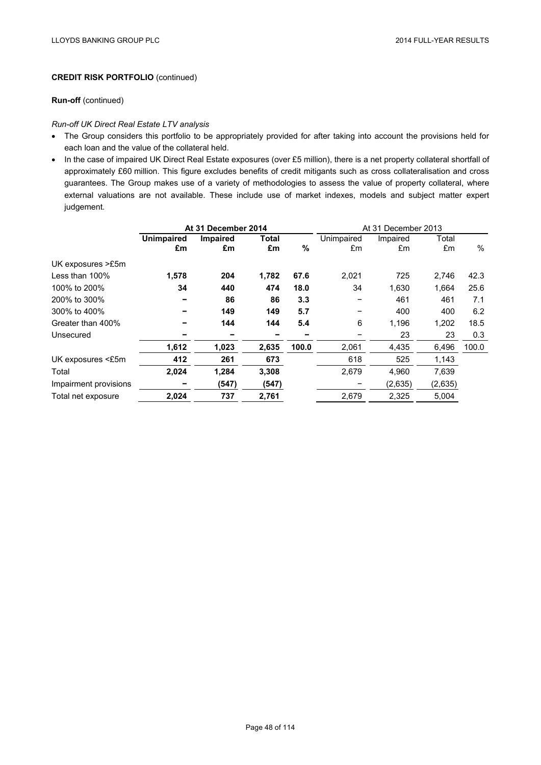#### **Run-off** (continued)

## *Run-off UK Direct Real Estate LTV analysis*

- The Group considers this portfolio to be appropriately provided for after taking into account the provisions held for each loan and the value of the collateral held.
- In the case of impaired UK Direct Real Estate exposures (over £5 million), there is a net property collateral shortfall of approximately £60 million. This figure excludes benefits of credit mitigants such as cross collateralisation and cross guarantees. The Group makes use of a variety of methodologies to assess the value of property collateral, where external valuations are not available. These include use of market indexes, models and subject matter expert judgement.

|                       |                   | At 31 December 2014 |              |       |            | At 31 December 2013 |         |       |
|-----------------------|-------------------|---------------------|--------------|-------|------------|---------------------|---------|-------|
|                       | <b>Unimpaired</b> | <b>Impaired</b>     | <b>Total</b> |       | Unimpaired | Impaired            | Total   |       |
|                       | £m                | £m                  | £m           | %     | £m         | £m                  | £m      | $\%$  |
| UK exposures >£5m     |                   |                     |              |       |            |                     |         |       |
| Less than $100\%$     | 1,578             | 204                 | 1,782        | 67.6  | 2,021      | 725                 | 2,746   | 42.3  |
| 100% to 200%          | 34                | 440                 | 474          | 18.0  | 34         | 1,630               | 1,664   | 25.6  |
| 200% to 300%          |                   | 86                  | 86           | 3.3   |            | 461                 | 461     | 7.1   |
| 300% to 400%          |                   | 149                 | 149          | 5.7   |            | 400                 | 400     | 6.2   |
| Greater than 400%     |                   | 144                 | 144          | 5.4   | 6          | 1,196               | 1,202   | 18.5  |
| Unsecured             |                   |                     |              |       |            | 23                  | 23      | 0.3   |
|                       | 1,612             | 1,023               | 2,635        | 100.0 | 2,061      | 4,435               | 6,496   | 100.0 |
| UK exposures <£5m     | 412               | 261                 | 673          |       | 618        | 525                 | 1,143   |       |
| Total                 | 2,024             | 1,284               | 3,308        |       | 2,679      | 4,960               | 7,639   |       |
| Impairment provisions |                   | (547)               | (547)        |       |            | (2,635)             | (2,635) |       |
| Total net exposure    | 2,024             | 737                 | 2,761        |       | 2,679      | 2,325               | 5,004   |       |
|                       |                   |                     |              |       |            |                     |         |       |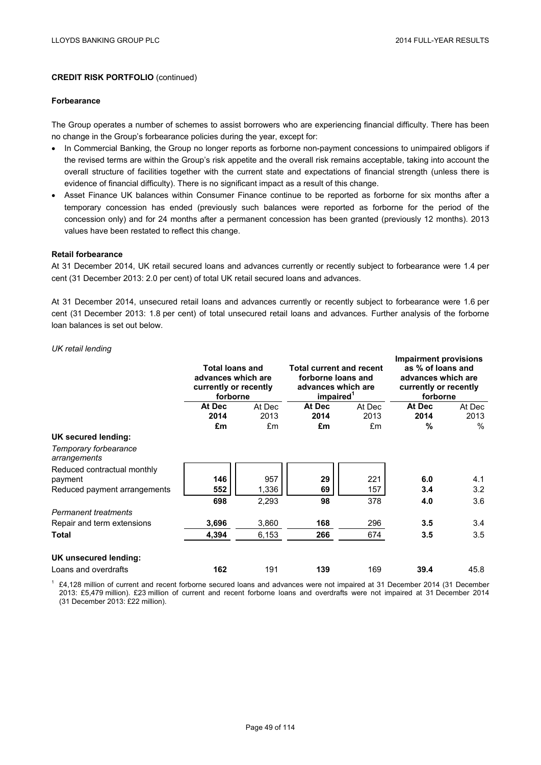#### **Forbearance**

The Group operates a number of schemes to assist borrowers who are experiencing financial difficulty. There has been no change in the Group's forbearance policies during the year, except for:

- In Commercial Banking, the Group no longer reports as forborne non-payment concessions to unimpaired obligors if the revised terms are within the Group's risk appetite and the overall risk remains acceptable, taking into account the overall structure of facilities together with the current state and expectations of financial strength (unless there is evidence of financial difficulty). There is no significant impact as a result of this change.
- Asset Finance UK balances within Consumer Finance continue to be reported as forborne for six months after a temporary concession has ended (previously such balances were reported as forborne for the period of the concession only) and for 24 months after a permanent concession has been granted (previously 12 months). 2013 values have been restated to reflect this change.

#### **Retail forbearance**

*UK retail lending* 

At 31 December 2014, UK retail secured loans and advances currently or recently subject to forbearance were 1.4 per cent (31 December 2013: 2.0 per cent) of total UK retail secured loans and advances.

At 31 December 2014, unsecured retail loans and advances currently or recently subject to forbearance were 1.6 per cent (31 December 2013: 1.8 per cent) of total unsecured retail loans and advances. Further analysis of the forborne loan balances is set out below.

|                                       | <b>Total loans and</b><br>advances which are<br>currently or recently<br>forborne |        | <b>Total current and recent</b><br>forborne loans and<br>advances which are<br>impaired <sup>1</sup> |        | <b>Impairment provisions</b><br>as % of loans and<br>advances which are<br>currently or recently<br>forborne |               |
|---------------------------------------|-----------------------------------------------------------------------------------|--------|------------------------------------------------------------------------------------------------------|--------|--------------------------------------------------------------------------------------------------------------|---------------|
|                                       | At Dec                                                                            | At Dec | At Dec                                                                                               | At Dec | At Dec                                                                                                       | At Dec        |
|                                       | 2014                                                                              | 2013   | 2014                                                                                                 | 2013   | 2014                                                                                                         | 2013          |
|                                       | £m                                                                                | £m     | £m                                                                                                   | £m     | %                                                                                                            | $\frac{0}{0}$ |
| UK secured lending:                   |                                                                                   |        |                                                                                                      |        |                                                                                                              |               |
| Temporary forbearance<br>arrangements |                                                                                   |        |                                                                                                      |        |                                                                                                              |               |
| Reduced contractual monthly           |                                                                                   |        |                                                                                                      |        |                                                                                                              |               |
| payment                               | 146                                                                               | 957    | 29                                                                                                   | 221    | 6.0                                                                                                          | 4.1           |
| Reduced payment arrangements          | 552                                                                               | 1,336  | 69                                                                                                   | 157    | 3.4                                                                                                          | 3.2           |
|                                       | 698                                                                               | 2,293  | 98                                                                                                   | 378    | 4.0                                                                                                          | 3.6           |
| <b>Permanent treatments</b>           |                                                                                   |        |                                                                                                      |        |                                                                                                              |               |
| Repair and term extensions            | 3,696                                                                             | 3,860  | 168                                                                                                  | 296    | 3.5                                                                                                          | 3.4           |
| Total                                 | 4,394                                                                             | 6,153  | 266                                                                                                  | 674    | 3.5                                                                                                          | 3.5           |
| UK unsecured lending:                 |                                                                                   |        |                                                                                                      |        |                                                                                                              |               |
| Loans and overdrafts                  | 162                                                                               | 191    | 139                                                                                                  | 169    | 39.4                                                                                                         | 45.8          |

 $1$  £4,128 million of current and recent forborne secured loans and advances were not impaired at 31 December 2014 (31 December 2013: £5,479 million). £23 million of current and recent forborne loans and overdrafts were not impaired at 31 December 2014 (31 December 2013: £22 million).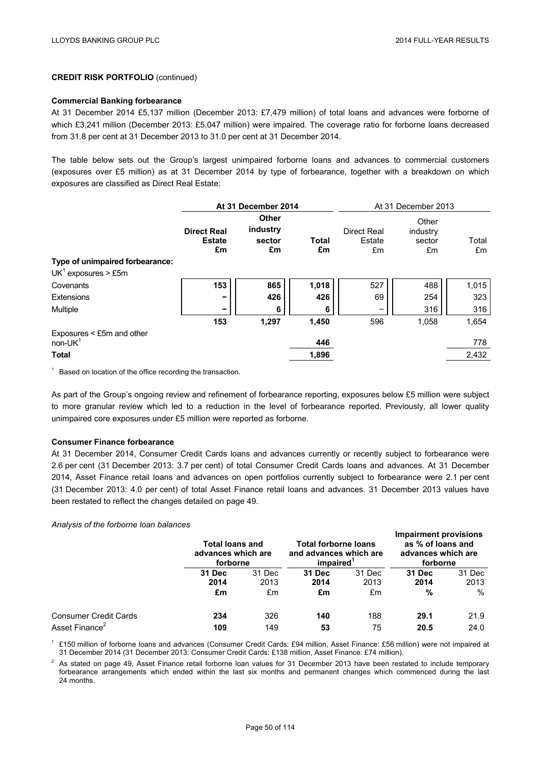#### **Commercial Banking forbearance**

At 31 December 2014 £5,137 million (December 2013: £7,479 million) of total loans and advances were forborne of which £3,241 million (December 2013: £5,047 million) were impaired. The coverage ratio for forborne loans decreased from 31.8 per cent at 31 December 2013 to 31.0 per cent at 31 December 2014.

The table below sets out the Group's largest unimpaired forborne loans and advances to commercial customers (exposures over £5 million) as at 31 December 2014 by type of forbearance, together with a breakdown on which exposures are classified as Direct Real Estate:

| At 31 December 2014                       |                                          |             |                             |                                   |                     |
|-------------------------------------------|------------------------------------------|-------------|-----------------------------|-----------------------------------|---------------------|
| <b>Direct Real</b><br><b>Estate</b><br>£m | <b>Other</b><br>industry<br>sector<br>£m | Total<br>£m | Direct Real<br>Estate<br>£m | Other<br>industry<br>sector<br>£m | Total<br>£m         |
|                                           |                                          |             |                             |                                   |                     |
|                                           |                                          |             |                             |                                   |                     |
| 153                                       | 865                                      | 1,018       | 527                         | 488                               | 1,015               |
| -                                         | 426                                      | 426         | 69                          | 254                               | 323                 |
| -                                         | 6                                        | 6           | -                           | 316                               | 316                 |
| 153                                       | 1,297                                    | 1,450       | 596                         | 1,058                             | 1,654               |
|                                           |                                          | 446         |                             |                                   | 778<br>2,432        |
|                                           |                                          |             | 1,896                       |                                   | At 31 December 2013 |

 $1$  Based on location of the office recording the transaction.

As part of the Group's ongoing review and refinement of forbearance reporting, exposures below £5 million were subject to more granular review which led to a reduction in the level of forbearance reported. Previously, all lower quality unimpaired core exposures under £5 million were reported as forborne.

#### **Consumer Finance forbearance**

At 31 December 2014, Consumer Credit Cards loans and advances currently or recently subject to forbearance were 2.6 per cent (31 December 2013: 3.7 per cent) of total Consumer Credit Cards loans and advances. At 31 December 2014, Asset Finance retail loans and advances on open portfolios currently subject to forbearance were 2.1 per cent (31 December 2013: 4.0 per cent) of total Asset Finance retail loans and advances. 31 December 2013 values have been restated to reflect the changes detailed on page 49.

#### *Analysis of the forborne loan balances*

|                              | <b>Total loans and</b><br>advances which are<br>forborne |        | <b>Total forborne loans</b><br>and advances which are<br><i>impaired</i> |        | <b>Impairment provisions</b><br>as % of loans and<br>advances which are<br>forborne |        |
|------------------------------|----------------------------------------------------------|--------|--------------------------------------------------------------------------|--------|-------------------------------------------------------------------------------------|--------|
|                              | 31 Dec                                                   | 31 Dec | 31 Dec                                                                   | 31 Dec | 31 Dec                                                                              | 31 Dec |
|                              | 2014                                                     | 2013   | 2014                                                                     | 2013   | 2014                                                                                | 2013   |
|                              | £m                                                       | £m     | £m                                                                       | £m     | %                                                                                   | %      |
| <b>Consumer Credit Cards</b> | 234                                                      | 326    | 140                                                                      | 188    | 29.1                                                                                | 21.9   |
| Asset Finance <sup>2</sup>   | 109                                                      | 149    | 53                                                                       | 75     | 20.5                                                                                | 24.0   |

<sup>1</sup> £150 million of forborne loans and advances (Consumer Credit Cards: £94 million, Asset Finance: £56 million) were not impaired at 31 December 2014 (31 December 2013: Consumer Credit Cards: £138 million, Asset Finance: £74 million).

 $2$  As stated on page 49. Asset Finance retail forborne loan values for 31 December 2013 have been restated to include temporary forbearance arrangements which ended within the last six months and permanent changes which commenced during the last 24 months.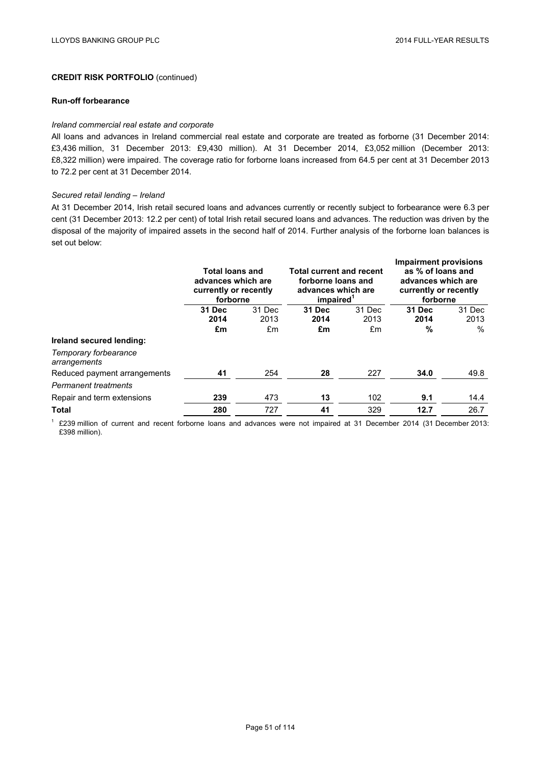#### **Run-off forbearance**

#### *Ireland commercial real estate and corporate*

All loans and advances in Ireland commercial real estate and corporate are treated as forborne (31 December 2014: £3,436 million, 31 December 2013: £9,430 million). At 31 December 2014, £3,052 million (December 2013: £8,322 million) were impaired. The coverage ratio for forborne loans increased from 64.5 per cent at 31 December 2013 to 72.2 per cent at 31 December 2014.

#### *Secured retail lending – Ireland*

At 31 December 2014, Irish retail secured loans and advances currently or recently subject to forbearance were 6.3 per cent (31 December 2013: 12.2 per cent) of total Irish retail secured loans and advances. The reduction was driven by the disposal of the majority of impaired assets in the second half of 2014. Further analysis of the forborne loan balances is set out below:

|                                       | <b>Total loans and</b><br>advances which are<br>currently or recently<br>forborne |                | <b>Total current and recent</b><br>forborne loans and<br>advances which are<br>impaired <sup>1</sup> |                | <b>Impairment provisions</b><br>as % of loans and<br>advances which are<br>currently or recently<br>forborne |                |
|---------------------------------------|-----------------------------------------------------------------------------------|----------------|------------------------------------------------------------------------------------------------------|----------------|--------------------------------------------------------------------------------------------------------------|----------------|
|                                       | 31 Dec<br>2014                                                                    | 31 Dec<br>2013 | 31 Dec<br>2014                                                                                       | 31 Dec<br>2013 | 31 Dec<br>2014                                                                                               | 31 Dec<br>2013 |
|                                       | £m                                                                                | £m             | £m                                                                                                   | £m             | %                                                                                                            | $\%$           |
| Ireland secured lending:              |                                                                                   |                |                                                                                                      |                |                                                                                                              |                |
| Temporary forbearance<br>arrangements |                                                                                   |                |                                                                                                      |                |                                                                                                              |                |
| Reduced payment arrangements          | 41                                                                                | 254            | 28                                                                                                   | 227            | 34.0                                                                                                         | 49.8           |
| <b>Permanent treatments</b>           |                                                                                   |                |                                                                                                      |                |                                                                                                              |                |
| Repair and term extensions            | 239                                                                               | 473            | 13                                                                                                   | 102            | 9.1                                                                                                          | 14.4           |
| Total                                 | 280                                                                               | 727            | 41                                                                                                   | 329            | 12.7                                                                                                         | 26.7           |

 $1$  £239 million of current and recent forborne loans and advances were not impaired at 31 December 2014 (31 December 2013: £398 million).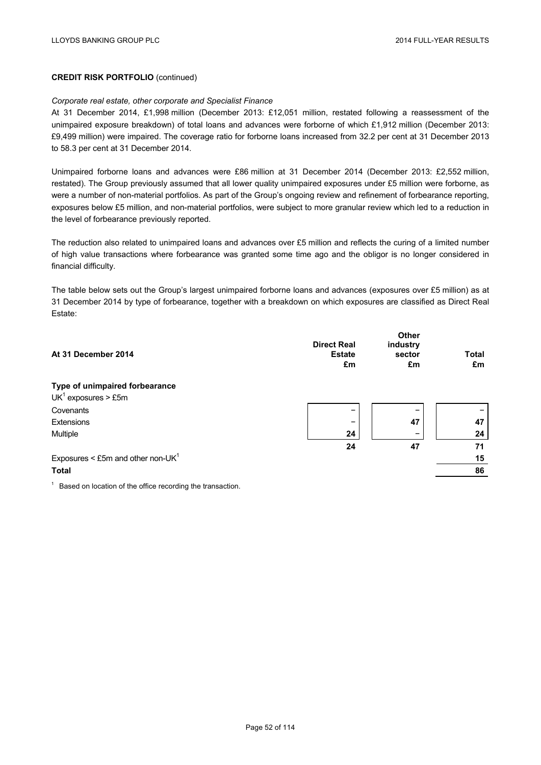#### *Corporate real estate, other corporate and Specialist Finance*

At 31 December 2014, £1,998 million (December 2013: £12,051 million, restated following a reassessment of the unimpaired exposure breakdown) of total loans and advances were forborne of which £1,912 million (December 2013: £9,499 million) were impaired. The coverage ratio for forborne loans increased from 32.2 per cent at 31 December 2013 to 58.3 per cent at 31 December 2014.

Unimpaired forborne loans and advances were £86 million at 31 December 2014 (December 2013: £2,552 million, restated). The Group previously assumed that all lower quality unimpaired exposures under £5 million were forborne, as were a number of non-material portfolios. As part of the Group's ongoing review and refinement of forbearance reporting, exposures below £5 million, and non-material portfolios, were subject to more granular review which led to a reduction in the level of forbearance previously reported.

The reduction also related to unimpaired loans and advances over £5 million and reflects the curing of a limited number of high value transactions where forbearance was granted some time ago and the obligor is no longer considered in financial difficulty.

The table below sets out the Group's largest unimpaired forborne loans and advances (exposures over £5 million) as at 31 December 2014 by type of forbearance, together with a breakdown on which exposures are classified as Direct Real Estate:

| At 31 December 2014                  | <b>Direct Real</b><br><b>Estate</b><br>£m | <b>Other</b><br>industry<br>sector<br>£m | <b>Total</b><br>£m |
|--------------------------------------|-------------------------------------------|------------------------------------------|--------------------|
| Type of unimpaired forbearance       |                                           |                                          |                    |
| $UK1$ exposures > £5m                |                                           |                                          |                    |
| Covenants                            |                                           |                                          |                    |
| <b>Extensions</b>                    |                                           | 47                                       | 47                 |
| Multiple                             | 24                                        |                                          | 24                 |
|                                      | 24                                        | 47                                       | 71                 |
| Exposures < £5m and other non-UK $1$ |                                           |                                          | 15                 |
| <b>Total</b>                         |                                           |                                          | 86                 |

 $1$  Based on location of the office recording the transaction.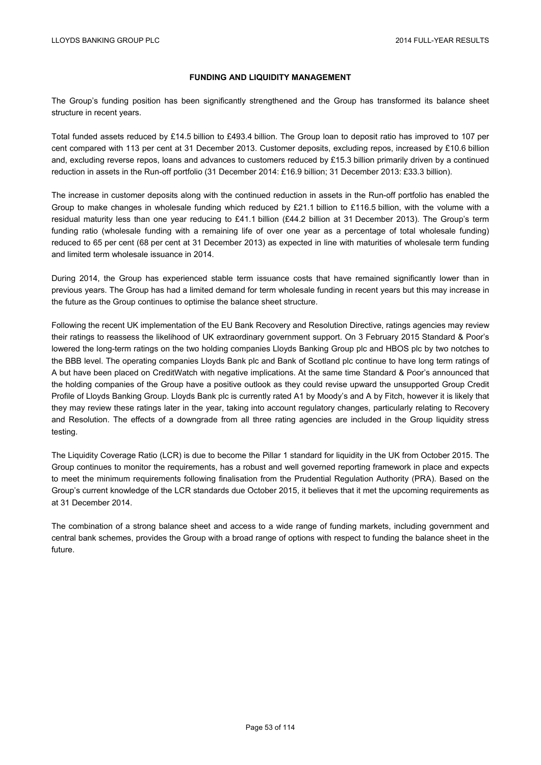## **FUNDING AND LIQUIDITY MANAGEMENT**

The Group's funding position has been significantly strengthened and the Group has transformed its balance sheet structure in recent years.

Total funded assets reduced by £14.5 billion to £493.4 billion. The Group loan to deposit ratio has improved to 107 per cent compared with 113 per cent at 31 December 2013. Customer deposits, excluding repos, increased by £10.6 billion and, excluding reverse repos, loans and advances to customers reduced by £15.3 billion primarily driven by a continued reduction in assets in the Run-off portfolio (31 December 2014: £16.9 billion; 31 December 2013: £33.3 billion).

The increase in customer deposits along with the continued reduction in assets in the Run-off portfolio has enabled the Group to make changes in wholesale funding which reduced by £21.1 billion to £116.5 billion, with the volume with a residual maturity less than one year reducing to £41.1 billion (£44.2 billion at 31 December 2013). The Group's term funding ratio (wholesale funding with a remaining life of over one year as a percentage of total wholesale funding) reduced to 65 per cent (68 per cent at 31 December 2013) as expected in line with maturities of wholesale term funding and limited term wholesale issuance in 2014.

During 2014, the Group has experienced stable term issuance costs that have remained significantly lower than in previous years. The Group has had a limited demand for term wholesale funding in recent years but this may increase in the future as the Group continues to optimise the balance sheet structure.

Following the recent UK implementation of the EU Bank Recovery and Resolution Directive, ratings agencies may review their ratings to reassess the likelihood of UK extraordinary government support. On 3 February 2015 Standard & Poor's lowered the long-term ratings on the two holding companies Lloyds Banking Group plc and HBOS plc by two notches to the BBB level. The operating companies Lloyds Bank plc and Bank of Scotland plc continue to have long term ratings of A but have been placed on CreditWatch with negative implications. At the same time Standard & Poor's announced that the holding companies of the Group have a positive outlook as they could revise upward the unsupported Group Credit Profile of Lloyds Banking Group. Lloyds Bank plc is currently rated A1 by Moody's and A by Fitch, however it is likely that they may review these ratings later in the year, taking into account regulatory changes, particularly relating to Recovery and Resolution. The effects of a downgrade from all three rating agencies are included in the Group liquidity stress testing.

The Liquidity Coverage Ratio (LCR) is due to become the Pillar 1 standard for liquidity in the UK from October 2015. The Group continues to monitor the requirements, has a robust and well governed reporting framework in place and expects to meet the minimum requirements following finalisation from the Prudential Regulation Authority (PRA). Based on the Group's current knowledge of the LCR standards due October 2015, it believes that it met the upcoming requirements as at 31 December 2014.

The combination of a strong balance sheet and access to a wide range of funding markets, including government and central bank schemes, provides the Group with a broad range of options with respect to funding the balance sheet in the future.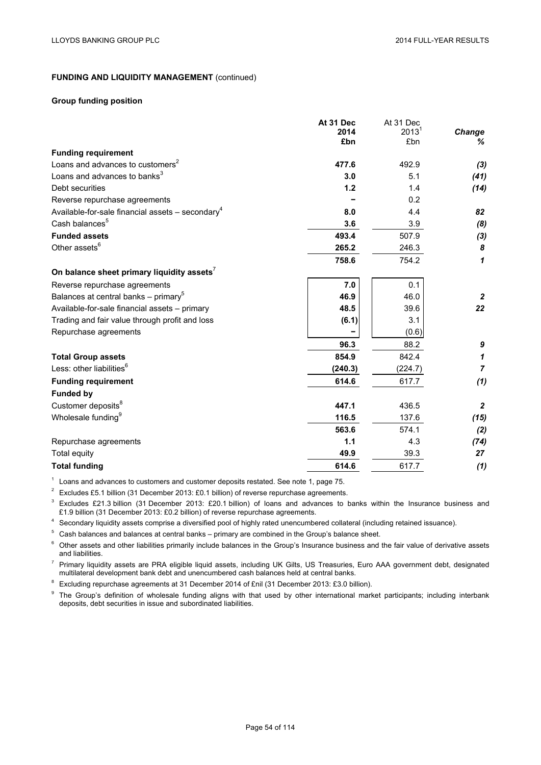### **Group funding position**

|                                                                | At 31 Dec<br>2014 | At 31 Dec<br>$2013^1$ |                |
|----------------------------------------------------------------|-------------------|-----------------------|----------------|
|                                                                | £bn               | £bn                   | Change<br>℅    |
| <b>Funding requirement</b>                                     |                   |                       |                |
| Loans and advances to customers <sup>2</sup>                   | 477.6             | 492.9                 | (3)            |
| Loans and advances to banks <sup>3</sup>                       | 3.0               | 5.1                   | (41)           |
| Debt securities                                                | 1.2               | 1.4                   | (14)           |
| Reverse repurchase agreements                                  |                   | 0.2                   |                |
| Available-for-sale financial assets $-$ secondary <sup>4</sup> | 8.0               | 4.4                   | 82             |
| Cash balances <sup>5</sup>                                     | 3.6               | 3.9                   | (8)            |
| <b>Funded assets</b>                                           | 493.4             | 507.9                 | (3)            |
| Other assets <sup>6</sup>                                      | 265.2             | 246.3                 | 8              |
|                                                                | 758.6             | 754.2                 | 1              |
| On balance sheet primary liquidity assets <sup>7</sup>         |                   |                       |                |
| Reverse repurchase agreements                                  | 7.0               | 0.1                   |                |
| Balances at central banks – primary <sup>5</sup>               | 46.9              | 46.0                  | $\overline{2}$ |
| Available-for-sale financial assets - primary                  | 48.5              | 39.6                  | 22             |
| Trading and fair value through profit and loss                 | (6.1)             | 3.1                   |                |
| Repurchase agreements                                          |                   | (0.6)                 |                |
|                                                                | 96.3              | 88.2                  | 9              |
| <b>Total Group assets</b>                                      | 854.9             | 842.4                 | 1              |
| Less: other liabilities <sup>6</sup>                           | (240.3)           | (224.7)               | $\overline{7}$ |
| <b>Funding requirement</b>                                     | 614.6             | 617.7                 | (1)            |
| <b>Funded by</b>                                               |                   |                       |                |
| Customer deposits <sup>8</sup>                                 | 447.1             | 436.5                 | $\overline{2}$ |
| Wholesale funding <sup>9</sup>                                 | 116.5             | 137.6                 | (15)           |
|                                                                | 563.6             | 574.1                 | (2)            |
| Repurchase agreements                                          | 1.1               | 4.3                   | (74)           |
| Total equity                                                   | 49.9              | 39.3                  | 27             |
| <b>Total funding</b>                                           | 614.6             | 617.7                 | (1)            |

 $1$  Loans and advances to customers and customer deposits restated. See note 1, page 75.

 $2^{2}$  Excludes £5.1 billion (31 December 2013: £0.1 billion) of reverse repurchase agreements.

<sup>3</sup> Excludes £21.3 billion (31 December 2013: £20.1 billion) of loans and advances to banks within the Insurance business and £1.9 billion (31 December 2013: £0.2 billion) of reverse repurchase agreements.

<sup>4</sup> Secondary liquidity assets comprise a diversified pool of highly rated unencumbered collateral (including retained issuance).

<sup>5</sup> Cash balances and balances at central banks – primary are combined in the Group's balance sheet.

<sup>6</sup> Other assets and other liabilities primarily include balances in the Group's Insurance business and the fair value of derivative assets and liabilities.

<sup>7</sup> Primary liquidity assets are PRA eligible liquid assets, including UK Gilts, US Treasuries, Euro AAA government debt, designated multilateral development bank debt and unencumbered cash balances held at central banks.

<sup>8</sup> Excluding repurchase agreements at 31 December 2014 of £nil (31 December 2013: £3.0 billion).

<sup>9</sup> The Group's definition of wholesale funding aligns with that used by other international market participants; including interbank deposits, debt securities in issue and subordinated liabilities.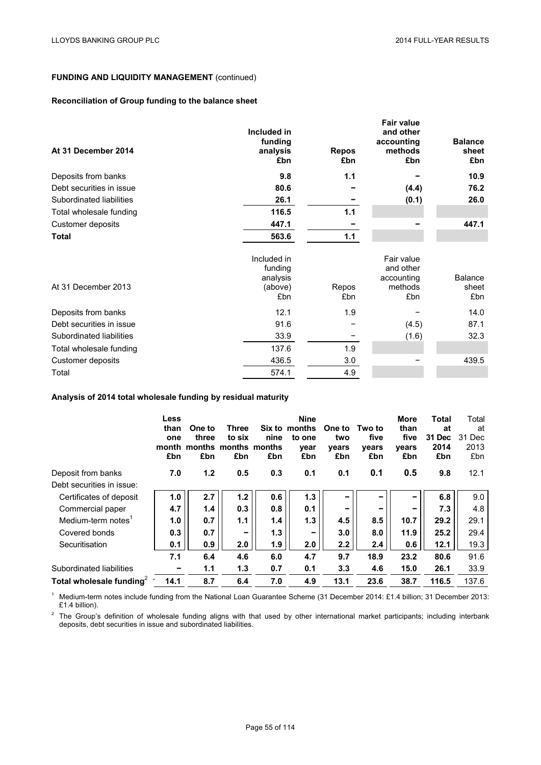## **Reconciliation of Group funding to the balance sheet**

|                          |                     |              | <b>Fair value</b>     |                         |
|--------------------------|---------------------|--------------|-----------------------|-------------------------|
|                          | Included in         |              | and other             |                         |
| At 31 December 2014      | funding<br>analysis | <b>Repos</b> | accounting<br>methods | <b>Balance</b><br>sheet |
|                          | £bn                 | £bn          | £bn                   | £bn                     |
|                          |                     |              |                       |                         |
| Deposits from banks      | 9.8                 | 1.1          |                       | 10.9                    |
| Debt securities in issue | 80.6                |              | (4.4)                 | 76.2                    |
| Subordinated liabilities | 26.1                |              | (0.1)                 | 26.0                    |
| Total wholesale funding  | 116.5               | 1.1          |                       |                         |
| Customer deposits        | 447.1               |              |                       | 447.1                   |
| Total                    | 563.6               | $1.1$        |                       |                         |
|                          | Included in         |              | Fair value            |                         |
|                          | funding             |              | and other             |                         |
|                          | analysis            |              | accounting            | Balance                 |
| At 31 December 2013      | (above)             | Repos        | methods               | sheet                   |
|                          | £bn                 | £bn          | £bn                   | £bn                     |
| Deposits from banks      | 12.1                | 1.9          |                       | 14.0                    |
| Debt securities in issue | 91.6                |              | (4.5)                 | 87.1                    |
| Subordinated liabilities | 33.9                |              | (1.6)                 | 32.3                    |
| Total wholesale funding  | 137.6               | 1.9          |                       |                         |
| Customer deposits        | 436.5               | 3.0          |                       | 439.5                   |
| Total                    | 574.1               | 4.9          |                       |                         |

## **Analysis of 2014 total wholesale funding by residual maturity**

|                                      | <b>Less</b><br>than<br>one<br>month<br>£bn | One to<br>three<br>months months months<br>£bn | <b>Three</b><br>to six<br>£bn | nine<br>£bn | <b>Nine</b><br>Six to months<br>to one<br>year<br>£bn | One to<br>two<br>years<br>£bn | Two to<br>five<br>vears<br>£bn | More<br>than<br>five<br>years<br>£bn | Total<br>at<br>31 Dec<br>2014<br>£bn | Total<br>at<br>31 Dec<br>2013<br>£bn |
|--------------------------------------|--------------------------------------------|------------------------------------------------|-------------------------------|-------------|-------------------------------------------------------|-------------------------------|--------------------------------|--------------------------------------|--------------------------------------|--------------------------------------|
| Deposit from banks                   | 7.0                                        | 1.2                                            | 0.5                           | 0.3         | 0.1                                                   | 0.1                           | 0.1                            | 0.5                                  | 9.8                                  | 12.1                                 |
| Debt securities in issue:            |                                            |                                                |                               |             |                                                       |                               |                                |                                      |                                      |                                      |
| Certificates of deposit              | 1.0                                        | 2.7                                            | 1.2                           | 0.6         | 1.3                                                   | -                             |                                |                                      | 6.8                                  | 9.0                                  |
| Commercial paper                     | 4.7                                        | 1.4                                            | 0.3                           | 0.8         | 0.1                                                   | -                             | -                              | -                                    | 7.3                                  | 4.8                                  |
| Medium-term notes                    | 1.0                                        | 0.7                                            | 1.1                           | 1.4         | 1.3                                                   | 4.5                           | 8.5                            | 10.7                                 | 29.2                                 | 29.1                                 |
| Covered bonds                        | 0.3                                        | 0.7                                            | -                             | 1.3         |                                                       | 3.0                           | 8.0                            | 11.9                                 | 25.2                                 | 29.4                                 |
| Securitisation                       | 0.1                                        | 0.9                                            | 2.0                           | 1.9         | 2.0                                                   | 2.2                           | 2.4                            | 0.6                                  | 12.1                                 | 19.3                                 |
|                                      | 7.1                                        | 6.4                                            | 4.6                           | 6.0         | 4.7                                                   | 9.7                           | 18.9                           | 23.2                                 | 80.6                                 | 91.6                                 |
| Subordinated liabilities             |                                            | 1.1                                            | 1.3                           | 0.7         | 0.1                                                   | 3.3                           | 4.6                            | 15.0                                 | 26.1                                 | 33.9                                 |
| Total wholesale funding <sup>2</sup> | 14.1                                       | 8.7                                            | 6.4                           | 7.0         | 4.9                                                   | 13.1                          | 23.6                           | 38.7                                 | 116.5                                | 137.6                                |

<sup>1</sup> Medium-term notes include funding from the National Loan Guarantee Scheme (31 December 2014: £1.4 billion; 31 December 2013: £1.4 billion).

 $2$  The Group's definition of wholesale funding aligns with that used by other international market participants; including interbank deposits, debt securities in issue and subordinated liabilities.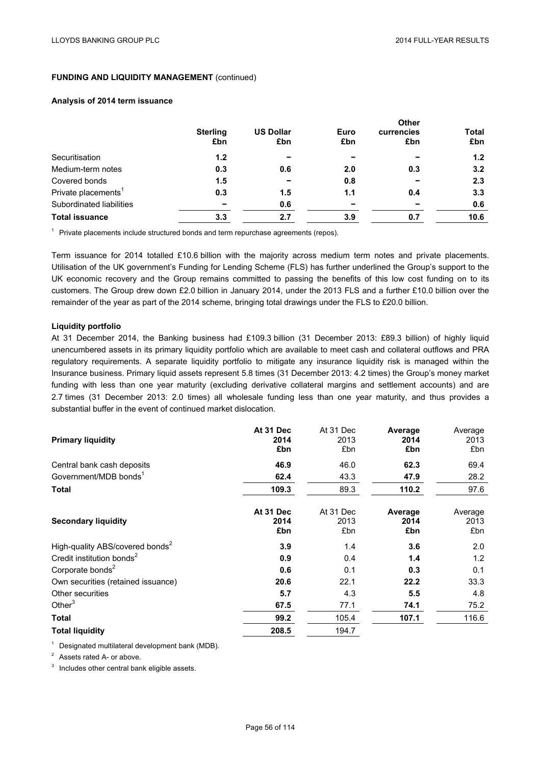#### **Analysis of 2014 term issuance**

|                                 | <b>Sterling</b><br>£bn | <b>US Dollar</b><br>£bn | Euro<br>£bn | <b>Other</b><br>currencies<br>£bn | <b>Total</b><br>£bn |
|---------------------------------|------------------------|-------------------------|-------------|-----------------------------------|---------------------|
| Securitisation                  | 1.2                    |                         |             |                                   | 1.2                 |
| Medium-term notes               | 0.3                    | 0.6                     | 2.0         | 0.3                               | 3.2                 |
| Covered bonds                   | 1.5                    |                         | 0.8         |                                   | 2.3                 |
| Private placements <sup>1</sup> | 0.3                    | 1.5                     | 1.1         | 0.4                               | 3.3                 |
| Subordinated liabilities        |                        | 0.6                     |             |                                   | 0.6                 |
| <b>Total issuance</b>           | 3.3                    | 2.7                     | 3.9         | 0.7                               | 10.6                |

 $1$  Private placements include structured bonds and term repurchase agreements (repos).

Term issuance for 2014 totalled £10.6 billion with the majority across medium term notes and private placements. Utilisation of the UK government's Funding for Lending Scheme (FLS) has further underlined the Group's support to the UK economic recovery and the Group remains committed to passing the benefits of this low cost funding on to its customers. The Group drew down £2.0 billion in January 2014, under the 2013 FLS and a further £10.0 billion over the remainder of the year as part of the 2014 scheme, bringing total drawings under the FLS to £20.0 billion.

#### **Liquidity portfolio**

At 31 December 2014, the Banking business had £109.3 billion (31 December 2013: £89.3 billion) of highly liquid unencumbered assets in its primary liquidity portfolio which are available to meet cash and collateral outflows and PRA regulatory requirements. A separate liquidity portfolio to mitigate any insurance liquidity risk is managed within the Insurance business. Primary liquid assets represent 5.8 times (31 December 2013: 4.2 times) the Group's money market funding with less than one year maturity (excluding derivative collateral margins and settlement accounts) and are 2.7 times (31 December 2013: 2.0 times) all wholesale funding less than one year maturity, and thus provides a substantial buffer in the event of continued market dislocation.

| <b>Primary liquidity</b>                    | At 31 Dec<br>2014<br>£bn | At 31 Dec<br>2013<br>£bn | Average<br>2014<br>£bn | Average<br>2013<br>£bn |
|---------------------------------------------|--------------------------|--------------------------|------------------------|------------------------|
| Central bank cash deposits                  | 46.9                     | 46.0                     | 62.3                   | 69.4                   |
| Government/MDB bonds <sup>1</sup>           | 62.4                     | 43.3                     | 47.9                   | 28.2                   |
| <b>Total</b>                                | 109.3                    | 89.3                     | 110.2                  | 97.6                   |
| <b>Secondary liquidity</b>                  | At 31 Dec<br>2014<br>£bn | At 31 Dec<br>2013<br>£bn | Average<br>2014<br>£bn | Average<br>2013<br>£bn |
| High-quality ABS/covered bonds <sup>2</sup> | 3.9                      | 1.4                      | 3.6                    | 2.0                    |
| Credit institution bonds <sup>2</sup>       | 0.9                      | 0.4                      | 1.4                    | 1.2                    |
| Corporate bonds <sup>2</sup>                | 0.6                      | 0.1                      | 0.3                    | 0.1                    |
| Own securities (retained issuance)          | 20.6                     | 22.1                     | 22.2                   | 33.3                   |
| Other securities                            | 5.7                      | 4.3                      | 5.5                    | 4.8                    |
| Other $3$                                   | 67.5                     | 77.1                     | 74.1                   | 75.2                   |
| <b>Total</b>                                | 99.2                     | 105.4                    | 107.1                  | 116.6                  |
| <b>Total liquidity</b>                      | 208.5                    | 194.7                    |                        |                        |

<sup>1</sup> Designated multilateral development bank (MDB).

<sup>2</sup> Assets rated A- or above.

<sup>3</sup> Includes other central bank eligible assets.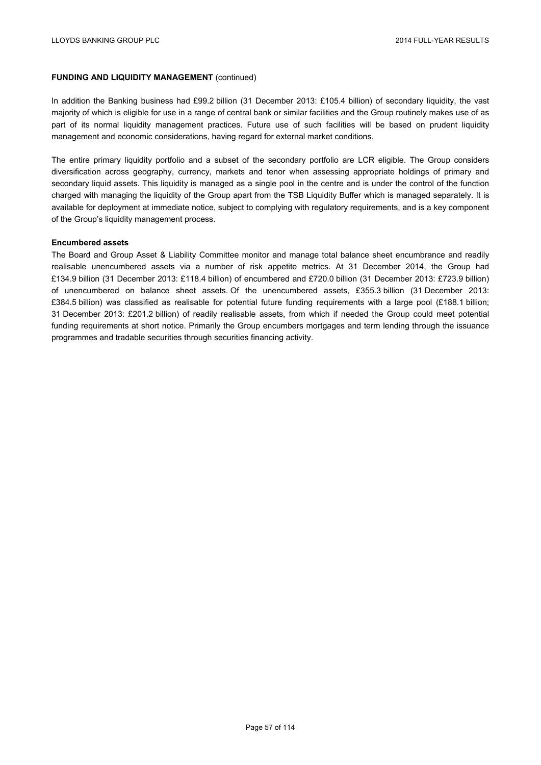In addition the Banking business had £99.2 billion (31 December 2013: £105.4 billion) of secondary liquidity, the vast majority of which is eligible for use in a range of central bank or similar facilities and the Group routinely makes use of as part of its normal liquidity management practices. Future use of such facilities will be based on prudent liquidity management and economic considerations, having regard for external market conditions.

The entire primary liquidity portfolio and a subset of the secondary portfolio are LCR eligible. The Group considers diversification across geography, currency, markets and tenor when assessing appropriate holdings of primary and secondary liquid assets. This liquidity is managed as a single pool in the centre and is under the control of the function charged with managing the liquidity of the Group apart from the TSB Liquidity Buffer which is managed separately. It is available for deployment at immediate notice, subject to complying with regulatory requirements, and is a key component of the Group's liquidity management process.

### **Encumbered assets**

The Board and Group Asset & Liability Committee monitor and manage total balance sheet encumbrance and readily realisable unencumbered assets via a number of risk appetite metrics. At 31 December 2014, the Group had £134.9 billion (31 December 2013: £118.4 billion) of encumbered and £720.0 billion (31 December 2013: £723.9 billion) of unencumbered on balance sheet assets. Of the unencumbered assets, £355.3 billion (31 December 2013: £384.5 billion) was classified as realisable for potential future funding requirements with a large pool (£188.1 billion; 31 December 2013: £201.2 billion) of readily realisable assets, from which if needed the Group could meet potential funding requirements at short notice. Primarily the Group encumbers mortgages and term lending through the issuance programmes and tradable securities through securities financing activity.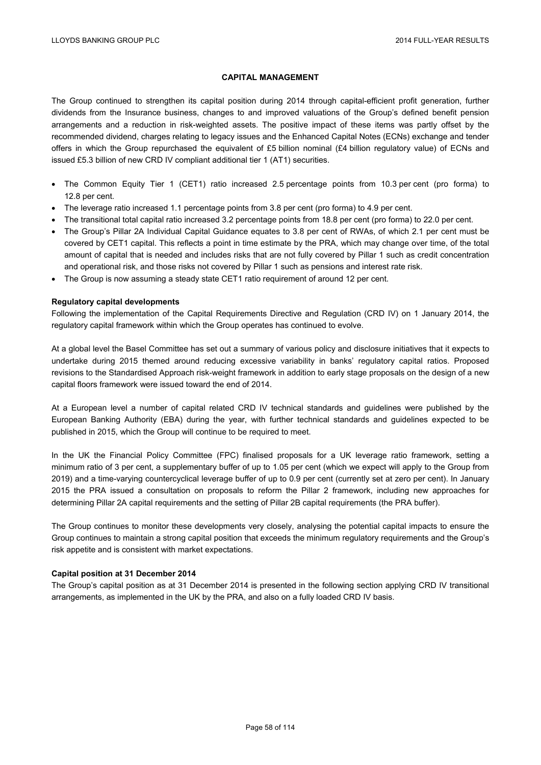## **CAPITAL MANAGEMENT**

The Group continued to strengthen its capital position during 2014 through capital-efficient profit generation, further dividends from the Insurance business, changes to and improved valuations of the Group's defined benefit pension arrangements and a reduction in risk-weighted assets. The positive impact of these items was partly offset by the recommended dividend, charges relating to legacy issues and the Enhanced Capital Notes (ECNs) exchange and tender offers in which the Group repurchased the equivalent of £5 billion nominal (£4 billion regulatory value) of ECNs and issued £5.3 billion of new CRD IV compliant additional tier 1 (AT1) securities.

- The Common Equity Tier 1 (CET1) ratio increased 2.5 percentage points from 10.3 per cent (pro forma) to 12.8 per cent.
- The leverage ratio increased 1.1 percentage points from 3.8 per cent (pro forma) to 4.9 per cent.
- The transitional total capital ratio increased 3.2 percentage points from 18.8 per cent (pro forma) to 22.0 per cent.
- The Group's Pillar 2A Individual Capital Guidance equates to 3.8 per cent of RWAs, of which 2.1 per cent must be covered by CET1 capital. This reflects a point in time estimate by the PRA, which may change over time, of the total amount of capital that is needed and includes risks that are not fully covered by Pillar 1 such as credit concentration and operational risk, and those risks not covered by Pillar 1 such as pensions and interest rate risk.
- The Group is now assuming a steady state CET1 ratio requirement of around 12 per cent.

#### **Regulatory capital developments**

Following the implementation of the Capital Requirements Directive and Regulation (CRD IV) on 1 January 2014, the regulatory capital framework within which the Group operates has continued to evolve.

At a global level the Basel Committee has set out a summary of various policy and disclosure initiatives that it expects to undertake during 2015 themed around reducing excessive variability in banks' regulatory capital ratios. Proposed revisions to the Standardised Approach risk-weight framework in addition to early stage proposals on the design of a new capital floors framework were issued toward the end of 2014.

At a European level a number of capital related CRD IV technical standards and guidelines were published by the European Banking Authority (EBA) during the year, with further technical standards and guidelines expected to be published in 2015, which the Group will continue to be required to meet.

In the UK the Financial Policy Committee (FPC) finalised proposals for a UK leverage ratio framework, setting a minimum ratio of 3 per cent, a supplementary buffer of up to 1.05 per cent (which we expect will apply to the Group from 2019) and a time-varying countercyclical leverage buffer of up to 0.9 per cent (currently set at zero per cent). In January 2015 the PRA issued a consultation on proposals to reform the Pillar 2 framework, including new approaches for determining Pillar 2A capital requirements and the setting of Pillar 2B capital requirements (the PRA buffer).

The Group continues to monitor these developments very closely, analysing the potential capital impacts to ensure the Group continues to maintain a strong capital position that exceeds the minimum regulatory requirements and the Group's risk appetite and is consistent with market expectations.

#### **Capital position at 31 December 2014**

The Group's capital position as at 31 December 2014 is presented in the following section applying CRD IV transitional arrangements, as implemented in the UK by the PRA, and also on a fully loaded CRD IV basis.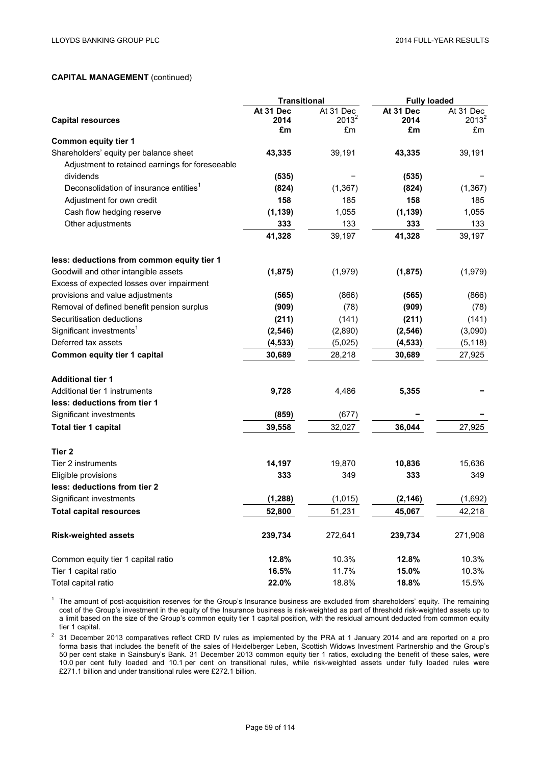|                                                    | <b>Transitional</b> |           | <b>Fully loaded</b> |           |
|----------------------------------------------------|---------------------|-----------|---------------------|-----------|
|                                                    | At 31 Dec           | At 31 Dec | At 31 Dec           | At 31 Dec |
| <b>Capital resources</b>                           | 2014                | $2013^2$  | 2014                | $2013^2$  |
|                                                    | £m                  | £m        | £m                  | £m        |
| <b>Common equity tier 1</b>                        |                     |           |                     |           |
| Shareholders' equity per balance sheet             | 43,335              | 39,191    | 43,335              | 39,191    |
| Adjustment to retained earnings for foreseeable    |                     |           |                     |           |
| dividends                                          | (535)               |           | (535)               |           |
| Deconsolidation of insurance entities <sup>1</sup> | (824)               | (1, 367)  | (824)               | (1, 367)  |
| Adjustment for own credit                          | 158                 | 185       | 158                 | 185       |
| Cash flow hedging reserve                          | (1, 139)            | 1,055     | (1, 139)            | 1,055     |
| Other adjustments                                  | 333                 | 133       | 333                 | 133       |
|                                                    | 41,328              | 39,197    | 41,328              | 39,197    |
| less: deductions from common equity tier 1         |                     |           |                     |           |
| Goodwill and other intangible assets               | (1, 875)            | (1,979)   | (1, 875)            | (1,979)   |
| Excess of expected losses over impairment          |                     |           |                     |           |
| provisions and value adjustments                   | (565)               | (866)     | (565)               | (866)     |
| Removal of defined benefit pension surplus         | (909)               | (78)      | (909)               | (78)      |
| Securitisation deductions                          | (211)               | (141)     | (211)               | (141)     |
| Significant investments <sup>1</sup>               | (2, 546)            | (2,890)   | (2, 546)            | (3,090)   |
| Deferred tax assets                                | (4, 533)            | (5,025)   | (4, 533)            | (5, 118)  |
| Common equity tier 1 capital                       | 30,689              | 28,218    | 30,689              | 27,925    |
| <b>Additional tier 1</b>                           |                     |           |                     |           |
| Additional tier 1 instruments                      | 9,728               | 4,486     | 5,355               |           |
| less: deductions from tier 1                       |                     |           |                     |           |
| Significant investments                            | (859)               | (677)     |                     |           |
| Total tier 1 capital                               | 39,558              | 32,027    | 36,044              | 27,925    |
| Tier 2                                             |                     |           |                     |           |
| Tier 2 instruments                                 | 14,197              | 19,870    | 10,836              | 15,636    |
| Eligible provisions                                | 333                 | 349       | 333                 | 349       |
| less: deductions from tier 2                       |                     |           |                     |           |
| Significant investments                            | (1, 288)            | (1,015)   | (2, 146)            | (1,692)   |
| <b>Total capital resources</b>                     | 52,800              | 51,231    | 45,067              | 42,218    |
|                                                    |                     |           |                     |           |
| <b>Risk-weighted assets</b>                        | 239,734             | 272,641   | 239,734             | 271,908   |
| Common equity tier 1 capital ratio                 | 12.8%               | 10.3%     | 12.8%               | 10.3%     |
| Tier 1 capital ratio                               | 16.5%               | 11.7%     | 15.0%               | 10.3%     |
| Total capital ratio                                | 22.0%               | 18.8%     | 18.8%               | 15.5%     |

<sup>1</sup> The amount of post-acquisition reserves for the Group's Insurance business are excluded from shareholders' equity. The remaining cost of the Group's investment in the equity of the Insurance business is risk-weighted as part of threshold risk-weighted assets up to a limit based on the size of the Group's common equity tier 1 capital position, with the residual amount deducted from common equity tier 1 capital.

<sup>2</sup> 31 December 2013 comparatives reflect CRD IV rules as implemented by the PRA at 1 January 2014 and are reported on a pro forma basis that includes the benefit of the sales of Heidelberger Leben, Scottish Widows Investment Partnership and the Group's 50 per cent stake in Sainsbury's Bank. 31 December 2013 common equity tier 1 ratios, excluding the benefit of these sales, were 10.0 per cent fully loaded and 10.1 per cent on transitional rules, while risk-weighted assets under fully loaded rules were £271.1 billion and under transitional rules were £272.1 billion.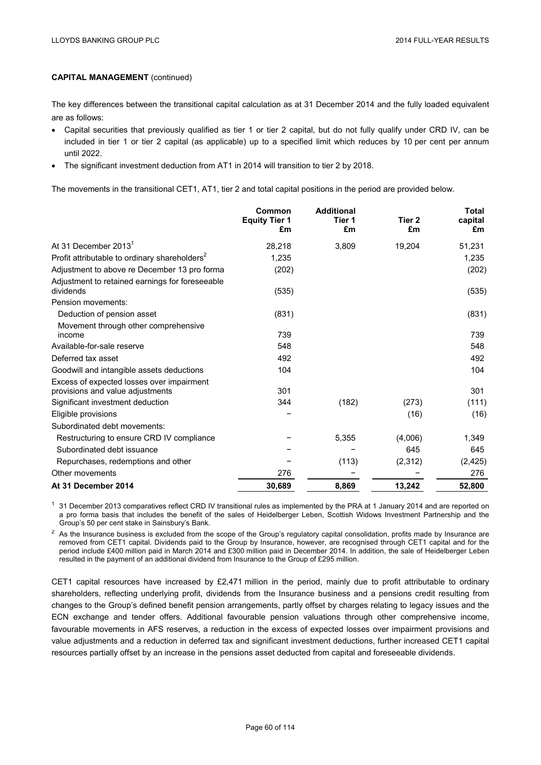The key differences between the transitional capital calculation as at 31 December 2014 and the fully loaded equivalent are as follows:

- Capital securities that previously qualified as tier 1 or tier 2 capital, but do not fully qualify under CRD IV, can be included in tier 1 or tier 2 capital (as applicable) up to a specified limit which reduces by 10 per cent per annum until 2022.
- The significant investment deduction from AT1 in 2014 will transition to tier 2 by 2018.

The movements in the transitional CET1, AT1, tier 2 and total capital positions in the period are provided below.

|                                                                               | Common<br><b>Equity Tier 1</b><br>£m | <b>Additional</b><br>Tier 1<br>£m | Tier 2<br>£m | <b>Total</b><br>capital<br>£m |
|-------------------------------------------------------------------------------|--------------------------------------|-----------------------------------|--------------|-------------------------------|
| At 31 December 2013 <sup>1</sup>                                              | 28,218                               | 3,809                             | 19,204       | 51,231                        |
| Profit attributable to ordinary shareholders <sup>2</sup>                     | 1,235                                |                                   |              | 1,235                         |
| Adjustment to above re December 13 pro forma                                  | (202)                                |                                   |              | (202)                         |
| Adjustment to retained earnings for foreseeable<br>dividends                  | (535)                                |                                   |              | (535)                         |
| Pension movements:                                                            |                                      |                                   |              |                               |
| Deduction of pension asset                                                    | (831)                                |                                   |              | (831)                         |
| Movement through other comprehensive<br>income                                | 739                                  |                                   |              | 739                           |
| Available-for-sale reserve                                                    | 548                                  |                                   |              | 548                           |
| Deferred tax asset                                                            | 492                                  |                                   |              | 492                           |
| Goodwill and intangible assets deductions                                     | 104                                  |                                   |              | 104                           |
| Excess of expected losses over impairment<br>provisions and value adjustments | 301                                  |                                   |              | 301                           |
| Significant investment deduction                                              | 344                                  | (182)                             | (273)        | (111)                         |
| Eligible provisions                                                           |                                      |                                   | (16)         | (16)                          |
| Subordinated debt movements:                                                  |                                      |                                   |              |                               |
| Restructuring to ensure CRD IV compliance                                     |                                      | 5,355                             | (4,006)      | 1,349                         |
| Subordinated debt issuance                                                    |                                      |                                   | 645          | 645                           |
| Repurchases, redemptions and other                                            |                                      | (113)                             | (2,312)      | (2, 425)                      |
| Other movements                                                               | 276                                  |                                   |              | 276                           |
| At 31 December 2014                                                           | 30,689                               | 8,869                             | 13,242       | 52,800                        |

 $1$  31 December 2013 comparatives reflect CRD IV transitional rules as implemented by the PRA at 1 January 2014 and are reported on a pro forma basis that includes the benefit of the sales of Heidelberger Leben, Scottish Widows Investment Partnership and the Group's 50 per cent stake in Sainsbury's Bank.

<sup>2</sup> As the Insurance business is excluded from the scope of the Group's regulatory capital consolidation, profits made by Insurance are removed from CET1 capital. Dividends paid to the Group by Insurance, however, are recognised through CET1 capital and for the period include £400 million paid in March 2014 and £300 million paid in December 2014. In addition, the sale of Heidelberger Leben resulted in the payment of an additional dividend from Insurance to the Group of £295 million.

CET1 capital resources have increased by £2,471 million in the period, mainly due to profit attributable to ordinary shareholders, reflecting underlying profit, dividends from the Insurance business and a pensions credit resulting from changes to the Group's defined benefit pension arrangements, partly offset by charges relating to legacy issues and the ECN exchange and tender offers. Additional favourable pension valuations through other comprehensive income, favourable movements in AFS reserves, a reduction in the excess of expected losses over impairment provisions and value adjustments and a reduction in deferred tax and significant investment deductions, further increased CET1 capital resources partially offset by an increase in the pensions asset deducted from capital and foreseeable dividends.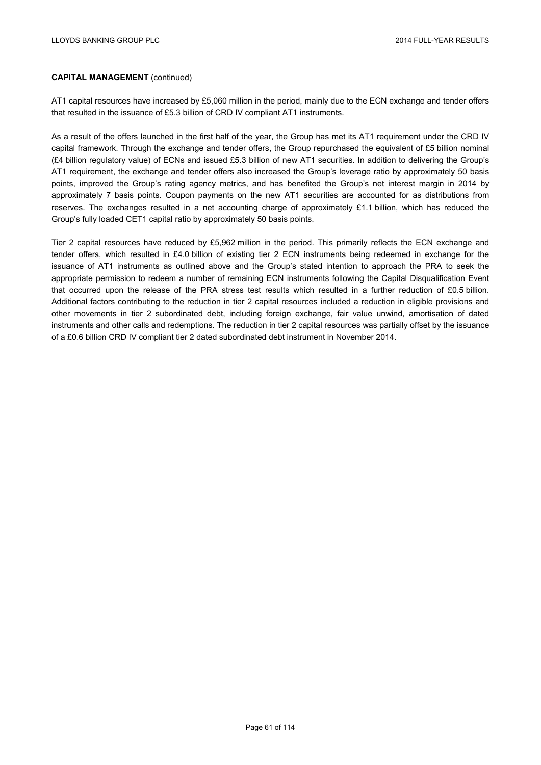AT1 capital resources have increased by £5,060 million in the period, mainly due to the ECN exchange and tender offers that resulted in the issuance of £5.3 billion of CRD IV compliant AT1 instruments.

As a result of the offers launched in the first half of the year, the Group has met its AT1 requirement under the CRD IV capital framework. Through the exchange and tender offers, the Group repurchased the equivalent of £5 billion nominal (£4 billion regulatory value) of ECNs and issued £5.3 billion of new AT1 securities. In addition to delivering the Group's AT1 requirement, the exchange and tender offers also increased the Group's leverage ratio by approximately 50 basis points, improved the Group's rating agency metrics, and has benefited the Group's net interest margin in 2014 by approximately 7 basis points. Coupon payments on the new AT1 securities are accounted for as distributions from reserves. The exchanges resulted in a net accounting charge of approximately £1.1 billion, which has reduced the Group's fully loaded CET1 capital ratio by approximately 50 basis points.

Tier 2 capital resources have reduced by £5,962 million in the period. This primarily reflects the ECN exchange and tender offers, which resulted in £4.0 billion of existing tier 2 ECN instruments being redeemed in exchange for the issuance of AT1 instruments as outlined above and the Group's stated intention to approach the PRA to seek the appropriate permission to redeem a number of remaining ECN instruments following the Capital Disqualification Event that occurred upon the release of the PRA stress test results which resulted in a further reduction of £0.5 billion. Additional factors contributing to the reduction in tier 2 capital resources included a reduction in eligible provisions and other movements in tier 2 subordinated debt, including foreign exchange, fair value unwind, amortisation of dated instruments and other calls and redemptions. The reduction in tier 2 capital resources was partially offset by the issuance of a £0.6 billion CRD IV compliant tier 2 dated subordinated debt instrument in November 2014.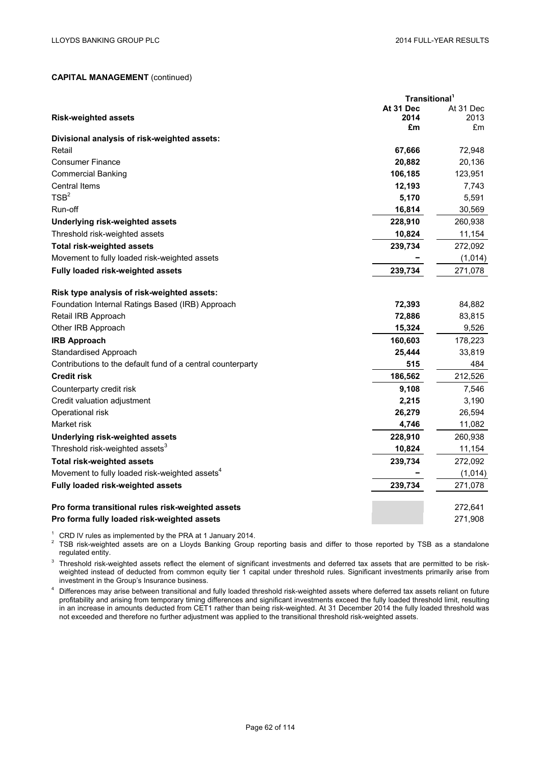|                                                             | Transitional <sup>1</sup> |           |  |
|-------------------------------------------------------------|---------------------------|-----------|--|
|                                                             | At 31 Dec                 | At 31 Dec |  |
| <b>Risk-weighted assets</b>                                 | 2014                      | 2013      |  |
|                                                             | £m                        | £m        |  |
| Divisional analysis of risk-weighted assets:                |                           |           |  |
| Retail                                                      | 67,666                    | 72,948    |  |
| Consumer Finance                                            | 20,882                    | 20,136    |  |
| <b>Commercial Banking</b>                                   | 106,185                   | 123,951   |  |
| <b>Central Items</b>                                        | 12,193                    | 7,743     |  |
| TSB <sup>2</sup>                                            | 5,170                     | 5,591     |  |
| Run-off                                                     | 16,814                    | 30,569    |  |
| Underlying risk-weighted assets                             | 228,910                   | 260,938   |  |
| Threshold risk-weighted assets                              | 10,824                    | 11,154    |  |
| <b>Total risk-weighted assets</b>                           | 239,734                   | 272,092   |  |
| Movement to fully loaded risk-weighted assets               |                           | (1,014)   |  |
| Fully loaded risk-weighted assets                           | 239,734                   | 271,078   |  |
| Risk type analysis of risk-weighted assets:                 |                           |           |  |
| Foundation Internal Ratings Based (IRB) Approach            | 72,393                    | 84,882    |  |
| Retail IRB Approach                                         | 72,886                    | 83,815    |  |
| Other IRB Approach                                          | 15,324                    | 9,526     |  |
| <b>IRB Approach</b>                                         | 160,603                   | 178,223   |  |
| Standardised Approach                                       | 25,444                    | 33,819    |  |
| Contributions to the default fund of a central counterparty | 515                       | 484       |  |
| <b>Credit risk</b>                                          | 186,562                   | 212,526   |  |
| Counterparty credit risk                                    | 9,108                     | 7,546     |  |
| Credit valuation adjustment                                 | 2,215                     | 3,190     |  |
| Operational risk                                            | 26,279                    | 26,594    |  |
| Market risk                                                 | 4,746                     | 11,082    |  |
| <b>Underlying risk-weighted assets</b>                      | 228,910                   | 260,938   |  |
| Threshold risk-weighted assets <sup>3</sup>                 | 10,824                    | 11,154    |  |
| <b>Total risk-weighted assets</b>                           | 239,734                   | 272,092   |  |
| Movement to fully loaded risk-weighted assets <sup>4</sup>  |                           | (1,014)   |  |
| Fully loaded risk-weighted assets                           | 239,734                   | 271,078   |  |
| Pro forma transitional rules risk-weighted assets           |                           | 272,641   |  |
| Pro forma fully loaded risk-weighted assets                 |                           | 271,908   |  |
|                                                             |                           |           |  |

<sup>1</sup> CRD IV rules as implemented by the PRA at 1 January 2014.<br><sup>2</sup> TSB risk-weighted assets are on a Lloyds Banking Group reporting basis and differ to those reported by TSB as a standalone regulated entity.

<sup>3</sup> Threshold risk-weighted assets reflect the element of significant investments and deferred tax assets that are permitted to be riskweighted instead of deducted from common equity tier 1 capital under threshold rules. Significant investments primarily arise from investment in the Group's Insurance business.

<sup>4</sup> Differences may arise between transitional and fully loaded threshold risk-weighted assets where deferred tax assets reliant on future profitability and arising from temporary timing differences and significant investments exceed the fully loaded threshold limit, resulting in an increase in amounts deducted from CET1 rather than being risk-weighted. At 31 December 2014 the fully loaded threshold was not exceeded and therefore no further adjustment was applied to the transitional threshold risk-weighted assets.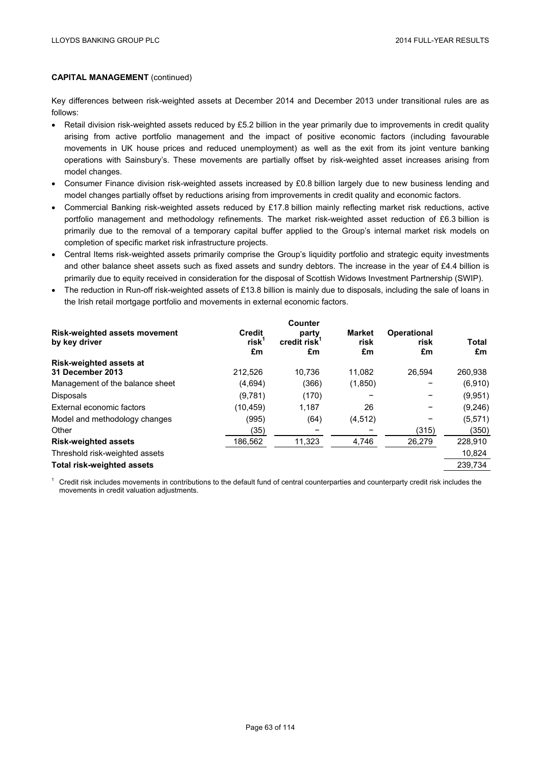Key differences between risk-weighted assets at December 2014 and December 2013 under transitional rules are as follows:

- Retail division risk-weighted assets reduced by £5.2 billion in the year primarily due to improvements in credit quality arising from active portfolio management and the impact of positive economic factors (including favourable movements in UK house prices and reduced unemployment) as well as the exit from its joint venture banking operations with Sainsbury's. These movements are partially offset by risk-weighted asset increases arising from model changes.
- Consumer Finance division risk-weighted assets increased by £0.8 billion largely due to new business lending and model changes partially offset by reductions arising from improvements in credit quality and economic factors.
- Commercial Banking risk-weighted assets reduced by £17.8 billion mainly reflecting market risk reductions, active portfolio management and methodology refinements. The market risk-weighted asset reduction of £6.3 billion is primarily due to the removal of a temporary capital buffer applied to the Group's internal market risk models on completion of specific market risk infrastructure projects.
- Central Items risk-weighted assets primarily comprise the Group's liquidity portfolio and strategic equity investments and other balance sheet assets such as fixed assets and sundry debtors. The increase in the year of £4.4 billion is primarily due to equity received in consideration for the disposal of Scottish Widows Investment Partnership (SWIP).
- The reduction in Run-off risk-weighted assets of £13.8 billion is mainly due to disposals, including the sale of loans in the Irish retail mortgage portfolio and movements in external economic factors.

| Counter                                           |                                         |                             |                                  |                    |
|---------------------------------------------------|-----------------------------------------|-----------------------------|----------------------------------|--------------------|
| <b>Credit</b><br>$\mathsf{risk}^\mathsf{T}$<br>£m | party<br>credit risk <sup>1</sup><br>£m | <b>Market</b><br>risk<br>£m | <b>Operational</b><br>risk<br>£m | <b>Total</b><br>£m |
|                                                   |                                         |                             |                                  |                    |
| 212.526                                           | 10.736                                  | 11.082                      | 26.594                           | 260,938            |
| (4,694)                                           | (366)                                   | (1,850)                     |                                  | (6,910)            |
| (9,781)                                           | (170)                                   |                             |                                  | (9,951)            |
| (10, 459)                                         | 1,187                                   | 26                          | -                                | (9,246)            |
| (995)                                             | (64)                                    | (4, 512)                    |                                  | (5, 571)           |
| (35)                                              |                                         |                             | (315)                            | (350)              |
| 186,562                                           | 11.323                                  | 4,746                       | 26.279                           | 228.910            |
|                                                   |                                         |                             |                                  | 10,824             |
|                                                   |                                         |                             |                                  | 239,734            |
|                                                   |                                         |                             |                                  |                    |

 $1$  Credit risk includes movements in contributions to the default fund of central counterparties and counterparty credit risk includes the movements in credit valuation adjustments.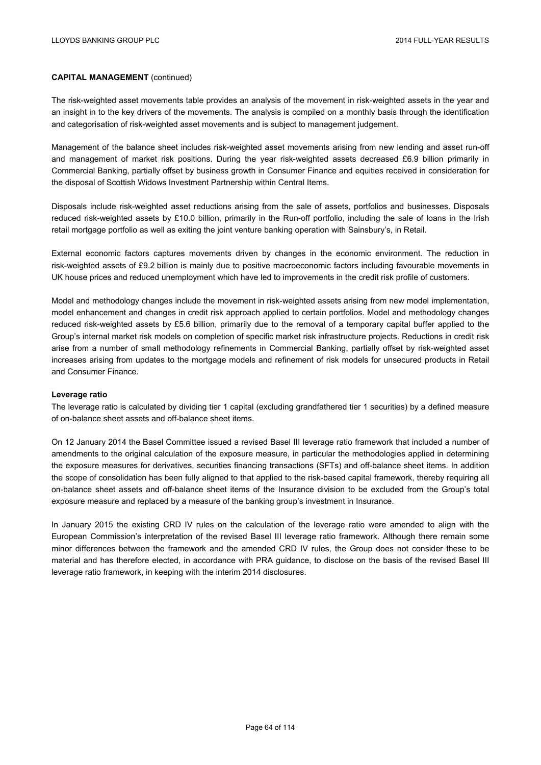The risk-weighted asset movements table provides an analysis of the movement in risk-weighted assets in the year and an insight in to the key drivers of the movements. The analysis is compiled on a monthly basis through the identification and categorisation of risk-weighted asset movements and is subject to management judgement.

Management of the balance sheet includes risk-weighted asset movements arising from new lending and asset run-off and management of market risk positions. During the year risk-weighted assets decreased £6.9 billion primarily in Commercial Banking, partially offset by business growth in Consumer Finance and equities received in consideration for the disposal of Scottish Widows Investment Partnership within Central Items.

Disposals include risk-weighted asset reductions arising from the sale of assets, portfolios and businesses. Disposals reduced risk-weighted assets by £10.0 billion, primarily in the Run-off portfolio, including the sale of loans in the Irish retail mortgage portfolio as well as exiting the joint venture banking operation with Sainsbury's, in Retail.

External economic factors captures movements driven by changes in the economic environment. The reduction in risk-weighted assets of £9.2 billion is mainly due to positive macroeconomic factors including favourable movements in UK house prices and reduced unemployment which have led to improvements in the credit risk profile of customers.

Model and methodology changes include the movement in risk-weighted assets arising from new model implementation, model enhancement and changes in credit risk approach applied to certain portfolios. Model and methodology changes reduced risk-weighted assets by £5.6 billion, primarily due to the removal of a temporary capital buffer applied to the Group's internal market risk models on completion of specific market risk infrastructure projects. Reductions in credit risk arise from a number of small methodology refinements in Commercial Banking, partially offset by risk-weighted asset increases arising from updates to the mortgage models and refinement of risk models for unsecured products in Retail and Consumer Finance.

#### **Leverage ratio**

The leverage ratio is calculated by dividing tier 1 capital (excluding grandfathered tier 1 securities) by a defined measure of on-balance sheet assets and off-balance sheet items.

On 12 January 2014 the Basel Committee issued a revised Basel III leverage ratio framework that included a number of amendments to the original calculation of the exposure measure, in particular the methodologies applied in determining the exposure measures for derivatives, securities financing transactions (SFTs) and off-balance sheet items. In addition the scope of consolidation has been fully aligned to that applied to the risk-based capital framework, thereby requiring all on-balance sheet assets and off-balance sheet items of the Insurance division to be excluded from the Group's total exposure measure and replaced by a measure of the banking group's investment in Insurance.

In January 2015 the existing CRD IV rules on the calculation of the leverage ratio were amended to align with the European Commission's interpretation of the revised Basel III leverage ratio framework. Although there remain some minor differences between the framework and the amended CRD IV rules, the Group does not consider these to be material and has therefore elected, in accordance with PRA guidance, to disclose on the basis of the revised Basel III leverage ratio framework, in keeping with the interim 2014 disclosures.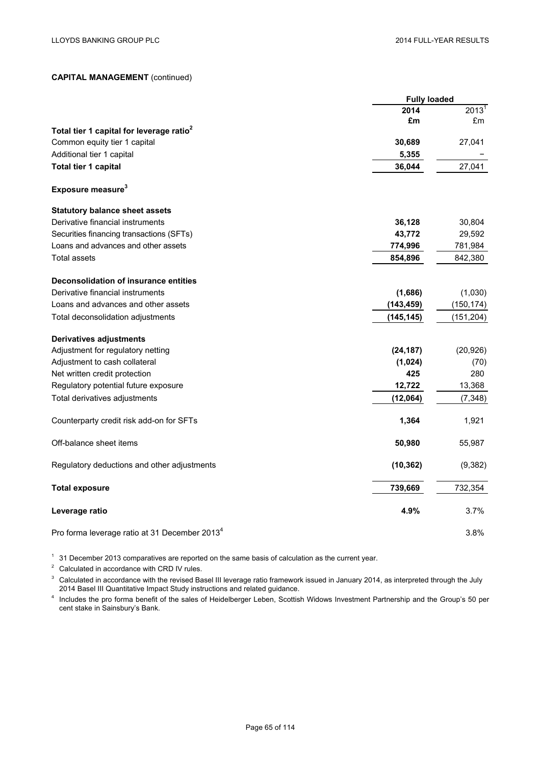|                                                           | <b>Fully loaded</b> |            |
|-----------------------------------------------------------|---------------------|------------|
|                                                           | 2014                | $2013^1$   |
|                                                           | £m                  | £m         |
| Total tier 1 capital for leverage ratio <sup>2</sup>      |                     |            |
| Common equity tier 1 capital                              | 30,689              | 27,041     |
| Additional tier 1 capital                                 | 5,355               |            |
| <b>Total tier 1 capital</b>                               | 36,044              | 27,041     |
| Exposure measure <sup>3</sup>                             |                     |            |
| <b>Statutory balance sheet assets</b>                     |                     |            |
| Derivative financial instruments                          | 36,128              | 30,804     |
| Securities financing transactions (SFTs)                  | 43,772              | 29,592     |
| Loans and advances and other assets                       | 774,996             | 781,984    |
| Total assets                                              | 854,896             | 842,380    |
| Deconsolidation of insurance entities                     |                     |            |
| Derivative financial instruments                          | (1,686)             | (1,030)    |
| Loans and advances and other assets                       | (143, 459)          | (150, 174) |
| Total deconsolidation adjustments                         | (145, 145)          | (151, 204) |
| <b>Derivatives adjustments</b>                            |                     |            |
| Adjustment for regulatory netting                         | (24, 187)           | (20, 926)  |
| Adjustment to cash collateral                             | (1,024)             | (70)       |
| Net written credit protection                             | 425                 | 280        |
| Regulatory potential future exposure                      | 12,722              | 13,368     |
| Total derivatives adjustments                             | (12,064)            | (7, 348)   |
| Counterparty credit risk add-on for SFTs                  | 1,364               | 1,921      |
| Off-balance sheet items                                   | 50,980              | 55,987     |
| Regulatory deductions and other adjustments               | (10, 362)           | (9,382)    |
| <b>Total exposure</b>                                     | 739,669             | 732,354    |
| Leverage ratio                                            | 4.9%                | 3.7%       |
| Pro forma leverage ratio at 31 December 2013 <sup>4</sup> |                     | 3.8%       |

 $1$  31 December 2013 comparatives are reported on the same basis of calculation as the current year.

<sup>2</sup> Calculated in accordance with CRD IV rules.

<sup>3</sup> Calculated in accordance with the revised Basel III leverage ratio framework issued in January 2014, as interpreted through the July 2014 Basel III Quantitative Impact Study instructions and related guidance.

<sup>4</sup> Includes the pro forma benefit of the sales of Heidelberger Leben, Scottish Widows Investment Partnership and the Group's 50 per cent stake in Sainsbury's Bank.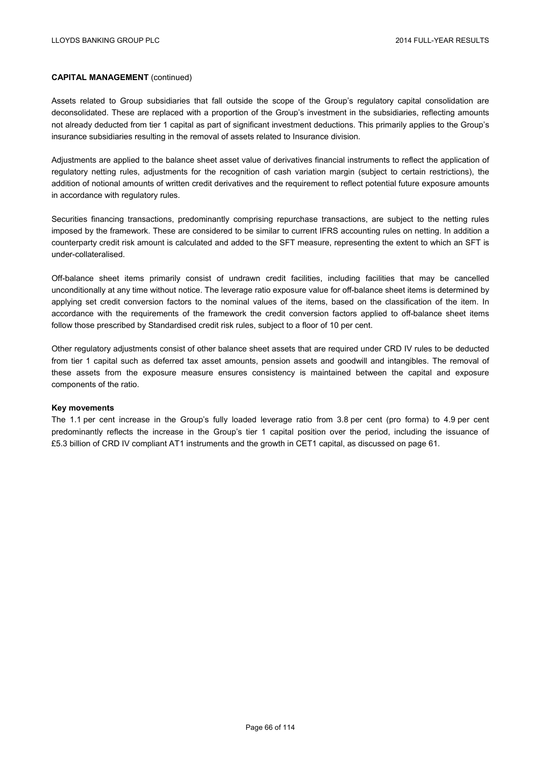Assets related to Group subsidiaries that fall outside the scope of the Group's regulatory capital consolidation are deconsolidated. These are replaced with a proportion of the Group's investment in the subsidiaries, reflecting amounts not already deducted from tier 1 capital as part of significant investment deductions. This primarily applies to the Group's insurance subsidiaries resulting in the removal of assets related to Insurance division.

Adjustments are applied to the balance sheet asset value of derivatives financial instruments to reflect the application of regulatory netting rules, adjustments for the recognition of cash variation margin (subject to certain restrictions), the addition of notional amounts of written credit derivatives and the requirement to reflect potential future exposure amounts in accordance with regulatory rules.

Securities financing transactions, predominantly comprising repurchase transactions, are subject to the netting rules imposed by the framework. These are considered to be similar to current IFRS accounting rules on netting. In addition a counterparty credit risk amount is calculated and added to the SFT measure, representing the extent to which an SFT is under-collateralised.

Off-balance sheet items primarily consist of undrawn credit facilities, including facilities that may be cancelled unconditionally at any time without notice. The leverage ratio exposure value for off-balance sheet items is determined by applying set credit conversion factors to the nominal values of the items, based on the classification of the item. In accordance with the requirements of the framework the credit conversion factors applied to off-balance sheet items follow those prescribed by Standardised credit risk rules, subject to a floor of 10 per cent.

Other regulatory adjustments consist of other balance sheet assets that are required under CRD IV rules to be deducted from tier 1 capital such as deferred tax asset amounts, pension assets and goodwill and intangibles. The removal of these assets from the exposure measure ensures consistency is maintained between the capital and exposure components of the ratio.

#### **Key movements**

The 1.1 per cent increase in the Group's fully loaded leverage ratio from 3.8 per cent (pro forma) to 4.9 per cent predominantly reflects the increase in the Group's tier 1 capital position over the period, including the issuance of £5.3 billion of CRD IV compliant AT1 instruments and the growth in CET1 capital, as discussed on page 61.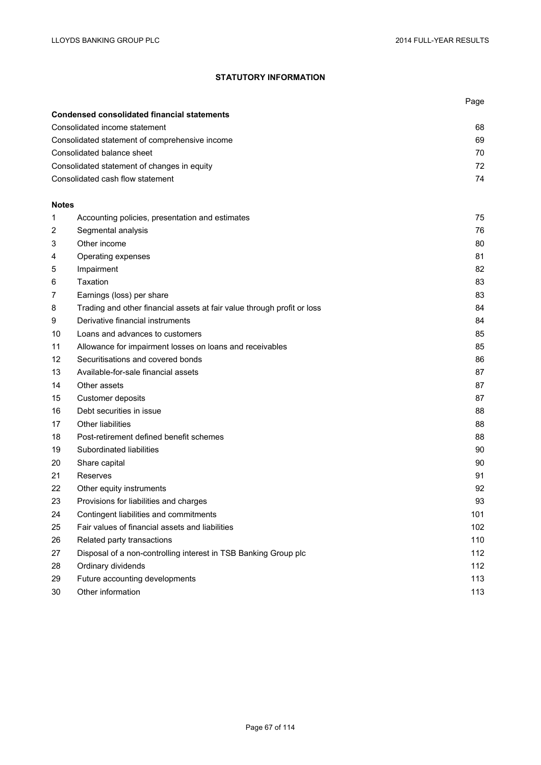## **STATUTORY INFORMATION**

|              |                                                                         | Page |
|--------------|-------------------------------------------------------------------------|------|
|              | <b>Condensed consolidated financial statements</b>                      |      |
|              | Consolidated income statement                                           | 68   |
|              | Consolidated statement of comprehensive income                          | 69   |
|              | Consolidated balance sheet                                              | 70   |
|              | Consolidated statement of changes in equity                             | 72   |
|              | Consolidated cash flow statement                                        | 74   |
|              |                                                                         |      |
| <b>Notes</b> |                                                                         |      |
| 1            | Accounting policies, presentation and estimates                         | 75   |
| 2            | Segmental analysis                                                      | 76   |
| 3            | Other income                                                            | 80   |
| 4            | Operating expenses                                                      | 81   |
| 5            | Impairment                                                              | 82   |
| 6            | Taxation                                                                | 83   |
| 7            | Earnings (loss) per share                                               | 83   |
| 8            | Trading and other financial assets at fair value through profit or loss | 84   |
| 9            | Derivative financial instruments                                        | 84   |
| 10           | Loans and advances to customers                                         | 85   |
| 11           | Allowance for impairment losses on loans and receivables                | 85   |
| 12           | Securitisations and covered bonds                                       | 86   |
| 13           | Available-for-sale financial assets                                     | 87   |
| 14           | Other assets                                                            | 87   |
| 15           | Customer deposits                                                       | 87   |
| 16           | Debt securities in issue                                                | 88   |
| 17           | <b>Other liabilities</b>                                                | 88   |
| 18           | Post-retirement defined benefit schemes                                 | 88   |
| 19           | Subordinated liabilities                                                | 90   |
| 20           | Share capital                                                           | 90   |
| 21           | Reserves                                                                | 91   |
| 22           | Other equity instruments                                                | 92   |
| 23           | Provisions for liabilities and charges                                  | 93   |
| 24           | Contingent liabilities and commitments                                  | 101  |
| 25           | Fair values of financial assets and liabilities                         | 102  |
| 26           | Related party transactions                                              | 110  |
| 27           | Disposal of a non-controlling interest in TSB Banking Group plc         | 112  |
| 28           | Ordinary dividends                                                      | 112  |
| 29           | Future accounting developments                                          | 113  |
| 30           | Other information                                                       | 113  |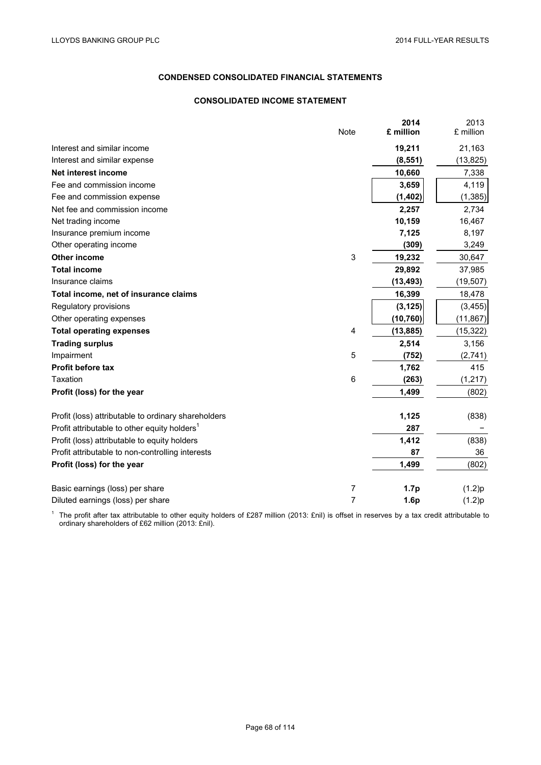## **CONDENSED CONSOLIDATED FINANCIAL STATEMENTS**

## **CONSOLIDATED INCOME STATEMENT**

|                                                          | Note | 2014<br>£ million | 2013<br>£ million |
|----------------------------------------------------------|------|-------------------|-------------------|
| Interest and similar income                              |      | 19,211            | 21,163            |
| Interest and similar expense                             |      | (8,551)           | (13, 825)         |
| Net interest income                                      |      | 10,660            | 7,338             |
| Fee and commission income                                |      | 3,659             | 4,119             |
| Fee and commission expense                               |      | (1, 402)          | (1, 385)          |
| Net fee and commission income                            |      | 2,257             | 2,734             |
| Net trading income                                       |      | 10,159            | 16,467            |
| Insurance premium income                                 |      | 7,125             | 8,197             |
| Other operating income                                   |      | (309)             | 3,249             |
| <b>Other income</b>                                      | 3    | 19,232            | 30,647            |
| <b>Total income</b>                                      |      | 29,892            | 37,985            |
| Insurance claims                                         |      | (13, 493)         | (19, 507)         |
| Total income, net of insurance claims                    |      | 16,399            | 18,478            |
| Regulatory provisions                                    |      | (3, 125)          | (3, 455)          |
| Other operating expenses                                 |      | (10, 760)         | (11, 867)         |
| <b>Total operating expenses</b>                          | 4    | (13, 885)         | (15, 322)         |
| <b>Trading surplus</b>                                   |      | 2,514             | 3,156             |
| Impairment                                               | 5    | (752)             | (2,741)           |
| <b>Profit before tax</b>                                 |      | 1,762             | 415               |
| Taxation                                                 | 6    | (263)             | (1, 217)          |
| Profit (loss) for the year                               |      | 1,499             | (802)             |
| Profit (loss) attributable to ordinary shareholders      |      | 1,125             | (838)             |
| Profit attributable to other equity holders <sup>1</sup> |      | 287               |                   |
| Profit (loss) attributable to equity holders             |      | 1,412             | (838)             |
| Profit attributable to non-controlling interests         |      | 87                | 36                |
| Profit (loss) for the year                               |      | 1,499             | (802)             |
| Basic earnings (loss) per share                          | 7    | 1.7p              | (1.2)p            |
| Diluted earnings (loss) per share                        | 7    | 1.6p              | (1.2)p            |

<sup>1</sup> The profit after tax attributable to other equity holders of £287 million (2013: £nil) is offset in reserves by a tax credit attributable to ordinary shareholders of £62 million (2013: £nil).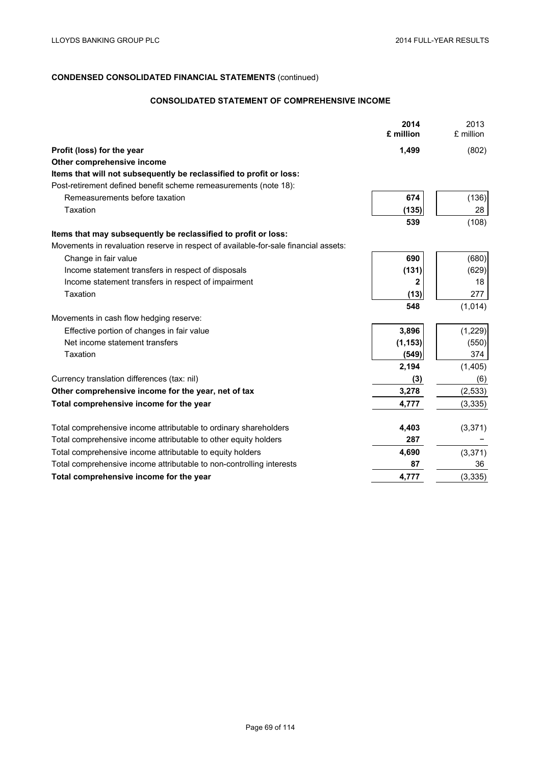## **CONDENSED CONSOLIDATED FINANCIAL STATEMENTS** (continued)

# **CONSOLIDATED STATEMENT OF COMPREHENSIVE INCOME**

|                                                                                     | 2014<br>£ million | 2013<br>£ million |
|-------------------------------------------------------------------------------------|-------------------|-------------------|
| Profit (loss) for the year                                                          | 1,499             | (802)             |
| Other comprehensive income                                                          |                   |                   |
| Items that will not subsequently be reclassified to profit or loss:                 |                   |                   |
| Post-retirement defined benefit scheme remeasurements (note 18):                    |                   |                   |
| Remeasurements before taxation                                                      | 674               | (136)             |
| Taxation                                                                            | (135)             | 28                |
|                                                                                     | 539               | (108)             |
| Items that may subsequently be reclassified to profit or loss:                      |                   |                   |
| Movements in revaluation reserve in respect of available-for-sale financial assets: |                   |                   |
| Change in fair value                                                                | 690               | (680)             |
| Income statement transfers in respect of disposals                                  | (131)             | (629)             |
| Income statement transfers in respect of impairment                                 | 2                 | 18                |
| Taxation                                                                            | (13)              | 277               |
|                                                                                     | 548               | (1,014)           |
| Movements in cash flow hedging reserve:                                             |                   |                   |
| Effective portion of changes in fair value                                          | 3,896             | (1, 229)          |
| Net income statement transfers                                                      | (1, 153)          | (550)             |
| Taxation                                                                            | (549)             | 374               |
|                                                                                     | 2,194             | (1,405)           |
| Currency translation differences (tax: nil)                                         | (3)               | (6)               |
| Other comprehensive income for the year, net of tax                                 | 3,278             | (2, 533)          |
| Total comprehensive income for the year                                             | 4,777             | (3, 335)          |
|                                                                                     |                   |                   |
| Total comprehensive income attributable to ordinary shareholders                    | 4,403             | (3, 371)          |
| Total comprehensive income attributable to other equity holders                     | 287               |                   |
| Total comprehensive income attributable to equity holders                           | 4,690             | (3, 371)          |
| Total comprehensive income attributable to non-controlling interests                | 87                | 36                |
| Total comprehensive income for the year                                             | 4,777             | (3, 335)          |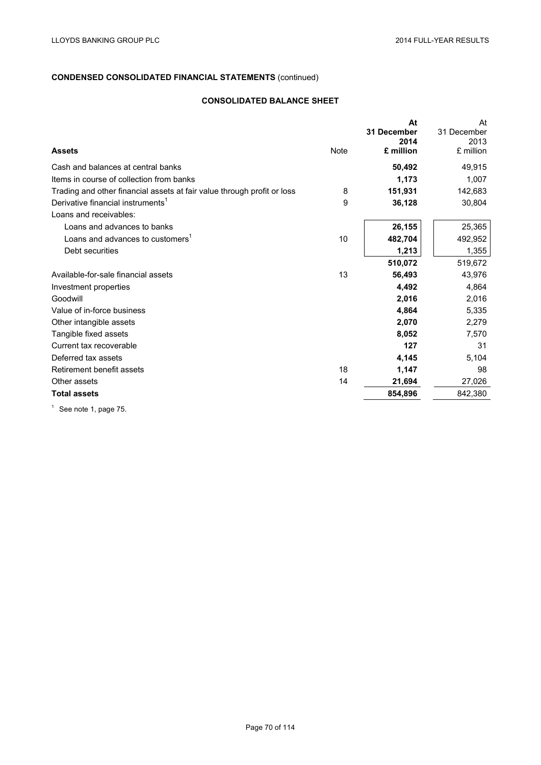# **CONSOLIDATED BALANCE SHEET**

| <b>Assets</b>                                                           | Note | At<br>31 December<br>2014<br>£ million | At<br>31 December<br>2013<br>£ million |
|-------------------------------------------------------------------------|------|----------------------------------------|----------------------------------------|
| Cash and balances at central banks                                      |      | 50,492                                 | 49,915                                 |
| Items in course of collection from banks                                |      | 1,173                                  | 1,007                                  |
| Trading and other financial assets at fair value through profit or loss | 8    | 151,931                                | 142,683                                |
| Derivative financial instruments <sup>1</sup>                           | 9    | 36,128                                 | 30,804                                 |
| Loans and receivables:                                                  |      |                                        |                                        |
| Loans and advances to banks                                             |      | 26,155                                 | 25,365                                 |
| Loans and advances to customers <sup>1</sup>                            | 10   | 482,704                                | 492,952                                |
| Debt securities                                                         |      | 1,213                                  | 1,355                                  |
|                                                                         |      | 510,072                                | 519,672                                |
| Available-for-sale financial assets                                     | 13   | 56,493                                 | 43,976                                 |
| Investment properties                                                   |      | 4,492                                  | 4,864                                  |
| Goodwill                                                                |      | 2,016                                  | 2,016                                  |
| Value of in-force business                                              |      | 4,864                                  | 5,335                                  |
| Other intangible assets                                                 |      | 2,070                                  | 2,279                                  |
| Tangible fixed assets                                                   |      | 8,052                                  | 7,570                                  |
| Current tax recoverable                                                 |      | 127                                    | 31                                     |
| Deferred tax assets                                                     |      | 4,145                                  | 5,104                                  |
| Retirement benefit assets                                               | 18   | 1,147                                  | 98                                     |
| Other assets                                                            | 14   | 21,694                                 | 27,026                                 |
| <b>Total assets</b>                                                     |      | 854,896                                | 842,380                                |
| $1$ Coongto 1 nago $75$                                                 |      |                                        |                                        |

See note 1, page 75.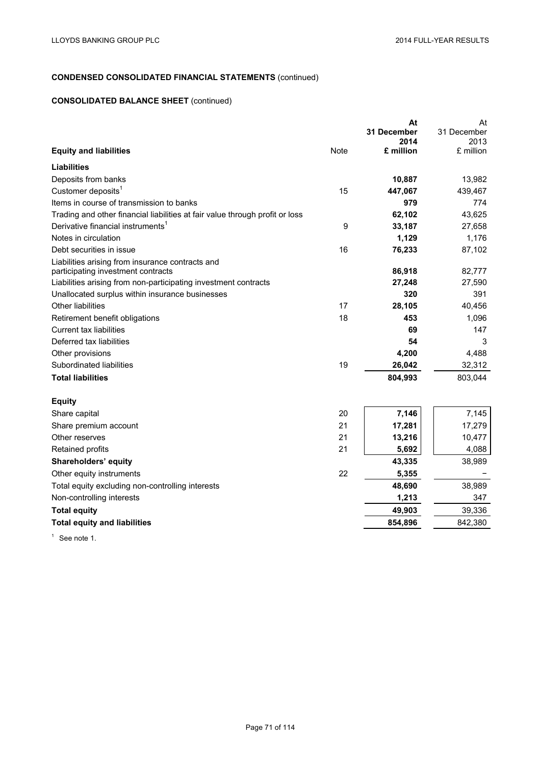# **CONSOLIDATED BALANCE SHEET** (continued)

|                                                                              |             | At                | At                |
|------------------------------------------------------------------------------|-------------|-------------------|-------------------|
|                                                                              |             | 31 December       | 31 December       |
| <b>Equity and liabilities</b>                                                | <b>Note</b> | 2014<br>£ million | 2013<br>£ million |
|                                                                              |             |                   |                   |
| Liabilities                                                                  |             |                   |                   |
| Deposits from banks                                                          |             | 10,887            | 13,982            |
| Customer deposits <sup>1</sup>                                               | 15          | 447,067           | 439,467           |
| Items in course of transmission to banks                                     |             | 979               | 774               |
| Trading and other financial liabilities at fair value through profit or loss |             | 62,102            | 43,625            |
| Derivative financial instruments <sup>1</sup>                                | 9           | 33,187            | 27,658            |
| Notes in circulation                                                         |             | 1,129             | 1,176             |
| Debt securities in issue                                                     | 16          | 76,233            | 87,102            |
| Liabilities arising from insurance contracts and                             |             |                   |                   |
| participating investment contracts                                           |             | 86,918            | 82,777            |
| Liabilities arising from non-participating investment contracts              |             | 27,248            | 27,590            |
| Unallocated surplus within insurance businesses                              |             | 320               | 391               |
| Other liabilities                                                            | 17          | 28,105            | 40,456            |
| Retirement benefit obligations                                               | 18          | 453               | 1,096             |
| <b>Current tax liabilities</b>                                               |             | 69                | 147               |
| Deferred tax liabilities                                                     |             | 54                | 3                 |
| Other provisions                                                             |             | 4,200             | 4,488             |
| Subordinated liabilities                                                     | 19          | 26,042            | 32,312            |
| <b>Total liabilities</b>                                                     |             | 804,993           | 803,044           |
| <b>Equity</b>                                                                |             |                   |                   |
| Share capital                                                                | 20          | 7,146             | 7,145             |
| Share premium account                                                        | 21          | 17,281            | 17,279            |
| Other reserves                                                               | 21          | 13,216            | 10,477            |
| Retained profits                                                             | 21          | 5,692             | 4,088             |
| Shareholders' equity                                                         |             | 43,335            | 38,989            |
| Other equity instruments                                                     | 22          | 5,355             |                   |
| Total equity excluding non-controlling interests                             |             | 48,690            | 38,989            |
| Non-controlling interests                                                    |             | 1,213             | 347               |
| <b>Total equity</b>                                                          |             | 49,903            | 39,336            |
| <b>Total equity and liabilities</b>                                          |             | 854,896           | 842,380           |
|                                                                              |             |                   |                   |

 $1$  See note 1.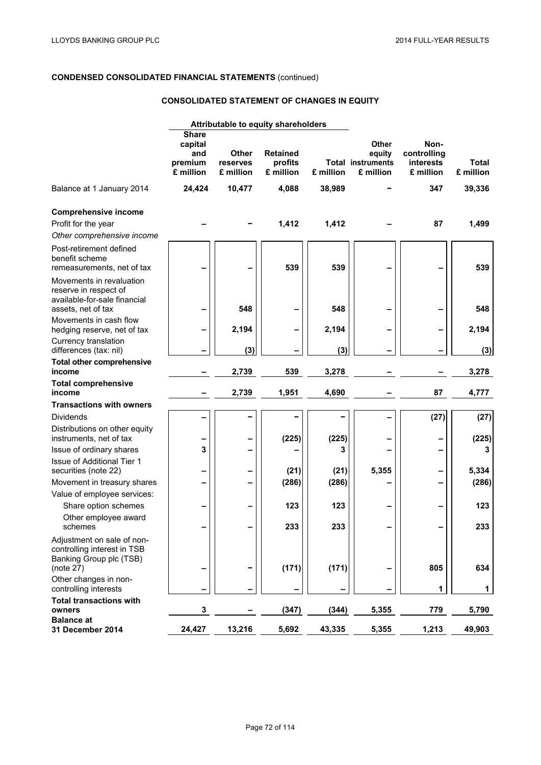# **CONSOLIDATED STATEMENT OF CHANGES IN EQUITY**

|                                                                                                         |                                                        | Attributable to equity shareholders   |                                         |           |                                                          |                                                      |                           |
|---------------------------------------------------------------------------------------------------------|--------------------------------------------------------|---------------------------------------|-----------------------------------------|-----------|----------------------------------------------------------|------------------------------------------------------|---------------------------|
|                                                                                                         | <b>Share</b><br>capital<br>and<br>premium<br>£ million | <b>Other</b><br>reserves<br>£ million | <b>Retained</b><br>profits<br>£ million | £ million | Other<br>equity<br><b>Total instruments</b><br>£ million | Non-<br>controlling<br><b>interests</b><br>£ million | <b>Total</b><br>£ million |
| Balance at 1 January 2014                                                                               | 24,424                                                 | 10,477                                | 4,088                                   | 38,989    |                                                          | 347                                                  | 39,336                    |
| <b>Comprehensive income</b><br>Profit for the year<br>Other comprehensive income                        |                                                        |                                       | 1,412                                   | 1,412     |                                                          | 87                                                   | 1,499                     |
| Post-retirement defined<br>benefit scheme<br>remeasurements, net of tax                                 |                                                        |                                       | 539                                     | 539       |                                                          |                                                      | 539                       |
| Movements in revaluation<br>reserve in respect of<br>available-for-sale financial<br>assets, net of tax |                                                        | 548                                   |                                         | 548       |                                                          |                                                      | 548                       |
| Movements in cash flow<br>hedging reserve, net of tax                                                   |                                                        | 2,194                                 |                                         | 2,194     |                                                          |                                                      | 2,194                     |
| Currency translation<br>differences (tax: nil)                                                          |                                                        | (3)                                   |                                         | (3)       |                                                          |                                                      | (3)                       |
| <b>Total other comprehensive</b><br>income                                                              |                                                        | 2,739                                 | 539                                     | 3,278     |                                                          |                                                      | 3,278                     |
| <b>Total comprehensive</b><br>income                                                                    |                                                        | 2,739                                 | 1,951                                   | 4,690     |                                                          | 87                                                   | 4,777                     |
| <b>Transactions with owners</b>                                                                         |                                                        |                                       |                                         |           |                                                          |                                                      |                           |
| <b>Dividends</b>                                                                                        |                                                        |                                       |                                         |           |                                                          | (27)                                                 | (27)                      |
| Distributions on other equity<br>instruments, net of tax                                                |                                                        |                                       | (225)                                   | (225)     |                                                          |                                                      | (225)                     |
| Issue of ordinary shares                                                                                | 3                                                      |                                       |                                         | 3         |                                                          |                                                      | 3                         |
| Issue of Additional Tier 1<br>securities (note 22)                                                      |                                                        |                                       | (21)                                    | (21)      | 5,355                                                    |                                                      | 5,334                     |
| Movement in treasury shares                                                                             |                                                        |                                       | (286)                                   | (286)     |                                                          |                                                      | (286)                     |
| Value of employee services:<br>Share option schemes                                                     |                                                        |                                       | 123                                     | 123       |                                                          |                                                      | 123                       |
| Other employee award<br>scnemes                                                                         |                                                        |                                       | 233                                     | 233       |                                                          |                                                      | 233                       |
| Adjustment on sale of non-<br>controlling interest in TSB<br>Banking Group plc (TSB)<br>(note 27)       |                                                        |                                       | (171)                                   | (171)     |                                                          | 805                                                  | 634                       |
| Other changes in non-                                                                                   |                                                        |                                       |                                         |           |                                                          |                                                      |                           |
| controlling interests                                                                                   |                                                        |                                       |                                         |           |                                                          | 1                                                    | 1                         |
| <b>Total transactions with</b><br>owners                                                                | 3                                                      |                                       | (347)                                   | (344)     | 5,355                                                    | 779                                                  | 5,790                     |
| <b>Balance at</b><br>31 December 2014                                                                   | 24,427                                                 | 13,216                                | 5,692                                   | 43,335    | 5,355                                                    | 1,213                                                | 49,903                    |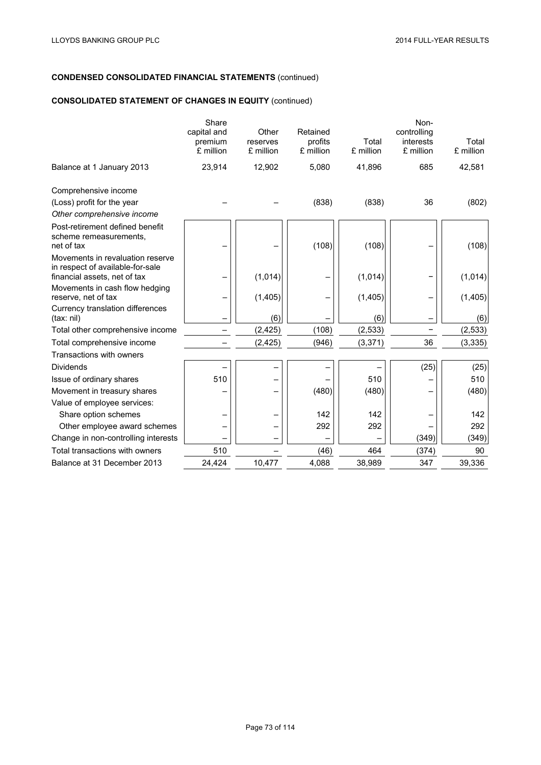# **CONSOLIDATED STATEMENT OF CHANGES IN EQUITY** (continued)

|                                                                                                      | Share<br>capital and<br>premium<br>£ million | Other<br>reserves<br>£ million | Retained<br>profits<br>£ million | Total<br>£ million | Non-<br>controlling<br>interests<br>£ million | Total<br>£ million |
|------------------------------------------------------------------------------------------------------|----------------------------------------------|--------------------------------|----------------------------------|--------------------|-----------------------------------------------|--------------------|
| Balance at 1 January 2013                                                                            | 23,914                                       | 12,902                         | 5,080                            | 41,896             | 685                                           | 42,581             |
| Comprehensive income                                                                                 |                                              |                                |                                  |                    |                                               |                    |
| (Loss) profit for the year                                                                           |                                              |                                | (838)                            | (838)              | 36                                            | (802)              |
| Other comprehensive income                                                                           |                                              |                                |                                  |                    |                                               |                    |
| Post-retirement defined benefit<br>scheme remeasurements,<br>net of tax                              |                                              |                                | (108)                            | (108)              |                                               | (108)              |
| Movements in revaluation reserve<br>in respect of available-for-sale<br>financial assets, net of tax |                                              | (1,014)                        |                                  | (1,014)            |                                               | (1,014)            |
| Movements in cash flow hedging<br>reserve, net of tax                                                |                                              | (1, 405)                       |                                  | (1, 405)           |                                               | (1, 405)           |
| Currency translation differences<br>(tax: nil)                                                       |                                              | (6)                            |                                  | (6)                |                                               | (6)                |
| Total other comprehensive income                                                                     |                                              | (2, 425)                       | (108)                            | (2, 533)           |                                               | (2, 533)           |
| Total comprehensive income                                                                           |                                              | (2, 425)                       | (946)                            | (3, 371)           | 36                                            | (3, 335)           |
| Transactions with owners                                                                             |                                              |                                |                                  |                    |                                               |                    |
| <b>Dividends</b>                                                                                     |                                              |                                |                                  |                    | (25)                                          | (25)               |
| Issue of ordinary shares                                                                             | 510                                          |                                |                                  | 510                |                                               | 510                |
| Movement in treasury shares                                                                          |                                              |                                | (480)                            | (480)              |                                               | (480)              |
| Value of employee services:                                                                          |                                              |                                |                                  |                    |                                               |                    |
| Share option schemes                                                                                 |                                              |                                | 142                              | 142                |                                               | 142                |
| Other employee award schemes                                                                         |                                              |                                | 292                              | 292                |                                               | 292                |
| Change in non-controlling interests                                                                  |                                              |                                |                                  |                    | (349)                                         | (349)              |
| Total transactions with owners                                                                       | 510                                          |                                | (46)                             | 464                | (374)                                         | 90                 |
| Balance at 31 December 2013                                                                          | 24,424                                       | 10,477                         | 4,088                            | 38,989             | 347                                           | 39,336             |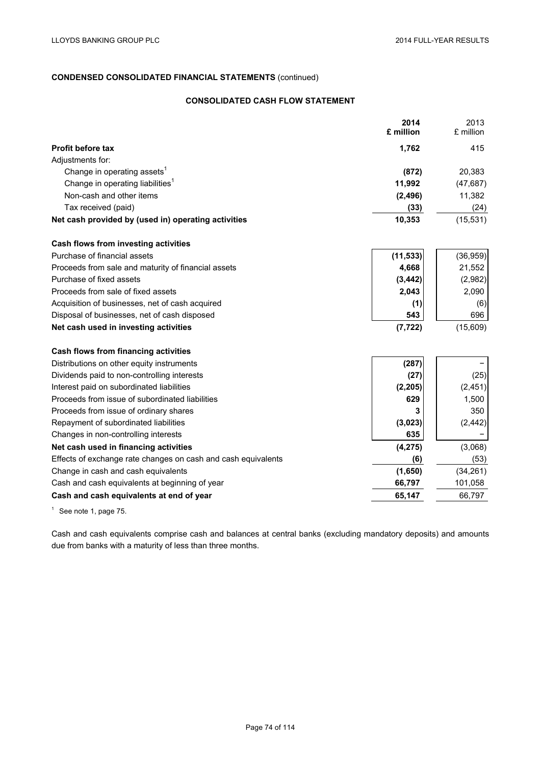# **CONSOLIDATED CASH FLOW STATEMENT**

|                                                               | 2014<br>£ million | 2013<br>£ million |
|---------------------------------------------------------------|-------------------|-------------------|
| <b>Profit before tax</b>                                      | 1,762             | 415               |
| Adjustments for:                                              |                   |                   |
| Change in operating assets <sup>1</sup>                       | (872)             | 20,383            |
| Change in operating liabilities <sup>1</sup>                  | 11,992            | (47, 687)         |
| Non-cash and other items                                      | (2, 496)          | 11,382            |
| Tax received (paid)                                           | (33)              | (24)              |
| Net cash provided by (used in) operating activities           | 10,353            | (15, 531)         |
| Cash flows from investing activities                          |                   |                   |
| Purchase of financial assets                                  | (11, 533)         | (36, 959)         |
| Proceeds from sale and maturity of financial assets           | 4,668             | 21,552            |
| Purchase of fixed assets                                      | (3, 442)          | (2,982)           |
| Proceeds from sale of fixed assets                            | 2,043             | 2,090             |
| Acquisition of businesses, net of cash acquired               | (1)               | (6)               |
| Disposal of businesses, net of cash disposed                  | 543               | 696               |
| Net cash used in investing activities                         | (7, 722)          | (15,609)          |
| Cash flows from financing activities                          |                   |                   |
| Distributions on other equity instruments                     | (287)             |                   |
| Dividends paid to non-controlling interests                   | (27)              | (25)              |
| Interest paid on subordinated liabilities                     | (2, 205)          | (2, 451)          |
| Proceeds from issue of subordinated liabilities               | 629               | 1,500             |
| Proceeds from issue of ordinary shares                        | 3                 | 350               |
| Repayment of subordinated liabilities                         | (3,023)           | (2, 442)          |
| Changes in non-controlling interests                          | 635               |                   |
| Net cash used in financing activities                         | (4, 275)          | (3,068)           |
| Effects of exchange rate changes on cash and cash equivalents | (6)               | (53)              |
| Change in cash and cash equivalents                           | (1,650)           | (34, 261)         |
| Cash and cash equivalents at beginning of year                | 66,797            | 101,058           |
| Cash and cash equivalents at end of year                      | 65,147            | 66,797            |

<sup>1</sup> See note 1, page 75.

Cash and cash equivalents comprise cash and balances at central banks (excluding mandatory deposits) and amounts due from banks with a maturity of less than three months.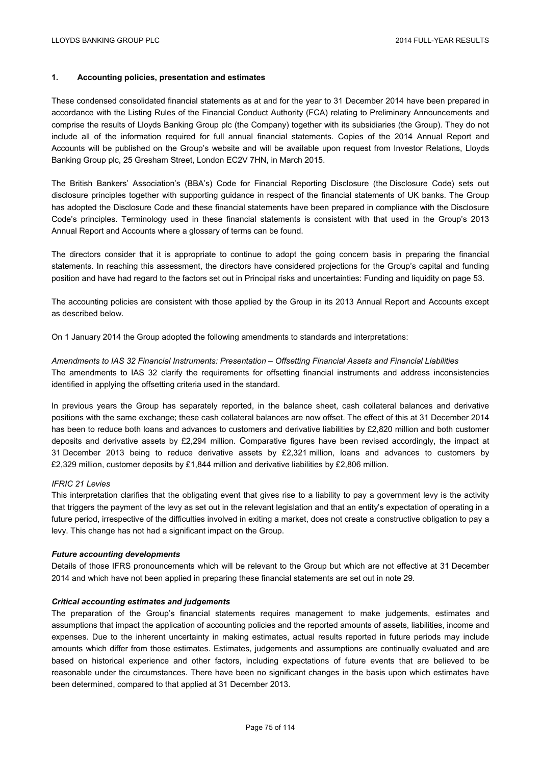## **1. Accounting policies, presentation and estimates**

These condensed consolidated financial statements as at and for the year to 31 December 2014 have been prepared in accordance with the Listing Rules of the Financial Conduct Authority (FCA) relating to Preliminary Announcements and comprise the results of Lloyds Banking Group plc (the Company) together with its subsidiaries (the Group). They do not include all of the information required for full annual financial statements. Copies of the 2014 Annual Report and Accounts will be published on the Group's website and will be available upon request from Investor Relations, Lloyds Banking Group plc, 25 Gresham Street, London EC2V 7HN, in March 2015.

The British Bankers' Association's (BBA's) Code for Financial Reporting Disclosure (the Disclosure Code) sets out disclosure principles together with supporting guidance in respect of the financial statements of UK banks. The Group has adopted the Disclosure Code and these financial statements have been prepared in compliance with the Disclosure Code's principles. Terminology used in these financial statements is consistent with that used in the Group's 2013 Annual Report and Accounts where a glossary of terms can be found.

The directors consider that it is appropriate to continue to adopt the going concern basis in preparing the financial statements. In reaching this assessment, the directors have considered projections for the Group's capital and funding position and have had regard to the factors set out in Principal risks and uncertainties: Funding and liquidity on page 53.

The accounting policies are consistent with those applied by the Group in its 2013 Annual Report and Accounts except as described below.

On 1 January 2014 the Group adopted the following amendments to standards and interpretations:

#### *Amendments to IAS 32 Financial Instruments: Presentation – Offsetting Financial Assets and Financial Liabilities*

The amendments to IAS 32 clarify the requirements for offsetting financial instruments and address inconsistencies identified in applying the offsetting criteria used in the standard.

In previous years the Group has separately reported, in the balance sheet, cash collateral balances and derivative positions with the same exchange; these cash collateral balances are now offset. The effect of this at 31 December 2014 has been to reduce both loans and advances to customers and derivative liabilities by £2,820 million and both customer deposits and derivative assets by £2,294 million. Comparative figures have been revised accordingly, the impact at 31 December 2013 being to reduce derivative assets by £2,321 million, loans and advances to customers by £2,329 million, customer deposits by £1,844 million and derivative liabilities by £2,806 million.

#### *IFRIC 21 Levies*

This interpretation clarifies that the obligating event that gives rise to a liability to pay a government levy is the activity that triggers the payment of the levy as set out in the relevant legislation and that an entity's expectation of operating in a future period, irrespective of the difficulties involved in exiting a market, does not create a constructive obligation to pay a levy. This change has not had a significant impact on the Group.

## *Future accounting developments*

Details of those IFRS pronouncements which will be relevant to the Group but which are not effective at 31 December 2014 and which have not been applied in preparing these financial statements are set out in note 29.

#### *Critical accounting estimates and judgements*

The preparation of the Group's financial statements requires management to make judgements, estimates and assumptions that impact the application of accounting policies and the reported amounts of assets, liabilities, income and expenses. Due to the inherent uncertainty in making estimates, actual results reported in future periods may include amounts which differ from those estimates. Estimates, judgements and assumptions are continually evaluated and are based on historical experience and other factors, including expectations of future events that are believed to be reasonable under the circumstances. There have been no significant changes in the basis upon which estimates have been determined, compared to that applied at 31 December 2013.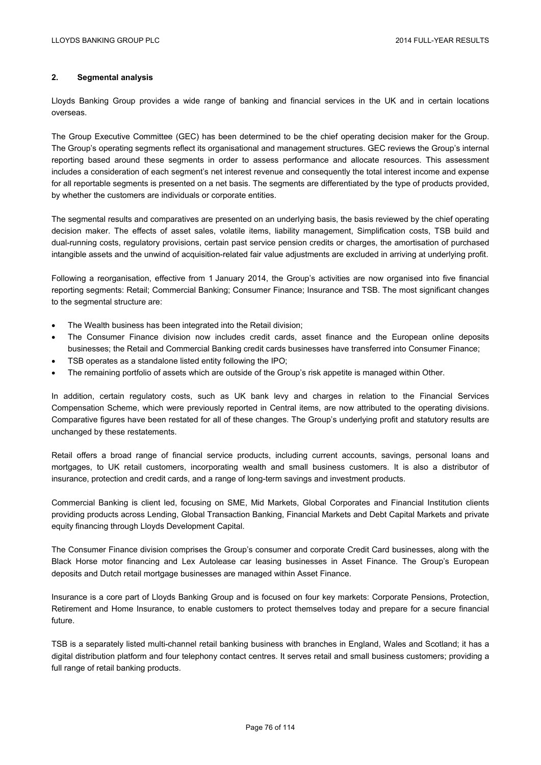## **2. Segmental analysis**

Lloyds Banking Group provides a wide range of banking and financial services in the UK and in certain locations overseas.

The Group Executive Committee (GEC) has been determined to be the chief operating decision maker for the Group. The Group's operating segments reflect its organisational and management structures. GEC reviews the Group's internal reporting based around these segments in order to assess performance and allocate resources. This assessment includes a consideration of each segment's net interest revenue and consequently the total interest income and expense for all reportable segments is presented on a net basis. The segments are differentiated by the type of products provided, by whether the customers are individuals or corporate entities.

The segmental results and comparatives are presented on an underlying basis, the basis reviewed by the chief operating decision maker. The effects of asset sales, volatile items, liability management, Simplification costs, TSB build and dual-running costs, regulatory provisions, certain past service pension credits or charges, the amortisation of purchased intangible assets and the unwind of acquisition-related fair value adjustments are excluded in arriving at underlying profit.

Following a reorganisation, effective from 1 January 2014, the Group's activities are now organised into five financial reporting segments: Retail; Commercial Banking; Consumer Finance; Insurance and TSB. The most significant changes to the segmental structure are:

- The Wealth business has been integrated into the Retail division;
- The Consumer Finance division now includes credit cards, asset finance and the European online deposits businesses; the Retail and Commercial Banking credit cards businesses have transferred into Consumer Finance;
- TSB operates as a standalone listed entity following the IPO;
- The remaining portfolio of assets which are outside of the Group's risk appetite is managed within Other.

In addition, certain regulatory costs, such as UK bank levy and charges in relation to the Financial Services Compensation Scheme, which were previously reported in Central items, are now attributed to the operating divisions. Comparative figures have been restated for all of these changes. The Group's underlying profit and statutory results are unchanged by these restatements.

Retail offers a broad range of financial service products, including current accounts, savings, personal loans and mortgages, to UK retail customers, incorporating wealth and small business customers. It is also a distributor of insurance, protection and credit cards, and a range of long-term savings and investment products.

Commercial Banking is client led, focusing on SME, Mid Markets, Global Corporates and Financial Institution clients providing products across Lending, Global Transaction Banking, Financial Markets and Debt Capital Markets and private equity financing through Lloyds Development Capital.

The Consumer Finance division comprises the Group's consumer and corporate Credit Card businesses, along with the Black Horse motor financing and Lex Autolease car leasing businesses in Asset Finance. The Group's European deposits and Dutch retail mortgage businesses are managed within Asset Finance.

Insurance is a core part of Lloyds Banking Group and is focused on four key markets: Corporate Pensions, Protection, Retirement and Home Insurance, to enable customers to protect themselves today and prepare for a secure financial future.

TSB is a separately listed multi-channel retail banking business with branches in England, Wales and Scotland; it has a digital distribution platform and four telephony contact centres. It serves retail and small business customers; providing a full range of retail banking products.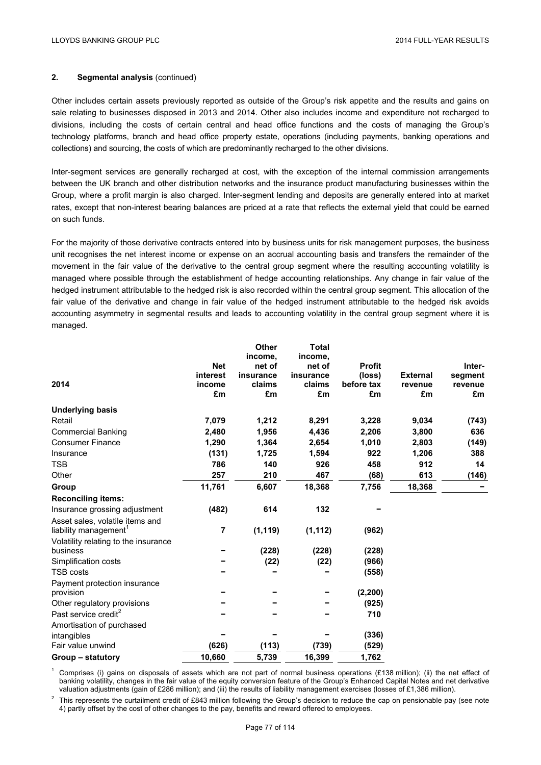## **2. Segmental analysis** (continued)

Other includes certain assets previously reported as outside of the Group's risk appetite and the results and gains on sale relating to businesses disposed in 2013 and 2014. Other also includes income and expenditure not recharged to divisions, including the costs of certain central and head office functions and the costs of managing the Group's technology platforms, branch and head office property estate, operations (including payments, banking operations and collections) and sourcing, the costs of which are predominantly recharged to the other divisions.

Inter-segment services are generally recharged at cost, with the exception of the internal commission arrangements between the UK branch and other distribution networks and the insurance product manufacturing businesses within the Group, where a profit margin is also charged. Inter-segment lending and deposits are generally entered into at market rates, except that non-interest bearing balances are priced at a rate that reflects the external yield that could be earned on such funds.

For the majority of those derivative contracts entered into by business units for risk management purposes, the business unit recognises the net interest income or expense on an accrual accounting basis and transfers the remainder of the movement in the fair value of the derivative to the central group segment where the resulting accounting volatility is managed where possible through the establishment of hedge accounting relationships. Any change in fair value of the hedged instrument attributable to the hedged risk is also recorded within the central group segment. This allocation of the fair value of the derivative and change in fair value of the hedged instrument attributable to the hedged risk avoids accounting asymmetry in segmental results and leads to accounting volatility in the central group segment where it is managed.

| 2014                                                                                                         | <b>Net</b><br>interest<br>income<br>£m | <b>Other</b><br>income,<br>net of<br>insurance<br>claims<br>£m | <b>Total</b><br>income,<br>net of<br>insurance<br>claims<br>£m | <b>Profit</b><br>(loss)<br>before tax<br>£m | <b>External</b><br>revenue<br>£m | Inter-<br>segment<br>revenue<br>£m |
|--------------------------------------------------------------------------------------------------------------|----------------------------------------|----------------------------------------------------------------|----------------------------------------------------------------|---------------------------------------------|----------------------------------|------------------------------------|
| <b>Underlying basis</b>                                                                                      |                                        |                                                                |                                                                |                                             |                                  |                                    |
| Retail                                                                                                       | 7,079                                  | 1,212                                                          | 8,291                                                          | 3,228                                       | 9,034                            | (743)                              |
| <b>Commercial Banking</b>                                                                                    | 2,480                                  | 1,956                                                          | 4,436                                                          | 2,206                                       | 3,800                            | 636                                |
| <b>Consumer Finance</b>                                                                                      | 1,290                                  | 1,364                                                          | 2,654                                                          | 1,010                                       | 2,803                            | (149)                              |
| Insurance                                                                                                    | (131)                                  | 1,725                                                          | 1,594                                                          | 922                                         | 1,206                            | 388                                |
| <b>TSB</b>                                                                                                   | 786                                    | 140                                                            | 926                                                            | 458                                         | 912                              | 14                                 |
| Other                                                                                                        | 257                                    | 210                                                            | 467                                                            | (68)                                        | 613                              | (146)                              |
| Group                                                                                                        | 11,761                                 | 6,607                                                          | 18,368                                                         | 7,756                                       | 18,368                           |                                    |
| <b>Reconciling items:</b>                                                                                    |                                        |                                                                |                                                                |                                             |                                  |                                    |
| Insurance grossing adjustment                                                                                | (482)                                  | 614                                                            | 132                                                            |                                             |                                  |                                    |
| Asset sales, volatile items and<br>liability management <sup>1</sup><br>Volatility relating to the insurance | 7                                      | (1, 119)                                                       | (1, 112)                                                       | (962)                                       |                                  |                                    |
| business                                                                                                     |                                        | (228)                                                          | (228)                                                          | (228)                                       |                                  |                                    |
| Simplification costs                                                                                         |                                        | (22)                                                           | (22)                                                           | (966)                                       |                                  |                                    |
| <b>TSB costs</b>                                                                                             |                                        |                                                                |                                                                | (558)                                       |                                  |                                    |
| Payment protection insurance<br>provision                                                                    |                                        |                                                                |                                                                | (2, 200)                                    |                                  |                                    |
| Other regulatory provisions                                                                                  |                                        |                                                                |                                                                | (925)                                       |                                  |                                    |
| Past service credit <sup>2</sup>                                                                             |                                        |                                                                |                                                                | 710                                         |                                  |                                    |
| Amortisation of purchased                                                                                    |                                        |                                                                |                                                                |                                             |                                  |                                    |
| intangibles                                                                                                  |                                        |                                                                |                                                                | (336)                                       |                                  |                                    |
| Fair value unwind                                                                                            | (626)                                  | (113)                                                          | (739)                                                          | (529)                                       |                                  |                                    |
| Group – statutory                                                                                            | 10,660                                 | 5,739                                                          | 16,399                                                         | 1,762                                       |                                  |                                    |

<sup>1</sup> Comprises (i) gains on disposals of assets which are not part of normal business operations (£138 million); (ii) the net effect of banking volatility, changes in the fair value of the equity conversion feature of the Group's Enhanced Capital Notes and net derivative valuation adjustments (gain of £286 million); and (iii) the results of liability management exercises (losses of £1,386 million).

<sup>2</sup> This represents the curtailment credit of £843 million following the Group's decision to reduce the cap on pensionable pay (see note 4) partly offset by the cost of other changes to the pay, benefits and reward offered to employees.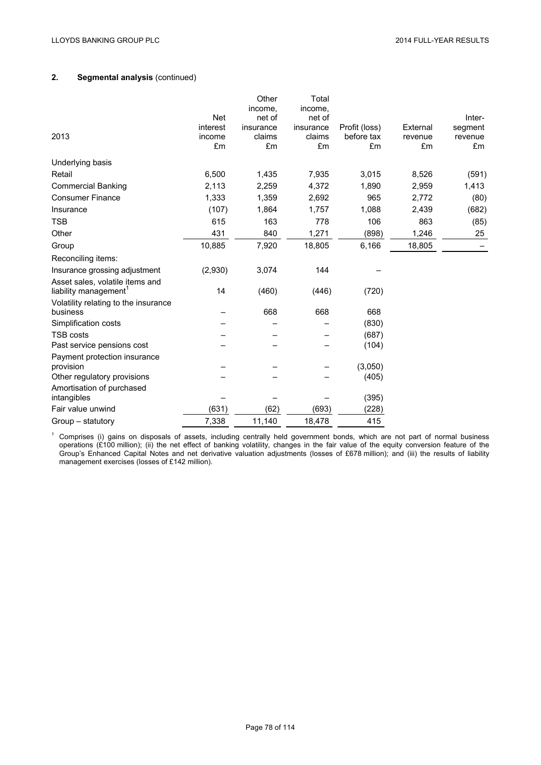# **2. Segmental analysis** (continued)

| 2013                                                                     | <b>Net</b><br>interest<br>income<br>£m | Other<br>income,<br>net of<br>insurance<br>claims<br>£m | Total<br>income.<br>net of<br>insurance<br>claims<br>£m | Profit (loss)<br>before tax<br>£m | External<br>revenue<br>£m | Inter-<br>segment<br>revenue<br>£m |
|--------------------------------------------------------------------------|----------------------------------------|---------------------------------------------------------|---------------------------------------------------------|-----------------------------------|---------------------------|------------------------------------|
| Underlying basis                                                         |                                        |                                                         |                                                         |                                   |                           |                                    |
| Retail                                                                   | 6,500                                  | 1,435                                                   | 7,935                                                   | 3,015                             | 8,526                     | (591)                              |
| <b>Commercial Banking</b>                                                | 2,113                                  | 2,259                                                   | 4,372                                                   | 1,890                             | 2,959                     | 1,413                              |
| <b>Consumer Finance</b>                                                  | 1,333                                  | 1,359                                                   | 2,692                                                   | 965                               | 2,772                     | (80)                               |
| Insurance                                                                | (107)                                  | 1,864                                                   | 1,757                                                   | 1,088                             | 2,439                     | (682)                              |
| <b>TSB</b>                                                               | 615                                    | 163                                                     | 778                                                     | 106                               | 863                       | (85)                               |
| Other                                                                    | 431                                    | 840                                                     | 1,271                                                   | (898)                             | 1,246                     | 25                                 |
| Group                                                                    | 10,885                                 | 7,920                                                   | 18,805                                                  | 6,166                             | 18,805                    |                                    |
| Reconciling items:                                                       |                                        |                                                         |                                                         |                                   |                           |                                    |
| Insurance grossing adjustment                                            | (2,930)                                | 3,074                                                   | 144                                                     |                                   |                           |                                    |
| Asset sales, volatile items and<br>liability management <sup>1</sup>     | 14                                     | (460)                                                   | (446)                                                   | (720)                             |                           |                                    |
| Volatility relating to the insurance<br>business                         |                                        | 668                                                     | 668                                                     | 668                               |                           |                                    |
| Simplification costs                                                     |                                        |                                                         |                                                         | (830)                             |                           |                                    |
| TSB costs                                                                |                                        |                                                         |                                                         | (687)                             |                           |                                    |
| Past service pensions cost                                               |                                        |                                                         |                                                         | (104)                             |                           |                                    |
| Payment protection insurance<br>provision<br>Other regulatory provisions |                                        |                                                         |                                                         | (3,050)<br>(405)                  |                           |                                    |
| Amortisation of purchased<br>intangibles                                 |                                        |                                                         |                                                         | (395)                             |                           |                                    |
| Fair value unwind                                                        | (631)                                  | (62)                                                    | (693)                                                   | (228)                             |                           |                                    |
| Group - statutory                                                        | 7,338                                  | 11,140                                                  | 18,478                                                  | 415                               |                           |                                    |

 $1$  Comprises (i) gains on disposals of assets, including centrally held government bonds, which are not part of normal business operations (£100 million); (ii) the net effect of banking volatility, changes in the fair value of the equity conversion feature of the Group's Enhanced Capital Notes and net derivative valuation adjustments (losses of £678 million); and (iii) the results of liability management exercises (losses of £142 million).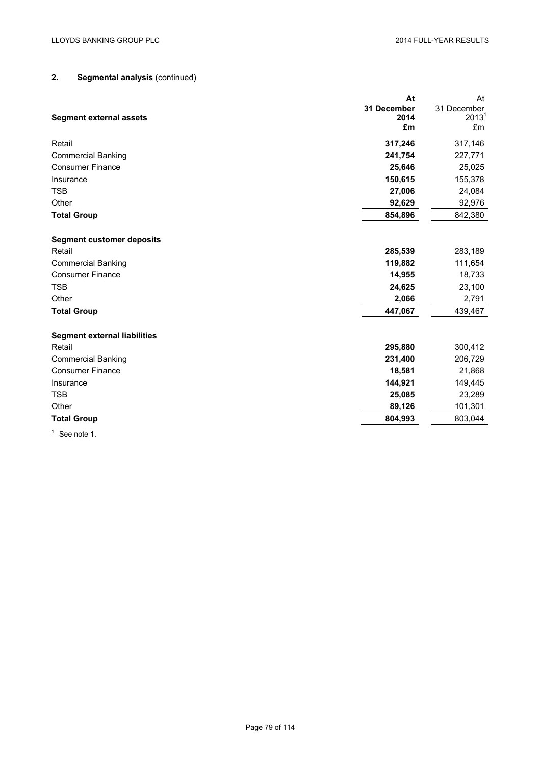# **2. Segmental analysis** (continued)

|                                     | At          | At          |
|-------------------------------------|-------------|-------------|
|                                     | 31 December | 31 December |
| <b>Segment external assets</b>      | 2014        | $2013^1$    |
|                                     | £m          | £m          |
| Retail                              | 317,246     | 317,146     |
| <b>Commercial Banking</b>           | 241,754     | 227,771     |
| <b>Consumer Finance</b>             | 25,646      | 25,025      |
| Insurance                           | 150,615     | 155,378     |
| <b>TSB</b>                          | 27,006      | 24,084      |
| Other                               | 92,629      | 92,976      |
| <b>Total Group</b>                  | 854,896     | 842,380     |
| <b>Segment customer deposits</b>    |             |             |
| Retail                              | 285,539     | 283,189     |
| <b>Commercial Banking</b>           | 119,882     | 111,654     |
| <b>Consumer Finance</b>             | 14,955      | 18,733      |
| <b>TSB</b>                          | 24,625      | 23,100      |
| Other                               | 2,066       | 2,791       |
| <b>Total Group</b>                  | 447,067     | 439,467     |
| <b>Segment external liabilities</b> |             |             |
| Retail                              | 295,880     | 300,412     |
| <b>Commercial Banking</b>           | 231,400     | 206,729     |
| <b>Consumer Finance</b>             | 18,581      | 21,868      |
| Insurance                           | 144,921     | 149,445     |
| <b>TSB</b>                          | 25,085      | 23,289      |
| Other                               | 89,126      | 101,301     |
| <b>Total Group</b>                  | 804,993     | 803,044     |
|                                     |             |             |

 $1$  See note 1.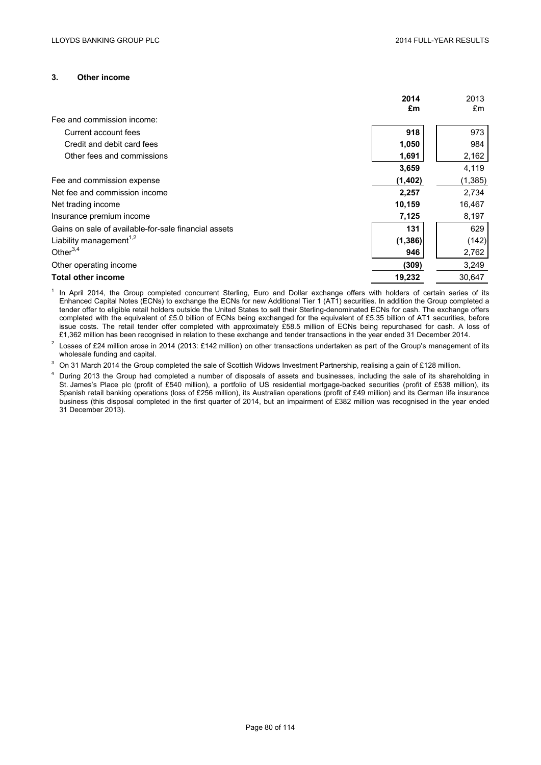### **3. Other income**

|                                                      | 2014    | 2013     |
|------------------------------------------------------|---------|----------|
|                                                      | £m      | £m       |
| Fee and commission income:                           |         |          |
| Current account fees                                 | 918     | 973      |
| Credit and debit card fees                           | 1,050   | 984      |
| Other fees and commissions                           | 1,691   | 2,162    |
|                                                      | 3,659   | 4,119    |
| Fee and commission expense                           | (1,402) | (1, 385) |
| Net fee and commission income                        | 2,257   | 2,734    |
| Net trading income                                   | 10,159  | 16,467   |
| Insurance premium income                             | 7,125   | 8,197    |
| Gains on sale of available-for-sale financial assets | 131     | 629      |
| Liability management <sup>1,2</sup>                  | (1,386) | (142)    |
| Other $3,4$                                          | 946     | 2,762    |
| Other operating income                               | (309)   | 3,249    |
| <b>Total other income</b>                            | 19,232  | 30,647   |

In April 2014, the Group completed concurrent Sterling, Euro and Dollar exchange offers with holders of certain series of its Enhanced Capital Notes (ECNs) to exchange the ECNs for new Additional Tier 1 (AT1) securities. In addition the Group completed a tender offer to eligible retail holders outside the United States to sell their Sterling-denominated ECNs for cash. The exchange offers completed with the equivalent of £5.0 billion of ECNs being exchanged for the equivalent of £5.35 billion of AT1 securities, before issue costs. The retail tender offer completed with approximately £58.5 million of ECNs being repurchased for cash. A loss of £1,362 million has been recognised in relation to these exchange and tender transactions in the year ended 31 December 2014.

 $2$  Losses of £24 million arose in 2014 (2013: £142 million) on other transactions undertaken as part of the Group's management of its wholesale funding and capital.

 $3$  On 31 March 2014 the Group completed the sale of Scottish Widows Investment Partnership, realising a gain of £128 million.

<sup>4</sup> During 2013 the Group had completed a number of disposals of assets and businesses, including the sale of its shareholding in St. James's Place plc (profit of £540 million), a portfolio of US residential mortgage-backed securities (profit of £538 million), its Spanish retail banking operations (loss of £256 million), its Australian operations (profit of £49 million) and its German life insurance business (this disposal completed in the first quarter of 2014, but an impairment of £382 million was recognised in the year ended 31 December 2013).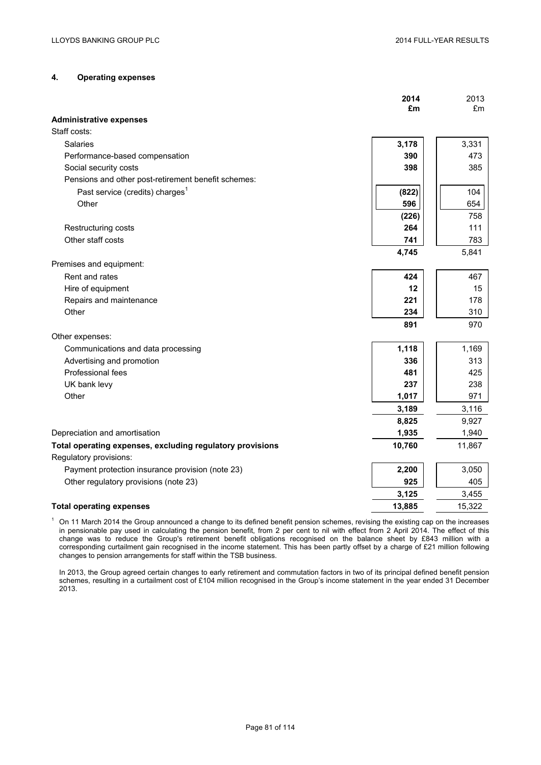## **4. Operating expenses**

| <b>Administrative expenses</b><br>Staff costs:<br>3,331<br><b>Salaries</b><br>3,178<br>473<br>390<br>Performance-based compensation<br>398<br>385<br>Social security costs<br>Pensions and other post-retirement benefit schemes:<br>Past service (credits) charges <sup>1</sup><br>(822)<br>104<br>596<br>Other<br>654<br>(226)<br>758<br>264<br>111<br>Restructuring costs<br>Other staff costs<br>783<br>741<br>5,841<br>4,745<br>Premises and equipment:<br>Rent and rates<br>424<br>467<br>12<br>Hire of equipment<br>15<br>221<br>178<br>Repairs and maintenance<br>Other<br>234<br>310<br>891<br>970<br>1,118<br>1,169<br>Communications and data processing<br>313<br>Advertising and promotion<br>336<br>Professional fees<br>481<br>425<br>237<br>238<br>UK bank levy<br>Other<br>971<br>1,017<br>3,116<br>3,189<br>8,825<br>9,927<br>1,935<br>1,940<br>Depreciation and amortisation<br>10,760<br>11,867<br>Total operating expenses, excluding regulatory provisions<br>Regulatory provisions:<br>Payment protection insurance provision (note 23)<br>3,050<br>2,200<br>925<br>405<br>Other regulatory provisions (note 23)<br>3,125<br>3,455<br><b>Total operating expenses</b><br>13,885<br>15,322 |                 | 2014 | 2013 |
|------------------------------------------------------------------------------------------------------------------------------------------------------------------------------------------------------------------------------------------------------------------------------------------------------------------------------------------------------------------------------------------------------------------------------------------------------------------------------------------------------------------------------------------------------------------------------------------------------------------------------------------------------------------------------------------------------------------------------------------------------------------------------------------------------------------------------------------------------------------------------------------------------------------------------------------------------------------------------------------------------------------------------------------------------------------------------------------------------------------------------------------------------------------------------------------------------------------|-----------------|------|------|
|                                                                                                                                                                                                                                                                                                                                                                                                                                                                                                                                                                                                                                                                                                                                                                                                                                                                                                                                                                                                                                                                                                                                                                                                                  |                 | £m   | £m   |
|                                                                                                                                                                                                                                                                                                                                                                                                                                                                                                                                                                                                                                                                                                                                                                                                                                                                                                                                                                                                                                                                                                                                                                                                                  |                 |      |      |
|                                                                                                                                                                                                                                                                                                                                                                                                                                                                                                                                                                                                                                                                                                                                                                                                                                                                                                                                                                                                                                                                                                                                                                                                                  |                 |      |      |
|                                                                                                                                                                                                                                                                                                                                                                                                                                                                                                                                                                                                                                                                                                                                                                                                                                                                                                                                                                                                                                                                                                                                                                                                                  |                 |      |      |
|                                                                                                                                                                                                                                                                                                                                                                                                                                                                                                                                                                                                                                                                                                                                                                                                                                                                                                                                                                                                                                                                                                                                                                                                                  |                 |      |      |
|                                                                                                                                                                                                                                                                                                                                                                                                                                                                                                                                                                                                                                                                                                                                                                                                                                                                                                                                                                                                                                                                                                                                                                                                                  |                 |      |      |
|                                                                                                                                                                                                                                                                                                                                                                                                                                                                                                                                                                                                                                                                                                                                                                                                                                                                                                                                                                                                                                                                                                                                                                                                                  |                 |      |      |
|                                                                                                                                                                                                                                                                                                                                                                                                                                                                                                                                                                                                                                                                                                                                                                                                                                                                                                                                                                                                                                                                                                                                                                                                                  |                 |      |      |
|                                                                                                                                                                                                                                                                                                                                                                                                                                                                                                                                                                                                                                                                                                                                                                                                                                                                                                                                                                                                                                                                                                                                                                                                                  |                 |      |      |
|                                                                                                                                                                                                                                                                                                                                                                                                                                                                                                                                                                                                                                                                                                                                                                                                                                                                                                                                                                                                                                                                                                                                                                                                                  |                 |      |      |
|                                                                                                                                                                                                                                                                                                                                                                                                                                                                                                                                                                                                                                                                                                                                                                                                                                                                                                                                                                                                                                                                                                                                                                                                                  |                 |      |      |
|                                                                                                                                                                                                                                                                                                                                                                                                                                                                                                                                                                                                                                                                                                                                                                                                                                                                                                                                                                                                                                                                                                                                                                                                                  |                 |      |      |
|                                                                                                                                                                                                                                                                                                                                                                                                                                                                                                                                                                                                                                                                                                                                                                                                                                                                                                                                                                                                                                                                                                                                                                                                                  |                 |      |      |
|                                                                                                                                                                                                                                                                                                                                                                                                                                                                                                                                                                                                                                                                                                                                                                                                                                                                                                                                                                                                                                                                                                                                                                                                                  |                 |      |      |
|                                                                                                                                                                                                                                                                                                                                                                                                                                                                                                                                                                                                                                                                                                                                                                                                                                                                                                                                                                                                                                                                                                                                                                                                                  |                 |      |      |
|                                                                                                                                                                                                                                                                                                                                                                                                                                                                                                                                                                                                                                                                                                                                                                                                                                                                                                                                                                                                                                                                                                                                                                                                                  |                 |      |      |
|                                                                                                                                                                                                                                                                                                                                                                                                                                                                                                                                                                                                                                                                                                                                                                                                                                                                                                                                                                                                                                                                                                                                                                                                                  |                 |      |      |
|                                                                                                                                                                                                                                                                                                                                                                                                                                                                                                                                                                                                                                                                                                                                                                                                                                                                                                                                                                                                                                                                                                                                                                                                                  |                 |      |      |
|                                                                                                                                                                                                                                                                                                                                                                                                                                                                                                                                                                                                                                                                                                                                                                                                                                                                                                                                                                                                                                                                                                                                                                                                                  |                 |      |      |
|                                                                                                                                                                                                                                                                                                                                                                                                                                                                                                                                                                                                                                                                                                                                                                                                                                                                                                                                                                                                                                                                                                                                                                                                                  | Other expenses: |      |      |
|                                                                                                                                                                                                                                                                                                                                                                                                                                                                                                                                                                                                                                                                                                                                                                                                                                                                                                                                                                                                                                                                                                                                                                                                                  |                 |      |      |
|                                                                                                                                                                                                                                                                                                                                                                                                                                                                                                                                                                                                                                                                                                                                                                                                                                                                                                                                                                                                                                                                                                                                                                                                                  |                 |      |      |
|                                                                                                                                                                                                                                                                                                                                                                                                                                                                                                                                                                                                                                                                                                                                                                                                                                                                                                                                                                                                                                                                                                                                                                                                                  |                 |      |      |
|                                                                                                                                                                                                                                                                                                                                                                                                                                                                                                                                                                                                                                                                                                                                                                                                                                                                                                                                                                                                                                                                                                                                                                                                                  |                 |      |      |
|                                                                                                                                                                                                                                                                                                                                                                                                                                                                                                                                                                                                                                                                                                                                                                                                                                                                                                                                                                                                                                                                                                                                                                                                                  |                 |      |      |
|                                                                                                                                                                                                                                                                                                                                                                                                                                                                                                                                                                                                                                                                                                                                                                                                                                                                                                                                                                                                                                                                                                                                                                                                                  |                 |      |      |
|                                                                                                                                                                                                                                                                                                                                                                                                                                                                                                                                                                                                                                                                                                                                                                                                                                                                                                                                                                                                                                                                                                                                                                                                                  |                 |      |      |
|                                                                                                                                                                                                                                                                                                                                                                                                                                                                                                                                                                                                                                                                                                                                                                                                                                                                                                                                                                                                                                                                                                                                                                                                                  |                 |      |      |
|                                                                                                                                                                                                                                                                                                                                                                                                                                                                                                                                                                                                                                                                                                                                                                                                                                                                                                                                                                                                                                                                                                                                                                                                                  |                 |      |      |
|                                                                                                                                                                                                                                                                                                                                                                                                                                                                                                                                                                                                                                                                                                                                                                                                                                                                                                                                                                                                                                                                                                                                                                                                                  |                 |      |      |
|                                                                                                                                                                                                                                                                                                                                                                                                                                                                                                                                                                                                                                                                                                                                                                                                                                                                                                                                                                                                                                                                                                                                                                                                                  |                 |      |      |
|                                                                                                                                                                                                                                                                                                                                                                                                                                                                                                                                                                                                                                                                                                                                                                                                                                                                                                                                                                                                                                                                                                                                                                                                                  |                 |      |      |
|                                                                                                                                                                                                                                                                                                                                                                                                                                                                                                                                                                                                                                                                                                                                                                                                                                                                                                                                                                                                                                                                                                                                                                                                                  |                 |      |      |
|                                                                                                                                                                                                                                                                                                                                                                                                                                                                                                                                                                                                                                                                                                                                                                                                                                                                                                                                                                                                                                                                                                                                                                                                                  |                 |      |      |

 $1$  On 11 March 2014 the Group announced a change to its defined benefit pension schemes, revising the existing cap on the increases in pensionable pay used in calculating the pension benefit, from 2 per cent to nil with effect from 2 April 2014. The effect of this change was to reduce the Group's retirement benefit obligations recognised on the balance sheet by £843 million with a corresponding curtailment gain recognised in the income statement. This has been partly offset by a charge of £21 million following changes to pension arrangements for staff within the TSB business.

In 2013, the Group agreed certain changes to early retirement and commutation factors in two of its principal defined benefit pension schemes, resulting in a curtailment cost of £104 million recognised in the Group's income statement in the year ended 31 December 2013.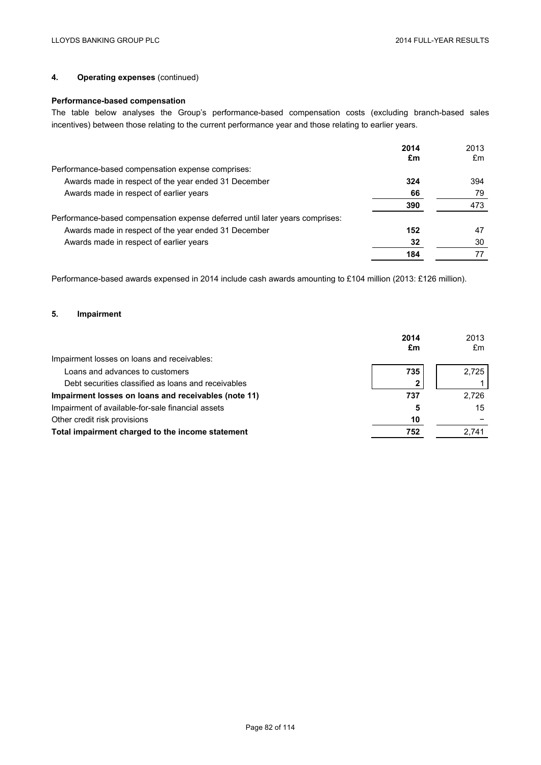# **4. Operating expenses** (continued)

# **Performance-based compensation**

The table below analyses the Group's performance-based compensation costs (excluding branch-based sales incentives) between those relating to the current performance year and those relating to earlier years.

|                                                                              | 2014 | 2013 |
|------------------------------------------------------------------------------|------|------|
|                                                                              | £m   | £m   |
| Performance-based compensation expense comprises:                            |      |      |
| Awards made in respect of the year ended 31 December                         | 324  | 394  |
| Awards made in respect of earlier years                                      | 66   | 79   |
|                                                                              | 390  | 473  |
| Performance-based compensation expense deferred until later years comprises: |      |      |
| Awards made in respect of the year ended 31 December                         | 152  | 47   |
| Awards made in respect of earlier years                                      | 32   | 30   |
|                                                                              | 184  |      |

Performance-based awards expensed in 2014 include cash awards amounting to £104 million (2013: £126 million).

## **5. Impairment**

|                                                      | 2014 | 2013  |
|------------------------------------------------------|------|-------|
|                                                      | £m   | £m    |
| Impairment losses on loans and receivables:          |      |       |
| Loans and advances to customers                      | 735  | 2.725 |
| Debt securities classified as loans and receivables  |      |       |
| Impairment losses on loans and receivables (note 11) | 737  | 2.726 |
| Impairment of available-for-sale financial assets    | 5    | 15    |
| Other credit risk provisions                         | 10   |       |
| Total impairment charged to the income statement     | 752  | 2.741 |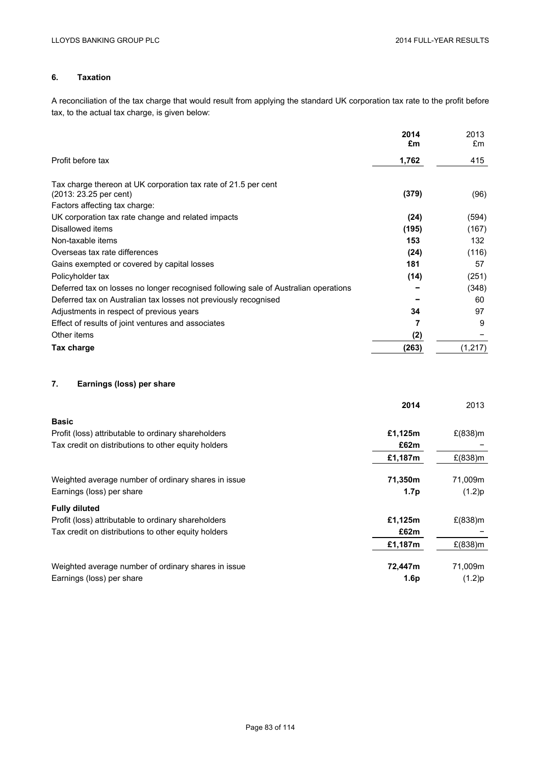# **6. Taxation**

A reconciliation of the tax charge that would result from applying the standard UK corporation tax rate to the profit before tax, to the actual tax charge, is given below:

|                                                                                     | 2014<br>£m | 2013<br>£m |
|-------------------------------------------------------------------------------------|------------|------------|
| Profit before tax                                                                   | 1,762      | 415        |
|                                                                                     |            |            |
| Tax charge thereon at UK corporation tax rate of 21.5 per cent                      |            |            |
| (2013: 23.25 per cent)                                                              | (379)      | (96)       |
| Factors affecting tax charge:                                                       |            |            |
| UK corporation tax rate change and related impacts                                  | (24)       | (594)      |
| Disallowed items                                                                    | (195)      | (167)      |
| Non-taxable items                                                                   | 153        | 132        |
| Overseas tax rate differences                                                       | (24)       | (116)      |
| Gains exempted or covered by capital losses                                         | 181        | 57         |
| Policyholder tax                                                                    | (14)       | (251)      |
| Deferred tax on losses no longer recognised following sale of Australian operations |            | (348)      |
| Deferred tax on Australian tax losses not previously recognised                     |            | 60         |
| Adjustments in respect of previous years                                            | 34         | 97         |
| Effect of results of joint ventures and associates                                  |            | 9          |
| Other items                                                                         | (2)        |            |
| Tax charge                                                                          | (263)      | (1, 217)   |

# **7. Earnings (loss) per share**

|                                                                                  | 2014            | 2013              |
|----------------------------------------------------------------------------------|-----------------|-------------------|
| <b>Basic</b>                                                                     |                 |                   |
| Profit (loss) attributable to ordinary shareholders                              | £1,125m         | $£(838)$ m        |
| Tax credit on distributions to other equity holders                              | £62m            |                   |
|                                                                                  | £1,187m         | $£(838)$ m        |
| Weighted average number of ordinary shares in issue<br>Earnings (loss) per share | 71,350m<br>1.7p | 71,009m<br>(1.2)p |
| <b>Fully diluted</b>                                                             |                 |                   |
| Profit (loss) attributable to ordinary shareholders                              | £1,125m         | $£(838)$ m        |
| Tax credit on distributions to other equity holders                              | £62m<br>£1,187m | $£(838)$ m        |
| Weighted average number of ordinary shares in issue                              | 72,447m         | 71,009m           |
| Earnings (loss) per share                                                        | 1.6p            | (1.2)p            |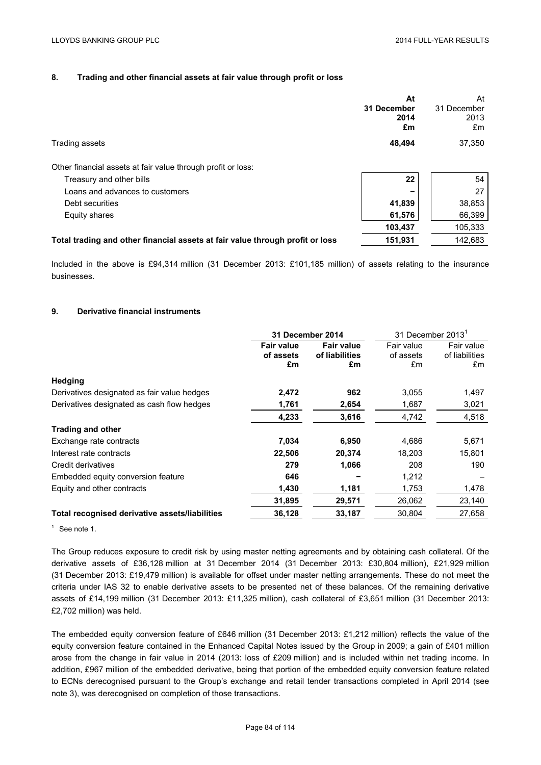### **8. Trading and other financial assets at fair value through profit or loss**

|                                                                               | At<br>31 December<br>2014<br>£m | At<br>31 December<br>2013<br>£m |
|-------------------------------------------------------------------------------|---------------------------------|---------------------------------|
| Trading assets                                                                | 48,494                          | 37,350                          |
| Other financial assets at fair value through profit or loss:                  |                                 |                                 |
| Treasury and other bills                                                      | 22                              | 54                              |
| Loans and advances to customers                                               |                                 | 27                              |
| Debt securities                                                               | 41,839                          | 38,853                          |
| Equity shares                                                                 | 61,576                          | 66,399                          |
|                                                                               | 103,437                         | 105,333                         |
| Total trading and other financial assets at fair value through profit or loss | 151,931                         | 142,683                         |

Included in the above is £94,314 million (31 December 2013: £101,185 million) of assets relating to the insurance businesses.

### **9. Derivative financial instruments**

|                                                | 31 December 2014               |                                     |                         | 31 December $20131$          |  |
|------------------------------------------------|--------------------------------|-------------------------------------|-------------------------|------------------------------|--|
|                                                | <b>Fair value</b><br>of assets | <b>Fair value</b><br>of liabilities | Fair value<br>of assets | Fair value<br>of liabilities |  |
|                                                | £m                             | £m                                  | £m                      | £m                           |  |
| Hedging                                        |                                |                                     |                         |                              |  |
| Derivatives designated as fair value hedges    | 2,472                          | 962                                 | 3,055                   | 1,497                        |  |
| Derivatives designated as cash flow hedges     | 1,761                          | 2,654                               | 1,687                   | 3,021                        |  |
|                                                | 4,233                          | 3,616                               | 4,742                   | 4,518                        |  |
| <b>Trading and other</b>                       |                                |                                     |                         |                              |  |
| Exchange rate contracts                        | 7,034                          | 6,950                               | 4,686                   | 5,671                        |  |
| Interest rate contracts                        | 22,506                         | 20,374                              | 18,203                  | 15,801                       |  |
| Credit derivatives                             | 279                            | 1,066                               | 208                     | 190                          |  |
| Embedded equity conversion feature             | 646                            |                                     | 1,212                   |                              |  |
| Equity and other contracts                     | 1,430                          | 1,181                               | 1,753                   | 1,478                        |  |
|                                                | 31,895                         | 29,571                              | 26,062                  | 23,140                       |  |
| Total recognised derivative assets/liabilities | 36,128                         | 33,187                              | 30,804                  | 27,658                       |  |

 $1$  See note 1.

The Group reduces exposure to credit risk by using master netting agreements and by obtaining cash collateral. Of the derivative assets of £36,128 million at 31 December 2014 (31 December 2013: £30,804 million), £21,929 million (31 December 2013: £19,479 million) is available for offset under master netting arrangements. These do not meet the criteria under IAS 32 to enable derivative assets to be presented net of these balances. Of the remaining derivative assets of £14,199 million (31 December 2013: £11,325 million), cash collateral of £3,651 million (31 December 2013: £2,702 million) was held.

The embedded equity conversion feature of £646 million (31 December 2013: £1,212 million) reflects the value of the equity conversion feature contained in the Enhanced Capital Notes issued by the Group in 2009; a gain of £401 million arose from the change in fair value in 2014 (2013: loss of £209 million) and is included within net trading income. In addition, £967 million of the embedded derivative, being that portion of the embedded equity conversion feature related to ECNs derecognised pursuant to the Group's exchange and retail tender transactions completed in April 2014 (see note 3), was derecognised on completion of those transactions.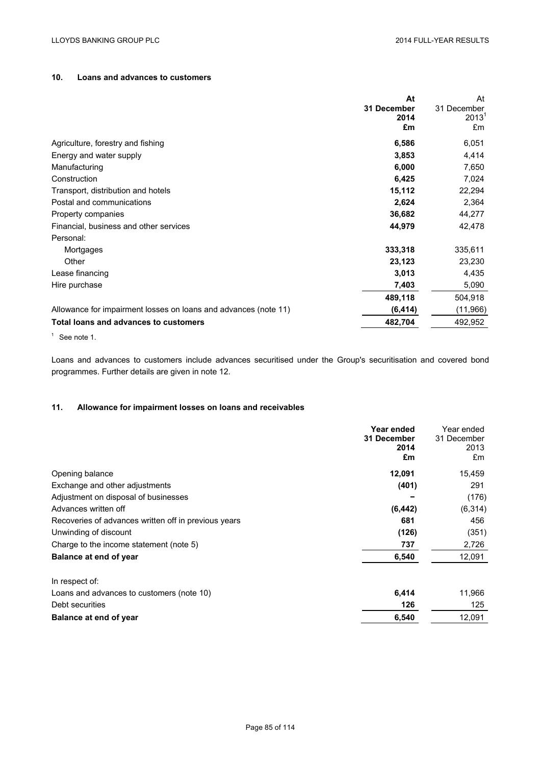## **10. Loans and advances to customers**

|                                                                 | At          | At                |
|-----------------------------------------------------------------|-------------|-------------------|
|                                                                 | 31 December | 31 December       |
|                                                                 | 2014        | 2013 <sup>1</sup> |
|                                                                 | £m          | £m                |
| Agriculture, forestry and fishing                               | 6,586       | 6,051             |
| Energy and water supply                                         | 3,853       | 4,414             |
| Manufacturing                                                   | 6,000       | 7,650             |
| Construction                                                    | 6,425       | 7,024             |
| Transport, distribution and hotels                              | 15,112      | 22,294            |
| Postal and communications                                       | 2,624       | 2,364             |
| Property companies                                              | 36,682      | 44,277            |
| Financial, business and other services                          | 44,979      | 42,478            |
| Personal:                                                       |             |                   |
| Mortgages                                                       | 333,318     | 335,611           |
| Other                                                           | 23,123      | 23,230            |
| Lease financing                                                 | 3,013       | 4,435             |
| Hire purchase                                                   | 7,403       | 5,090             |
|                                                                 | 489,118     | 504,918           |
| Allowance for impairment losses on loans and advances (note 11) | (6, 414)    | (11, 966)         |
| Total loans and advances to customers                           | 482,704     | 492,952           |
|                                                                 |             |                   |

 $1$  See note 1.

Loans and advances to customers include advances securitised under the Group's securitisation and covered bond programmes. Further details are given in note 12.

# **11. Allowance for impairment losses on loans and receivables**

|                                                      | Year ended<br>31 December<br>2014<br>£m | Year ended<br>31 December<br>2013<br>£m |
|------------------------------------------------------|-----------------------------------------|-----------------------------------------|
| Opening balance                                      | 12,091                                  | 15,459                                  |
| Exchange and other adjustments                       | (401)                                   | 291                                     |
| Adjustment on disposal of businesses                 |                                         | (176)                                   |
| Advances written off                                 | (6, 442)                                | (6, 314)                                |
| Recoveries of advances written off in previous years | 681                                     | 456                                     |
| Unwinding of discount                                | (126)                                   | (351)                                   |
| Charge to the income statement (note 5)              | 737                                     | 2,726                                   |
| Balance at end of year                               | 6,540                                   | 12,091                                  |
| In respect of:                                       |                                         |                                         |
| Loans and advances to customers (note 10)            | 6,414                                   | 11,966                                  |
| Debt securities                                      | 126                                     | 125                                     |
| Balance at end of year                               | 6,540                                   | 12,091                                  |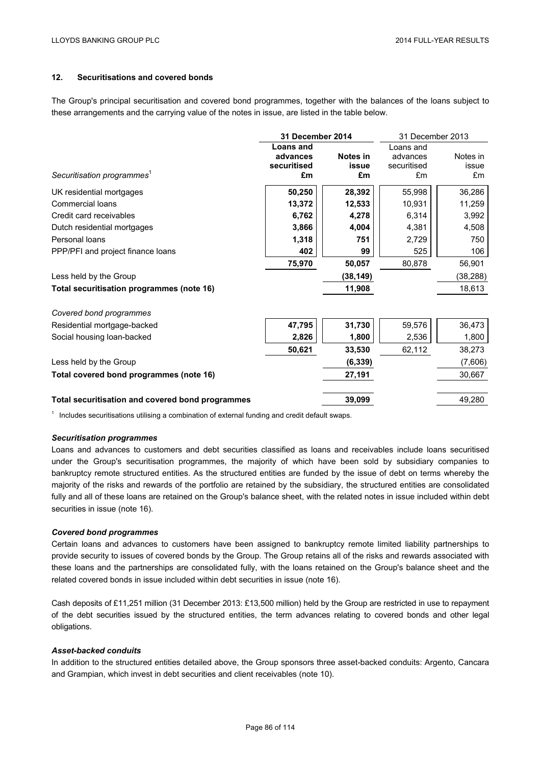## **12. Securitisations and covered bonds**

The Group's principal securitisation and covered bond programmes, together with the balances of the loans subject to these arrangements and the carrying value of the notes in issue, are listed in the table below.

|                                                  | 31 December 2014 |           |             | 31 December 2013 |  |
|--------------------------------------------------|------------------|-----------|-------------|------------------|--|
|                                                  | <b>Loans and</b> |           | Loans and   |                  |  |
|                                                  | advances         | Notes in  | advances    | Notes in         |  |
|                                                  | securitised      | issue     | securitised | issue            |  |
| Securitisation programmes <sup>1</sup>           | £m               | £m        | £m          | £m               |  |
| UK residential mortgages                         | 50,250           | 28,392    | 55,998      | 36,286           |  |
| Commercial loans                                 | 13,372           | 12,533    | 10,931      | 11,259           |  |
| Credit card receivables                          | 6,762            | 4,278     | 6,314       | 3,992            |  |
| Dutch residential mortgages                      | 3,866            | 4,004     | 4,381       | 4,508            |  |
| Personal loans                                   | 1,318            | 751       | 2,729       | 750              |  |
| PPP/PFI and project finance loans                | 402              | 99        | 525         | 106              |  |
|                                                  | 75,970           | 50,057    | 80,878      | 56,901           |  |
| Less held by the Group                           |                  | (38, 149) |             | (38, 288)        |  |
| Total securitisation programmes (note 16)        |                  | 11,908    |             | 18,613           |  |
| Covered bond programmes                          |                  |           |             |                  |  |
| Residential mortgage-backed                      | 47,795           | 31,730    | 59,576      | 36,473           |  |
| Social housing loan-backed                       | 2,826            | 1,800     | 2,536       | 1,800            |  |
|                                                  | 50,621           | 33,530    | 62,112      | 38,273           |  |
| Less held by the Group                           |                  | (6, 339)  |             | (7,606)          |  |
| Total covered bond programmes (note 16)          |                  | 27,191    |             | 30,667           |  |
|                                                  |                  |           |             |                  |  |
| Total securitisation and covered bond programmes |                  | 39,099    |             | 49,280           |  |

 $<sup>1</sup>$  Includes securitisations utilising a combination of external funding and credit default swaps.</sup>

#### *Securitisation programmes*

Loans and advances to customers and debt securities classified as loans and receivables include loans securitised under the Group's securitisation programmes, the majority of which have been sold by subsidiary companies to bankruptcy remote structured entities. As the structured entities are funded by the issue of debt on terms whereby the majority of the risks and rewards of the portfolio are retained by the subsidiary, the structured entities are consolidated fully and all of these loans are retained on the Group's balance sheet, with the related notes in issue included within debt securities in issue (note 16).

#### *Covered bond programmes*

Certain loans and advances to customers have been assigned to bankruptcy remote limited liability partnerships to provide security to issues of covered bonds by the Group. The Group retains all of the risks and rewards associated with these loans and the partnerships are consolidated fully, with the loans retained on the Group's balance sheet and the related covered bonds in issue included within debt securities in issue (note 16).

Cash deposits of £11,251 million (31 December 2013: £13,500 million) held by the Group are restricted in use to repayment of the debt securities issued by the structured entities, the term advances relating to covered bonds and other legal obligations.

### *Asset-backed conduits*

In addition to the structured entities detailed above, the Group sponsors three asset-backed conduits: Argento, Cancara and Grampian, which invest in debt securities and client receivables (note 10).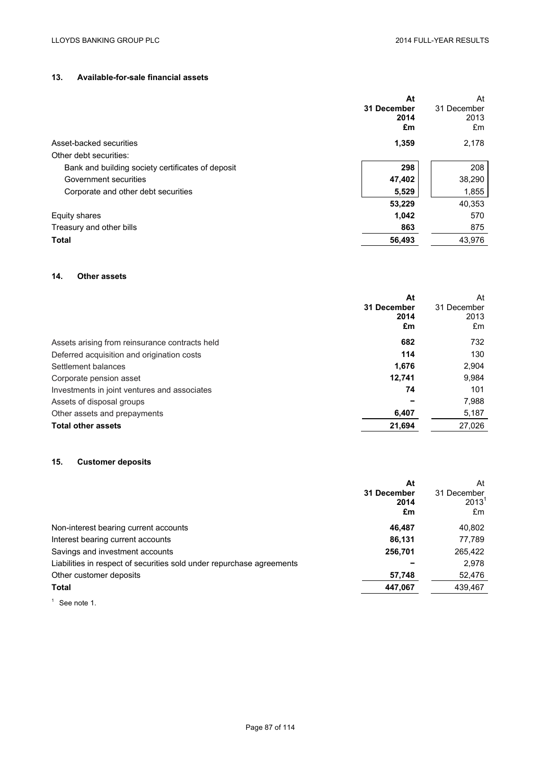# **13. Available-for-sale financial assets**

|                                                   | At          | At          |
|---------------------------------------------------|-------------|-------------|
|                                                   | 31 December | 31 December |
|                                                   | 2014        | 2013        |
|                                                   | £m          | £m          |
| Asset-backed securities                           | 1,359       | 2,178       |
| Other debt securities:                            |             |             |
| Bank and building society certificates of deposit | 298         | 208         |
| Government securities                             | 47,402      | 38,290      |
| Corporate and other debt securities               | 5,529       | 1,855       |
|                                                   | 53,229      | 40,353      |
| Equity shares                                     | 1,042       | 570         |
| Treasury and other bills                          | 863         | 875         |
| <b>Total</b>                                      | 56,493      | 43,976      |

## **14. Other assets**

|                                                | At<br>31 December<br>2014<br>£m | At<br>31 December<br>2013<br>£m |
|------------------------------------------------|---------------------------------|---------------------------------|
| Assets arising from reinsurance contracts held | 682                             | 732                             |
| Deferred acquisition and origination costs     | 114                             | 130                             |
| Settlement balances                            | 1,676                           | 2,904                           |
| Corporate pension asset                        | 12,741                          | 9,984                           |
| Investments in joint ventures and associates   | 74                              | 101                             |
| Assets of disposal groups                      |                                 | 7,988                           |
| Other assets and prepayments                   | 6,407                           | 5,187                           |
| <b>Total other assets</b>                      | 21,694                          | 27,026                          |

# **15. Customer deposits**

|                                                                       | At<br>31 December<br>2014<br>£m | At<br>31 December<br>2013 <sup>1</sup><br>£m |
|-----------------------------------------------------------------------|---------------------------------|----------------------------------------------|
| Non-interest bearing current accounts                                 | 46.487                          | 40,802                                       |
| Interest bearing current accounts                                     | 86.131                          | 77,789                                       |
| Savings and investment accounts                                       | 256,701                         | 265,422                                      |
| Liabilities in respect of securities sold under repurchase agreements |                                 | 2,978                                        |
| Other customer deposits                                               | 57,748                          | 52,476                                       |
| <b>Total</b>                                                          | 447,067                         | 439,467                                      |

 $1$  See note 1.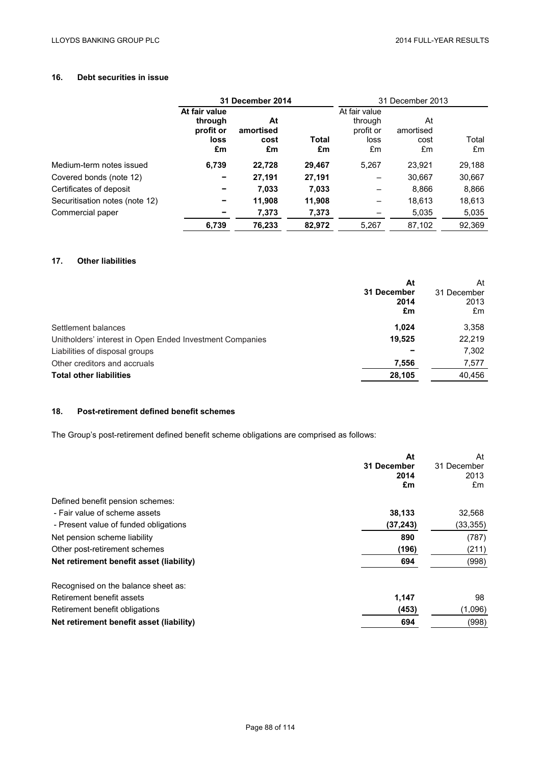## **16. Debt securities in issue**

|                                | 31 December 2014                                    |                               |             | 31 December 2013                                    |                               |             |
|--------------------------------|-----------------------------------------------------|-------------------------------|-------------|-----------------------------------------------------|-------------------------------|-------------|
|                                | At fair value<br>through<br>profit or<br>loss<br>£m | At<br>amortised<br>cost<br>£m | Total<br>£m | At fair value<br>through<br>profit or<br>loss<br>£m | At<br>amortised<br>cost<br>£m | Total<br>£m |
| Medium-term notes issued       | 6,739                                               | 22,728                        | 29,467      | 5,267                                               | 23.921                        | 29,188      |
| Covered bonds (note 12)        |                                                     | 27,191                        | 27,191      |                                                     | 30,667                        | 30,667      |
| Certificates of deposit        |                                                     | 7,033                         | 7,033       |                                                     | 8,866                         | 8,866       |
| Securitisation notes (note 12) | -                                                   | 11,908                        | 11,908      |                                                     | 18,613                        | 18,613      |
| Commercial paper               |                                                     | 7,373                         | 7,373       |                                                     | 5,035                         | 5,035       |
|                                | 6,739                                               | 76,233                        | 82,972      | 5.267                                               | 87.102                        | 92,369      |

## **17. Other liabilities**

|                                                          | At          | At          |
|----------------------------------------------------------|-------------|-------------|
|                                                          | 31 December | 31 December |
|                                                          | 2014        | 2013        |
|                                                          | £m          | £m          |
| Settlement balances                                      | 1.024       | 3,358       |
| Unitholders' interest in Open Ended Investment Companies | 19.525      | 22,219      |
| Liabilities of disposal groups                           |             | 7,302       |
| Other creditors and accruals                             | 7,556       | 7,577       |
| <b>Total other liabilities</b>                           | 28,105      | 40,456      |

## **18. Post-retirement defined benefit schemes**

The Group's post-retirement defined benefit scheme obligations are comprised as follows:

|                                          | At<br>31 December<br>2014<br>£m | At<br>31 December<br>2013<br>£m |
|------------------------------------------|---------------------------------|---------------------------------|
| Defined benefit pension schemes:         |                                 |                                 |
| - Fair value of scheme assets            | 38,133                          | 32,568                          |
| - Present value of funded obligations    | (37, 243)                       | (33, 355)                       |
| Net pension scheme liability             | 890                             | (787)                           |
| Other post-retirement schemes            | (196)                           | (211)                           |
| Net retirement benefit asset (liability) | 694                             | (998)                           |
| Recognised on the balance sheet as:      |                                 |                                 |
| Retirement benefit assets                | 1,147                           | 98                              |
| Retirement benefit obligations           | (453)                           | (1,096)                         |
| Net retirement benefit asset (liability) | 694                             | (998)                           |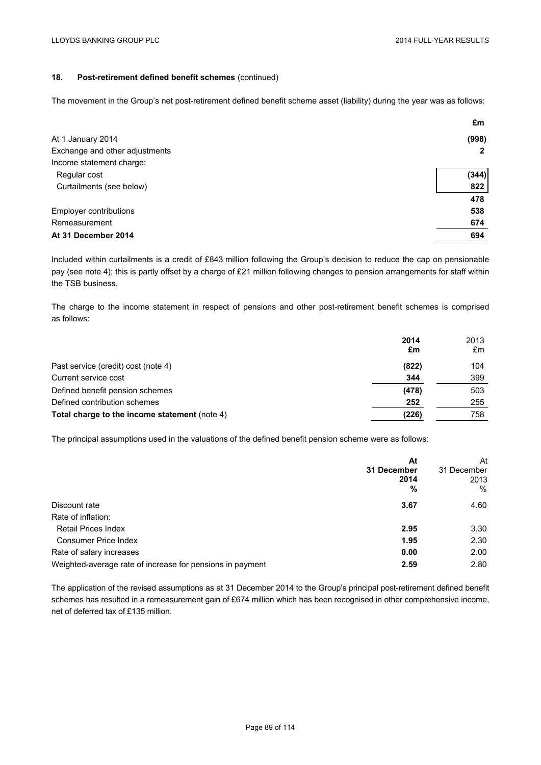# **18. Post-retirement defined benefit schemes** (continued)

The movement in the Group's net post-retirement defined benefit scheme asset (liability) during the year was as follows:

|                                | £m    |
|--------------------------------|-------|
| At 1 January 2014              | (998) |
| Exchange and other adjustments | 2     |
| Income statement charge:       |       |
| Regular cost                   | (344) |
| Curtailments (see below)       | 822   |
|                                | 478   |
| <b>Employer contributions</b>  | 538   |
| Remeasurement                  | 674   |
| At 31 December 2014            | 694   |

Included within curtailments is a credit of £843 million following the Group's decision to reduce the cap on pensionable pay (see note 4); this is partly offset by a charge of £21 million following changes to pension arrangements for staff within the TSB business.

The charge to the income statement in respect of pensions and other post-retirement benefit schemes is comprised as follows:

|                                               | 2014<br>£m | 2013<br>£m |
|-----------------------------------------------|------------|------------|
| Past service (credit) cost (note 4)           | (822)      | 104        |
| Current service cost                          | 344        | 399        |
| Defined benefit pension schemes               | (478)      | 503        |
| Defined contribution schemes                  | 252        | 255        |
| Total charge to the income statement (note 4) | (226)      | 758        |

The principal assumptions used in the valuations of the defined benefit pension scheme were as follows:

|                                                           | At          | At          |
|-----------------------------------------------------------|-------------|-------------|
|                                                           | 31 December | 31 December |
|                                                           | 2014        | 2013        |
|                                                           | %           | %           |
| Discount rate                                             | 3.67        | 4.60        |
| Rate of inflation:                                        |             |             |
| <b>Retail Prices Index</b>                                | 2.95        | 3.30        |
| Consumer Price Index                                      | 1.95        | 2.30        |
| Rate of salary increases                                  | 0.00        | 2.00        |
| Weighted-average rate of increase for pensions in payment | 2.59        | 2.80        |

The application of the revised assumptions as at 31 December 2014 to the Group's principal post-retirement defined benefit schemes has resulted in a remeasurement gain of £674 million which has been recognised in other comprehensive income, net of deferred tax of £135 million.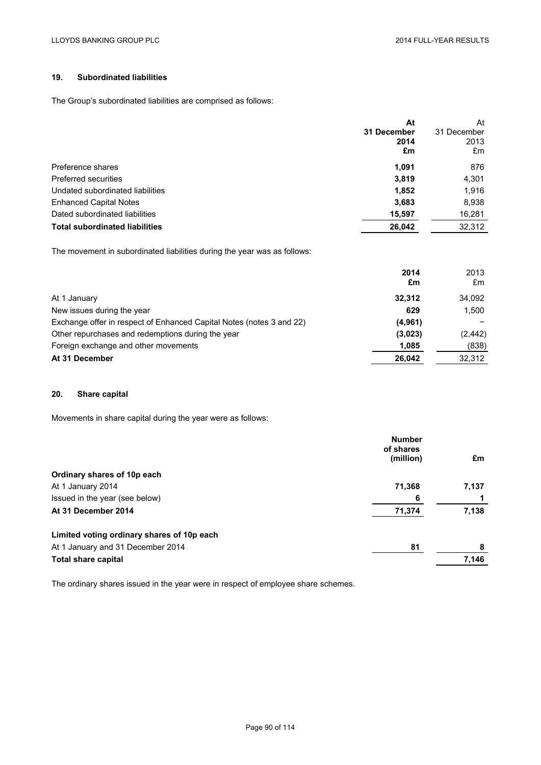# **19. Subordinated liabilities**

The Group's subordinated liabilities are comprised as follows:

|                                       | At          | At          |
|---------------------------------------|-------------|-------------|
|                                       | 31 December | 31 December |
|                                       | 2014        | 2013        |
|                                       | £m          | £m          |
| Preference shares                     | 1,091       | 876         |
| Preferred securities                  | 3,819       | 4,301       |
| Undated subordinated liabilities      | 1,852       | 1,916       |
| <b>Enhanced Capital Notes</b>         | 3,683       | 8,938       |
| Dated subordinated liabilities        | 15,597      | 16,281      |
| <b>Total subordinated liabilities</b> | 26,042      | 32,312      |

The movement in subordinated liabilities during the year was as follows:

|                                                                      | 2014<br>£m | 2013<br>£m |
|----------------------------------------------------------------------|------------|------------|
| At 1 January                                                         | 32.312     | 34,092     |
| New issues during the year                                           | 629        | 1.500      |
| Exchange offer in respect of Enhanced Capital Notes (notes 3 and 22) | (4,961)    |            |
| Other repurchases and redemptions during the year                    | (3,023)    | (2, 442)   |
| Foreign exchange and other movements                                 | 1,085      | (838)      |
| At 31 December                                                       | 26,042     | 32,312     |

# **20. Share capital**

Movements in share capital during the year were as follows:

|                                            | <b>Number</b><br>of shares<br>(million) | £m    |
|--------------------------------------------|-----------------------------------------|-------|
| Ordinary shares of 10p each                |                                         |       |
| At 1 January 2014                          | 71,368                                  | 7,137 |
| Issued in the year (see below)             | 6                                       |       |
| At 31 December 2014                        | 71,374                                  | 7,138 |
| Limited voting ordinary shares of 10p each |                                         |       |
| At 1 January and 31 December 2014          | 81                                      | 8     |
| <b>Total share capital</b>                 |                                         | 7,146 |

The ordinary shares issued in the year were in respect of employee share schemes.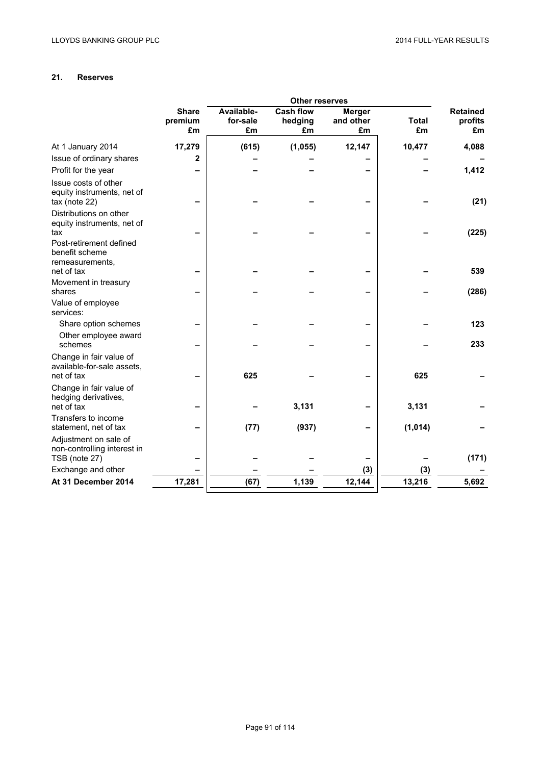# **21. Reserves**

|                                                                            | <b>Other reserves</b>         |                              |                                   |                                  |                    |                                  |
|----------------------------------------------------------------------------|-------------------------------|------------------------------|-----------------------------------|----------------------------------|--------------------|----------------------------------|
|                                                                            | <b>Share</b><br>premium<br>£m | Available-<br>for-sale<br>£m | <b>Cash flow</b><br>hedging<br>£m | <b>Merger</b><br>and other<br>£m | <b>Total</b><br>£m | <b>Retained</b><br>profits<br>£m |
| At 1 January 2014                                                          | 17,279                        | (615)                        | (1,055)                           | 12,147                           | 10,477             | 4,088                            |
| Issue of ordinary shares                                                   | 2                             |                              |                                   |                                  |                    |                                  |
| Profit for the year                                                        |                               |                              |                                   |                                  |                    | 1,412                            |
| Issue costs of other<br>equity instruments, net of<br>tax (note 22)        |                               |                              |                                   |                                  |                    | (21)                             |
| Distributions on other<br>equity instruments, net of<br>tax                |                               |                              |                                   |                                  |                    | (225)                            |
| Post-retirement defined<br>benefit scheme<br>remeasurements,<br>net of tax |                               |                              |                                   |                                  |                    | 539                              |
| Movement in treasury                                                       |                               |                              |                                   |                                  |                    |                                  |
| shares                                                                     |                               |                              |                                   |                                  |                    | (286)                            |
| Value of employee<br>services:                                             |                               |                              |                                   |                                  |                    |                                  |
| Share option schemes                                                       |                               |                              |                                   |                                  |                    | 123                              |
| Other employee award<br>schemes                                            |                               |                              |                                   |                                  |                    | 233                              |
| Change in fair value of<br>available-for-sale assets,<br>net of tax        |                               | 625                          |                                   |                                  | 625                |                                  |
| Change in fair value of<br>hedging derivatives,<br>net of tax              |                               |                              | 3,131                             |                                  | 3,131              |                                  |
| Transfers to income                                                        |                               |                              |                                   |                                  |                    |                                  |
| statement, net of tax                                                      |                               | (77)                         | (937)                             |                                  | (1,014)            |                                  |
| Adjustment on sale of<br>non-controlling interest in                       |                               |                              |                                   |                                  |                    |                                  |
| TSB (note 27)                                                              |                               |                              |                                   |                                  |                    | (171)                            |
| Exchange and other                                                         |                               |                              |                                   | (3)                              | (3)                |                                  |
| At 31 December 2014                                                        | 17,281                        | (67)                         | 1,139                             | 12,144                           | 13,216             | 5,692                            |
|                                                                            |                               |                              |                                   |                                  |                    |                                  |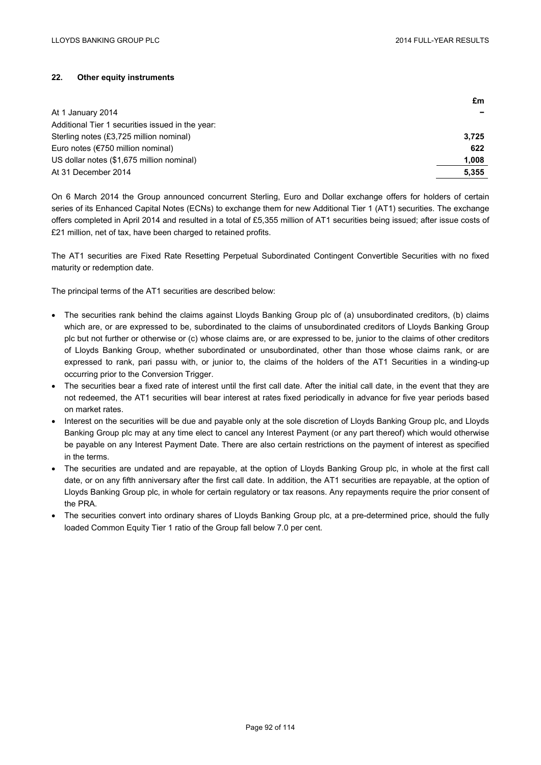## **22. Other equity instruments**

|                                                  | £m    |
|--------------------------------------------------|-------|
| At 1 January 2014                                |       |
| Additional Tier 1 securities issued in the year: |       |
| Sterling notes (£3,725 million nominal)          | 3.725 |
| Euro notes ( $\epsilon$ 750 million nominal)     | 622   |
| US dollar notes (\$1,675 million nominal)        | 1.008 |
| At 31 December 2014                              | 5.355 |

On 6 March 2014 the Group announced concurrent Sterling, Euro and Dollar exchange offers for holders of certain series of its Enhanced Capital Notes (ECNs) to exchange them for new Additional Tier 1 (AT1) securities. The exchange offers completed in April 2014 and resulted in a total of £5,355 million of AT1 securities being issued; after issue costs of £21 million, net of tax, have been charged to retained profits.

The AT1 securities are Fixed Rate Resetting Perpetual Subordinated Contingent Convertible Securities with no fixed maturity or redemption date.

The principal terms of the AT1 securities are described below:

- The securities rank behind the claims against Lloyds Banking Group plc of (a) unsubordinated creditors, (b) claims which are, or are expressed to be, subordinated to the claims of unsubordinated creditors of Lloyds Banking Group plc but not further or otherwise or (c) whose claims are, or are expressed to be, junior to the claims of other creditors of Lloyds Banking Group, whether subordinated or unsubordinated, other than those whose claims rank, or are expressed to rank, pari passu with, or junior to, the claims of the holders of the AT1 Securities in a winding-up occurring prior to the Conversion Trigger.
- The securities bear a fixed rate of interest until the first call date. After the initial call date, in the event that they are not redeemed, the AT1 securities will bear interest at rates fixed periodically in advance for five year periods based on market rates.
- Interest on the securities will be due and payable only at the sole discretion of Lloyds Banking Group plc, and Lloyds Banking Group plc may at any time elect to cancel any Interest Payment (or any part thereof) which would otherwise be payable on any Interest Payment Date. There are also certain restrictions on the payment of interest as specified in the terms.
- The securities are undated and are repayable, at the option of Lloyds Banking Group plc, in whole at the first call date, or on any fifth anniversary after the first call date. In addition, the AT1 securities are repayable, at the option of Lloyds Banking Group plc, in whole for certain regulatory or tax reasons. Any repayments require the prior consent of the PRA.
- The securities convert into ordinary shares of Lloyds Banking Group plc, at a pre-determined price, should the fully loaded Common Equity Tier 1 ratio of the Group fall below 7.0 per cent.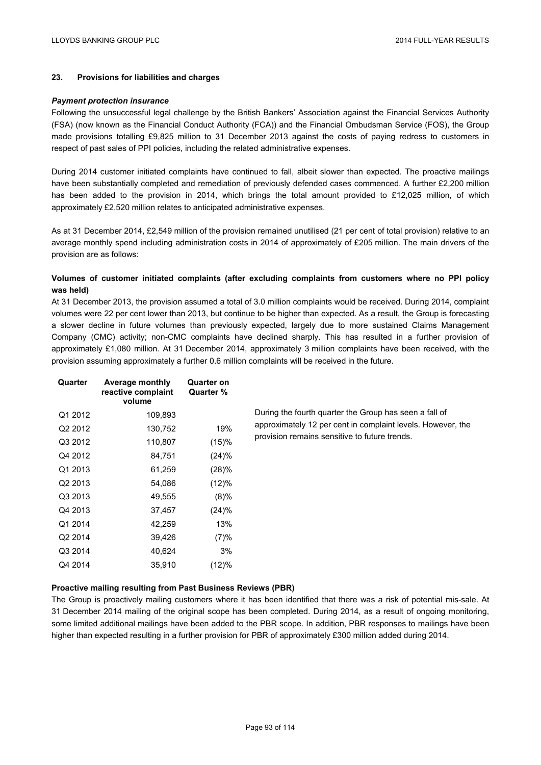## **23. Provisions for liabilities and charges**

#### *Payment protection insurance*

Following the unsuccessful legal challenge by the British Bankers' Association against the Financial Services Authority (FSA) (now known as the Financial Conduct Authority (FCA)) and the Financial Ombudsman Service (FOS), the Group made provisions totalling £9,825 million to 31 December 2013 against the costs of paying redress to customers in respect of past sales of PPI policies, including the related administrative expenses.

During 2014 customer initiated complaints have continued to fall, albeit slower than expected. The proactive mailings have been substantially completed and remediation of previously defended cases commenced. A further £2,200 million has been added to the provision in 2014, which brings the total amount provided to £12,025 million, of which approximately £2,520 million relates to anticipated administrative expenses.

As at 31 December 2014, £2,549 million of the provision remained unutilised (21 per cent of total provision) relative to an average monthly spend including administration costs in 2014 of approximately of £205 million. The main drivers of the provision are as follows:

## **Volumes of customer initiated complaints (after excluding complaints from customers where no PPI policy was held)**

At 31 December 2013, the provision assumed a total of 3.0 million complaints would be received. During 2014, complaint volumes were 22 per cent lower than 2013, but continue to be higher than expected. As a result, the Group is forecasting a slower decline in future volumes than previously expected, largely due to more sustained Claims Management Company (CMC) activity; non-CMC complaints have declined sharply. This has resulted in a further provision of approximately £1,080 million. At 31 December 2014, approximately 3 million complaints have been received, with the provision assuming approximately a further 0.6 million complaints will be received in the future.

| Quarter             | <b>Average monthly</b><br>reactive complaint<br>volume | <b>Quarter on</b><br>Quarter % |                                                             |
|---------------------|--------------------------------------------------------|--------------------------------|-------------------------------------------------------------|
| Q1 2012             | 109,893                                                |                                | During the fourth quarter the Group has seen a fall of      |
| Q <sub>2</sub> 2012 | 130,752                                                | 19%                            | approximately 12 per cent in complaint levels. However, the |
| Q3 2012             | 110,807                                                | (15)%                          | provision remains sensitive to future trends.               |
| Q4 2012             | 84,751                                                 | (24)%                          |                                                             |
| Q1 2013             | 61,259                                                 | (28)%                          |                                                             |
| Q <sub>2</sub> 2013 | 54,086                                                 | (12)%                          |                                                             |
| Q3 2013             | 49,555                                                 | $(8)\%$                        |                                                             |
| Q4 2013             | 37,457                                                 | (24)%                          |                                                             |
| Q1 2014             | 42,259                                                 | 13%                            |                                                             |
| Q2 2014             | 39,426                                                 | (7)%                           |                                                             |
| Q3 2014             | 40,624                                                 | 3%                             |                                                             |
| Q4 2014             | 35,910                                                 | (12)%                          |                                                             |

## **Proactive mailing resulting from Past Business Reviews (PBR)**

The Group is proactively mailing customers where it has been identified that there was a risk of potential mis-sale. At 31 December 2014 mailing of the original scope has been completed. During 2014, as a result of ongoing monitoring, some limited additional mailings have been added to the PBR scope. In addition, PBR responses to mailings have been higher than expected resulting in a further provision for PBR of approximately £300 million added during 2014.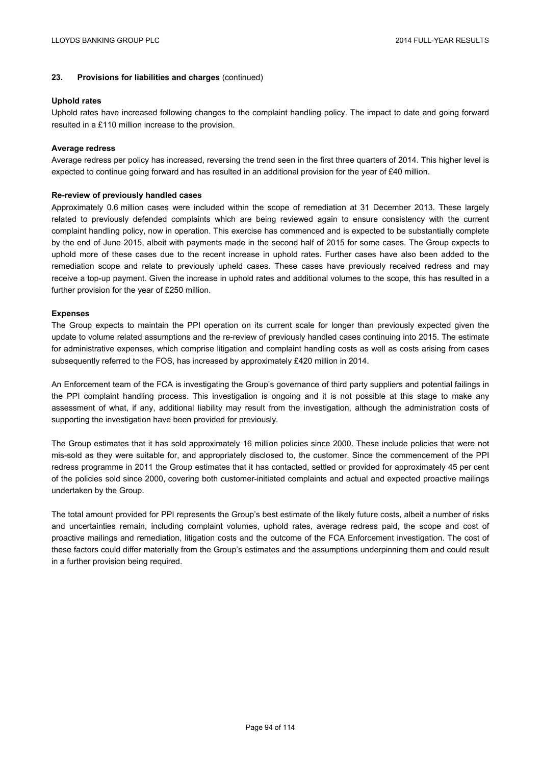#### **Uphold rates**

Uphold rates have increased following changes to the complaint handling policy. The impact to date and going forward resulted in a £110 million increase to the provision.

#### **Average redress**

Average redress per policy has increased, reversing the trend seen in the first three quarters of 2014. This higher level is expected to continue going forward and has resulted in an additional provision for the year of £40 million.

#### **Re-review of previously handled cases**

Approximately 0.6 million cases were included within the scope of remediation at 31 December 2013. These largely related to previously defended complaints which are being reviewed again to ensure consistency with the current complaint handling policy, now in operation. This exercise has commenced and is expected to be substantially complete by the end of June 2015, albeit with payments made in the second half of 2015 for some cases. The Group expects to uphold more of these cases due to the recent increase in uphold rates. Further cases have also been added to the remediation scope and relate to previously upheld cases. These cases have previously received redress and may receive a top-up payment. Given the increase in uphold rates and additional volumes to the scope, this has resulted in a further provision for the year of £250 million.

#### **Expenses**

The Group expects to maintain the PPI operation on its current scale for longer than previously expected given the update to volume related assumptions and the re-review of previously handled cases continuing into 2015. The estimate for administrative expenses, which comprise litigation and complaint handling costs as well as costs arising from cases subsequently referred to the FOS, has increased by approximately £420 million in 2014.

An Enforcement team of the FCA is investigating the Group's governance of third party suppliers and potential failings in the PPI complaint handling process. This investigation is ongoing and it is not possible at this stage to make any assessment of what, if any, additional liability may result from the investigation, although the administration costs of supporting the investigation have been provided for previously.

The Group estimates that it has sold approximately 16 million policies since 2000. These include policies that were not mis-sold as they were suitable for, and appropriately disclosed to, the customer. Since the commencement of the PPI redress programme in 2011 the Group estimates that it has contacted, settled or provided for approximately 45 per cent of the policies sold since 2000, covering both customer-initiated complaints and actual and expected proactive mailings undertaken by the Group.

The total amount provided for PPI represents the Group's best estimate of the likely future costs, albeit a number of risks and uncertainties remain, including complaint volumes, uphold rates, average redress paid, the scope and cost of proactive mailings and remediation, litigation costs and the outcome of the FCA Enforcement investigation. The cost of these factors could differ materially from the Group's estimates and the assumptions underpinning them and could result in a further provision being required.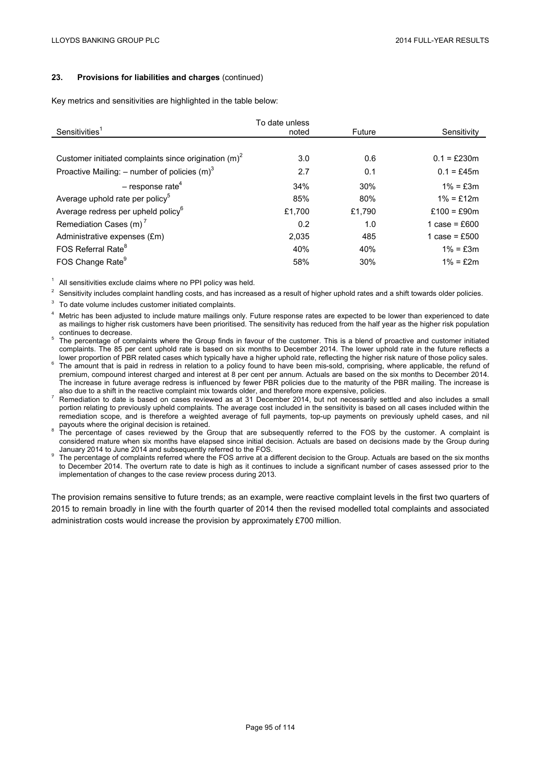Key metrics and sensitivities are highlighted in the table below:

| Sensitivities <sup>1</sup>                                 | To date unless<br>noted | Future | Sensitivity     |
|------------------------------------------------------------|-------------------------|--------|-----------------|
|                                                            |                         |        |                 |
| Customer initiated complaints since origination $(m)^2$    | 3.0                     | 0.6    | $0.1 = £230m$   |
| Proactive Mailing: $-$ number of policies (m) <sup>3</sup> | 2.7                     | 0.1    | $0.1 = £45m$    |
| $-$ response rate <sup>4</sup>                             | 34%                     | 30%    | $1\% = £3m$     |
| Average uphold rate per policy <sup>5</sup>                | 85%                     | 80%    | $1\% = £12m$    |
| Average redress per upheld policy <sup>6</sup>             | £1,700                  | £1.790 | £100 = £90m     |
| Remediation Cases (m) <sup>7</sup>                         | 0.2                     | 1.0    | 1 case = $£600$ |
| Administrative expenses (£m)                               | 2,035                   | 485    | 1 case = £500   |
| FOS Referral Rate <sup>8</sup>                             | 40%                     | 40%    | $1\% = £3m$     |
| FOS Change Rate <sup>9</sup>                               | 58%                     | 30%    | $1\% = £2m$     |

 $1$  All sensitivities exclude claims where no PPI policy was held.

 $2$  Sensitivity includes complaint handling costs, and has increased as a result of higher uphold rates and a shift towards older policies.

<sup>3</sup> To date volume includes customer initiated complaints.

<sup>4</sup> Metric has been adjusted to include mature mailings only. Future response rates are expected to be lower than experienced to date as mailings to higher risk customers have been prioritised. The sensitivity has reduced from the half year as the higher risk population

<sup>5</sup> The percentage of complaints where the Group finds in favour of the customer. This is a blend of proactive and customer initiated complaints. The 85 per cent uphold rate is based on six months to December 2014. The lower uphold rate in the future reflects a lower proportion of PBR related cases which typically have a higher uphold rate, reflecting th

<sup>6</sup> The amount that is paid in redress in relation to a policy found to have been mis-sold, comprising, where applicable, the refund of premium, compound interest charged and interest at 8 per cent per annum. Actuals are based on the six months to December 2014. The increase in future average redress is influenced by fewer PBR policies due to the maturity of the PBR mailing. The increase is also due to a shift in the reactive complaint mix towards older, and therefore more expensi

Remediation to date is based on cases reviewed as at 31 December 2014, but not necessarily settled and also includes a small portion relating to previously upheld complaints. The average cost included in the sensitivity is based on all cases included within the remediation scope, and is therefore a weighted average of full payments, top-up payments on previously upheld cases, and nil

payouts where the original decision is retained.<br><sup>8</sup> The percentage of cases reviewed by the Group that are subsequently referred to the FOS by the customer. A complaint is considered mature when six months have elapsed since initial decision. Actuals are based on decisions made by the Group during

January 2014 to June 2014 and subsequently referred to the FOS. 9 The percentage of complaints referred where the FOS arrive at a different decision to the Group. Actuals are based on the six months to December 2014. The overturn rate to date is high as it continues to include a significant number of cases assessed prior to the implementation of changes to the case review process during 2013.

The provision remains sensitive to future trends; as an example, were reactive complaint levels in the first two quarters of 2015 to remain broadly in line with the fourth quarter of 2014 then the revised modelled total complaints and associated administration costs would increase the provision by approximately £700 million.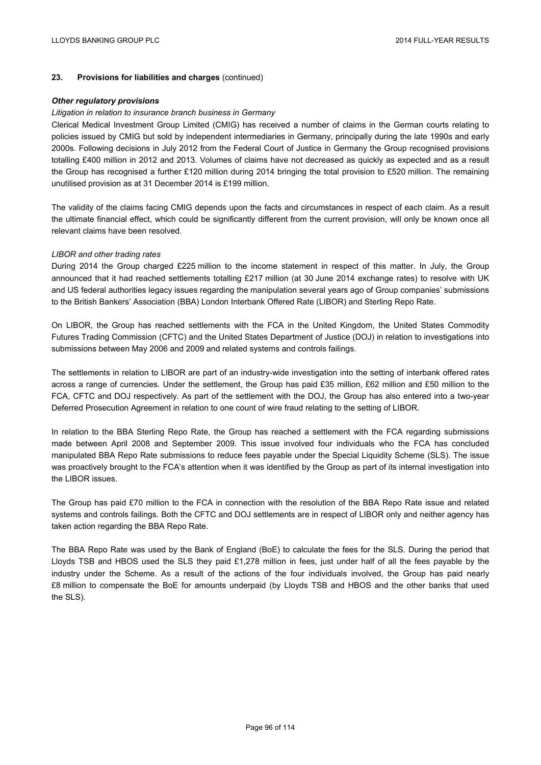#### *Other regulatory provisions*

#### *Litigation in relation to insurance branch business in Germany*

Clerical Medical Investment Group Limited (CMIG) has received a number of claims in the German courts relating to policies issued by CMIG but sold by independent intermediaries in Germany, principally during the late 1990s and early 2000s. Following decisions in July 2012 from the Federal Court of Justice in Germany the Group recognised provisions totalling £400 million in 2012 and 2013. Volumes of claims have not decreased as quickly as expected and as a result the Group has recognised a further £120 million during 2014 bringing the total provision to £520 million. The remaining unutilised provision as at 31 December 2014 is £199 million.

The validity of the claims facing CMIG depends upon the facts and circumstances in respect of each claim. As a result the ultimate financial effect, which could be significantly different from the current provision, will only be known once all relevant claims have been resolved.

#### *LIBOR and other trading rates*

During 2014 the Group charged £225 million to the income statement in respect of this matter. In July, the Group announced that it had reached settlements totalling £217 million (at 30 June 2014 exchange rates) to resolve with UK and US federal authorities legacy issues regarding the manipulation several years ago of Group companies' submissions to the British Bankers' Association (BBA) London Interbank Offered Rate (LIBOR) and Sterling Repo Rate.

On LIBOR, the Group has reached settlements with the FCA in the United Kingdom, the United States Commodity Futures Trading Commission (CFTC) and the United States Department of Justice (DOJ) in relation to investigations into submissions between May 2006 and 2009 and related systems and controls failings.

The settlements in relation to LIBOR are part of an industry-wide investigation into the setting of interbank offered rates across a range of currencies. Under the settlement, the Group has paid £35 million, £62 million and £50 million to the FCA, CFTC and DOJ respectively. As part of the settlement with the DOJ, the Group has also entered into a two-year Deferred Prosecution Agreement in relation to one count of wire fraud relating to the setting of LIBOR.

In relation to the BBA Sterling Repo Rate, the Group has reached a settlement with the FCA regarding submissions made between April 2008 and September 2009. This issue involved four individuals who the FCA has concluded manipulated BBA Repo Rate submissions to reduce fees payable under the Special Liquidity Scheme (SLS). The issue was proactively brought to the FCA's attention when it was identified by the Group as part of its internal investigation into the LIBOR issues.

The Group has paid £70 million to the FCA in connection with the resolution of the BBA Repo Rate issue and related systems and controls failings. Both the CFTC and DOJ settlements are in respect of LIBOR only and neither agency has taken action regarding the BBA Repo Rate.

The BBA Repo Rate was used by the Bank of England (BoE) to calculate the fees for the SLS. During the period that Lloyds TSB and HBOS used the SLS they paid £1,278 million in fees, just under half of all the fees payable by the industry under the Scheme. As a result of the actions of the four individuals involved, the Group has paid nearly £8 million to compensate the BoE for amounts underpaid (by Lloyds TSB and HBOS and the other banks that used the SLS).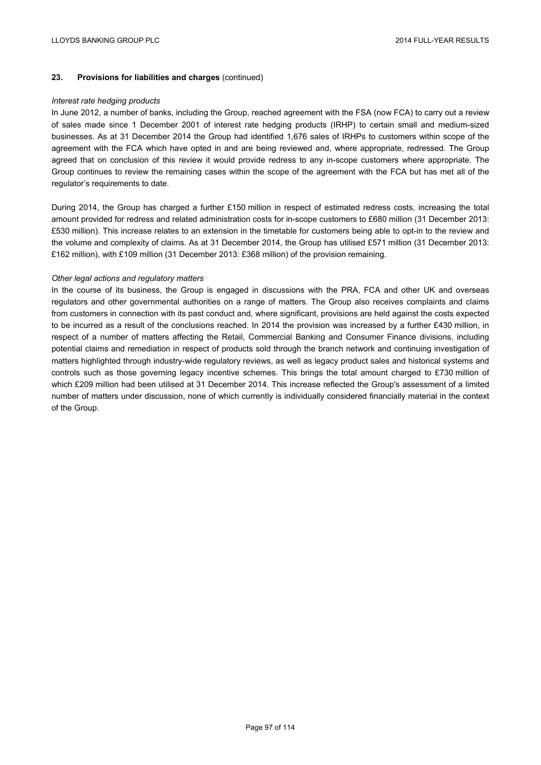#### *Interest rate hedging products*

In June 2012, a number of banks, including the Group, reached agreement with the FSA (now FCA) to carry out a review of sales made since 1 December 2001 of interest rate hedging products (IRHP) to certain small and medium-sized businesses. As at 31 December 2014 the Group had identified 1,676 sales of IRHPs to customers within scope of the agreement with the FCA which have opted in and are being reviewed and, where appropriate, redressed. The Group agreed that on conclusion of this review it would provide redress to any in-scope customers where appropriate. The Group continues to review the remaining cases within the scope of the agreement with the FCA but has met all of the regulator's requirements to date.

During 2014, the Group has charged a further £150 million in respect of estimated redress costs, increasing the total amount provided for redress and related administration costs for in-scope customers to £680 million (31 December 2013: £530 million). This increase relates to an extension in the timetable for customers being able to opt-in to the review and the volume and complexity of claims. As at 31 December 2014, the Group has utilised £571 million (31 December 2013: £162 million), with £109 million (31 December 2013: £368 million) of the provision remaining.

#### *Other legal actions and regulatory matters*

In the course of its business, the Group is engaged in discussions with the PRA, FCA and other UK and overseas regulators and other governmental authorities on a range of matters. The Group also receives complaints and claims from customers in connection with its past conduct and, where significant, provisions are held against the costs expected to be incurred as a result of the conclusions reached. In 2014 the provision was increased by a further £430 million, in respect of a number of matters affecting the Retail, Commercial Banking and Consumer Finance divisions, including potential claims and remediation in respect of products sold through the branch network and continuing investigation of matters highlighted through industry-wide regulatory reviews, as well as legacy product sales and historical systems and controls such as those governing legacy incentive schemes. This brings the total amount charged to £730 million of which £209 million had been utilised at 31 December 2014. This increase reflected the Group's assessment of a limited number of matters under discussion, none of which currently is individually considered financially material in the context of the Group.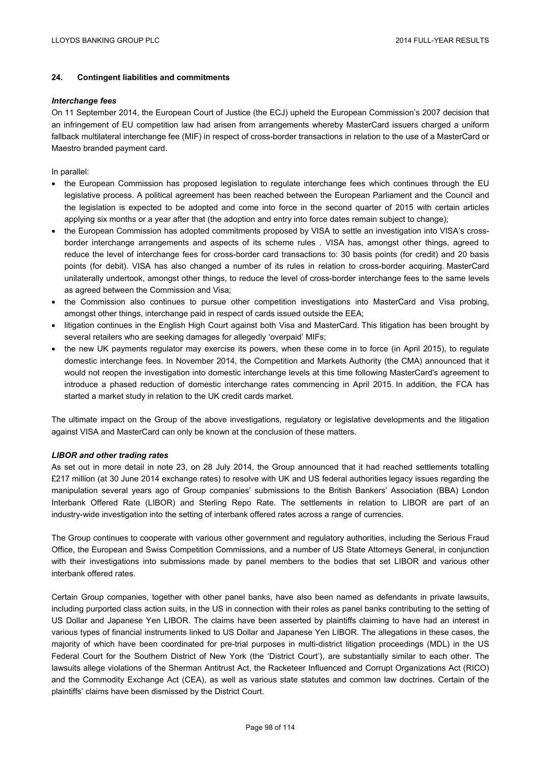## **24. Contingent liabilities and commitments**

#### *Interchange fees*

On 11 September 2014, the European Court of Justice (the ECJ) upheld the European Commission's 2007 decision that an infringement of EU competition law had arisen from arrangements whereby MasterCard issuers charged a uniform fallback multilateral interchange fee (MIF) in respect of cross-border transactions in relation to the use of a MasterCard or Maestro branded payment card.

In parallel:

- the European Commission has proposed legislation to regulate interchange fees which continues through the EU legislative process. A political agreement has been reached between the European Parliament and the Council and the legislation is expected to be adopted and come into force in the second quarter of 2015 with certain articles applying six months or a year after that (the adoption and entry into force dates remain subject to change);
- the European Commission has adopted commitments proposed by VISA to settle an investigation into VISA's crossborder interchange arrangements and aspects of its scheme rules . VISA has, amongst other things, agreed to reduce the level of interchange fees for cross-border card transactions to: 30 basis points (for credit) and 20 basis points (for debit). VISA has also changed a number of its rules in relation to cross-border acquiring. MasterCard unilaterally undertook, amongst other things, to reduce the level of cross-border interchange fees to the same levels as agreed between the Commission and Visa;
- the Commission also continues to pursue other competition investigations into MasterCard and Visa probing, amongst other things, interchange paid in respect of cards issued outside the EEA;
- litigation continues in the English High Court against both Visa and MasterCard. This litigation has been brought by several retailers who are seeking damages for allegedly 'overpaid' MIFs;
- the new UK payments regulator may exercise its powers, when these come in to force (in April 2015), to regulate domestic interchange fees. In November 2014, the Competition and Markets Authority (the CMA) announced that it would not reopen the investigation into domestic interchange levels at this time following MasterCard's agreement to introduce a phased reduction of domestic interchange rates commencing in April 2015. In addition, the FCA has started a market study in relation to the UK credit cards market.

The ultimate impact on the Group of the above investigations, regulatory or legislative developments and the litigation against VISA and MasterCard can only be known at the conclusion of these matters.

#### *LIBOR and other trading rates*

As set out in more detail in note 23, on 28 July 2014, the Group announced that it had reached settlements totalling £217 million (at 30 June 2014 exchange rates) to resolve with UK and US federal authorities legacy issues regarding the manipulation several years ago of Group companies' submissions to the British Bankers' Association (BBA) London Interbank Offered Rate (LIBOR) and Sterling Repo Rate. The settlements in relation to LIBOR are part of an industry-wide investigation into the setting of interbank offered rates across a range of currencies.

The Group continues to cooperate with various other government and regulatory authorities, including the Serious Fraud Office, the European and Swiss Competition Commissions, and a number of US State Attorneys General, in conjunction with their investigations into submissions made by panel members to the bodies that set LIBOR and various other interbank offered rates.

Certain Group companies, together with other panel banks, have also been named as defendants in private lawsuits, including purported class action suits, in the US in connection with their roles as panel banks contributing to the setting of US Dollar and Japanese Yen LIBOR. The claims have been asserted by plaintiffs claiming to have had an interest in various types of financial instruments linked to US Dollar and Japanese Yen LIBOR. The allegations in these cases, the majority of which have been coordinated for pre-trial purposes in multi-district litigation proceedings (MDL) in the US Federal Court for the Southern District of New York (the 'District Court'), are substantially similar to each other. The lawsuits allege violations of the Sherman Antitrust Act, the Racketeer Influenced and Corrupt Organizations Act (RICO) and the Commodity Exchange Act (CEA), as well as various state statutes and common law doctrines. Certain of the plaintiffs' claims have been dismissed by the District Court.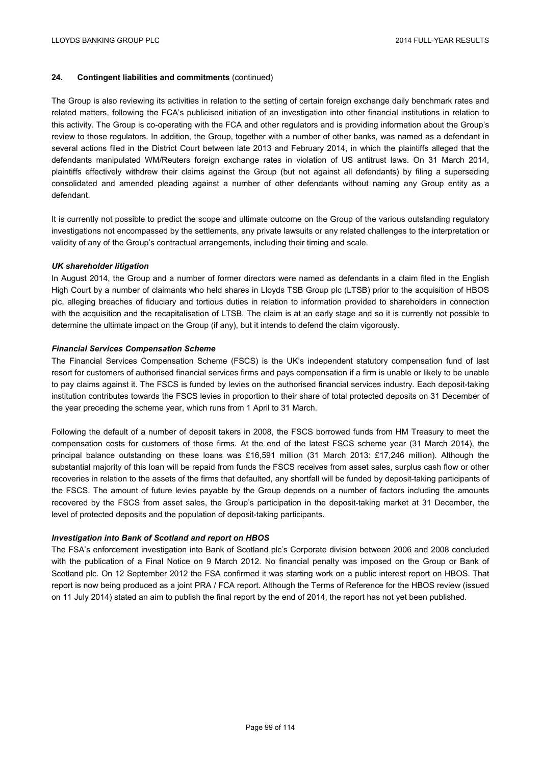## **24. Contingent liabilities and commitments** (continued)

The Group is also reviewing its activities in relation to the setting of certain foreign exchange daily benchmark rates and related matters, following the FCA's publicised initiation of an investigation into other financial institutions in relation to this activity. The Group is co-operating with the FCA and other regulators and is providing information about the Group's review to those regulators. In addition, the Group, together with a number of other banks, was named as a defendant in several actions filed in the District Court between late 2013 and February 2014, in which the plaintiffs alleged that the defendants manipulated WM/Reuters foreign exchange rates in violation of US antitrust laws. On 31 March 2014, plaintiffs effectively withdrew their claims against the Group (but not against all defendants) by filing a superseding consolidated and amended pleading against a number of other defendants without naming any Group entity as a defendant.

It is currently not possible to predict the scope and ultimate outcome on the Group of the various outstanding regulatory investigations not encompassed by the settlements, any private lawsuits or any related challenges to the interpretation or validity of any of the Group's contractual arrangements, including their timing and scale.

#### *UK shareholder litigation*

In August 2014, the Group and a number of former directors were named as defendants in a claim filed in the English High Court by a number of claimants who held shares in Lloyds TSB Group plc (LTSB) prior to the acquisition of HBOS plc, alleging breaches of fiduciary and tortious duties in relation to information provided to shareholders in connection with the acquisition and the recapitalisation of LTSB. The claim is at an early stage and so it is currently not possible to determine the ultimate impact on the Group (if any), but it intends to defend the claim vigorously.

### *Financial Services Compensation Scheme*

The Financial Services Compensation Scheme (FSCS) is the UK's independent statutory compensation fund of last resort for customers of authorised financial services firms and pays compensation if a firm is unable or likely to be unable to pay claims against it. The FSCS is funded by levies on the authorised financial services industry. Each deposit-taking institution contributes towards the FSCS levies in proportion to their share of total protected deposits on 31 December of the year preceding the scheme year, which runs from 1 April to 31 March.

Following the default of a number of deposit takers in 2008, the FSCS borrowed funds from HM Treasury to meet the compensation costs for customers of those firms. At the end of the latest FSCS scheme year (31 March 2014), the principal balance outstanding on these loans was £16,591 million (31 March 2013: £17,246 million). Although the substantial majority of this loan will be repaid from funds the FSCS receives from asset sales, surplus cash flow or other recoveries in relation to the assets of the firms that defaulted, any shortfall will be funded by deposit-taking participants of the FSCS. The amount of future levies payable by the Group depends on a number of factors including the amounts recovered by the FSCS from asset sales, the Group's participation in the deposit-taking market at 31 December, the level of protected deposits and the population of deposit-taking participants.

#### *Investigation into Bank of Scotland and report on HBOS*

The FSA's enforcement investigation into Bank of Scotland plc's Corporate division between 2006 and 2008 concluded with the publication of a Final Notice on 9 March 2012. No financial penalty was imposed on the Group or Bank of Scotland plc. On 12 September 2012 the FSA confirmed it was starting work on a public interest report on HBOS. That report is now being produced as a joint PRA / FCA report. Although the Terms of Reference for the HBOS review (issued on 11 July 2014) stated an aim to publish the final report by the end of 2014, the report has not yet been published.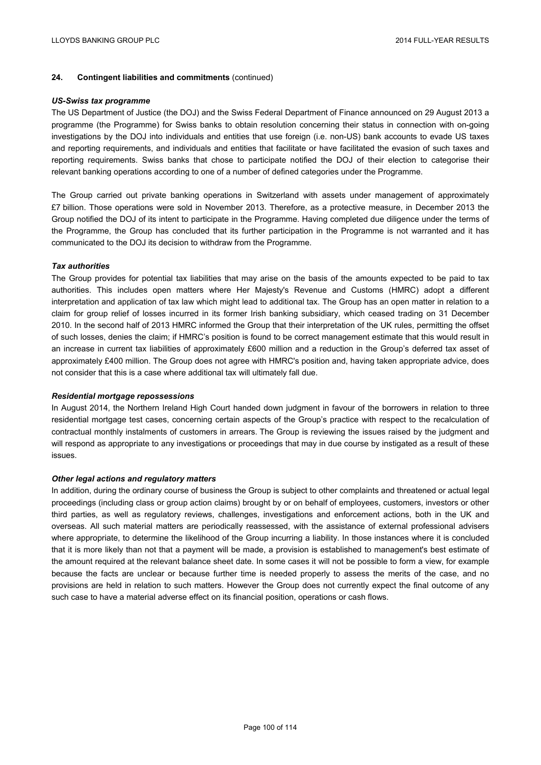## **24. Contingent liabilities and commitments** (continued)

#### *US-Swiss tax programme*

The US Department of Justice (the DOJ) and the Swiss Federal Department of Finance announced on 29 August 2013 a programme (the Programme) for Swiss banks to obtain resolution concerning their status in connection with on-going investigations by the DOJ into individuals and entities that use foreign (i.e. non-US) bank accounts to evade US taxes and reporting requirements, and individuals and entities that facilitate or have facilitated the evasion of such taxes and reporting requirements. Swiss banks that chose to participate notified the DOJ of their election to categorise their relevant banking operations according to one of a number of defined categories under the Programme.

The Group carried out private banking operations in Switzerland with assets under management of approximately £7 billion. Those operations were sold in November 2013. Therefore, as a protective measure, in December 2013 the Group notified the DOJ of its intent to participate in the Programme. Having completed due diligence under the terms of the Programme, the Group has concluded that its further participation in the Programme is not warranted and it has communicated to the DOJ its decision to withdraw from the Programme.

### *Tax authorities*

The Group provides for potential tax liabilities that may arise on the basis of the amounts expected to be paid to tax authorities. This includes open matters where Her Majesty's Revenue and Customs (HMRC) adopt a different interpretation and application of tax law which might lead to additional tax. The Group has an open matter in relation to a claim for group relief of losses incurred in its former Irish banking subsidiary, which ceased trading on 31 December 2010. In the second half of 2013 HMRC informed the Group that their interpretation of the UK rules, permitting the offset of such losses, denies the claim; if HMRC's position is found to be correct management estimate that this would result in an increase in current tax liabilities of approximately £600 million and a reduction in the Group's deferred tax asset of approximately £400 million. The Group does not agree with HMRC's position and, having taken appropriate advice, does not consider that this is a case where additional tax will ultimately fall due.

#### *Residential mortgage repossessions*

In August 2014, the Northern Ireland High Court handed down judgment in favour of the borrowers in relation to three residential mortgage test cases, concerning certain aspects of the Group's practice with respect to the recalculation of contractual monthly instalments of customers in arrears. The Group is reviewing the issues raised by the judgment and will respond as appropriate to any investigations or proceedings that may in due course by instigated as a result of these issues.

#### *Other legal actions and regulatory matters*

In addition, during the ordinary course of business the Group is subject to other complaints and threatened or actual legal proceedings (including class or group action claims) brought by or on behalf of employees, customers, investors or other third parties, as well as regulatory reviews, challenges, investigations and enforcement actions, both in the UK and overseas. All such material matters are periodically reassessed, with the assistance of external professional advisers where appropriate, to determine the likelihood of the Group incurring a liability. In those instances where it is concluded that it is more likely than not that a payment will be made, a provision is established to management's best estimate of the amount required at the relevant balance sheet date. In some cases it will not be possible to form a view, for example because the facts are unclear or because further time is needed properly to assess the merits of the case, and no provisions are held in relation to such matters. However the Group does not currently expect the final outcome of any such case to have a material adverse effect on its financial position, operations or cash flows.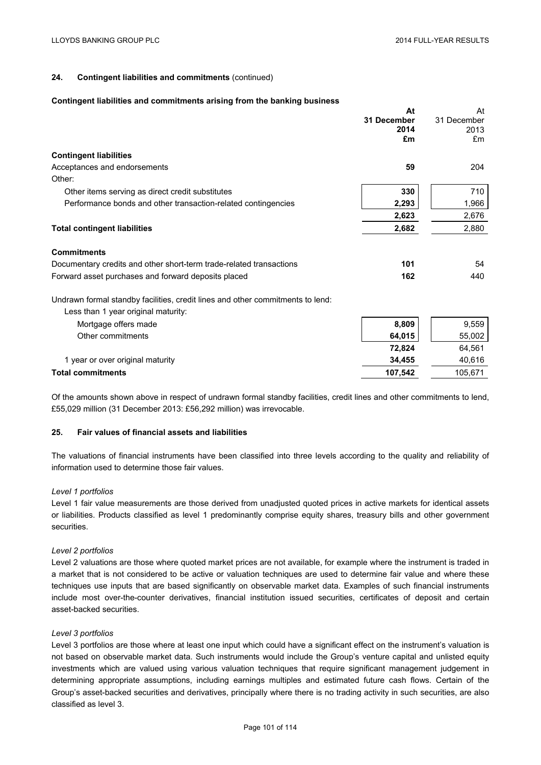## **24. Contingent liabilities and commitments** (continued)

#### **Contingent liabilities and commitments arising from the banking business**

|                                                                                | At          | At          |
|--------------------------------------------------------------------------------|-------------|-------------|
|                                                                                | 31 December | 31 December |
|                                                                                | 2014        | 2013        |
|                                                                                | £m          | £m          |
| <b>Contingent liabilities</b>                                                  |             |             |
| Acceptances and endorsements                                                   | 59          | 204         |
| Other:                                                                         |             |             |
| Other items serving as direct credit substitutes                               | 330         | 710         |
| Performance bonds and other transaction-related contingencies                  | 2,293       | 1,966       |
|                                                                                | 2,623       | 2,676       |
| <b>Total contingent liabilities</b>                                            | 2,682       | 2,880       |
| <b>Commitments</b>                                                             |             |             |
| Documentary credits and other short-term trade-related transactions            | 101         | 54          |
| Forward asset purchases and forward deposits placed                            | 162         | 440         |
| Undrawn formal standby facilities, credit lines and other commitments to lend: |             |             |
| Less than 1 year original maturity:                                            |             |             |
| Mortgage offers made                                                           | 8,809       | 9,559       |
| Other commitments                                                              | 64,015      | 55,002      |
|                                                                                | 72,824      | 64,561      |
| 1 year or over original maturity                                               | 34,455      | 40,616      |
| <b>Total commitments</b>                                                       | 107,542     | 105,671     |

Of the amounts shown above in respect of undrawn formal standby facilities, credit lines and other commitments to lend, £55,029 million (31 December 2013: £56,292 million) was irrevocable.

## **25. Fair values of financial assets and liabilities**

The valuations of financial instruments have been classified into three levels according to the quality and reliability of information used to determine those fair values.

#### *Level 1 portfolios*

Level 1 fair value measurements are those derived from unadjusted quoted prices in active markets for identical assets or liabilities. Products classified as level 1 predominantly comprise equity shares, treasury bills and other government securities.

#### *Level 2 portfolios*

Level 2 valuations are those where quoted market prices are not available, for example where the instrument is traded in a market that is not considered to be active or valuation techniques are used to determine fair value and where these techniques use inputs that are based significantly on observable market data. Examples of such financial instruments include most over-the-counter derivatives, financial institution issued securities, certificates of deposit and certain asset-backed securities.

## *Level 3 portfolios*

Level 3 portfolios are those where at least one input which could have a significant effect on the instrument's valuation is not based on observable market data. Such instruments would include the Group's venture capital and unlisted equity investments which are valued using various valuation techniques that require significant management judgement in determining appropriate assumptions, including earnings multiples and estimated future cash flows. Certain of the Group's asset-backed securities and derivatives, principally where there is no trading activity in such securities, are also classified as level 3.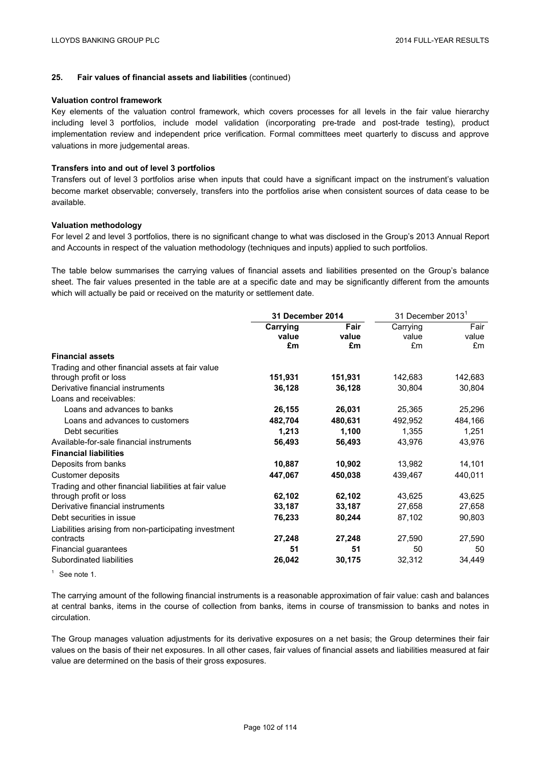#### **Valuation control framework**

Key elements of the valuation control framework, which covers processes for all levels in the fair value hierarchy including level 3 portfolios, include model validation (incorporating pre-trade and post-trade testing), product implementation review and independent price verification. Formal committees meet quarterly to discuss and approve valuations in more judgemental areas.

### **Transfers into and out of level 3 portfolios**

Transfers out of level 3 portfolios arise when inputs that could have a significant impact on the instrument's valuation become market observable; conversely, transfers into the portfolios arise when consistent sources of data cease to be available.

### **Valuation methodology**

For level 2 and level 3 portfolios, there is no significant change to what was disclosed in the Group's 2013 Annual Report and Accounts in respect of the valuation methodology (techniques and inputs) applied to such portfolios.

The table below summarises the carrying values of financial assets and liabilities presented on the Group's balance sheet. The fair values presented in the table are at a specific date and may be significantly different from the amounts which will actually be paid or received on the maturity or settlement date.

|                                                       | 31 December 2014 |         | 31 December 2013 <sup>1</sup> |         |
|-------------------------------------------------------|------------------|---------|-------------------------------|---------|
|                                                       | Carrying         | Fair    | Carrying                      | Fair    |
|                                                       | value            | value   | value                         | value   |
|                                                       | £m               | £m      | £m                            | £m      |
| <b>Financial assets</b>                               |                  |         |                               |         |
| Trading and other financial assets at fair value      |                  |         |                               |         |
| through profit or loss                                | 151,931          | 151,931 | 142,683                       | 142,683 |
| Derivative financial instruments                      | 36,128           | 36,128  | 30,804                        | 30,804  |
| Loans and receivables:                                |                  |         |                               |         |
| Loans and advances to banks                           | 26,155           | 26,031  | 25,365                        | 25,296  |
| Loans and advances to customers                       | 482,704          | 480,631 | 492,952                       | 484,166 |
| Debt securities                                       | 1,213            | 1,100   | 1,355                         | 1,251   |
| Available-for-sale financial instruments              | 56,493           | 56,493  | 43,976                        | 43,976  |
| <b>Financial liabilities</b>                          |                  |         |                               |         |
| Deposits from banks                                   | 10,887           | 10,902  | 13,982                        | 14,101  |
| Customer deposits                                     | 447,067          | 450,038 | 439,467                       | 440,011 |
| Trading and other financial liabilities at fair value |                  |         |                               |         |
| through profit or loss                                | 62,102           | 62,102  | 43,625                        | 43,625  |
| Derivative financial instruments                      | 33,187           | 33,187  | 27,658                        | 27,658  |
| Debt securities in issue                              | 76,233           | 80,244  | 87,102                        | 90,803  |
| Liabilities arising from non-participating investment |                  |         |                               |         |
| contracts                                             | 27,248           | 27,248  | 27,590                        | 27,590  |
| Financial guarantees                                  | 51               | 51      | 50                            | 50      |
| Subordinated liabilities                              | 26,042           | 30,175  | 32,312                        | 34,449  |

 $1$  See note 1.

The carrying amount of the following financial instruments is a reasonable approximation of fair value: cash and balances at central banks, items in the course of collection from banks, items in course of transmission to banks and notes in circulation.

The Group manages valuation adjustments for its derivative exposures on a net basis; the Group determines their fair values on the basis of their net exposures. In all other cases, fair values of financial assets and liabilities measured at fair value are determined on the basis of their gross exposures.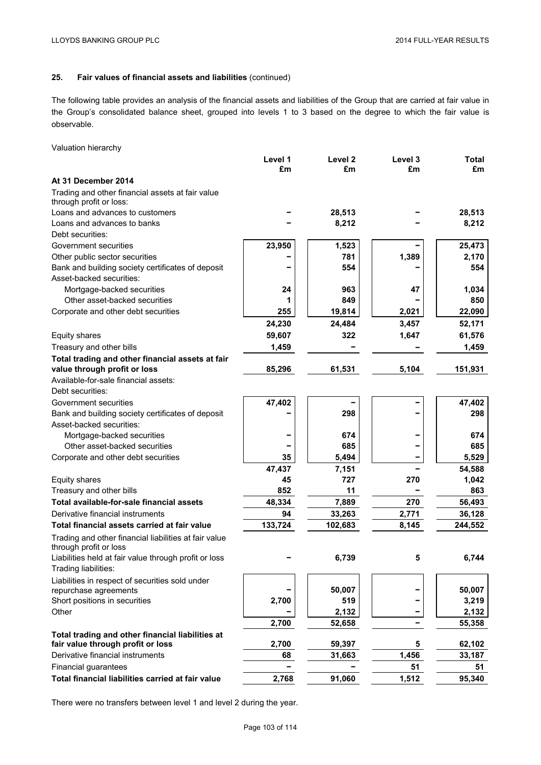The following table provides an analysis of the financial assets and liabilities of the Group that are carried at fair value in the Group's consolidated balance sheet, grouped into levels 1 to 3 based on the degree to which the fair value is observable.

Valuation hierarchy

|                                                                                 | Level 1<br>£m | Level <sub>2</sub><br>£m | Level 3<br>£m | <b>Total</b><br>£m |
|---------------------------------------------------------------------------------|---------------|--------------------------|---------------|--------------------|
| At 31 December 2014                                                             |               |                          |               |                    |
| Trading and other financial assets at fair value<br>through profit or loss:     |               |                          |               |                    |
| Loans and advances to customers                                                 |               | 28,513                   |               | 28,513             |
| Loans and advances to banks                                                     |               | 8,212                    |               | 8,212              |
| Debt securities:                                                                |               |                          |               |                    |
| Government securities                                                           | 23,950        | 1,523                    |               | 25,473             |
| Other public sector securities                                                  |               | 781                      | 1,389         | 2,170              |
| Bank and building society certificates of deposit                               |               | 554                      |               | 554                |
| Asset-backed securities:                                                        |               |                          |               |                    |
| Mortgage-backed securities                                                      | 24            | 963                      | 47            | 1,034              |
| Other asset-backed securities                                                   | 1             | 849                      |               | 850                |
| Corporate and other debt securities                                             | 255           | 19,814                   | 2,021         | 22,090             |
|                                                                                 | 24,230        | 24,484                   | 3,457         | 52,171             |
| Equity shares                                                                   | 59,607        | 322                      | 1,647         | 61,576             |
| Treasury and other bills                                                        | 1,459         |                          |               | 1,459              |
| Total trading and other financial assets at fair                                |               |                          |               |                    |
| value through profit or loss                                                    | 85,296        | 61,531                   | 5,104         | 151,931            |
| Available-for-sale financial assets:                                            |               |                          |               |                    |
| Debt securities:                                                                |               |                          |               |                    |
| Government securities                                                           | 47,402        |                          |               | 47,402             |
| Bank and building society certificates of deposit                               |               | 298                      |               | 298                |
| Asset-backed securities:                                                        |               |                          |               |                    |
| Mortgage-backed securities                                                      |               | 674                      |               | 674                |
| Other asset-backed securities                                                   |               | 685                      |               | 685                |
| Corporate and other debt securities                                             | 35            | 5,494                    |               | 5,529              |
|                                                                                 | 47,437        | 7,151                    |               | 54,588             |
| Equity shares                                                                   | 45            | 727                      | 270           | 1,042              |
| Treasury and other bills                                                        | 852           | 11                       |               | 863                |
| Total available-for-sale financial assets                                       | 48,334        | 7,889                    | 270           | 56,493             |
| Derivative financial instruments                                                | 94            | 33,263                   | 2,771         | 36,128             |
| Total financial assets carried at fair value                                    | 133,724       | 102,683                  | 8,145         | 244,552            |
| Trading and other financial liabilities at fair value<br>through profit or loss |               |                          |               |                    |
| Liabilities held at fair value through profit or loss<br>Trading liabilities:   |               | 6,739                    | 5             | 6,744              |
| Liabilities in respect of securities sold under                                 |               |                          |               |                    |
| repurchase agreements                                                           |               | 50,007                   |               | 50,007             |
| Short positions in securities                                                   | 2,700         | 519                      |               | 3,219              |
| Other                                                                           |               | 2,132                    |               | 2,132              |
|                                                                                 | 2,700         | 52,658                   |               | 55,358             |
| Total trading and other financial liabilities at                                |               |                          |               |                    |
| fair value through profit or loss                                               | 2,700         | 59,397                   | 5             | 62,102             |
| Derivative financial instruments                                                | 68            | 31,663                   | 1,456         | 33,187             |
| Financial guarantees                                                            |               |                          | 51            | 51                 |
| Total financial liabilities carried at fair value                               | 2,768         | 91,060                   | 1,512         | 95,340             |

There were no transfers between level 1 and level 2 during the year.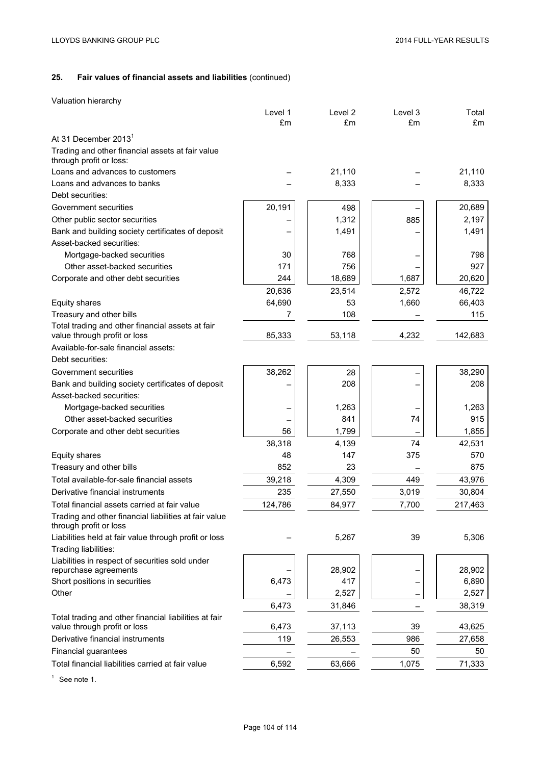Valuation hierarchy

|                                                                                       | Level 1 | Level 2 | Level 3 | Total   |
|---------------------------------------------------------------------------------------|---------|---------|---------|---------|
|                                                                                       | £m      | £m      | £m      | £m      |
| At 31 December 2013 <sup>1</sup>                                                      |         |         |         |         |
| Trading and other financial assets at fair value                                      |         |         |         |         |
| through profit or loss:                                                               |         |         |         |         |
| Loans and advances to customers                                                       |         | 21,110  |         | 21,110  |
| Loans and advances to banks                                                           |         | 8,333   |         | 8,333   |
| Debt securities:                                                                      |         |         |         |         |
| Government securities                                                                 | 20,191  | 498     |         | 20,689  |
| Other public sector securities                                                        |         | 1,312   | 885     | 2,197   |
| Bank and building society certificates of deposit                                     |         | 1,491   |         | 1,491   |
| Asset-backed securities:                                                              |         |         |         |         |
| Mortgage-backed securities                                                            | 30      | 768     |         | 798     |
| Other asset-backed securities                                                         | 171     | 756     |         | 927     |
| Corporate and other debt securities                                                   | 244     | 18,689  | 1,687   | 20,620  |
|                                                                                       | 20,636  | 23,514  | 2,572   | 46,722  |
| Equity shares                                                                         | 64,690  | 53      | 1,660   | 66,403  |
| Treasury and other bills                                                              | 7       | 108     |         | 115     |
| Total trading and other financial assets at fair                                      |         |         |         |         |
| value through profit or loss                                                          | 85,333  | 53,118  | 4,232   | 142,683 |
| Available-for-sale financial assets:                                                  |         |         |         |         |
| Debt securities:                                                                      |         |         |         |         |
| Government securities                                                                 | 38,262  | 28      |         | 38,290  |
| Bank and building society certificates of deposit                                     |         | 208     |         | 208     |
| Asset-backed securities:                                                              |         |         |         |         |
| Mortgage-backed securities                                                            |         | 1,263   |         | 1,263   |
| Other asset-backed securities                                                         |         | 841     | 74      | 915     |
| Corporate and other debt securities                                                   | 56      | 1,799   |         | 1,855   |
|                                                                                       | 38,318  | 4,139   | 74      | 42,531  |
| Equity shares                                                                         | 48      | 147     | 375     | 570     |
| Treasury and other bills                                                              | 852     | 23      |         | 875     |
| Total available-for-sale financial assets                                             | 39,218  | 4,309   | 449     | 43,976  |
| Derivative financial instruments                                                      | 235     | 27,550  | 3,019   | 30,804  |
| Total financial assets carried at fair value                                          | 124,786 | 84,977  | 7,700   | 217,463 |
| Trading and other financial liabilities at fair value<br>through profit or loss       |         |         |         |         |
| Liabilities held at fair value through profit or loss                                 |         | 5,267   | 39      | 5,306   |
| Trading liabilities:                                                                  |         |         |         |         |
| Liabilities in respect of securities sold under                                       |         |         |         |         |
| repurchase agreements                                                                 |         | 28,902  |         | 28,902  |
| Short positions in securities                                                         | 6,473   | 417     |         | 6,890   |
| Other                                                                                 |         | 2,527   |         | 2,527   |
|                                                                                       | 6,473   | 31,846  |         | 38,319  |
| Total trading and other financial liabilities at fair<br>value through profit or loss | 6,473   | 37,113  | 39      | 43,625  |
| Derivative financial instruments                                                      | 119     | 26,553  | 986     | 27,658  |
| Financial guarantees                                                                  |         |         | 50      | 50      |
| Total financial liabilities carried at fair value                                     | 6,592   | 63,666  | 1,075   | 71,333  |
|                                                                                       |         |         |         |         |

 $1$  See note 1.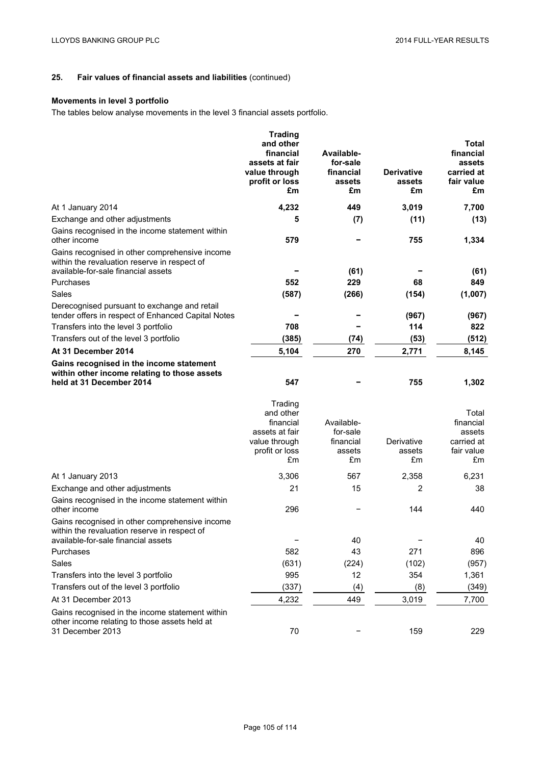# **Movements in level 3 portfolio**

The tables below analyse movements in the level 3 financial assets portfolio.

|                                                                                                                                       | <b>Trading</b><br>and other<br>financial<br>assets at fair<br>value through<br>profit or loss<br>£m | Available-<br>for-sale<br>financial<br>assets<br>£m | <b>Derivative</b><br>assets<br>£m | Total<br>financial<br>assets<br>carried at<br>fair value<br>£m |
|---------------------------------------------------------------------------------------------------------------------------------------|-----------------------------------------------------------------------------------------------------|-----------------------------------------------------|-----------------------------------|----------------------------------------------------------------|
| At 1 January 2014                                                                                                                     | 4,232                                                                                               | 449                                                 | 3,019                             | 7,700                                                          |
| Exchange and other adjustments                                                                                                        | 5                                                                                                   | (7)                                                 | (11)                              | (13)                                                           |
| Gains recognised in the income statement within<br>other income                                                                       | 579                                                                                                 |                                                     | 755                               | 1,334                                                          |
| Gains recognised in other comprehensive income<br>within the revaluation reserve in respect of                                        |                                                                                                     |                                                     |                                   |                                                                |
| available-for-sale financial assets                                                                                                   |                                                                                                     | (61)                                                |                                   | (61)                                                           |
| Purchases                                                                                                                             | 552                                                                                                 | 229                                                 | 68                                | 849                                                            |
| Sales                                                                                                                                 | (587)                                                                                               | (266)                                               | (154)                             | (1,007)                                                        |
| Derecognised pursuant to exchange and retail<br>tender offers in respect of Enhanced Capital Notes                                    |                                                                                                     |                                                     | (967)                             | (967)                                                          |
| Transfers into the level 3 portfolio                                                                                                  | 708                                                                                                 |                                                     | 114                               | 822                                                            |
| Transfers out of the level 3 portfolio                                                                                                | (385)                                                                                               | (74)                                                | (53)                              | (512)                                                          |
| At 31 December 2014                                                                                                                   | 5,104                                                                                               | 270                                                 | 2,771                             | 8,145                                                          |
| Gains recognised in the income statement<br>within other income relating to those assets<br>held at 31 December 2014                  | 547                                                                                                 |                                                     | 755                               | 1,302                                                          |
|                                                                                                                                       | Trading<br>and other<br>financial<br>assets at fair<br>value through<br>profit or loss<br>£m        | Available-<br>for-sale<br>financial<br>assets<br>£m | Derivative<br>assets<br>£m        | Total<br>financial<br>assets<br>carried at<br>fair value<br>£m |
| At 1 January 2013                                                                                                                     | 3,306                                                                                               | 567                                                 | 2,358                             | 6,231                                                          |
| Exchange and other adjustments                                                                                                        | 21                                                                                                  | 15                                                  | 2                                 | 38                                                             |
| Gains recognised in the income statement within<br>other income                                                                       | 296                                                                                                 |                                                     | 144                               | 440                                                            |
| Gains recognised in other comprehensive income<br>within the revaluation reserve in respect of<br>available-for-sale financial assets |                                                                                                     | 40                                                  |                                   | 40                                                             |
| Purchases                                                                                                                             | 582                                                                                                 | 43                                                  | 271                               | 896                                                            |
| Sales                                                                                                                                 | (631)                                                                                               | (224)                                               | (102)                             | (957)                                                          |
| Transfers into the level 3 portfolio                                                                                                  | 995                                                                                                 | 12                                                  | 354                               | 1,361                                                          |
| Transfers out of the level 3 portfolio                                                                                                | (337)                                                                                               | (4)                                                 | (8)                               | (349)                                                          |
| At 31 December 2013                                                                                                                   | 4,232                                                                                               | 449                                                 | 3,019                             | 7,700                                                          |
| Gains recognised in the income statement within<br>other income relating to those assets held at<br>31 December 2013                  | 70                                                                                                  |                                                     | 159                               | 229                                                            |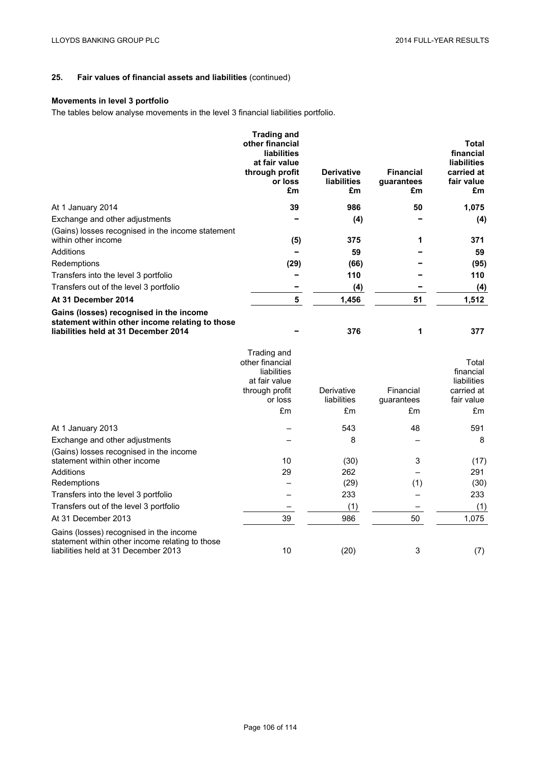# **Movements in level 3 portfolio**

The tables below analyse movements in the level 3 financial liabilities portfolio.

|                                                                                                                                    | <b>Trading and</b><br>other financial<br>liabilities<br>at fair value<br>through profit<br>or loss<br>£m | <b>Derivative</b><br>liabilities<br>£m | <b>Financial</b><br>guarantees<br>£m | <b>Total</b><br>financial<br><b>liabilities</b><br>carried at<br>fair value<br>£m |
|------------------------------------------------------------------------------------------------------------------------------------|----------------------------------------------------------------------------------------------------------|----------------------------------------|--------------------------------------|-----------------------------------------------------------------------------------|
| At 1 January 2014                                                                                                                  | 39                                                                                                       | 986                                    | 50                                   | 1,075                                                                             |
| Exchange and other adjustments                                                                                                     |                                                                                                          | (4)                                    |                                      | (4)                                                                               |
| (Gains) losses recognised in the income statement<br>within other income                                                           | (5)                                                                                                      | 375                                    |                                      | 371                                                                               |
| Additions                                                                                                                          |                                                                                                          | 59                                     |                                      | 59                                                                                |
| Redemptions                                                                                                                        | (29)                                                                                                     | (66)                                   |                                      | (95)                                                                              |
| Transfers into the level 3 portfolio                                                                                               |                                                                                                          | 110                                    |                                      | 110                                                                               |
| Transfers out of the level 3 portfolio                                                                                             |                                                                                                          | (4)                                    |                                      | (4)                                                                               |
| At 31 December 2014                                                                                                                | 5                                                                                                        | 1,456                                  | 51                                   | 1,512                                                                             |
| Gains (losses) recognised in the income<br>statement within other income relating to those<br>liabilities held at 31 December 2014 |                                                                                                          | 376                                    |                                      | 377                                                                               |
|                                                                                                                                    | Trading and                                                                                              |                                        |                                      |                                                                                   |

|                                                                                                                                    | other financial<br>liabilities<br>at fair value<br>through profit<br>or loss<br>£m | Derivative<br>liabilities<br>£m | Financial<br>guarantees<br>£m | Total<br>financial<br>liabilities<br>carried at<br>fair value<br>£m |
|------------------------------------------------------------------------------------------------------------------------------------|------------------------------------------------------------------------------------|---------------------------------|-------------------------------|---------------------------------------------------------------------|
| At 1 January 2013                                                                                                                  |                                                                                    | 543                             | 48                            | 591                                                                 |
| Exchange and other adjustments                                                                                                     |                                                                                    | 8                               |                               | 8                                                                   |
| (Gains) losses recognised in the income<br>statement within other income                                                           | 10                                                                                 | (30)                            | 3                             | (17)                                                                |
| Additions                                                                                                                          | 29                                                                                 | 262                             |                               | 291                                                                 |
| Redemptions                                                                                                                        |                                                                                    | (29)                            | (1)                           | (30)                                                                |
| Transfers into the level 3 portfolio                                                                                               |                                                                                    | 233                             |                               | 233                                                                 |
| Transfers out of the level 3 portfolio                                                                                             |                                                                                    | (1)                             |                               | (1)                                                                 |
| At 31 December 2013                                                                                                                | 39                                                                                 | 986                             | 50                            | 1,075                                                               |
| Gains (losses) recognised in the income<br>statement within other income relating to those<br>liabilities held at 31 December 2013 | 10                                                                                 | (20)                            | 3                             | (7)                                                                 |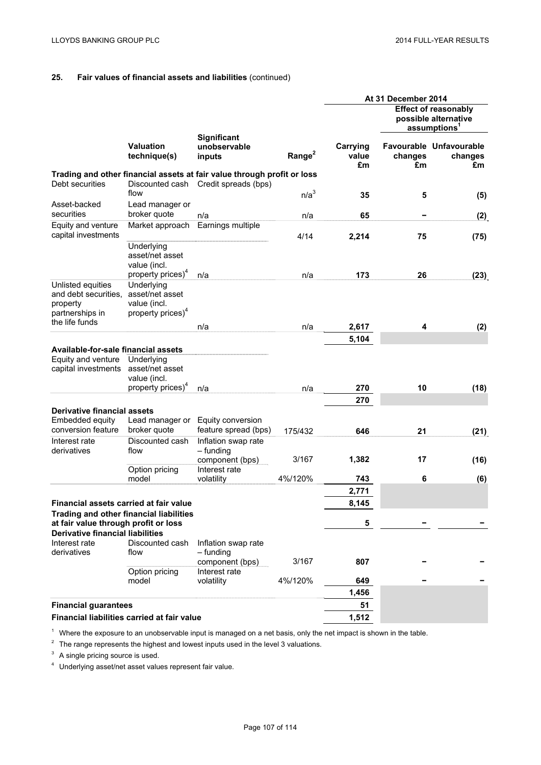|                                                                                        |                                                                                |                                                                                                                 |                    |                         | At 31 December 2014 |                                                                                 |  |
|----------------------------------------------------------------------------------------|--------------------------------------------------------------------------------|-----------------------------------------------------------------------------------------------------------------|--------------------|-------------------------|---------------------|---------------------------------------------------------------------------------|--|
|                                                                                        |                                                                                |                                                                                                                 |                    |                         |                     | <b>Effect of reasonably</b><br>possible alternative<br>assumptions <sup>1</sup> |  |
|                                                                                        | <b>Valuation</b><br>technique(s)                                               | <b>Significant</b><br>unobservable<br>inputs                                                                    | Range <sup>2</sup> | Carrying<br>value<br>£m | changes<br>£m       | Favourable Unfavourable<br>changes<br>£m                                        |  |
| Debt securities                                                                        |                                                                                | Trading and other financial assets at fair value through profit or loss<br>Discounted cash Credit spreads (bps) |                    |                         |                     |                                                                                 |  |
|                                                                                        | flow                                                                           |                                                                                                                 | n/a <sup>3</sup>   | 35                      | 5                   | (5)                                                                             |  |
| Asset-backed<br>securities                                                             | Lead manager or<br>broker quote                                                | n/a                                                                                                             | n/a                | 65                      |                     | (2)                                                                             |  |
| Equity and venture<br>capital investments                                              | Market approach                                                                | Earnings multiple                                                                                               | 4/14               | 2,214                   | 75                  | (75)                                                                            |  |
|                                                                                        | Underlying<br>asset/net asset<br>value (incl.                                  |                                                                                                                 |                    |                         |                     |                                                                                 |  |
|                                                                                        | property prices) <sup>4</sup>                                                  | n/a                                                                                                             | n/a                | 173                     | 26                  | (23)                                                                            |  |
| Unlisted equities<br>and debt securities.<br>property<br>partnerships in               | Underlying<br>asset/net asset<br>value (incl.<br>property prices) <sup>4</sup> |                                                                                                                 |                    |                         |                     |                                                                                 |  |
| the life funds                                                                         |                                                                                | n/a                                                                                                             | n/a                | 2,617                   | 4                   | (2)                                                                             |  |
|                                                                                        |                                                                                |                                                                                                                 |                    | 5,104                   |                     |                                                                                 |  |
| Available-for-sale financial assets                                                    |                                                                                |                                                                                                                 |                    |                         |                     |                                                                                 |  |
| Equity and venture<br>capital investments asset/net asset                              | Underlying<br>value (incl.                                                     |                                                                                                                 |                    |                         |                     |                                                                                 |  |
|                                                                                        | property prices) <sup>4</sup>                                                  | n/a                                                                                                             | n/a                | 270                     | 10                  | (18)                                                                            |  |
|                                                                                        |                                                                                |                                                                                                                 |                    | 270                     |                     |                                                                                 |  |
| <b>Derivative financial assets</b>                                                     |                                                                                |                                                                                                                 |                    |                         |                     |                                                                                 |  |
| Embedded equity<br>conversion feature                                                  | Lead manager or<br>broker quote                                                | Equity conversion<br>feature spread (bps)                                                                       |                    |                         |                     |                                                                                 |  |
| Interest rate                                                                          | Discounted cash                                                                | Inflation swap rate                                                                                             | 175/432            | 646                     | 21                  | (21)                                                                            |  |
| derivatives                                                                            | flow                                                                           | $-$ funding<br>component (bps)<br>Interest rate                                                                 | 3/167              | 1,382                   | 17                  | (16)                                                                            |  |
|                                                                                        | Option pricing<br>model                                                        | volatility                                                                                                      | 4%/120%            | 743                     | 6                   | (6)                                                                             |  |
|                                                                                        |                                                                                |                                                                                                                 |                    | 2,771                   |                     |                                                                                 |  |
| Financial assets carried at fair value                                                 |                                                                                |                                                                                                                 |                    | 8,145                   |                     |                                                                                 |  |
| <b>Trading and other financial liabilities</b><br>at fair value through profit or loss |                                                                                |                                                                                                                 |                    | 5                       |                     |                                                                                 |  |
| <b>Derivative financial liabilities</b>                                                |                                                                                |                                                                                                                 |                    |                         |                     |                                                                                 |  |
| Interest rate<br>derivatives                                                           | Discounted cash<br>flow                                                        | Inflation swap rate<br>- funding                                                                                |                    |                         |                     |                                                                                 |  |
|                                                                                        | Option pricing                                                                 | component (bps)<br>Interest rate                                                                                | 3/167              | 807                     |                     |                                                                                 |  |
|                                                                                        | model                                                                          | volatility                                                                                                      | 4%/120%            | 649                     |                     |                                                                                 |  |
|                                                                                        |                                                                                |                                                                                                                 |                    | 1,456                   |                     |                                                                                 |  |
| <b>Financial guarantees</b>                                                            |                                                                                |                                                                                                                 |                    | 51                      |                     |                                                                                 |  |
| Financial liabilities carried at fair value                                            |                                                                                |                                                                                                                 |                    | 1,512                   |                     |                                                                                 |  |

 $1$  Where the exposure to an unobservable input is managed on a net basis, only the net impact is shown in the table.

 $2^2$  The range represents the highest and lowest inputs used in the level 3 valuations.

<sup>3</sup> A single pricing source is used.

 $4$  Underlying asset/net asset values represent fair value.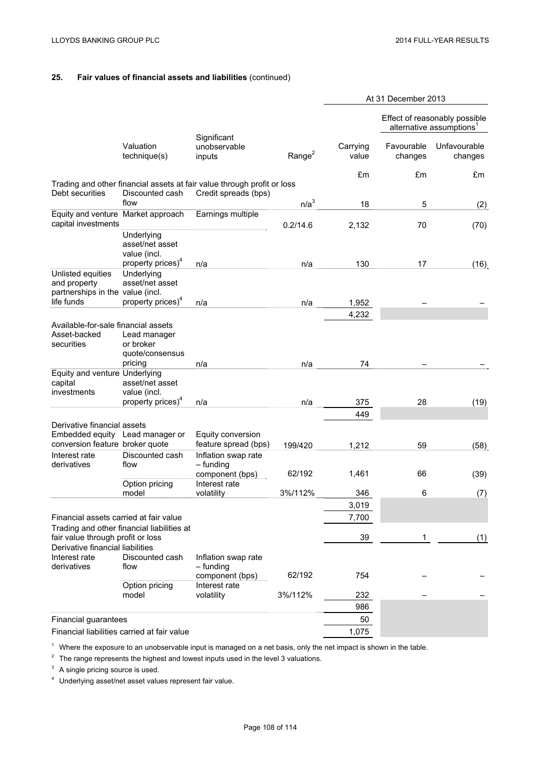|                                                                                                   |                                                         |                                                                         |                    |                   | At 31 December 2013   |                                                                       |
|---------------------------------------------------------------------------------------------------|---------------------------------------------------------|-------------------------------------------------------------------------|--------------------|-------------------|-----------------------|-----------------------------------------------------------------------|
|                                                                                                   |                                                         |                                                                         |                    |                   |                       | Effect of reasonably possible<br>alternative assumptions <sup>1</sup> |
|                                                                                                   | Valuation<br>technique(s)                               | Significant<br>unobservable<br>inputs                                   | Range <sup>2</sup> | Carrying<br>value | Favourable<br>changes | Unfavourable<br>changes                                               |
|                                                                                                   |                                                         |                                                                         |                    | £m                | £m                    | £m                                                                    |
| Debt securities                                                                                   | Discounted cash                                         | Trading and other financial assets at fair value through profit or loss |                    |                   |                       |                                                                       |
|                                                                                                   | flow                                                    | Credit spreads (bps)                                                    | $n/a^3$            | 18                | 5                     | (2)                                                                   |
| Equity and venture Market approach<br>capital investments                                         |                                                         | Earnings multiple                                                       | 0.2/14.6           | 2,132             | 70                    | (70)                                                                  |
|                                                                                                   | Underlying<br>asset/net asset<br>value (incl.           |                                                                         |                    |                   |                       |                                                                       |
| Unlisted equities                                                                                 | property prices) <sup>4</sup><br>Underlying             | n/a                                                                     | n/a                | 130               | 17                    | (16)                                                                  |
| and property<br>partnerships in the value (incl.                                                  | asset/net asset                                         |                                                                         |                    |                   |                       |                                                                       |
| life funds                                                                                        | property prices) <sup>4</sup>                           | n/a                                                                     | n/a                | 1,952             |                       |                                                                       |
|                                                                                                   |                                                         |                                                                         |                    | 4,232             |                       |                                                                       |
| Available-for-sale financial assets<br>Asset-backed<br>securities                                 | Lead manager<br>or broker<br>quote/consensus<br>pricing | n/a                                                                     | n/a                | 74                |                       |                                                                       |
| Equity and venture Underlying<br>capital<br>investments                                           | asset/net asset<br>value (incl.                         |                                                                         |                    |                   |                       |                                                                       |
|                                                                                                   | property prices) <sup>4</sup>                           | n/a                                                                     | n/a                | 375               | 28                    | (19)                                                                  |
|                                                                                                   |                                                         |                                                                         |                    | 449               |                       |                                                                       |
| Derivative financial assets<br>Embedded equity Lead manager or<br>conversion feature broker quote |                                                         | Equity conversion<br>feature spread (bps)                               | 199/420            | 1,212             | 59                    | (58)                                                                  |
| Interest rate<br>derivatives                                                                      | Discounted cash<br>flow                                 | Inflation swap rate<br>- funding                                        |                    |                   |                       |                                                                       |
|                                                                                                   | Option pricing                                          | component (bps)<br>Interest rate                                        | 62/192             | 1,461             | 66                    | (39)                                                                  |
|                                                                                                   | model                                                   | volatility                                                              | 3%/112%            | 346               | 6                     | (7)                                                                   |
|                                                                                                   |                                                         |                                                                         |                    | 3,019             |                       |                                                                       |
| Financial assets carried at fair value                                                            |                                                         |                                                                         |                    | 7,700             |                       |                                                                       |
| fair value through profit or loss<br>Derivative financial liabilities                             | Trading and other financial liabilities at              |                                                                         |                    | 39                | 1                     | (1)                                                                   |
| Interest rate<br>derivatives                                                                      | Discounted cash<br>flow                                 | Inflation swap rate<br>- funding                                        |                    |                   |                       |                                                                       |
|                                                                                                   |                                                         | component (bps)                                                         | 62/192             | 754               |                       |                                                                       |
|                                                                                                   | Option pricing<br>model                                 | Interest rate<br>volatility                                             | 3%/112%            | 232               |                       |                                                                       |
|                                                                                                   |                                                         |                                                                         |                    | 986               |                       |                                                                       |
| Financial guarantees                                                                              |                                                         |                                                                         |                    | 50                |                       |                                                                       |
|                                                                                                   | Financial liabilities carried at fair value             |                                                                         |                    | 1,075             |                       |                                                                       |

 $1$  Where the exposure to an unobservable input is managed on a net basis, only the net impact is shown in the table.

<sup>2</sup> The range represents the highest and lowest inputs used in the level 3 valuations.

 $3$  A single pricing source is used.

<sup>4</sup> Underlying asset/net asset values represent fair value.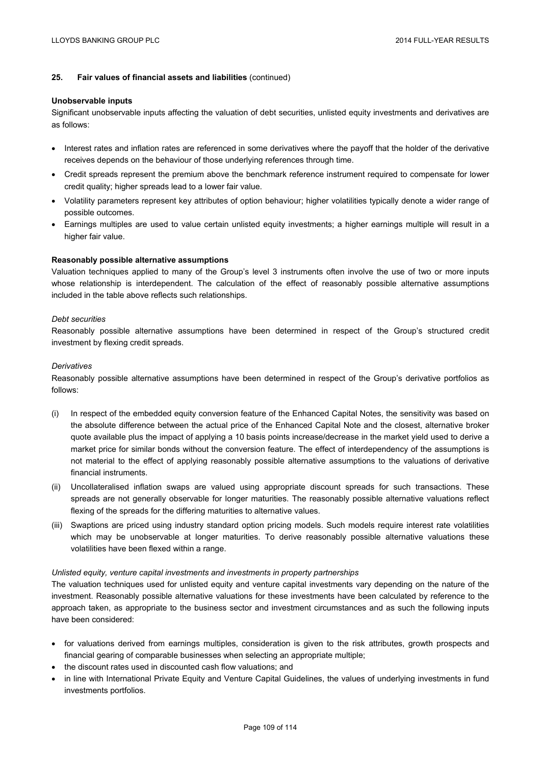### **Unobservable inputs**

Significant unobservable inputs affecting the valuation of debt securities, unlisted equity investments and derivatives are as follows:

- Interest rates and inflation rates are referenced in some derivatives where the payoff that the holder of the derivative receives depends on the behaviour of those underlying references through time.
- Credit spreads represent the premium above the benchmark reference instrument required to compensate for lower credit quality; higher spreads lead to a lower fair value.
- Volatility parameters represent key attributes of option behaviour; higher volatilities typically denote a wider range of possible outcomes.
- Earnings multiples are used to value certain unlisted equity investments; a higher earnings multiple will result in a higher fair value.

### **Reasonably possible alternative assumptions**

Valuation techniques applied to many of the Group's level 3 instruments often involve the use of two or more inputs whose relationship is interdependent. The calculation of the effect of reasonably possible alternative assumptions included in the table above reflects such relationships.

### *Debt securities*

Reasonably possible alternative assumptions have been determined in respect of the Group's structured credit investment by flexing credit spreads.

### *Derivatives*

Reasonably possible alternative assumptions have been determined in respect of the Group's derivative portfolios as follows:

- (i) In respect of the embedded equity conversion feature of the Enhanced Capital Notes, the sensitivity was based on the absolute difference between the actual price of the Enhanced Capital Note and the closest, alternative broker quote available plus the impact of applying a 10 basis points increase/decrease in the market yield used to derive a market price for similar bonds without the conversion feature. The effect of interdependency of the assumptions is not material to the effect of applying reasonably possible alternative assumptions to the valuations of derivative financial instruments.
- (ii) Uncollateralised inflation swaps are valued using appropriate discount spreads for such transactions. These spreads are not generally observable for longer maturities. The reasonably possible alternative valuations reflect flexing of the spreads for the differing maturities to alternative values.
- (iii) Swaptions are priced using industry standard option pricing models. Such models require interest rate volatilities which may be unobservable at longer maturities. To derive reasonably possible alternative valuations these volatilities have been flexed within a range.

### *Unlisted equity, venture capital investments and investments in property partnerships*

The valuation techniques used for unlisted equity and venture capital investments vary depending on the nature of the investment. Reasonably possible alternative valuations for these investments have been calculated by reference to the approach taken, as appropriate to the business sector and investment circumstances and as such the following inputs have been considered:

- for valuations derived from earnings multiples, consideration is given to the risk attributes, growth prospects and financial gearing of comparable businesses when selecting an appropriate multiple;
- the discount rates used in discounted cash flow valuations; and
- in line with International Private Equity and Venture Capital Guidelines, the values of underlying investments in fund investments portfolios.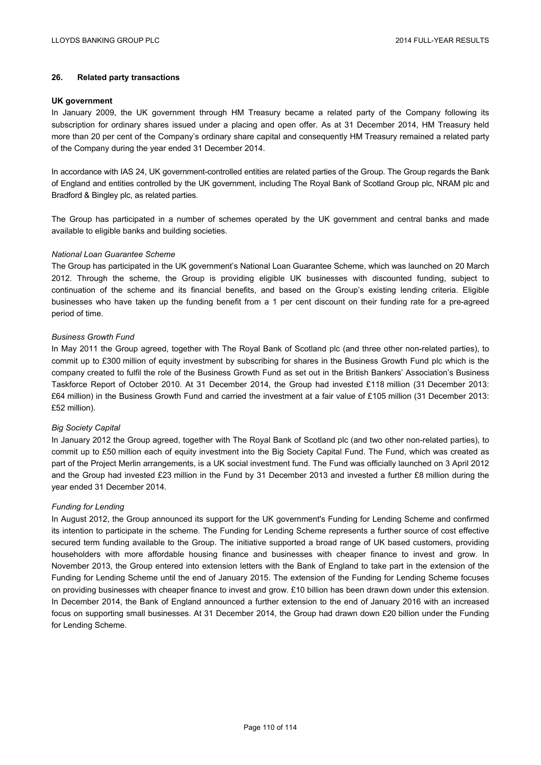## **26. Related party transactions**

### **UK government**

In January 2009, the UK government through HM Treasury became a related party of the Company following its subscription for ordinary shares issued under a placing and open offer. As at 31 December 2014, HM Treasury held more than 20 per cent of the Company's ordinary share capital and consequently HM Treasury remained a related party of the Company during the year ended 31 December 2014.

In accordance with IAS 24, UK government-controlled entities are related parties of the Group. The Group regards the Bank of England and entities controlled by the UK government, including The Royal Bank of Scotland Group plc, NRAM plc and Bradford & Bingley plc, as related parties.

The Group has participated in a number of schemes operated by the UK government and central banks and made available to eligible banks and building societies.

### *National Loan Guarantee Scheme*

The Group has participated in the UK government's National Loan Guarantee Scheme, which was launched on 20 March 2012. Through the scheme, the Group is providing eligible UK businesses with discounted funding, subject to continuation of the scheme and its financial benefits, and based on the Group's existing lending criteria. Eligible businesses who have taken up the funding benefit from a 1 per cent discount on their funding rate for a pre-agreed period of time.

### *Business Growth Fund*

In May 2011 the Group agreed, together with The Royal Bank of Scotland plc (and three other non-related parties), to commit up to £300 million of equity investment by subscribing for shares in the Business Growth Fund plc which is the company created to fulfil the role of the Business Growth Fund as set out in the British Bankers' Association's Business Taskforce Report of October 2010. At 31 December 2014, the Group had invested £118 million (31 December 2013: £64 million) in the Business Growth Fund and carried the investment at a fair value of £105 million (31 December 2013: £52 million).

### *Big Society Capital*

In January 2012 the Group agreed, together with The Royal Bank of Scotland plc (and two other non-related parties), to commit up to £50 million each of equity investment into the Big Society Capital Fund. The Fund, which was created as part of the Project Merlin arrangements, is a UK social investment fund. The Fund was officially launched on 3 April 2012 and the Group had invested £23 million in the Fund by 31 December 2013 and invested a further £8 million during the year ended 31 December 2014.

### *Funding for Lending*

In August 2012, the Group announced its support for the UK government's Funding for Lending Scheme and confirmed its intention to participate in the scheme. The Funding for Lending Scheme represents a further source of cost effective secured term funding available to the Group. The initiative supported a broad range of UK based customers, providing householders with more affordable housing finance and businesses with cheaper finance to invest and grow. In November 2013, the Group entered into extension letters with the Bank of England to take part in the extension of the Funding for Lending Scheme until the end of January 2015. The extension of the Funding for Lending Scheme focuses on providing businesses with cheaper finance to invest and grow. £10 billion has been drawn down under this extension. In December 2014, the Bank of England announced a further extension to the end of January 2016 with an increased focus on supporting small businesses. At 31 December 2014, the Group had drawn down £20 billion under the Funding for Lending Scheme.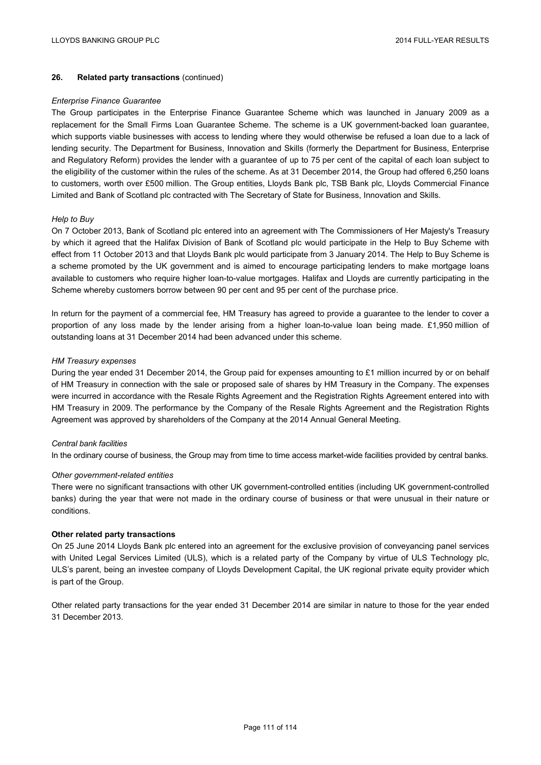### **26. Related party transactions** (continued)

#### *Enterprise Finance Guarantee*

The Group participates in the Enterprise Finance Guarantee Scheme which was launched in January 2009 as a replacement for the Small Firms Loan Guarantee Scheme. The scheme is a UK government-backed loan guarantee, which supports viable businesses with access to lending where they would otherwise be refused a loan due to a lack of lending security. The Department for Business, Innovation and Skills (formerly the Department for Business, Enterprise and Regulatory Reform) provides the lender with a guarantee of up to 75 per cent of the capital of each loan subject to the eligibility of the customer within the rules of the scheme. As at 31 December 2014, the Group had offered 6,250 loans to customers, worth over £500 million. The Group entities, Lloyds Bank plc, TSB Bank plc, Lloyds Commercial Finance Limited and Bank of Scotland plc contracted with The Secretary of State for Business, Innovation and Skills.

### *Help to Buy*

On 7 October 2013, Bank of Scotland plc entered into an agreement with The Commissioners of Her Majesty's Treasury by which it agreed that the Halifax Division of Bank of Scotland plc would participate in the Help to Buy Scheme with effect from 11 October 2013 and that Lloyds Bank plc would participate from 3 January 2014. The Help to Buy Scheme is a scheme promoted by the UK government and is aimed to encourage participating lenders to make mortgage loans available to customers who require higher loan-to-value mortgages. Halifax and Lloyds are currently participating in the Scheme whereby customers borrow between 90 per cent and 95 per cent of the purchase price.

In return for the payment of a commercial fee, HM Treasury has agreed to provide a guarantee to the lender to cover a proportion of any loss made by the lender arising from a higher loan-to-value loan being made. £1,950 million of outstanding loans at 31 December 2014 had been advanced under this scheme.

### *HM Treasury expenses*

During the year ended 31 December 2014, the Group paid for expenses amounting to £1 million incurred by or on behalf of HM Treasury in connection with the sale or proposed sale of shares by HM Treasury in the Company. The expenses were incurred in accordance with the Resale Rights Agreement and the Registration Rights Agreement entered into with HM Treasury in 2009. The performance by the Company of the Resale Rights Agreement and the Registration Rights Agreement was approved by shareholders of the Company at the 2014 Annual General Meeting.

### *Central bank facilities*

In the ordinary course of business, the Group may from time to time access market-wide facilities provided by central banks.

### *Other government-related entities*

There were no significant transactions with other UK government-controlled entities (including UK government-controlled banks) during the year that were not made in the ordinary course of business or that were unusual in their nature or conditions.

### **Other related party transactions**

On 25 June 2014 Lloyds Bank plc entered into an agreement for the exclusive provision of conveyancing panel services with United Legal Services Limited (ULS), which is a related party of the Company by virtue of ULS Technology plc, ULS's parent, being an investee company of Lloyds Development Capital, the UK regional private equity provider which is part of the Group.

Other related party transactions for the year ended 31 December 2014 are similar in nature to those for the year ended 31 December 2013.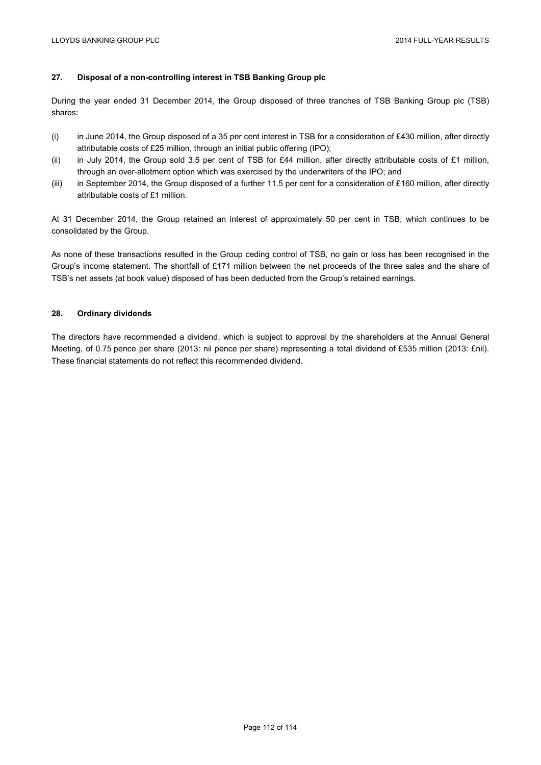## **27. Disposal of a non-controlling interest in TSB Banking Group plc**

During the year ended 31 December 2014, the Group disposed of three tranches of TSB Banking Group plc (TSB) shares:

- (i) in June 2014, the Group disposed of a 35 per cent interest in TSB for a consideration of £430 million, after directly attributable costs of £25 million, through an initial public offering (IPO);
- (ii) in July 2014, the Group sold 3.5 per cent of TSB for £44 million, after directly attributable costs of £1 million, through an over-allotment option which was exercised by the underwriters of the IPO; and
- (iii) in September 2014, the Group disposed of a further 11.5 per cent for a consideration of £160 million, after directly attributable costs of £1 million.

At 31 December 2014, the Group retained an interest of approximately 50 per cent in TSB, which continues to be consolidated by the Group.

As none of these transactions resulted in the Group ceding control of TSB, no gain or loss has been recognised in the Group's income statement. The shortfall of £171 million between the net proceeds of the three sales and the share of TSB's net assets (at book value) disposed of has been deducted from the Group's retained earnings.

## **28. Ordinary dividends**

The directors have recommended a dividend, which is subject to approval by the shareholders at the Annual General Meeting, of 0.75 pence per share (2013: nil pence per share) representing a total dividend of £535 million (2013: £nil). These financial statements do not reflect this recommended dividend.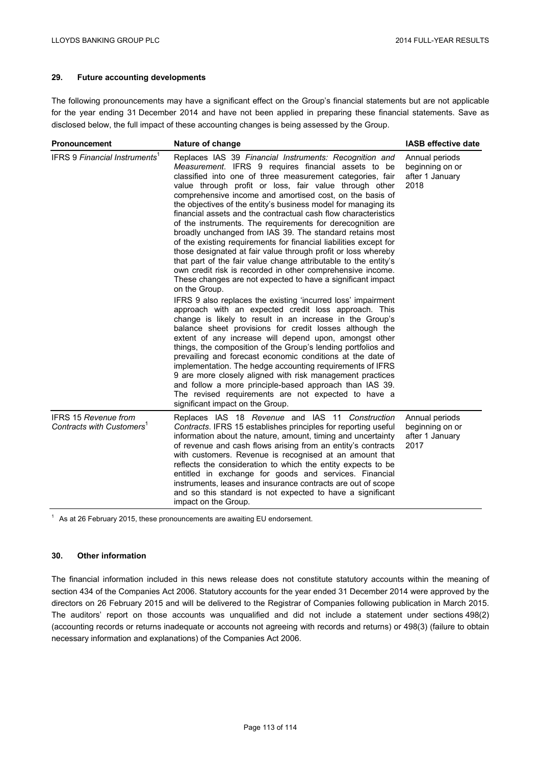# **29. Future accounting developments**

The following pronouncements may have a significant effect on the Group's financial statements but are not applicable for the year ending 31 December 2014 and have not been applied in preparing these financial statements. Save as disclosed below, the full impact of these accounting changes is being assessed by the Group.

| <b>Pronouncement</b>                                                 | Nature of change                                                                                                                                                                                                                                                                                                                                                                                                                                                                                                                                                                                                                                                                                                                                                                                                                                                                                                                                                                                                                                                                                                                                                                                                                                                                                                                                                                                                                                                                                                                                                                                                                              | <b>IASB effective date</b>                                   |
|----------------------------------------------------------------------|-----------------------------------------------------------------------------------------------------------------------------------------------------------------------------------------------------------------------------------------------------------------------------------------------------------------------------------------------------------------------------------------------------------------------------------------------------------------------------------------------------------------------------------------------------------------------------------------------------------------------------------------------------------------------------------------------------------------------------------------------------------------------------------------------------------------------------------------------------------------------------------------------------------------------------------------------------------------------------------------------------------------------------------------------------------------------------------------------------------------------------------------------------------------------------------------------------------------------------------------------------------------------------------------------------------------------------------------------------------------------------------------------------------------------------------------------------------------------------------------------------------------------------------------------------------------------------------------------------------------------------------------------|--------------------------------------------------------------|
| IFRS 9 Financial Instruments <sup>1</sup>                            | Replaces IAS 39 Financial Instruments: Recognition and<br>Measurement. IFRS 9 requires financial assets to be<br>classified into one of three measurement categories, fair<br>value through profit or loss, fair value through other<br>comprehensive income and amortised cost, on the basis of<br>the objectives of the entity's business model for managing its<br>financial assets and the contractual cash flow characteristics<br>of the instruments. The requirements for derecognition are<br>broadly unchanged from IAS 39. The standard retains most<br>of the existing requirements for financial liabilities except for<br>those designated at fair value through profit or loss whereby<br>that part of the fair value change attributable to the entity's<br>own credit risk is recorded in other comprehensive income.<br>These changes are not expected to have a significant impact<br>on the Group.<br>IFRS 9 also replaces the existing 'incurred loss' impairment<br>approach with an expected credit loss approach. This<br>change is likely to result in an increase in the Group's<br>balance sheet provisions for credit losses although the<br>extent of any increase will depend upon, amongst other<br>things, the composition of the Group's lending portfolios and<br>prevailing and forecast economic conditions at the date of<br>implementation. The hedge accounting requirements of IFRS<br>9 are more closely aligned with risk management practices<br>and follow a more principle-based approach than IAS 39.<br>The revised requirements are not expected to have a<br>significant impact on the Group. | Annual periods<br>beginning on or<br>after 1 January<br>2018 |
| <b>IFRS 15 Revenue from</b><br>Contracts with Customers <sup>1</sup> | Replaces IAS 18 Revenue and IAS 11 Construction<br>Contracts. IFRS 15 establishes principles for reporting useful<br>information about the nature, amount, timing and uncertainty<br>of revenue and cash flows arising from an entity's contracts<br>with customers. Revenue is recognised at an amount that<br>reflects the consideration to which the entity expects to be<br>entitled in exchange for goods and services. Financial<br>instruments, leases and insurance contracts are out of scope<br>and so this standard is not expected to have a significant<br>impact on the Group.                                                                                                                                                                                                                                                                                                                                                                                                                                                                                                                                                                                                                                                                                                                                                                                                                                                                                                                                                                                                                                                  | Annual periods<br>beginning on or<br>after 1 January<br>2017 |

 $1$  As at 26 February 2015, these pronouncements are awaiting EU endorsement.

## **30. Other information**

The financial information included in this news release does not constitute statutory accounts within the meaning of section 434 of the Companies Act 2006. Statutory accounts for the year ended 31 December 2014 were approved by the directors on 26 February 2015 and will be delivered to the Registrar of Companies following publication in March 2015. The auditors' report on those accounts was unqualified and did not include a statement under sections 498(2) (accounting records or returns inadequate or accounts not agreeing with records and returns) or 498(3) (failure to obtain necessary information and explanations) of the Companies Act 2006.